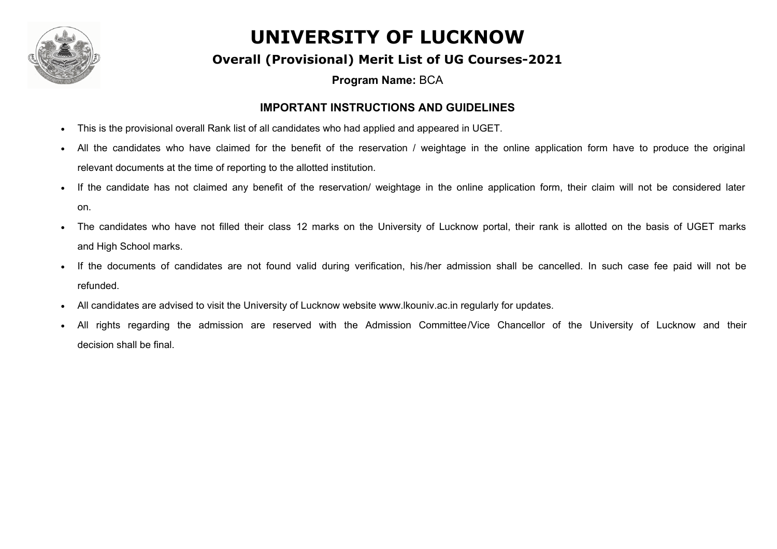

#### **Overall (Provisional) Merit List of UG Courses-2021**

**Program Name:** BCA

#### **IMPORTANT INSTRUCTIONS AND GUIDELINES**

- This is the provisional overall Rank list of all candidates who had applied and appeared in UGET.
- All the candidates who have claimed for the benefit of the reservation / weightage in the online application form have to produce the original relevant documents at the time of reporting to the allotted institution.
- If the candidate has not claimed any benefit of the reservation/ weightage in the online application form, their claim will not be considered later on.
- The candidates who have not filled their class 12 marks on the University of Lucknow portal, their rank is allotted on the basis of UGET marks and High School marks.
- If the documents of candidates are not found valid during verification, his/her admission shall be cancelled. In such case fee paid will not be refunded.
- · All candidates are advised to visit the University of Lucknow website www.lkouniv.ac.in regularly for updates.
- All rights regarding the admission are reserved with the Admission Committee/Vice Chancellor of the University of Lucknow and their decision shall be final.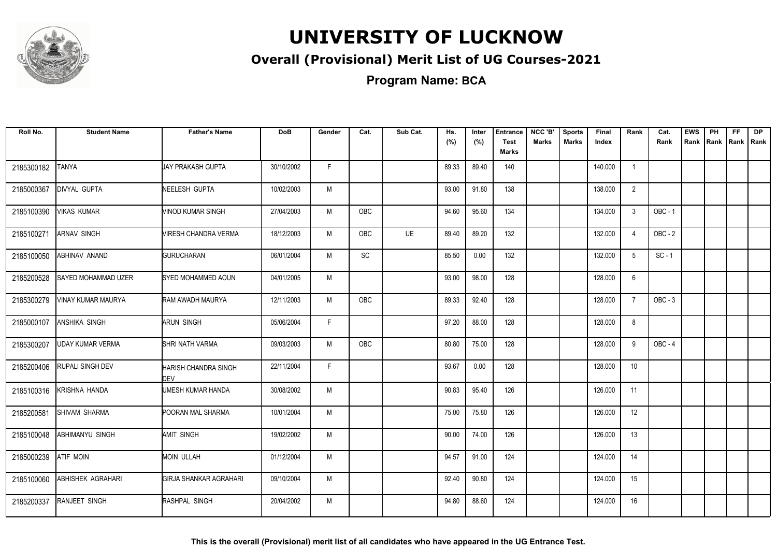

### **Overall (Provisional) Merit List of UG Courses-2021**

| Roll No.   | <b>Student Name</b>  | <b>Father's Name</b>               | <b>DoB</b> | Gender | Cat.       | Sub Cat.  | Hs.<br>(%) | Inter<br>(%) | <b>Entrance</b><br><b>Test</b> | NCC 'B'<br>Marks | <b>Sports</b><br>Marks | Final<br>Index | Rank           | Cat.<br>Rank   | <b>EWS</b><br>Rank | <b>PH</b> | <b>FF</b><br>Rank   Rank | <b>DP</b><br>Rank |
|------------|----------------------|------------------------------------|------------|--------|------------|-----------|------------|--------------|--------------------------------|------------------|------------------------|----------------|----------------|----------------|--------------------|-----------|--------------------------|-------------------|
|            |                      |                                    |            |        |            |           |            |              | <b>Marks</b>                   |                  |                        |                |                |                |                    |           |                          |                   |
| 2185300182 | <b>TANYA</b>         | JAY PRAKASH GUPTA                  | 30/10/2002 | F.     |            |           | 89.33      | 89.40        | 140                            |                  |                        | 140.000        | -1             |                |                    |           |                          |                   |
| 2185000367 | DIVYAL GUPTA         | NEELESH GUPTA                      | 10/02/2003 | M      |            |           | 93.00      | 91.80        | 138                            |                  |                        | 138.000        | $\overline{2}$ |                |                    |           |                          |                   |
| 2185100390 | VIKAS KUMAR          | VINOD KUMAR SINGH                  | 27/04/2003 | M      | OBC        |           | 94.60      | 95.60        | 134                            |                  |                        | 134.000        | 3              | <b>OBC - 1</b> |                    |           |                          |                   |
| 2185100271 | <b>ARNAV SINGH</b>   | VIRESH CHANDRA VERMA               | 18/12/2003 | M      | <b>OBC</b> | <b>UE</b> | 89.40      | 89.20        | 132                            |                  |                        | 132.000        | $\overline{4}$ | $OBC - 2$      |                    |           |                          |                   |
| 2185100050 | ABHINAV ANAND        | <b>GURUCHARAN</b>                  | 06/01/2004 | M      | <b>SC</b>  |           | 85.50      | 0.00         | 132                            |                  |                        | 132.000        | 5              | $SC - 1$       |                    |           |                          |                   |
| 2185200528 | SAYED MOHAMMAD UZER  | SYED MOHAMMED AOUN                 | 04/01/2005 | M      |            |           | 93.00      | 98.00        | 128                            |                  |                        | 128.000        | 6              |                |                    |           |                          |                   |
| 2185300279 | VINAY KUMAR MAURYA   | RAM AWADH MAURYA                   | 12/11/2003 | M      | OBC        |           | 89.33      | 92.40        | 128                            |                  |                        | 128.000        | $\overline{7}$ | $OBC - 3$      |                    |           |                          |                   |
| 2185000107 | <b>ANSHIKA SINGH</b> | ARUN SINGH                         | 05/06/2004 | F      |            |           | 97.20      | 88.00        | 128                            |                  |                        | 128.000        | 8              |                |                    |           |                          |                   |
| 2185300207 | UDAY KUMAR VERMA     | SHRI NATH VARMA                    | 09/03/2003 | M      | OBC        |           | 80.80      | 75.00        | 128                            |                  |                        | 128.000        | 9              | OBC - 4        |                    |           |                          |                   |
| 2185200406 | RUPALI SINGH DEV     | HARISH CHANDRA SINGH<br><b>DFV</b> | 22/11/2004 | F.     |            |           | 93.67      | 0.00         | 128                            |                  |                        | 128.000        | 10             |                |                    |           |                          |                   |
| 2185100316 | KRISHNA HANDA        | UMESH KUMAR HANDA                  | 30/08/2002 | M      |            |           | 90.83      | 95.40        | 126                            |                  |                        | 126.000        | 11             |                |                    |           |                          |                   |
| 2185200581 | SHIVAM SHARMA        | POORAN MAL SHARMA                  | 10/01/2004 | M      |            |           | 75.00      | 75.80        | 126                            |                  |                        | 126.000        | 12             |                |                    |           |                          |                   |
| 2185100048 | ABHIMANYU SINGH      | <b>AMIT SINGH</b>                  | 19/02/2002 | M      |            |           | 90.00      | 74.00        | 126                            |                  |                        | 126.000        | 13             |                |                    |           |                          |                   |
| 2185000239 | <b>ATIF MOIN</b>     | <b>MOIN ULLAH</b>                  | 01/12/2004 | M      |            |           | 94.57      | 91.00        | 124                            |                  |                        | 124.000        | 14             |                |                    |           |                          |                   |
| 2185100060 | ABHISHEK AGRAHARI    | GIRJA SHANKAR AGRAHARI             | 09/10/2004 | M      |            |           | 92.40      | 90.80        | 124                            |                  |                        | 124.000        | 15             |                |                    |           |                          |                   |
| 2185200337 | <b>RANJEET SINGH</b> | RASHPAL SINGH                      | 20/04/2002 | M      |            |           | 94.80      | 88.60        | 124                            |                  |                        | 124.000        | 16             |                |                    |           |                          |                   |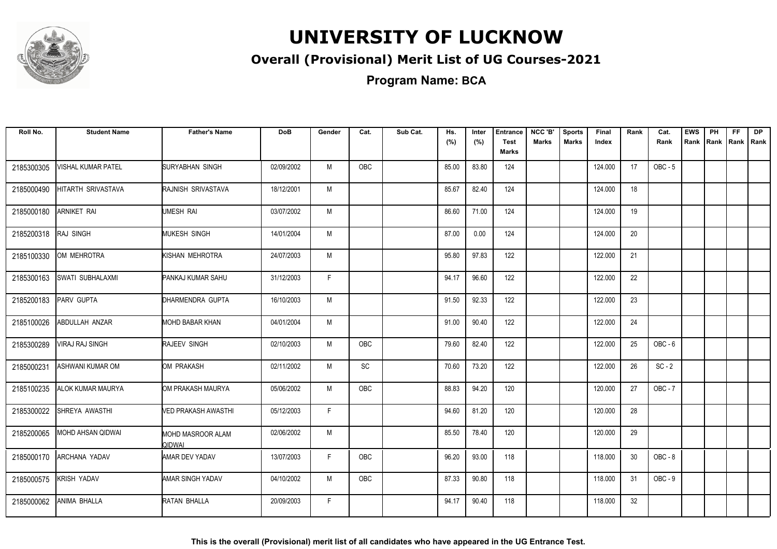

### **Overall (Provisional) Merit List of UG Courses-2021**

**Program Name: BCA**

| Roll No.   | <b>Student Name</b>     | <b>Father's Name</b>        | <b>DoB</b> | Gender | Cat. | Sub Cat. | Hs.<br>(%) | Inter<br>(%) | <b>Entrance</b><br><b>Test</b><br>Marks | NCC 'B'<br><b>Marks</b> | <b>Sports</b><br><b>Marks</b> | Final<br>Index | Rank | Cat.<br>Rank | <b>EWS</b><br>Rank | PH<br>Rank | FF.<br>Rank   Rank | <b>DP</b> |
|------------|-------------------------|-----------------------------|------------|--------|------|----------|------------|--------------|-----------------------------------------|-------------------------|-------------------------------|----------------|------|--------------|--------------------|------------|--------------------|-----------|
| 2185300305 | VISHAL KUMAR PATEL      | SURYABHAN SINGH             | 02/09/2002 | M      | OBC  |          | 85.00      | 83.80        | 124                                     |                         |                               | 124.000        | 17   | $OBC - 5$    |                    |            |                    |           |
| 2185000490 | HITARTH SRIVASTAVA      | RAJNISH SRIVASTAVA          | 18/12/2001 | M      |      |          | 85.67      | 82.40        | 124                                     |                         |                               | 124.000        | 18   |              |                    |            |                    |           |
| 2185000180 | <b>ARNIKET RAI</b>      | UMESH RAI                   | 03/07/2002 | M      |      |          | 86.60      | 71.00        | 124                                     |                         |                               | 124.000        | 19   |              |                    |            |                    |           |
| 2185200318 | RAJ SINGH               | <b>MUKESH SINGH</b>         | 14/01/2004 | M      |      |          | 87.00      | 0.00         | 124                                     |                         |                               | 124.000        | 20   |              |                    |            |                    |           |
| 2185100330 | OM MEHROTRA             | KISHAN MEHROTRA             | 24/07/2003 | M      |      |          | 95.80      | 97.83        | 122                                     |                         |                               | 122.000        | 21   |              |                    |            |                    |           |
| 2185300163 | <b>SWATI SUBHALAXMI</b> | PANKAJ KUMAR SAHU           | 31/12/2003 | F      |      |          | 94.17      | 96.60        | 122                                     |                         |                               | 122.000        | 22   |              |                    |            |                    |           |
| 2185200183 | PARV GUPTA              | DHARMENDRA GUPTA            | 16/10/2003 | M      |      |          | 91.50      | 92.33        | 122                                     |                         |                               | 122.000        | 23   |              |                    |            |                    |           |
| 2185100026 | ABDULLAH ANZAR          | <b>MOHD BABAR KHAN</b>      | 04/01/2004 | M      |      |          | 91.00      | 90.40        | 122                                     |                         |                               | 122.000        | 24   |              |                    |            |                    |           |
| 2185300289 | <b>VIRAJ RAJ SINGH</b>  | RAJEEV SINGH                | 02/10/2003 | M      | OBC  |          | 79.60      | 82.40        | 122                                     |                         |                               | 122.000        | 25   | $OBC - 6$    |                    |            |                    |           |
| 2185000231 | ASHWANI KUMAR OM        | OM PRAKASH                  | 02/11/2002 | M      | SC   |          | 70.60      | 73.20        | 122                                     |                         |                               | 122.000        | 26   | $SC - 2$     |                    |            |                    |           |
| 2185100235 | ALOK KUMAR MAURYA       | OM PRAKASH MAURYA           | 05/06/2002 | M      | OBC  |          | 88.83      | 94.20        | 120                                     |                         |                               | 120.000        | 27   | $OBC - 7$    |                    |            |                    |           |
| 2185300022 | SHREYA AWASTHI          | VED PRAKASH AWASTHI         | 05/12/2003 | F      |      |          | 94.60      | 81.20        | 120                                     |                         |                               | 120.000        | 28   |              |                    |            |                    |           |
| 2185200065 | MOHD AHSAN QIDWAI       | MOHD MASROOR ALAM<br>QIDWAI | 02/06/2002 | M      |      |          | 85.50      | 78.40        | 120                                     |                         |                               | 120.000        | 29   |              |                    |            |                    |           |
| 2185000170 | ARCHANA YADAV           | AMAR DEV YADAV              | 13/07/2003 | F      | OBC  |          | 96.20      | 93.00        | 118                                     |                         |                               | 118.000        | 30   | OBC-8        |                    |            |                    |           |
| 2185000575 | <b>KRISH YADAV</b>      | AMAR SINGH YADAV            | 04/10/2002 | M      | OBC  |          | 87.33      | 90.80        | 118                                     |                         |                               | 118.000        | 31   | $OBC - 9$    |                    |            |                    |           |
| 2185000062 | ANIMA BHALLA            | RATAN BHALLA                | 20/09/2003 | F      |      |          | 94.17      | 90.40        | 118                                     |                         |                               | 118.000        | 32   |              |                    |            |                    |           |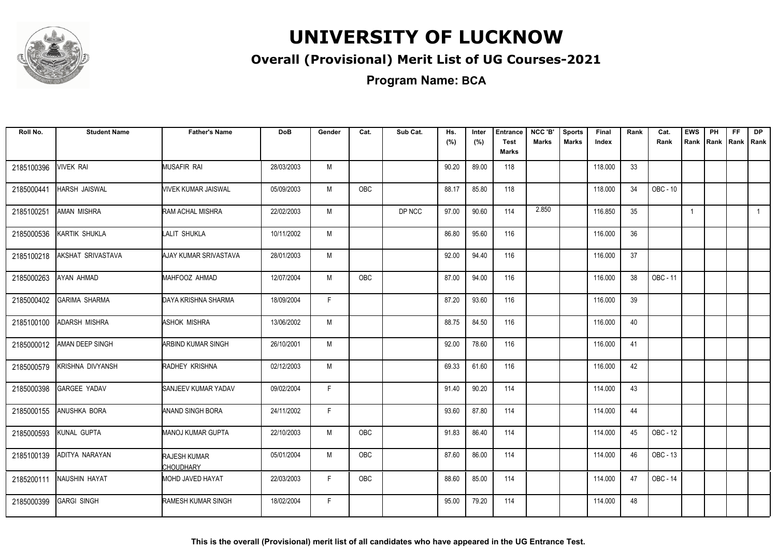

### **Overall (Provisional) Merit List of UG Courses-2021**

**Program Name: BCA**

| Roll No.   | <b>Student Name</b>  | <b>Father's Name</b>                    | <b>DoB</b> | Gender | Cat.       | Sub Cat. | Hs.<br>(%) | Inter<br>(%) | <b>Entrance</b><br><b>Test</b><br>Marks | NCC 'B'<br><b>Marks</b> | <b>Sports</b><br><b>Marks</b> | Final<br>Index | Rank | Cat.<br>Rank | <b>EWS</b>   | PH | FF. | <b>DP</b><br>Rank Rank Rank Rank |
|------------|----------------------|-----------------------------------------|------------|--------|------------|----------|------------|--------------|-----------------------------------------|-------------------------|-------------------------------|----------------|------|--------------|--------------|----|-----|----------------------------------|
| 2185100396 | <b>VIVEK RAI</b>     | MUSAFIR RAI                             | 28/03/2003 | M      |            |          | 90.20      | 89.00        | 118                                     |                         |                               | 118.000        | 33   |              |              |    |     |                                  |
| 2185000441 | HARSH JAISWAL        | <b>VIVEK KUMAR JAISWAL</b>              | 05/09/2003 | M      | OBC        |          | 88.17      | 85.80        | 118                                     |                         |                               | 118.000        | 34   | OBC - 10     |              |    |     |                                  |
| 2185100251 | <b>AMAN MISHRA</b>   | RAM ACHAL MISHRA                        | 22/02/2003 | M      |            | DP NCC   | 97.00      | 90.60        | 114                                     | 2.850                   |                               | 116.850        | 35   |              | $\mathbf{1}$ |    |     | $\overline{1}$                   |
| 2185000536 | KARTIK SHUKLA        | LALIT SHUKLA                            | 10/11/2002 | M      |            |          | 86.80      | 95.60        | 116                                     |                         |                               | 116.000        | 36   |              |              |    |     |                                  |
| 2185100218 | AKSHAT SRIVASTAVA    | AJAY KUMAR SRIVASTAVA                   | 28/01/2003 | M      |            |          | 92.00      | 94.40        | 116                                     |                         |                               | 116.000        | 37   |              |              |    |     |                                  |
| 2185000263 | AYAN AHMAD           | MAHFOOZ AHMAD                           | 12/07/2004 | M      | OBC        |          | 87.00      | 94.00        | 116                                     |                         |                               | 116.000        | 38   | OBC - 11     |              |    |     |                                  |
| 2185000402 | <b>GARIMA SHARMA</b> | DAYA KRISHNA SHARMA                     | 18/09/2004 | F.     |            |          | 87.20      | 93.60        | 116                                     |                         |                               | 116.000        | 39   |              |              |    |     |                                  |
| 2185100100 | ADARSH MISHRA        | <b>ASHOK MISHRA</b>                     | 13/06/2002 | M      |            |          | 88.75      | 84.50        | 116                                     |                         |                               | 116.000        | 40   |              |              |    |     |                                  |
| 2185000012 | AMAN DEEP SINGH      | ARBIND KUMAR SINGH                      | 26/10/2001 | M      |            |          | 92.00      | 78.60        | 116                                     |                         |                               | 116.000        | 41   |              |              |    |     |                                  |
| 2185000579 | KRISHNA DIVYANSH     | RADHEY KRISHNA                          | 02/12/2003 | M      |            |          | 69.33      | 61.60        | 116                                     |                         |                               | 116.000        | 42   |              |              |    |     |                                  |
| 2185000398 | <b>GARGEE YADAV</b>  | SANJEEV KUMAR YADAV                     | 09/02/2004 | F      |            |          | 91.40      | 90.20        | 114                                     |                         |                               | 114.000        | 43   |              |              |    |     |                                  |
| 2185000155 | ANUSHKA BORA         | ANAND SINGH BORA                        | 24/11/2002 | F.     |            |          | 93.60      | 87.80        | 114                                     |                         |                               | 114.000        | 44   |              |              |    |     |                                  |
| 2185000593 | KUNAL GUPTA          | <b>MANOJ KUMAR GUPTA</b>                | 22/10/2003 | M      | <b>OBC</b> |          | 91.83      | 86.40        | 114                                     |                         |                               | 114.000        | 45   | OBC - 12     |              |    |     |                                  |
| 2185100139 | ADITYA NARAYAN       | <b>RAJESH KUMAR</b><br><b>CHOUDHARY</b> | 05/01/2004 | M      | OBC        |          | 87.60      | 86.00        | 114                                     |                         |                               | 114.000        | 46   | OBC - 13     |              |    |     |                                  |
| 2185200111 | NAUSHIN HAYAT        | MOHD JAVED HAYAT                        | 22/03/2003 | F      | OBC        |          | 88.60      | 85.00        | 114                                     |                         |                               | 114.000        | 47   | OBC - 14     |              |    |     |                                  |
| 2185000399 | <b>GARGI SINGH</b>   | <b>RAMESH KUMAR SINGH</b>               | 18/02/2004 | F.     |            |          | 95.00      | 79.20        | 114                                     |                         |                               | 114.000        | 48   |              |              |    |     |                                  |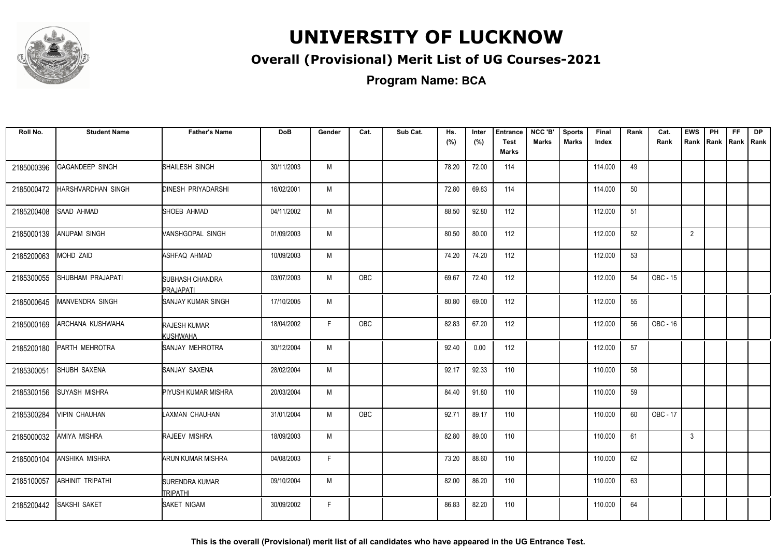

### **Overall (Provisional) Merit List of UG Courses-2021**

**Program Name: BCA**

| Roll No.   | <b>Student Name</b>     | <b>Father's Name</b>                | <b>DoB</b> | Gender | Cat.       | Sub Cat. | Hs.<br>(%) | Inter<br>(%) | <b>Entrance</b><br><b>Test</b><br><b>Marks</b> | NCC 'B'<br><b>Marks</b> | <b>Sports</b><br><b>Marks</b> | Final<br>Index | Rank | Cat.<br>Rank | <b>EWS</b><br>Rank | PH<br>Rank Rank | FF | <b>DP</b><br>I Rank |
|------------|-------------------------|-------------------------------------|------------|--------|------------|----------|------------|--------------|------------------------------------------------|-------------------------|-------------------------------|----------------|------|--------------|--------------------|-----------------|----|---------------------|
| 2185000396 | GAGANDEEP SINGH         | SHAILESH SINGH                      | 30/11/2003 | M      |            |          | 78.20      | 72.00        | 114                                            |                         |                               | 114.000        | 49   |              |                    |                 |    |                     |
| 2185000472 | HARSHVARDHAN SINGH      | <b>DINESH PRIYADARSHI</b>           | 16/02/2001 | М      |            |          | 72.80      | 69.83        | 114                                            |                         |                               | 114.000        | 50   |              |                    |                 |    |                     |
| 2185200408 | SAAD AHMAD              | SHOEB AHMAD                         | 04/11/2002 | M      |            |          | 88.50      | 92.80        | 112                                            |                         |                               | 112.000        | 51   |              |                    |                 |    |                     |
| 2185000139 | ANUPAM SINGH            | VANSHGOPAL SINGH                    | 01/09/2003 | M      |            |          | 80.50      | 80.00        | 112                                            |                         |                               | 112.000        | 52   |              | $\overline{2}$     |                 |    |                     |
| 2185200063 | MOHD ZAID               | ASHFAQ AHMAD                        | 10/09/2003 | M      |            |          | 74.20      | 74.20        | 112                                            |                         |                               | 112.000        | 53   |              |                    |                 |    |                     |
| 2185300055 | SHUBHAM PRAJAPATI       | <b>SUBHASH CHANDRA</b><br>PRAJAPATI | 03/07/2003 | M      | <b>OBC</b> |          | 69.67      | 72.40        | 112                                            |                         |                               | 112.000        | 54   | OBC - 15     |                    |                 |    |                     |
| 2185000645 | MANVENDRA SINGH         | <b>SANJAY KUMAR SINGH</b>           | 17/10/2005 | M      |            |          | 80.80      | 69.00        | 112                                            |                         |                               | 112.000        | 55   |              |                    |                 |    |                     |
| 2185000169 | ARCHANA KUSHWAHA        | RAJESH KUMAR<br>KUSHWAHA            | 18/04/2002 | F.     | OBC        |          | 82.83      | 67.20        | 112                                            |                         |                               | 112.000        | 56   | OBC - 16     |                    |                 |    |                     |
| 2185200180 | PARTH MEHROTRA          | SANJAY MEHROTRA                     | 30/12/2004 | M      |            |          | 92.40      | 0.00         | 112                                            |                         |                               | 112.000        | 57   |              |                    |                 |    |                     |
| 2185300051 | <b>SHUBH SAXENA</b>     | SANJAY SAXENA                       | 28/02/2004 | M      |            |          | 92.17      | 92.33        | 110                                            |                         |                               | 110.000        | 58   |              |                    |                 |    |                     |
| 2185300156 | <b>SUYASH MISHRA</b>    | <b>PIYUSH KUMAR MISHRA</b>          | 20/03/2004 | M      |            |          | 84.40      | 91.80        | 110                                            |                         |                               | 110.000        | 59   |              |                    |                 |    |                     |
| 2185300284 | <b>VIPIN CHAUHAN</b>    | LAXMAN CHAUHAN                      | 31/01/2004 | M      | <b>OBC</b> |          | 92.71      | 89.17        | 110                                            |                         |                               | 110.000        | 60   | OBC - 17     |                    |                 |    |                     |
| 2185000032 | AMIYA MISHRA            | RAJEEV MISHRA                       | 18/09/2003 | M      |            |          | 82.80      | 89.00        | 110                                            |                         |                               | 110.000        | 61   |              | 3                  |                 |    |                     |
| 2185000104 | <b>ANSHIKA MISHRA</b>   | <b>ARUN KUMAR MISHRA</b>            | 04/08/2003 | F      |            |          | 73.20      | 88.60        | 110                                            |                         |                               | 110.000        | 62   |              |                    |                 |    |                     |
| 2185100057 | <b>ABHINIT TRIPATHI</b> | <b>SURENDRA KUMAR</b><br>Itripathi  | 09/10/2004 | M      |            |          | 82.00      | 86.20        | 110                                            |                         |                               | 110.000        | 63   |              |                    |                 |    |                     |
| 2185200442 | SAKSHI SAKET            | <b>I</b> SAKET NIGAM                | 30/09/2002 | F      |            |          | 86.83      | 82.20        | 110                                            |                         |                               | 110.000        | 64   |              |                    |                 |    |                     |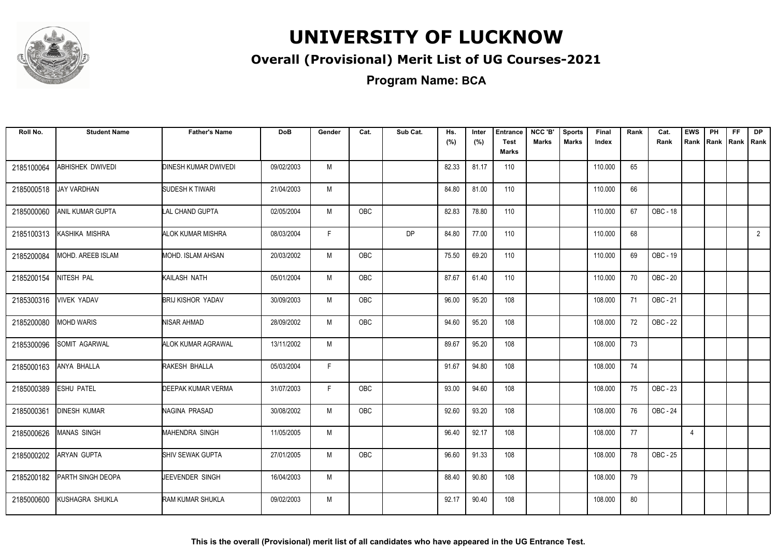

### **Overall (Provisional) Merit List of UG Courses-2021**

| Roll No.   | <b>Student Name</b>     | <b>Father's Name</b>     | <b>DoB</b> | Gender | Cat.       | Sub Cat.  | Hs.<br>(%) | Inter<br>(%) | <b>Entrance</b><br><b>Test</b><br>Marks | NCC 'B'<br><b>Marks</b> | <b>Sports</b><br><b>Marks</b> | Final<br>Index | Rank | Cat.<br>Rank | <b>EWS</b><br>Rank | PH | FF. | <b>DP</b><br>Rank Rank Rank |
|------------|-------------------------|--------------------------|------------|--------|------------|-----------|------------|--------------|-----------------------------------------|-------------------------|-------------------------------|----------------|------|--------------|--------------------|----|-----|-----------------------------|
| 2185100064 | <b>ABHISHEK DWIVEDI</b> | DINESH KUMAR DWIVEDI     | 09/02/2003 | M      |            |           | 82.33      | 81.17        | 110                                     |                         |                               | 110.000        | 65   |              |                    |    |     |                             |
| 2185000518 | <b>JAY VARDHAN</b>      | SUDESH K TIWARI          | 21/04/2003 | M      |            |           | 84.80      | 81.00        | 110                                     |                         |                               | 110.000        | 66   |              |                    |    |     |                             |
| 2185000060 | ANIL KUMAR GUPTA        | <b>LAL CHAND GUPTA</b>   | 02/05/2004 | M      | OBC        |           | 82.83      | 78.80        | 110                                     |                         |                               | 110.000        | 67   | OBC - 18     |                    |    |     |                             |
| 2185100313 | KASHIKA MISHRA          | ALOK KUMAR MISHRA        | 08/03/2004 | F      |            | <b>DP</b> | 84.80      | 77.00        | 110                                     |                         |                               | 110.000        | 68   |              |                    |    |     | $\overline{2}$              |
| 2185200084 | MOHD. AREEB ISLAM       | MOHD. ISLAM AHSAN        | 20/03/2002 | M      | OBC        |           | 75.50      | 69.20        | 110                                     |                         |                               | 110.000        | 69   | OBC - 19     |                    |    |     |                             |
| 2185200154 | NITESH PAL              | KAILASH NATH             | 05/01/2004 | M      | <b>OBC</b> |           | 87.67      | 61.40        | 110                                     |                         |                               | 110.000        | 70   | OBC - 20     |                    |    |     |                             |
| 2185300316 | <b>VIVEK YADAV</b>      | <b>BRIJ KISHOR YADAV</b> | 30/09/2003 | M      | OBC        |           | 96.00      | 95.20        | 108                                     |                         |                               | 108.000        | 71   | OBC - 21     |                    |    |     |                             |
| 2185200080 | <b>MOHD WARIS</b>       | NISAR AHMAD              | 28/09/2002 | M      | <b>OBC</b> |           | 94.60      | 95.20        | 108                                     |                         |                               | 108.000        | 72   | OBC - 22     |                    |    |     |                             |
| 2185300096 | <b>SOMIT AGARWAL</b>    | ALOK KUMAR AGRAWAL       | 13/11/2002 | M      |            |           | 89.67      | 95.20        | 108                                     |                         |                               | 108.000        | 73   |              |                    |    |     |                             |
| 2185000163 | ANYA BHALLA             | RAKESH BHALLA            | 05/03/2004 | F      |            |           | 91.67      | 94.80        | 108                                     |                         |                               | 108.000        | 74   |              |                    |    |     |                             |
| 2185000389 | <b>ESHU PATEL</b>       | DEEPAK KUMAR VERMA       | 31/07/2003 | F      | <b>OBC</b> |           | 93.00      | 94.60        | 108                                     |                         |                               | 108.000        | 75   | OBC - 23     |                    |    |     |                             |
| 2185000361 | <b>DINESH KUMAR</b>     | NAGINA PRASAD            | 30/08/2002 | M      | OBC        |           | 92.60      | 93.20        | 108                                     |                         |                               | 108.000        | 76   | OBC - 24     |                    |    |     |                             |
| 2185000626 | <b>MANAS SINGH</b>      | <b>MAHENDRA SINGH</b>    | 11/05/2005 | M      |            |           | 96.40      | 92.17        | 108                                     |                         |                               | 108.000        | 77   |              | $\overline{4}$     |    |     |                             |
| 2185000202 | ARYAN GUPTA             | SHIV SEWAK GUPTA         | 27/01/2005 | M      | OBC        |           | 96.60      | 91.33        | 108                                     |                         |                               | 108.000        | 78   | OBC - 25     |                    |    |     |                             |
| 2185200182 | PARTH SINGH DEOPA       | JEEVENDER SINGH          | 16/04/2003 | M      |            |           | 88.40      | 90.80        | 108                                     |                         |                               | 108.000        | 79   |              |                    |    |     |                             |
| 2185000600 | KUSHAGRA SHUKLA         | RAM KUMAR SHUKLA         | 09/02/2003 | M      |            |           | 92.17      | 90.40        | 108                                     |                         |                               | 108.000        | 80   |              |                    |    |     |                             |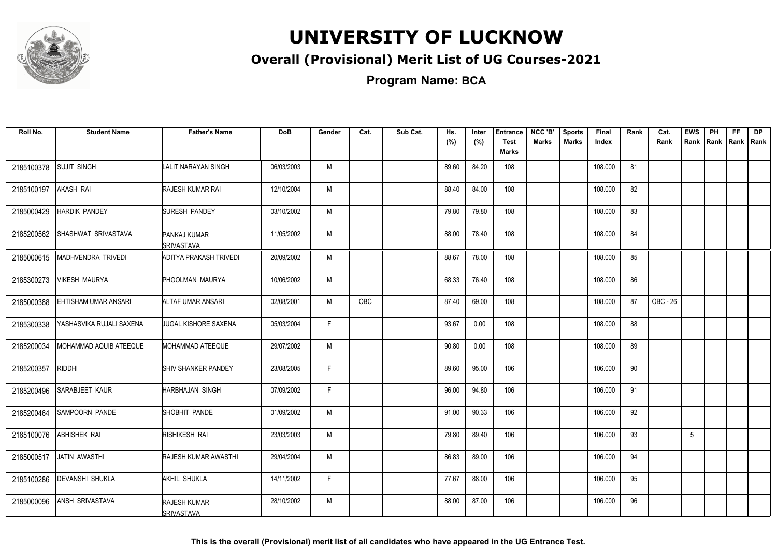

### **Overall (Provisional) Merit List of UG Courses-2021**

**Program Name: BCA**

| Roll No.   | <b>Student Name</b>      | <b>Father's Name</b>              | <b>DoB</b> | Gender       | Cat.       | Sub Cat. | Hs.   | Inter | <b>Entrance</b>      | NCC 'B'      | <b>Sports</b> | Final   | Rank | Cat.     | <b>EWS</b> | PH        | FF | <b>DP</b> |
|------------|--------------------------|-----------------------------------|------------|--------------|------------|----------|-------|-------|----------------------|--------------|---------------|---------|------|----------|------------|-----------|----|-----------|
|            |                          |                                   |            |              |            |          | (%)   | (%)   | <b>Test</b><br>Marks | <b>Marks</b> | <b>Marks</b>  | Index   |      | Rank     | Rank       | Rank Rank |    | Rank      |
| 2185100378 | <b>SUJIT SINGH</b>       | LALIT NARAYAN SINGH               | 06/03/2003 | M            |            |          | 89.60 | 84.20 | 108                  |              |               | 108.000 | 81   |          |            |           |    |           |
| 2185100197 | AKASH RAI                | RAJESH KUMAR RAI                  | 12/10/2004 | М            |            |          | 88.40 | 84.00 | 108                  |              |               | 108.000 | 82   |          |            |           |    |           |
| 2185000429 | <b>HARDIK PANDEY</b>     | <b>SURESH PANDEY</b>              | 03/10/2002 | M            |            |          | 79.80 | 79.80 | 108                  |              |               | 108.000 | 83   |          |            |           |    |           |
| 2185200562 | SHASHWAT SRIVASTAVA      | PANKAJ KUMAR<br>ISRIVASTAVA       | 11/05/2002 | M            |            |          | 88.00 | 78.40 | 108                  |              |               | 108.000 | 84   |          |            |           |    |           |
| 2185000615 | MADHVENDRA TRIVEDI       | ADITYA PRAKASH TRIVEDI            | 20/09/2002 | M            |            |          | 88.67 | 78.00 | 108                  |              |               | 108.000 | 85   |          |            |           |    |           |
| 2185300273 | <b>VIKESH MAURYA</b>     | <b>PHOOLMAN MAURYA</b>            | 10/06/2002 | M            |            |          | 68.33 | 76.40 | 108                  |              |               | 108.000 | 86   |          |            |           |    |           |
| 2185000388 | EHTISHAM UMAR ANSARI     | ALTAF UMAR ANSARI                 | 02/08/2001 | M            | <b>OBC</b> |          | 87.40 | 69.00 | 108                  |              |               | 108.000 | 87   | OBC - 26 |            |           |    |           |
| 2185300338 | YASHASVIKA RUJALI SAXENA | JUGAL KISHORE SAXENA              | 05/03/2004 | F.           |            |          | 93.67 | 0.00  | 108                  |              |               | 108.000 | 88   |          |            |           |    |           |
| 2185200034 | MOHAMMAD AQUIB ATEEQUE   | MOHAMMAD ATEEQUE                  | 29/07/2002 | M            |            |          | 90.80 | 0.00  | 108                  |              |               | 108.000 | 89   |          |            |           |    |           |
| 2185200357 | RIDDHI                   | SHIV SHANKER PANDEY               | 23/08/2005 | F            |            |          | 89.60 | 95.00 | 106                  |              |               | 106.000 | 90   |          |            |           |    |           |
| 2185200496 | SARABJEET KAUR           | HARBHAJAN SINGH                   | 07/09/2002 | $\mathsf{F}$ |            |          | 96.00 | 94.80 | 106                  |              |               | 106.000 | 91   |          |            |           |    |           |
| 2185200464 | SAMPOORN PANDE           | SHOBHIT PANDE                     | 01/09/2002 | M            |            |          | 91.00 | 90.33 | 106                  |              |               | 106.000 | 92   |          |            |           |    |           |
| 2185100076 | ABHISHEK RAI             | RISHIKESH RAI                     | 23/03/2003 | M            |            |          | 79.80 | 89.40 | 106                  |              |               | 106.000 | 93   |          | 5          |           |    |           |
| 2185000517 | JATIN AWASTHI            | RAJESH KUMAR AWASTHI              | 29/04/2004 | М            |            |          | 86.83 | 89.00 | 106                  |              |               | 106.000 | 94   |          |            |           |    |           |
| 2185100286 | <b>DEVANSHI SHUKLA</b>   | AKHIL SHUKLA                      | 14/11/2002 | F            |            |          | 77.67 | 88.00 | 106                  |              |               | 106.000 | 95   |          |            |           |    |           |
| 2185000096 | ANSH SRIVASTAVA          | RAJESH KUMAR<br><b>SRIVASTAVA</b> | 28/10/2002 | M            |            |          | 88.00 | 87.00 | 106                  |              |               | 106.000 | 96   |          |            |           |    |           |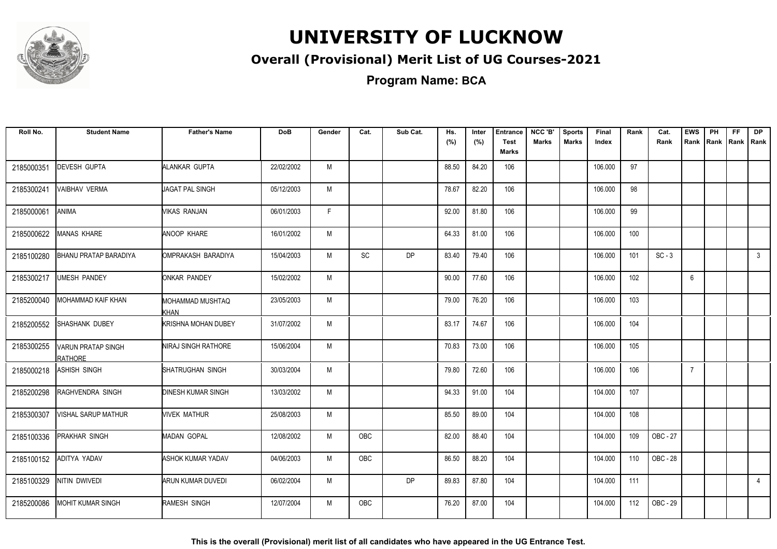

### **Overall (Provisional) Merit List of UG Courses-2021**

**Program Name: BCA**

| Roll No.   | <b>Student Name</b>                  | <b>Father's Name</b>       | <b>DoB</b> | Gender | Cat.       | Sub Cat.  | Hs.<br>(%) | Inter<br>(%) | <b>Entrance</b><br><b>Test</b><br><b>Marks</b> | NCC 'B'<br><b>Marks</b> | <b>Sports</b><br><b>Marks</b> | Final<br>Index | Rank | Cat.<br>Rank | <b>EWS</b><br>Rank | PH | FF.<br>Rank Rank | <b>DP</b><br>Rank |
|------------|--------------------------------------|----------------------------|------------|--------|------------|-----------|------------|--------------|------------------------------------------------|-------------------------|-------------------------------|----------------|------|--------------|--------------------|----|------------------|-------------------|
| 2185000351 | <b>DEVESH GUPTA</b>                  | ALANKAR GUPTA              | 22/02/2002 | M      |            |           | 88.50      | 84.20        | 106                                            |                         |                               | 106.000        | 97   |              |                    |    |                  |                   |
| 2185300241 | VAIBHAV VERMA                        | JAGAT PAL SINGH            | 05/12/2003 | M      |            |           | 78.67      | 82.20        | 106                                            |                         |                               | 106.000        | 98   |              |                    |    |                  |                   |
| 2185000061 | ANIMA                                | VIKAS RANJAN               | 06/01/2003 | F      |            |           | 92.00      | 81.80        | 106                                            |                         |                               | 106.000        | 99   |              |                    |    |                  |                   |
| 2185000622 | <b>MANAS KHARE</b>                   | <b>ANOOP KHARE</b>         | 16/01/2002 | M      |            |           | 64.33      | 81.00        | 106                                            |                         |                               | 106.000        | 100  |              |                    |    |                  |                   |
| 2185100280 | <b>BHANU PRATAP BARADIYA</b>         | OMPRAKASH BARADIYA         | 15/04/2003 | M      | <b>SC</b>  | <b>DP</b> | 83.40      | 79.40        | 106                                            |                         |                               | 106.000        | 101  | $SC - 3$     |                    |    |                  | $\mathbf{3}$      |
| 2185300217 | UMESH PANDEY                         | <b>ONKAR PANDEY</b>        | 15/02/2002 | M      |            |           | 90.00      | 77.60        | 106                                            |                         |                               | 106.000        | 102  |              | 6                  |    |                  |                   |
| 2185200040 | MOHAMMAD KAIF KHAN                   | MOHAMMAD MUSHTAQ<br>KHAN   | 23/05/2003 | M      |            |           | 79.00      | 76.20        | 106                                            |                         |                               | 106.000        | 103  |              |                    |    |                  |                   |
| 2185200552 | <b>SHASHANK DUBEY</b>                | <b>KRISHNA MOHAN DUBEY</b> | 31/07/2002 | M      |            |           | 83.17      | 74.67        | 106                                            |                         |                               | 106.000        | 104  |              |                    |    |                  |                   |
| 2185300255 | VARUN PRATAP SINGH<br><b>RATHORE</b> | NIRAJ SINGH RATHORE        | 15/06/2004 | M      |            |           | 70.83      | 73.00        | 106                                            |                         |                               | 106.000        | 105  |              |                    |    |                  |                   |
| 2185000218 | ASHISH SINGH                         | SHATRUGHAN SINGH           | 30/03/2004 | M      |            |           | 79.80      | 72.60        | 106                                            |                         |                               | 106.000        | 106  |              | $\overline{7}$     |    |                  |                   |
| 2185200298 | RAGHVENDRA SINGH                     | <b>DINESH KUMAR SINGH</b>  | 13/03/2002 | M      |            |           | 94.33      | 91.00        | 104                                            |                         |                               | 104.000        | 107  |              |                    |    |                  |                   |
| 2185300307 | <b>VISHAL SARUP MATHUR</b>           | <b>NIVEK MATHUR</b>        | 25/08/2003 | M      |            |           | 85.50      | 89.00        | 104                                            |                         |                               | 104.000        | 108  |              |                    |    |                  |                   |
| 2185100336 | PRAKHAR SINGH                        | <b>MADAN GOPAL</b>         | 12/08/2002 | M      | <b>OBC</b> |           | 82.00      | 88.40        | 104                                            |                         |                               | 104.000        | 109  | OBC - 27     |                    |    |                  |                   |
| 2185100152 | ADITYA YADAV                         | <b>ASHOK KUMAR YADAV</b>   | 04/06/2003 | M      | OBC        |           | 86.50      | 88.20        | 104                                            |                         |                               | 104.000        | 110  | OBC - 28     |                    |    |                  |                   |
| 2185100329 | NITIN DWIVEDI                        | ARUN KUMAR DUVEDI          | 06/02/2004 | M      |            | <b>DP</b> | 89.83      | 87.80        | 104                                            |                         |                               | 104.000        | 111  |              |                    |    |                  | $\overline{4}$    |
| 2185200086 | <b>MOHIT KUMAR SINGH</b>             | RAMESH SINGH               | 12/07/2004 | M      | <b>OBC</b> |           | 76.20      | 87.00        | 104                                            |                         |                               | 104.000        | 112  | OBC - 29     |                    |    |                  |                   |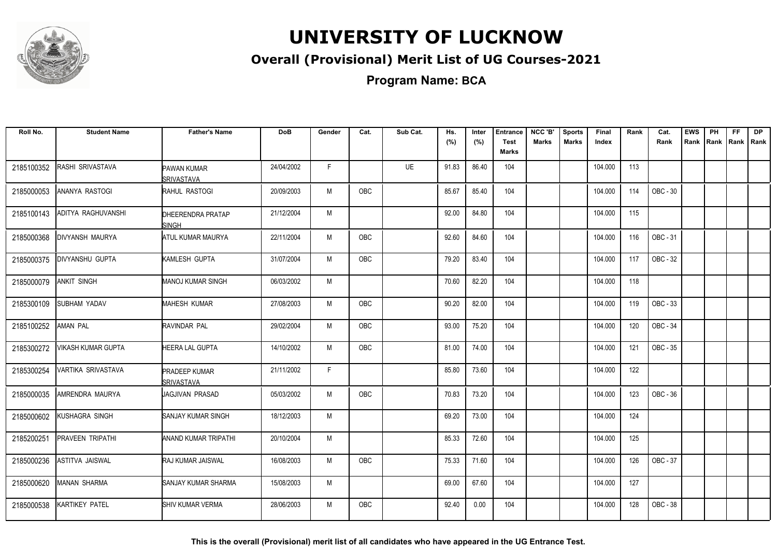

### **Overall (Provisional) Merit List of UG Courses-2021**

**Program Name: BCA**

| Roll No.   | <b>Student Name</b> | <b>Father's Name</b>                    | <b>DoB</b> | Gender       | Cat.       | Sub Cat. | Hs.<br>(%) | Inter<br>(%) | <b>Entrance</b><br><b>Test</b><br>Marks | NCC 'B'<br><b>Marks</b> | <b>Sports</b><br><b>Marks</b> | Final<br>Index | Rank | Cat.<br>Rank | <b>EWS</b><br>Rank | PH<br>Rank   Rank | FF | <b>DP</b><br>l Rank |
|------------|---------------------|-----------------------------------------|------------|--------------|------------|----------|------------|--------------|-----------------------------------------|-------------------------|-------------------------------|----------------|------|--------------|--------------------|-------------------|----|---------------------|
| 2185100352 | RASHI SRIVASTAVA    | <b>PAWAN KUMAR</b><br><b>SRIVASTAVA</b> | 24/04/2002 | F.           |            | UE       | 91.83      | 86.40        | 104                                     |                         |                               | 104.000        | 113  |              |                    |                   |    |                     |
| 2185000053 | ANANYA RASTOGI      | RAHUL RASTOGI                           | 20/09/2003 | M            | OBC        |          | 85.67      | 85.40        | 104                                     |                         |                               | 104.000        | 114  | OBC - 30     |                    |                   |    |                     |
| 2185100143 | ADITYA RAGHUVANSHI  | <b>DHEERENDRA PRATAP</b><br>ISINGH      | 21/12/2004 | M            |            |          | 92.00      | 84.80        | 104                                     |                         |                               | 104.000        | 115  |              |                    |                   |    |                     |
| 2185000368 | DIVYANSH MAURYA     | <b>ATUL KUMAR MAURYA</b>                | 22/11/2004 | M            | OBC        |          | 92.60      | 84.60        | 104                                     |                         |                               | 104.000        | 116  | OBC - 31     |                    |                   |    |                     |
| 2185000375 | DIVYANSHU GUPTA     | KAMLESH GUPTA                           | 31/07/2004 | M            | OBC        |          | 79.20      | 83.40        | 104                                     |                         |                               | 104.000        | 117  | OBC - 32     |                    |                   |    |                     |
| 2185000079 | <b>ANKIT SINGH</b>  | <b>MANOJ KUMAR SINGH</b>                | 06/03/2002 | M            |            |          | 70.60      | 82.20        | 104                                     |                         |                               | 104.000        | 118  |              |                    |                   |    |                     |
| 2185300109 | <b>SUBHAM YADAV</b> | <b>MAHESH KUMAR</b>                     | 27/08/2003 | M            | <b>OBC</b> |          | 90.20      | 82.00        | 104                                     |                         |                               | 104.000        | 119  | OBC - 33     |                    |                   |    |                     |
| 2185100252 | <b>AMAN PAL</b>     | RAVINDAR PAL                            | 29/02/2004 | М            | OBC        |          | 93.00      | 75.20        | 104                                     |                         |                               | 104.000        | 120  | OBC - 34     |                    |                   |    |                     |
| 2185300272 | VIKASH KUMAR GUPTA  | <b>HEERA LAL GUPTA</b>                  | 14/10/2002 | M            | <b>OBC</b> |          | 81.00      | 74.00        | 104                                     |                         |                               | 104.000        | 121  | OBC - 35     |                    |                   |    |                     |
| 2185300254 | VARTIKA SRIVASTAVA  | <b>PRADEEP KUMAR</b><br>SRIVASTAVA      | 21/11/2002 | $\mathsf{F}$ |            |          | 85.80      | 73.60        | 104                                     |                         |                               | 104.000        | 122  |              |                    |                   |    |                     |
| 2185000035 | AMRENDRA MAURYA     | JAGJIVAN PRASAD                         | 05/03/2002 | M            | <b>OBC</b> |          | 70.83      | 73.20        | 104                                     |                         |                               | 104.000        | 123  | OBC - 36     |                    |                   |    |                     |
| 2185000602 | KUSHAGRA SINGH      | <b>SANJAY KUMAR SINGH</b>               | 18/12/2003 | M            |            |          | 69.20      | 73.00        | 104                                     |                         |                               | 104.000        | 124  |              |                    |                   |    |                     |
| 2185200251 | PRAVEEN TRIPATHI    | <b>ANAND KUMAR TRIPATHI</b>             | 20/10/2004 | M            |            |          | 85.33      | 72.60        | 104                                     |                         |                               | 104.000        | 125  |              |                    |                   |    |                     |
| 2185000236 | ASTITVA JAISWAL     | RAJ KUMAR JAISWAL                       | 16/08/2003 | M            | <b>OBC</b> |          | 75.33      | 71.60        | 104                                     |                         |                               | 104.000        | 126  | OBC - 37     |                    |                   |    |                     |
| 2185000620 | <b>MANAN SHARMA</b> | SANJAY KUMAR SHARMA                     | 15/08/2003 | M            |            |          | 69.00      | 67.60        | 104                                     |                         |                               | 104.000        | 127  |              |                    |                   |    |                     |
| 2185000538 | KARTIKEY PATEL      | <b>SHIV KUMAR VERMA</b>                 | 28/06/2003 | M            | OBC        |          | 92.40      | 0.00         | 104                                     |                         |                               | 104.000        | 128  | OBC - 38     |                    |                   |    |                     |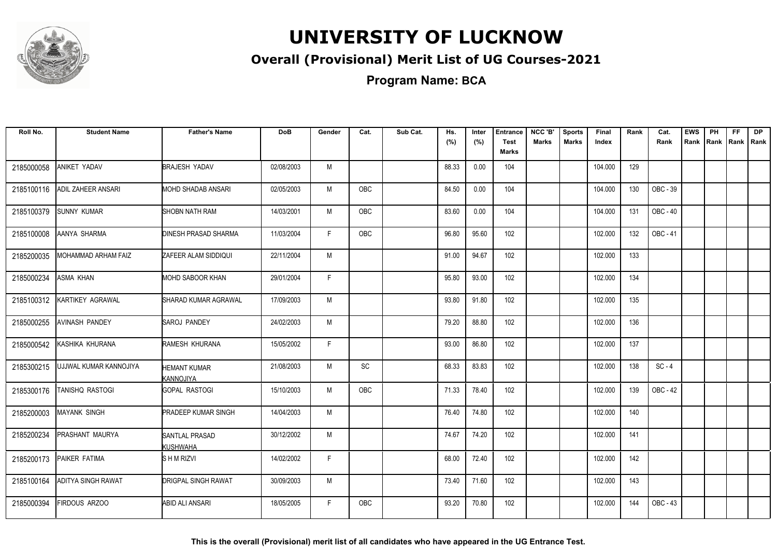

### **Overall (Provisional) Merit List of UG Courses-2021**

**Program Name: BCA**

| Roll No.   | <b>Student Name</b>       | <b>Father's Name</b>                     | <b>DoB</b> | Gender | Cat.       | Sub Cat. | Hs.<br>(%) | Inter<br>(%) | <b>Entrance</b><br><b>Test</b><br><b>Marks</b> | NCC 'B'<br><b>Marks</b> | <b>Sports</b><br><b>Marks</b> | Final<br>Index | Rank | Cat.<br>Rank | <b>EWS</b><br>Rank | PH<br>Rank | FF. | <b>DP</b><br> Rank   Rank |
|------------|---------------------------|------------------------------------------|------------|--------|------------|----------|------------|--------------|------------------------------------------------|-------------------------|-------------------------------|----------------|------|--------------|--------------------|------------|-----|---------------------------|
| 2185000058 | ANIKET YADAV              | <b>BRAJESH YADAV</b>                     | 02/08/2003 | M      |            |          | 88.33      | 0.00         | 104                                            |                         |                               | 104.000        | 129  |              |                    |            |     |                           |
| 2185100116 | <b>ADIL ZAHEER ANSARI</b> | MOHD SHADAB ANSARI                       | 02/05/2003 | M      | <b>OBC</b> |          | 84.50      | 0.00         | 104                                            |                         |                               | 104.000        | 130  | OBC - 39     |                    |            |     |                           |
| 2185100379 | <b>SUNNY KUMAR</b>        | <b>SHOBN NATH RAM</b>                    | 14/03/2001 | M      | OBC        |          | 83.60      | 0.00         | 104                                            |                         |                               | 104.000        | 131  | OBC - 40     |                    |            |     |                           |
| 2185100008 | AANYA SHARMA              | <b>DINESH PRASAD SHARMA</b>              | 11/03/2004 | F.     | OBC        |          | 96.80      | 95.60        | 102                                            |                         |                               | 102.000        | 132  | OBC - 41     |                    |            |     |                           |
| 2185200035 | MOHAMMAD ARHAM FAIZ       | ZAFEER ALAM SIDDIQUI                     | 22/11/2004 | M      |            |          | 91.00      | 94.67        | 102                                            |                         |                               | 102.000        | 133  |              |                    |            |     |                           |
| 2185000234 | ASMA KHAN                 | MOHD SABOOR KHAN                         | 29/01/2004 | F.     |            |          | 95.80      | 93.00        | 102                                            |                         |                               | 102.000        | 134  |              |                    |            |     |                           |
| 2185100312 | KARTIKEY AGRAWAL          | SHARAD KUMAR AGRAWAL                     | 17/09/2003 | M      |            |          | 93.80      | 91.80        | 102                                            |                         |                               | 102.000        | 135  |              |                    |            |     |                           |
| 2185000255 | <b>AVINASH PANDEY</b>     | <b>SAROJ PANDEY</b>                      | 24/02/2003 | M      |            |          | 79.20      | 88.80        | 102                                            |                         |                               | 102.000        | 136  |              |                    |            |     |                           |
| 2185000542 | KASHIKA KHURANA           | RAMESH KHURANA                           | 15/05/2002 | F.     |            |          | 93.00      | 86.80        | 102                                            |                         |                               | 102.000        | 137  |              |                    |            |     |                           |
| 2185300215 | UJJWAL KUMAR KANNOJIYA    | <b>HEMANT KUMAR</b><br>KANNOJIYA         | 21/08/2003 | M      | SC         |          | 68.33      | 83.83        | 102                                            |                         |                               | 102.000        | 138  | $SC - 4$     |                    |            |     |                           |
| 2185300176 | TANISHQ RASTOGI           | <b>GOPAL RASTOGI</b>                     | 15/10/2003 | M      | <b>OBC</b> |          | 71.33      | 78.40        | 102                                            |                         |                               | 102.000        | 139  | OBC - 42     |                    |            |     |                           |
| 2185200003 | <b>MAYANK SINGH</b>       | <b>PRADEEP KUMAR SINGH</b>               | 14/04/2003 | M      |            |          | 76.40      | 74.80        | 102                                            |                         |                               | 102.000        | 140  |              |                    |            |     |                           |
| 2185200234 | PRASHANT MAURYA           | <b>SANTLAL PRASAD</b><br><b>KUSHWAHA</b> | 30/12/2002 | M      |            |          | 74.67      | 74.20        | 102                                            |                         |                               | 102.000        | 141  |              |                    |            |     |                           |
| 2185200173 | PAIKER FATIMA             | SHMRIZVI                                 | 14/02/2002 | F      |            |          | 68.00      | 72.40        | 102                                            |                         |                               | 102.000        | 142  |              |                    |            |     |                           |
| 2185100164 | <b>ADITYA SINGH RAWAT</b> | <b>DRIGPAL SINGH RAWAT</b>               | 30/09/2003 | M      |            |          | 73.40      | 71.60        | 102                                            |                         |                               | 102.000        | 143  |              |                    |            |     |                           |
| 2185000394 | FIRDOUS ARZOO             | ABID ALI ANSARI                          | 18/05/2005 | F.     | <b>OBC</b> |          | 93.20      | 70.80        | 102                                            |                         |                               | 102.000        | 144  | OBC - 43     |                    |            |     |                           |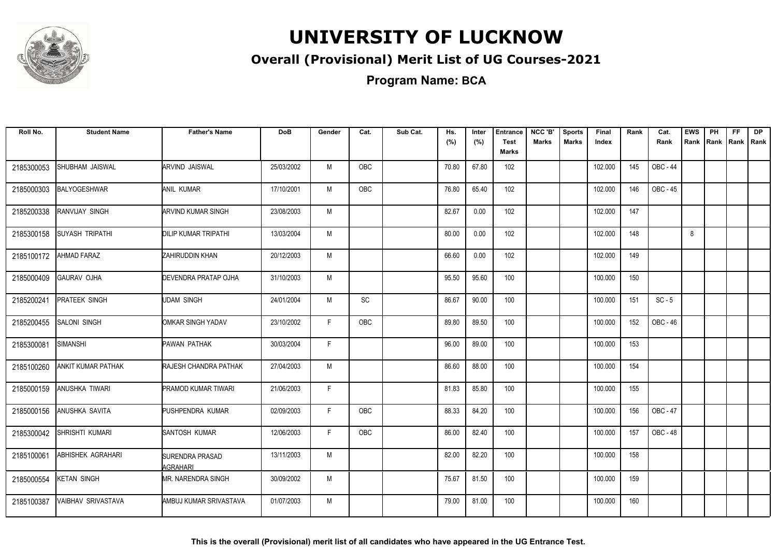

### **Overall (Provisional) Merit List of UG Courses-2021**

**Program Name: BCA**

| Roll No.   | <b>Student Name</b>       | <b>Father's Name</b>                      | <b>DoB</b> | Gender       | Cat.       | Sub Cat. | Hs.<br>(%) | Inter<br>(%) | <b>Entrance</b><br><b>Test</b><br><b>Marks</b> | NCC 'B'<br><b>Marks</b> | <b>Sports</b><br><b>Marks</b> | Final<br>Index | Rank | Cat.<br>Rank    | <b>EWS</b><br>Rank | PH<br>Rank | FF.<br>Rank   Rank | <b>DP</b> |
|------------|---------------------------|-------------------------------------------|------------|--------------|------------|----------|------------|--------------|------------------------------------------------|-------------------------|-------------------------------|----------------|------|-----------------|--------------------|------------|--------------------|-----------|
| 2185300053 | SHUBHAM JAISWAL           | ARVIND JAISWAL                            | 25/03/2002 | M            | OBC        |          | 70.80      | 67.80        | 102                                            |                         |                               | 102.000        | 145  | OBC - 44        |                    |            |                    |           |
| 2185000303 | <b>BALYOGESHWAR</b>       | <b>ANIL KUMAR</b>                         | 17/10/2001 | M            | OBC        |          | 76.80      | 65.40        | 102                                            |                         |                               | 102.000        | 146  | OBC - 45        |                    |            |                    |           |
| 2185200338 | RANVIJAY SINGH            | <b>ARVIND KUMAR SINGH</b>                 | 23/08/2003 | M            |            |          | 82.67      | 0.00         | 102                                            |                         |                               | 102.000        | 147  |                 |                    |            |                    |           |
| 2185300158 | <b>SUYASH TRIPATHI</b>    | <b>DILIP KUMAR TRIPATHI</b>               | 13/03/2004 | M            |            |          | 80.00      | 0.00         | 102                                            |                         |                               | 102.000        | 148  |                 | 8                  |            |                    |           |
| 2185100172 | <b>AHMAD FARAZ</b>        | ZAHIRUDDIN KHAN                           | 20/12/2003 | M            |            |          | 66.60      | 0.00         | 102                                            |                         |                               | 102.000        | 149  |                 |                    |            |                    |           |
| 2185000409 | <b>GAURAV OJHA</b>        | <b>DEVENDRA PRATAP OJHA</b>               | 31/10/2003 | M            |            |          | 95.50      | 95.60        | 100                                            |                         |                               | 100.000        | 150  |                 |                    |            |                    |           |
| 2185200241 | <b>PRATEEK SINGH</b>      | <b>UDAM SINGH</b>                         | 24/01/2004 | M            | SC         |          | 86.67      | 90.00        | 100                                            |                         |                               | 100.000        | 151  | $SC - 5$        |                    |            |                    |           |
| 2185200455 | <b>SALONI SINGH</b>       | OMKAR SINGH YADAV                         | 23/10/2002 | F            | <b>OBC</b> |          | 89.80      | 89.50        | 100                                            |                         |                               | 100.000        | 152  | OBC - 46        |                    |            |                    |           |
| 2185300081 | SIMANSHI                  | PAWAN PATHAK                              | 30/03/2004 | F            |            |          | 96.00      | 89.00        | 100                                            |                         |                               | 100.000        | 153  |                 |                    |            |                    |           |
| 2185100260 | ANKIT KUMAR PATHAK        | RAJESH CHANDRA PATHAK                     | 27/04/2003 | M            |            |          | 86.60      | 88.00        | 100                                            |                         |                               | 100.000        | 154  |                 |                    |            |                    |           |
| 2185000159 | <b>ANUSHKA TIWARI</b>     | <b>PRAMOD KUMAR TIWARI</b>                | 21/06/2003 | $\mathsf{F}$ |            |          | 81.83      | 85.80        | 100                                            |                         |                               | 100.000        | 155  |                 |                    |            |                    |           |
| 2185000156 | ANUSHKA SAVITA            | PUSHPENDRA KUMAR                          | 02/09/2003 | F            | <b>OBC</b> |          | 88.33      | 84.20        | 100                                            |                         |                               | 100.000        | 156  | OBC - 47        |                    |            |                    |           |
| 2185300042 | SHRISHTI KUMARI           | SANTOSH KUMAR                             | 12/06/2003 | F.           | <b>OBC</b> |          | 86.00      | 82.40        | 100                                            |                         |                               | 100.000        | 157  | <b>OBC - 48</b> |                    |            |                    |           |
| 2185100061 | ABHISHEK AGRAHARI         | <b>SURENDRA PRASAD</b><br><b>AGRAHARI</b> | 13/11/2003 | M            |            |          | 82.00      | 82.20        | 100                                            |                         |                               | 100.000        | 158  |                 |                    |            |                    |           |
| 2185000554 | <b>KETAN SINGH</b>        | MR. NARENDRA SINGH                        | 30/09/2002 | M            |            |          | 75.67      | 81.50        | 100                                            |                         |                               | 100.000        | 159  |                 |                    |            |                    |           |
| 2185100387 | <b>VAIBHAV SRIVASTAVA</b> | AMBUJ KUMAR SRIVASTAVA                    | 01/07/2003 | M            |            |          | 79.00      | 81.00        | 100                                            |                         |                               | 100.000        | 160  |                 |                    |            |                    |           |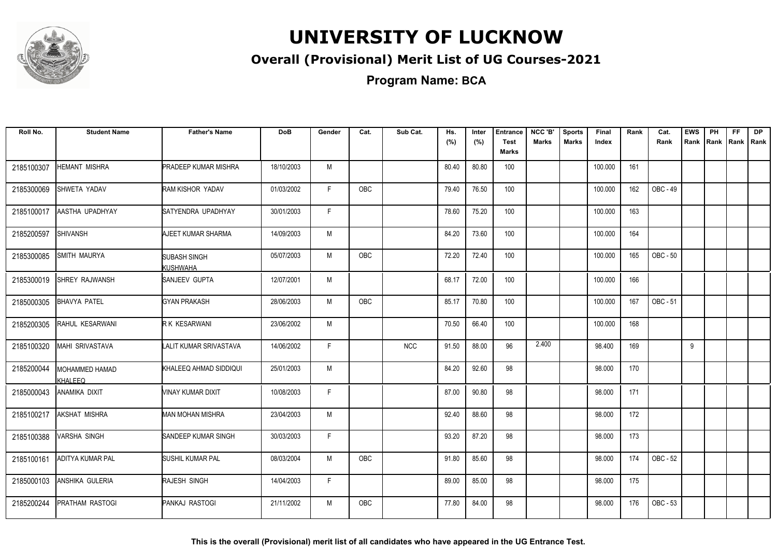

### **Overall (Provisional) Merit List of UG Courses-2021**

**Program Name: BCA**

| Roll No.   | <b>Student Name</b>       | <b>Father's Name</b>        | <b>DoB</b> | Gender       | Cat.       | Sub Cat.   | Hs.<br>(%) | Inter<br>(%) | <b>Entrance</b><br><b>Test</b><br><b>Marks</b> | NCC 'B'<br><b>Marks</b> | <b>Sports</b><br><b>Marks</b> | Final<br>Index | Rank | Cat.<br>Rank | <b>EWS</b><br>Rank | PH<br>Rank | FF.<br> Rank   Rank | <b>DP</b> |
|------------|---------------------------|-----------------------------|------------|--------------|------------|------------|------------|--------------|------------------------------------------------|-------------------------|-------------------------------|----------------|------|--------------|--------------------|------------|---------------------|-----------|
| 2185100307 | HEMANT MISHRA             | <b>PRADEEP KUMAR MISHRA</b> | 18/10/2003 | M            |            |            | 80.40      | 80.80        | 100                                            |                         |                               | 100.000        | 161  |              |                    |            |                     |           |
| 2185300069 | SHWETA YADAV              | RAM KISHOR YADAV            | 01/03/2002 | F.           | OBC        |            | 79.40      | 76.50        | 100                                            |                         |                               | 100.000        | 162  | OBC - 49     |                    |            |                     |           |
| 2185100017 | AASTHA UPADHYAY           | SATYENDRA UPADHYAY          | 30/01/2003 | $\mathsf{F}$ |            |            | 78.60      | 75.20        | 100                                            |                         |                               | 100.000        | 163  |              |                    |            |                     |           |
| 2185200597 | <b>SHIVANSH</b>           | AJEET KUMAR SHARMA          | 14/09/2003 | M            |            |            | 84.20      | 73.60        | 100                                            |                         |                               | 100.000        | 164  |              |                    |            |                     |           |
| 2185300085 | SMITH MAURYA              | SUBASH SINGH<br>KUSHWAHA    | 05/07/2003 | M            | <b>OBC</b> |            | 72.20      | 72.40        | 100                                            |                         |                               | 100.000        | 165  | OBC - 50     |                    |            |                     |           |
| 2185300019 | <b>SHREY RAJWANSH</b>     | SANJEEV GUPTA               | 12/07/2001 | M            |            |            | 68.17      | 72.00        | 100                                            |                         |                               | 100.000        | 166  |              |                    |            |                     |           |
| 2185000305 | <b>BHAVYA PATEL</b>       | <b>GYAN PRAKASH</b>         | 28/06/2003 | M            | OBC        |            | 85.17      | 70.80        | 100                                            |                         |                               | 100.000        | 167  | OBC - 51     |                    |            |                     |           |
| 2185200305 | RAHUL KESARWANI           | R K KESARWANI               | 23/06/2002 | M            |            |            | 70.50      | 66.40        | 100                                            |                         |                               | 100.000        | 168  |              |                    |            |                     |           |
| 2185100320 | <b>MAHI SRIVASTAVA</b>    | LALIT KUMAR SRIVASTAVA      | 14/06/2002 | F            |            | <b>NCC</b> | 91.50      | 88.00        | 96                                             | 2.400                   |                               | 98.400         | 169  |              | 9                  |            |                     |           |
| 2185200044 | MOHAMMED HAMAD<br>KHALEEQ | KHALEEQ AHMAD SIDDIQUI      | 25/01/2003 | M            |            |            | 84.20      | 92.60        | 98                                             |                         |                               | 98.000         | 170  |              |                    |            |                     |           |
| 2185000043 | ANAMIKA DIXIT             | VINAY KUMAR DIXIT           | 10/08/2003 | F            |            |            | 87.00      | 90.80        | 98                                             |                         |                               | 98.000         | 171  |              |                    |            |                     |           |
| 2185100217 | <b>AKSHAT MISHRA</b>      | MAN MOHAN MISHRA            | 23/04/2003 | M            |            |            | 92.40      | 88.60        | 98                                             |                         |                               | 98.000         | 172  |              |                    |            |                     |           |
| 2185100388 | VARSHA SINGH              | SANDEEP KUMAR SINGH         | 30/03/2003 | F            |            |            | 93.20      | 87.20        | 98                                             |                         |                               | 98.000         | 173  |              |                    |            |                     |           |
| 2185100161 | <b>ADITYA KUMAR PAL</b>   | SUSHIL KUMAR PAL            | 08/03/2004 | M            | OBC        |            | 91.80      | 85.60        | 98                                             |                         |                               | 98.000         | 174  | OBC - 52     |                    |            |                     |           |
| 2185000103 | ANSHIKA GULERIA           | RAJESH SINGH                | 14/04/2003 | F.           |            |            | 89.00      | 85.00        | 98                                             |                         |                               | 98.000         | 175  |              |                    |            |                     |           |
| 2185200244 | PRATHAM RASTOGI           | <b>PANKAJ RASTOGI</b>       | 21/11/2002 | M            | <b>OBC</b> |            | 77.80      | 84.00        | 98                                             |                         |                               | 98.000         | 176  | OBC - 53     |                    |            |                     |           |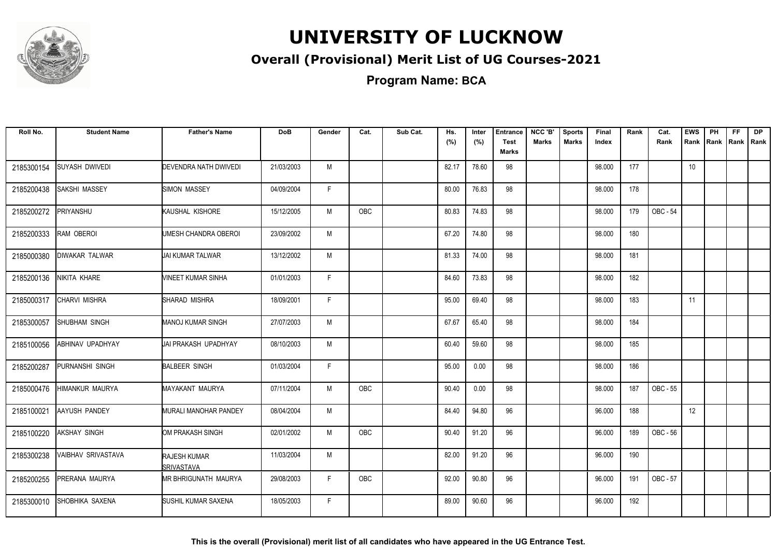

### **Overall (Provisional) Merit List of UG Courses-2021**

**Program Name: BCA**

| Roll No.   | <b>Student Name</b>   | <b>Father's Name</b>              | <b>DoB</b> | Gender | Cat.       | Sub Cat. | Hs.<br>(%) | Inter<br>(%) | <b>Entrance</b><br><b>Test</b><br>Marks | NCC 'B'<br>Marks | <b>Sports</b><br><b>Marks</b> | Final<br>Index | Rank | Cat.<br>Rank | <b>EWS</b><br>Rank | PH | <b>FF</b><br>Rank Rank Rank | DP |
|------------|-----------------------|-----------------------------------|------------|--------|------------|----------|------------|--------------|-----------------------------------------|------------------|-------------------------------|----------------|------|--------------|--------------------|----|-----------------------------|----|
| 2185300154 | <b>SUYASH DWIVEDI</b> | DEVENDRA NATH DWIVEDI             | 21/03/2003 | M      |            |          | 82.17      | 78.60        | 98                                      |                  |                               | 98.000         | 177  |              | 10                 |    |                             |    |
| 2185200438 | SAKSHI MASSEY         | SIMON MASSEY                      | 04/09/2004 | F      |            |          | 80.00      | 76.83        | 98                                      |                  |                               | 98.000         | 178  |              |                    |    |                             |    |
| 2185200272 | PRIYANSHU             | KAUSHAL KISHORE                   | 15/12/2005 | M      | <b>OBC</b> |          | 80.83      | 74.83        | 98                                      |                  |                               | 98.000         | 179  | OBC - 54     |                    |    |                             |    |
| 2185200333 | RAM OBEROI            | UMESH CHANDRA OBEROI              | 23/09/2002 | M      |            |          | 67.20      | 74.80        | 98                                      |                  |                               | 98.000         | 180  |              |                    |    |                             |    |
| 2185000380 | DIWAKAR TALWAR        | JAI KUMAR TALWAR                  | 13/12/2002 | M      |            |          | 81.33      | 74.00        | 98                                      |                  |                               | 98.000         | 181  |              |                    |    |                             |    |
| 2185200136 | NIKITA KHARE          | VINEET KUMAR SINHA                | 01/01/2003 | F      |            |          | 84.60      | 73.83        | 98                                      |                  |                               | 98.000         | 182  |              |                    |    |                             |    |
| 2185000317 | CHARVI MISHRA         | SHARAD MISHRA                     | 18/09/2001 | F      |            |          | 95.00      | 69.40        | 98                                      |                  |                               | 98.000         | 183  |              | 11                 |    |                             |    |
| 2185300057 | SHUBHAM SINGH         | <b>MANOJ KUMAR SINGH</b>          | 27/07/2003 | M      |            |          | 67.67      | 65.40        | 98                                      |                  |                               | 98.000         | 184  |              |                    |    |                             |    |
| 2185100056 | ABHINAV UPADHYAY      | <b>IJAI PRAKASH UPADHYAY</b>      | 08/10/2003 | M      |            |          | 60.40      | 59.60        | 98                                      |                  |                               | 98.000         | 185  |              |                    |    |                             |    |
| 2185200287 | PURNANSHI SINGH       | <b>BALBEER SINGH</b>              | 01/03/2004 | F      |            |          | 95.00      | 0.00         | 98                                      |                  |                               | 98.000         | 186  |              |                    |    |                             |    |
| 2185000476 | HIMANKUR MAURYA       | MAYAKANT MAURYA                   | 07/11/2004 | M      | <b>OBC</b> |          | 90.40      | 0.00         | 98                                      |                  |                               | 98.000         | 187  | OBC - 55     |                    |    |                             |    |
| 2185100021 | <b>AAYUSH PANDEY</b>  | MURALI MANOHAR PANDEY             | 08/04/2004 | M      |            |          | 84.40      | 94.80        | 96                                      |                  |                               | 96.000         | 188  |              | 12                 |    |                             |    |
| 2185100220 | <b>AKSHAY SINGH</b>   | OM PRAKASH SINGH                  | 02/01/2002 | M      | <b>OBC</b> |          | 90.40      | 91.20        | 96                                      |                  |                               | 96.000         | 189  | OBC - 56     |                    |    |                             |    |
| 2185300238 | VAIBHAV SRIVASTAVA    | <b>RAJESH KUMAR</b><br>SRIVASTAVA | 11/03/2004 | M      |            |          | 82.00      | 91.20        | 96                                      |                  |                               | 96.000         | 190  |              |                    |    |                             |    |
| 2185200255 | PRERANA MAURYA        | <b>MR BHRIGUNATH MAURYA</b>       | 29/08/2003 | F      | OBC        |          | 92.00      | 90.80        | 96                                      |                  |                               | 96.000         | 191  | OBC - 57     |                    |    |                             |    |
| 2185300010 | SHOBHIKA SAXENA       | <b>SUSHIL KUMAR SAXENA</b>        | 18/05/2003 | F.     |            |          | 89.00      | 90.60        | 96                                      |                  |                               | 96.000         | 192  |              |                    |    |                             |    |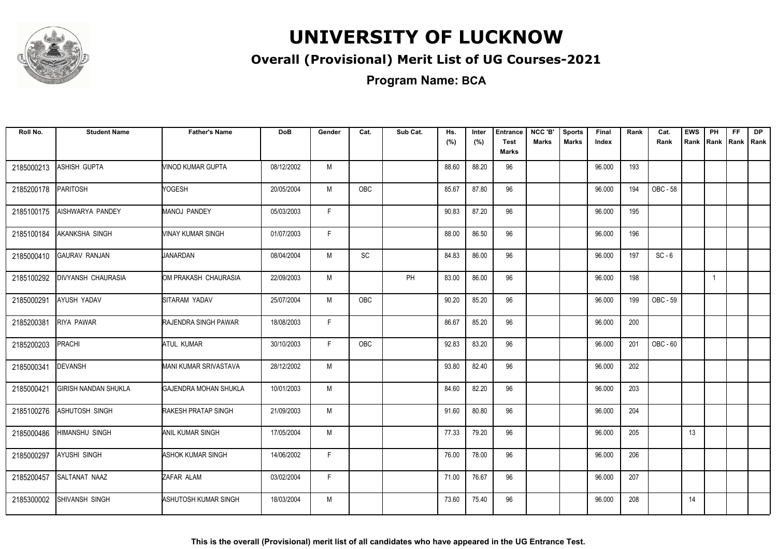

### **Overall (Provisional) Merit List of UG Courses-2021**

**Program Name: BCA**

| Roll No.   | <b>Student Name</b>         | <b>Father's Name</b>         | <b>DoB</b> | Gender       | Cat.       | Sub Cat. | Hs.<br>(%) | Inter<br>(%) | <b>Entrance</b><br><b>Test</b><br>Marks | NCC 'B'<br><b>Marks</b> | <b>Sports</b><br><b>Marks</b> | Final<br>Index | Rank | Cat.<br>Rank    | <b>EWS</b><br>Rank | PH           | <b>FF</b><br>Rank Rank | <b>DP</b><br>Rank |
|------------|-----------------------------|------------------------------|------------|--------------|------------|----------|------------|--------------|-----------------------------------------|-------------------------|-------------------------------|----------------|------|-----------------|--------------------|--------------|------------------------|-------------------|
| 2185000213 | ASHISH GUPTA                | VINOD KUMAR GUPTA            | 08/12/2002 | M            |            |          | 88.60      | 88.20        | 96                                      |                         |                               | 96.000         | 193  |                 |                    |              |                        |                   |
| 2185200178 | <b>PARITOSH</b>             | <b>NOGESH</b>                | 20/05/2004 | M            | <b>OBC</b> |          | 85.67      | 87.80        | 96                                      |                         |                               | 96.000         | 194  | <b>OBC - 58</b> |                    |              |                        |                   |
| 2185100175 | AISHWARYA PANDEY            | <b>MANOJ PANDEY</b>          | 05/03/2003 | $\mathsf{F}$ |            |          | 90.83      | 87.20        | 96                                      |                         |                               | 96.000         | 195  |                 |                    |              |                        |                   |
| 2185100184 | AKANKSHA SINGH              | <b>VINAY KUMAR SINGH</b>     | 01/07/2003 | F            |            |          | 88.00      | 86.50        | 96                                      |                         |                               | 96.000         | 196  |                 |                    |              |                        |                   |
| 2185000410 | <b>GAURAV RANJAN</b>        | JANARDAN                     | 08/04/2004 | M            | SC         |          | 84.83      | 86.00        | 96                                      |                         |                               | 96.000         | 197  | $SC - 6$        |                    |              |                        |                   |
| 2185100292 | <b>DIVYANSH CHAURASIA</b>   | OM PRAKASH CHAURASIA         | 22/09/2003 | M            |            | PH       | 83.00      | 86.00        | 96                                      |                         |                               | 96.000         | 198  |                 |                    | $\mathbf{1}$ |                        |                   |
| 2185000291 | AYUSH YADAV                 | SITARAM YADAV                | 25/07/2004 | M            | OBC        |          | 90.20      | 85.20        | 96                                      |                         |                               | 96.000         | 199  | OBC - 59        |                    |              |                        |                   |
| 2185200381 | <b>RIYA PAWAR</b>           | <b>RAJENDRA SINGH PAWAR</b>  | 18/08/2003 | F            |            |          | 86.67      | 85.20        | 96                                      |                         |                               | 96.000         | 200  |                 |                    |              |                        |                   |
| 2185200203 | PRACHI                      | <b>ATUL KUMAR</b>            | 30/10/2003 | F            | <b>OBC</b> |          | 92.83      | 83.20        | 96                                      |                         |                               | 96.000         | 201  | <b>OBC - 60</b> |                    |              |                        |                   |
| 2185000341 | <b>DEVANSH</b>              | MANI KUMAR SRIVASTAVA        | 28/12/2002 | M            |            |          | 93.80      | 82.40        | 96                                      |                         |                               | 96.000         | 202  |                 |                    |              |                        |                   |
| 2185000421 | <b>GIRISH NANDAN SHUKLA</b> | <b>GAJENDRA MOHAN SHUKLA</b> | 10/01/2003 | M            |            |          | 84.60      | 82.20        | 96                                      |                         |                               | 96.000         | 203  |                 |                    |              |                        |                   |
| 2185100276 | ASHUTOSH SINGH              | <b>RAKESH PRATAP SINGH</b>   | 21/09/2003 | M            |            |          | 91.60      | 80.80        | 96                                      |                         |                               | 96.000         | 204  |                 |                    |              |                        |                   |
| 2185000486 | HIMANSHU SINGH              | <b>ANIL KUMAR SINGH</b>      | 17/05/2004 | M            |            |          | 77.33      | 79.20        | 96                                      |                         |                               | 96.000         | 205  |                 | 13                 |              |                        |                   |
| 2185000297 | AYUSHI SINGH                | <b>ASHOK KUMAR SINGH</b>     | 14/06/2002 | F.           |            |          | 76.00      | 78.00        | 96                                      |                         |                               | 96.000         | 206  |                 |                    |              |                        |                   |
| 2185200457 | SALTANAT NAAZ               | ZAFAR ALAM                   | 03/02/2004 | E            |            |          | 71.00      | 76.67        | 96                                      |                         |                               | 96.000         | 207  |                 |                    |              |                        |                   |
| 2185300002 | SHIVANSH SINGH              | ASHUTOSH KUMAR SINGH         | 18/03/2004 | M            |            |          | 73.60      | 75.40        | 96                                      |                         |                               | 96.000         | 208  |                 | 14                 |              |                        |                   |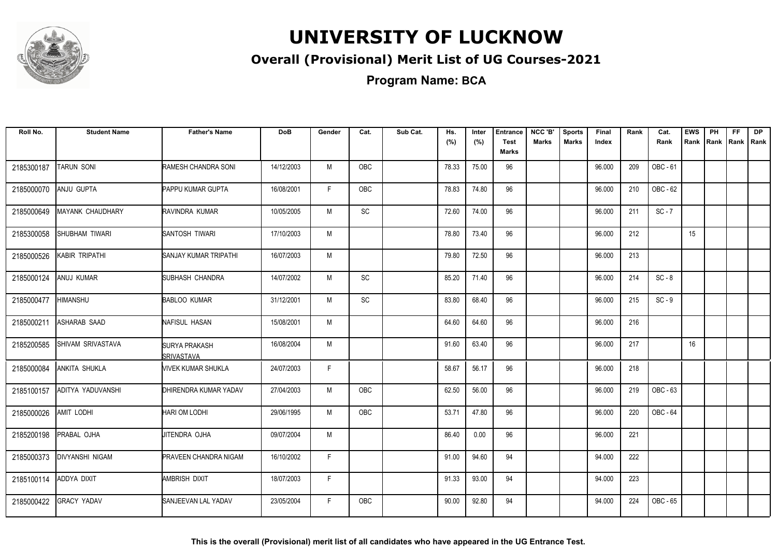

### **Overall (Provisional) Merit List of UG Courses-2021**

**Program Name: BCA**

| Roll No.   | <b>Student Name</b>      | <b>Father's Name</b>               | <b>DoB</b> | Gender | Cat.       | Sub Cat. | Hs.<br>(%) | Inter<br>(%) | <b>Entrance</b><br><b>Test</b><br>Marks | NCC 'B'<br>Marks | <b>Sports</b><br><b>Marks</b> | Final<br>Index | Rank | Cat.<br>Rank | <b>EWS</b><br>Rank | PH<br>Rank Rank | <b>FF</b> | <b>DP</b><br>Rank |
|------------|--------------------------|------------------------------------|------------|--------|------------|----------|------------|--------------|-----------------------------------------|------------------|-------------------------------|----------------|------|--------------|--------------------|-----------------|-----------|-------------------|
| 2185300187 | <b>TARUN SONI</b>        | RAMESH CHANDRA SONI                | 14/12/2003 | M      | OBC        |          | 78.33      | 75.00        | 96                                      |                  |                               | 96.000         | 209  | OBC - 61     |                    |                 |           |                   |
| 2185000070 | ANJU GUPTA               | <b>PAPPU KUMAR GUPTA</b>           | 16/08/2001 | F      | OBC        |          | 78.83      | 74.80        | 96                                      |                  |                               | 96.000         | 210  | OBC - 62     |                    |                 |           |                   |
| 2185000649 | <b>MAYANK CHAUDHARY</b>  | <b>RAVINDRA KUMAR</b>              | 10/05/2005 | M      | <b>SC</b>  |          | 72.60      | 74.00        | 96                                      |                  |                               | 96.000         | 211  | $SC - 7$     |                    |                 |           |                   |
| 2185300058 | <b>SHUBHAM TIWARI</b>    | SANTOSH TIWARI                     | 17/10/2003 | M      |            |          | 78.80      | 73.40        | 96                                      |                  |                               | 96.000         | 212  |              | 15                 |                 |           |                   |
| 2185000526 | KABIR TRIPATHI           | SANJAY KUMAR TRIPATHI              | 16/07/2003 | M      |            |          | 79.80      | 72.50        | 96                                      |                  |                               | 96.000         | 213  |              |                    |                 |           |                   |
| 2185000124 | ANUJ KUMAR               | SUBHASH CHANDRA                    | 14/07/2002 | M      | SC         |          | 85.20      | 71.40        | 96                                      |                  |                               | 96.000         | 214  | $SC - 8$     |                    |                 |           |                   |
| 2185000477 | HIMANSHU                 | <b>BABLOO KUMAR</b>                | 31/12/2001 | M      | SC         |          | 83.80      | 68.40        | 96                                      |                  |                               | 96.000         | 215  | $SC - 9$     |                    |                 |           |                   |
| 2185000211 | <b>ASHARAB SAAD</b>      | NAFISUL HASAN                      | 15/08/2001 | M      |            |          | 64.60      | 64.60        | 96                                      |                  |                               | 96.000         | 216  |              |                    |                 |           |                   |
| 2185200585 | <b>SHIVAM SRIVASTAVA</b> | SURYA PRAKASH<br><b>SRIVASTAVA</b> | 16/08/2004 | M      |            |          | 91.60      | 63.40        | 96                                      |                  |                               | 96.000         | 217  |              | 16                 |                 |           |                   |
| 2185000084 | ANKITA SHUKLA            | <b><i>NIVEK KUMAR SHUKLA</i></b>   | 24/07/2003 | F      |            |          | 58.67      | 56.17        | 96                                      |                  |                               | 96.000         | 218  |              |                    |                 |           |                   |
| 2185100157 | ADITYA YADUVANSHI        | DHIRENDRA KUMAR YADAV              | 27/04/2003 | M      | <b>OBC</b> |          | 62.50      | 56.00        | 96                                      |                  |                               | 96.000         | 219  | OBC - 63     |                    |                 |           |                   |
| 2185000026 | <b>AMIT LODHI</b>        | <b>HARI OM LODHI</b>               | 29/06/1995 | M      | OBC        |          | 53.71      | 47.80        | 96                                      |                  |                               | 96.000         | 220  | OBC - 64     |                    |                 |           |                   |
| 2185200198 | PRABAL OJHA              | JITENDRA OJHA                      | 09/07/2004 | M      |            |          | 86.40      | 0.00         | 96                                      |                  |                               | 96.000         | 221  |              |                    |                 |           |                   |
| 2185000373 | <b>DIVYANSHI NIGAM</b>   | <b>PRAVEEN CHANDRA NIGAM</b>       | 16/10/2002 | F      |            |          | 91.00      | 94.60        | 94                                      |                  |                               | 94.000         | 222  |              |                    |                 |           |                   |
| 2185100114 | ADDYA DIXIT              | AMBRISH DIXIT                      | 18/07/2003 | F.     |            |          | 91.33      | 93.00        | 94                                      |                  |                               | 94.000         | 223  |              |                    |                 |           |                   |
| 2185000422 | <b>GRACY YADAV</b>       | <b>SANJEEVAN LAL YADAV</b>         | 23/05/2004 | F.     | <b>OBC</b> |          | 90.00      | 92.80        | 94                                      |                  |                               | 94.000         | 224  | OBC - 65     |                    |                 |           |                   |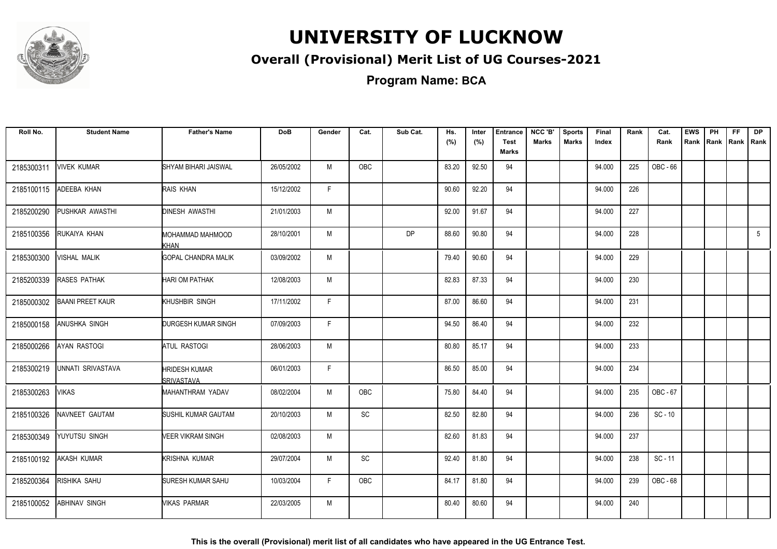

### **Overall (Provisional) Merit List of UG Courses-2021**

**Program Name: BCA**

| Roll No.   | <b>Student Name</b>     | <b>Father's Name</b>               | <b>DoB</b> | Gender       | Cat.       | Sub Cat.  | Hs.<br>(%) | Inter<br>(%) | <b>Entrance</b><br><b>Test</b> | NCC 'B'<br><b>Marks</b> | <b>Sports</b><br><b>Marks</b> | Final<br>Index | Rank | Cat.<br>Rank | <b>EWS</b><br>Rank | PH | FF<br>Rank Rank | <b>DP</b><br>Rank |
|------------|-------------------------|------------------------------------|------------|--------------|------------|-----------|------------|--------------|--------------------------------|-------------------------|-------------------------------|----------------|------|--------------|--------------------|----|-----------------|-------------------|
|            |                         |                                    |            |              |            |           |            |              | <b>Marks</b>                   |                         |                               |                |      |              |                    |    |                 |                   |
| 2185300311 | <b>VIVEK KUMAR</b>      | SHYAM BIHARI JAISWAL               | 26/05/2002 | M            | OBC        |           | 83.20      | 92.50        | 94                             |                         |                               | 94.000         | 225  | OBC - 66     |                    |    |                 |                   |
| 2185100115 | ADEEBA KHAN             | RAIS KHAN                          | 15/12/2002 | F.           |            |           | 90.60      | 92.20        | 94                             |                         |                               | 94.000         | 226  |              |                    |    |                 |                   |
| 2185200290 | PUSHKAR AWASTHI         | <b>DINESH AWASTHI</b>              | 21/01/2003 | M            |            |           | 92.00      | 91.67        | 94                             |                         |                               | 94.000         | 227  |              |                    |    |                 |                   |
| 2185100356 | RUKAIYA KHAN            | MOHAMMAD MAHMOOD<br>KHAN           | 28/10/2001 | M            |            | <b>DP</b> | 88.60      | 90.80        | 94                             |                         |                               | 94.000         | 228  |              |                    |    |                 | $5\overline{5}$   |
| 2185300300 | <b>VISHAL MALIK</b>     | <b>GOPAL CHANDRA MALIK</b>         | 03/09/2002 | M            |            |           | 79.40      | 90.60        | 94                             |                         |                               | 94.000         | 229  |              |                    |    |                 |                   |
| 2185200339 | <b>RASES PATHAK</b>     | <b>HARI OM PATHAK</b>              | 12/08/2003 | M            |            |           | 82.83      | 87.33        | 94                             |                         |                               | 94.000         | 230  |              |                    |    |                 |                   |
| 2185000302 | <b>BAANI PREET KAUR</b> | KHUSHBIR SINGH                     | 17/11/2002 | F            |            |           | 87.00      | 86.60        | 94                             |                         |                               | 94.000         | 231  |              |                    |    |                 |                   |
| 2185000158 | ANUSHKA SINGH           | DURGESH KUMAR SINGH                | 07/09/2003 | F.           |            |           | 94.50      | 86.40        | 94                             |                         |                               | 94.000         | 232  |              |                    |    |                 |                   |
| 2185000266 | AYAN RASTOGI            | <b>ATUL RASTOGI</b>                | 28/06/2003 | M            |            |           | 80.80      | 85.17        | 94                             |                         |                               | 94.000         | 233  |              |                    |    |                 |                   |
| 2185300219 | UNNATI SRIVASTAVA       | <b>HRIDESH KUMAR</b><br>SRIVASTAVA | 06/01/2003 | $\mathsf{F}$ |            |           | 86.50      | 85.00        | 94                             |                         |                               | 94.000         | 234  |              |                    |    |                 |                   |
| 2185300263 | <b>VIKAS</b>            | MAHANTHRAM YADAV                   | 08/02/2004 | M            | <b>OBC</b> |           | 75.80      | 84.40        | 94                             |                         |                               | 94.000         | 235  | OBC - 67     |                    |    |                 |                   |
| 2185100326 | NAVNEET GAUTAM          | <b>SUSHIL KUMAR GAUTAM</b>         | 20/10/2003 | M            | <b>SC</b>  |           | 82.50      | 82.80        | 94                             |                         |                               | 94.000         | 236  | $SC - 10$    |                    |    |                 |                   |
| 2185300349 | YUYUTSU SINGH           | <b>VEER VIKRAM SINGH</b>           | 02/08/2003 | M            |            |           | 82.60      | 81.83        | 94                             |                         |                               | 94.000         | 237  |              |                    |    |                 |                   |
| 2185100192 | <b>AKASH KUMAR</b>      | KRISHNA KUMAR                      | 29/07/2004 | M            | SC         |           | 92.40      | 81.80        | 94                             |                         |                               | 94.000         | 238  | $SC - 11$    |                    |    |                 |                   |
| 2185200364 | RISHIKA SAHU            | SURESH KUMAR SAHU                  | 10/03/2004 | F            | OBC        |           | 84.17      | 81.80        | 94                             |                         |                               | 94.000         | 239  | OBC - 68     |                    |    |                 |                   |
| 2185100052 | <b>ABHINAV SINGH</b>    | MIKAS PARMAR                       | 22/03/2005 | M            |            |           | 80.40      | 80.60        | 94                             |                         |                               | 94.000         | 240  |              |                    |    |                 |                   |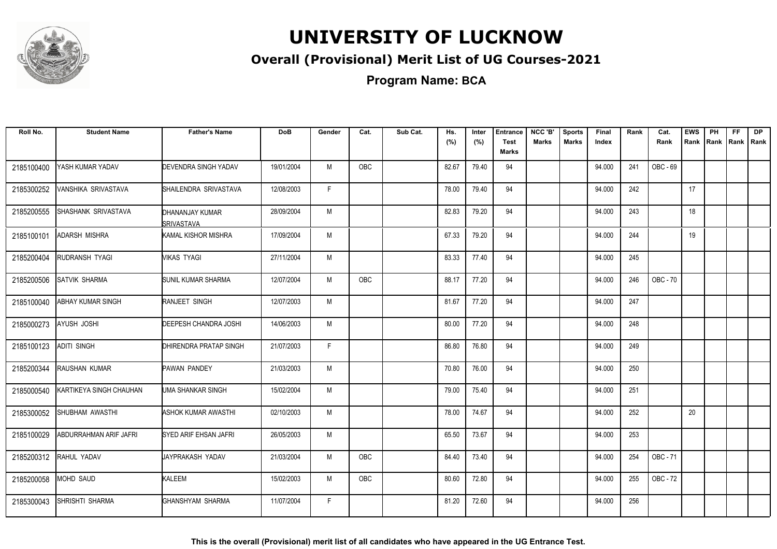

### **Overall (Provisional) Merit List of UG Courses-2021**

| Roll No.   | <b>Student Name</b>     | <b>Father's Name</b>                  | <b>DoB</b> | Gender       | Cat.       | Sub Cat. | Hs.   | Inter | <b>Entrance</b>             | NCC 'B' | <b>Sports</b> | Final  | Rank | Cat.            | <b>EWS</b> | <b>PH</b>   | <b>FF</b> | <b>DP</b> |
|------------|-------------------------|---------------------------------------|------------|--------------|------------|----------|-------|-------|-----------------------------|---------|---------------|--------|------|-----------------|------------|-------------|-----------|-----------|
|            |                         |                                       |            |              |            |          | (%)   | (%)   | <b>Test</b><br><b>Marks</b> | Marks   | <b>Marks</b>  | Index  |      | Rank            | Rank       | Rank   Rank |           | Rank      |
| 2185100400 | YASH KUMAR YADAV        | <b>DEVENDRA SINGH YADAV</b>           | 19/01/2004 | M            | <b>OBC</b> |          | 82.67 | 79.40 | 94                          |         |               | 94.000 | 241  | OBC - 69        |            |             |           |           |
| 2185300252 | VANSHIKA SRIVASTAVA     | SHAILENDRA SRIVASTAVA                 | 12/08/2003 | F.           |            |          | 78.00 | 79.40 | 94                          |         |               | 94.000 | 242  |                 | 17         |             |           |           |
| 2185200555 | SHASHANK SRIVASTAVA     | IDHANANJAY KUMAR<br><b>SRIVASTAVA</b> | 28/09/2004 | M            |            |          | 82.83 | 79.20 | 94                          |         |               | 94.000 | 243  |                 | 18         |             |           |           |
| 2185100101 | <b>ADARSH MISHRA</b>    | KAMAL KISHOR MISHRA                   | 17/09/2004 | M            |            |          | 67.33 | 79.20 | 94                          |         |               | 94.000 | 244  |                 | 19         |             |           |           |
| 2185200404 | RUDRANSH TYAGI          | Mikas tyagi                           | 27/11/2004 | M            |            |          | 83.33 | 77.40 | 94                          |         |               | 94.000 | 245  |                 |            |             |           |           |
| 2185200506 | <b>SATVIK SHARMA</b>    | <b>SUNIL KUMAR SHARMA</b>             | 12/07/2004 | M            | OBC        |          | 88.17 | 77.20 | 94                          |         |               | 94.000 | 246  | <b>OBC - 70</b> |            |             |           |           |
| 2185100040 | ABHAY KUMAR SINGH       | RANJEET SINGH                         | 12/07/2003 | M            |            |          | 81.67 | 77.20 | 94                          |         |               | 94.000 | 247  |                 |            |             |           |           |
| 2185000273 | <b>AYUSH JOSHI</b>      | DEEPESH CHANDRA JOSHI                 | 14/06/2003 | M            |            |          | 80.00 | 77.20 | 94                          |         |               | 94.000 | 248  |                 |            |             |           |           |
| 2185100123 | ADITI SINGH             | DHIRENDRA PRATAP SINGH                | 21/07/2003 | $\mathsf{F}$ |            |          | 86.80 | 76.80 | 94                          |         |               | 94.000 | 249  |                 |            |             |           |           |
| 2185200344 | <b>RAUSHAN KUMAR</b>    | <b>PAWAN PANDEY</b>                   | 21/03/2003 | M            |            |          | 70.80 | 76.00 | 94                          |         |               | 94.000 | 250  |                 |            |             |           |           |
| 2185000540 | KARTIKEYA SINGH CHAUHAN | UMA SHANKAR SINGH                     | 15/02/2004 | M            |            |          | 79.00 | 75.40 | 94                          |         |               | 94.000 | 251  |                 |            |             |           |           |
| 2185300052 | SHUBHAM AWASTHI         | <b>ASHOK KUMAR AWASTHI</b>            | 02/10/2003 | M            |            |          | 78.00 | 74.67 | 94                          |         |               | 94.000 | 252  |                 | 20         |             |           |           |
| 2185100029 | ABDURRAHMAN ARIF JAFRI  | SYED ARIF EHSAN JAFRI                 | 26/05/2003 | M            |            |          | 65.50 | 73.67 | 94                          |         |               | 94.000 | 253  |                 |            |             |           |           |
| 2185200312 | RAHUL YADAV             | JAYPRAKASH YADAV                      | 21/03/2004 | M            | OBC        |          | 84.40 | 73.40 | 94                          |         |               | 94.000 | 254  | OBC - 71        |            |             |           |           |
| 2185200058 | MOHD SAUD               | KALEEM                                | 15/02/2003 | M            | <b>OBC</b> |          | 80.60 | 72.80 | 94                          |         |               | 94.000 | 255  | OBC - 72        |            |             |           |           |
| 2185300043 | SHRISHTI SHARMA         | GHANSHYAM SHARMA                      | 11/07/2004 | F            |            |          | 81.20 | 72.60 | 94                          |         |               | 94.000 | 256  |                 |            |             |           |           |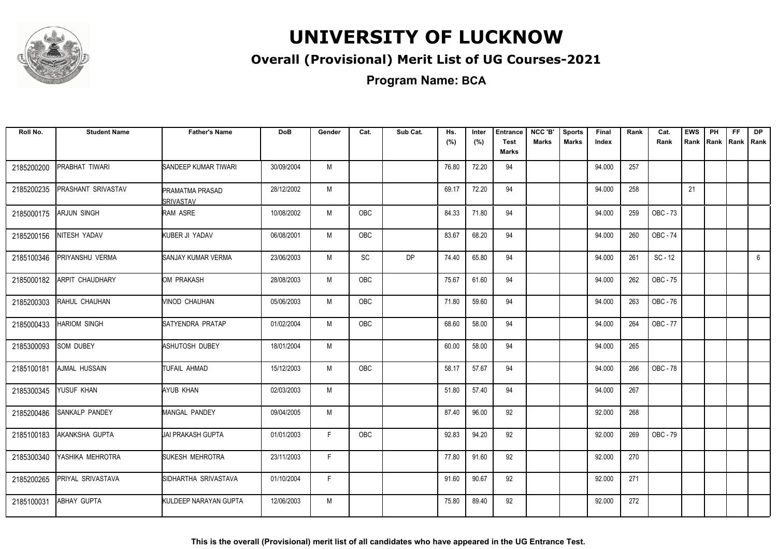

### **Overall (Provisional) Merit List of UG Courses-2021**

**Program Name: BCA**

| Roll No.   | <b>Student Name</b>       | <b>Father's Name</b>                       | <b>DoB</b> | Gender | Cat.       | Sub Cat.  | Hs.<br>(%) | Inter<br>(%) | <b>Entrance</b><br><b>Test</b><br><b>Marks</b> | NCC 'B'<br><b>Marks</b> | <b>Sports</b><br><b>Marks</b> | Final<br>Index | Rank | Cat.<br>Rank | <b>EWS</b> | PH<br>Rank Rank | FF. | <b>DP</b><br>Rank   Rank |
|------------|---------------------------|--------------------------------------------|------------|--------|------------|-----------|------------|--------------|------------------------------------------------|-------------------------|-------------------------------|----------------|------|--------------|------------|-----------------|-----|--------------------------|
| 2185200200 | PRABHAT TIWARI            | SANDEEP KUMAR TIWARI                       | 30/09/2004 | M      |            |           | 76.80      | 72.20        | 94                                             |                         |                               | 94.000         | 257  |              |            |                 |     |                          |
| 2185200235 | <b>PRASHANT SRIVASTAV</b> | <b>PRAMATMA PRASAD</b><br><b>SRIVASTAV</b> | 28/12/2002 | M      |            |           | 69.17      | 72.20        | 94                                             |                         |                               | 94.000         | 258  |              | 21         |                 |     |                          |
| 2185000175 | <b>ARJUN SINGH</b>        | <b>RAM ASRE</b>                            | 10/08/2002 | M      | <b>OBC</b> |           | 84.33      | 71.80        | 94                                             |                         |                               | 94.000         | 259  | OBC - 73     |            |                 |     |                          |
| 2185200156 | NITESH YADAV              | KUBER JI YADAV                             | 06/08/2001 | M      | OBC        |           | 83.67      | 68.20        | 94                                             |                         |                               | 94.000         | 260  | OBC - 74     |            |                 |     |                          |
| 2185100346 | PRIYANSHU VERMA           | SANJAY KUMAR VERMA                         | 23/06/2003 | M      | <b>SC</b>  | <b>DP</b> | 74.40      | 65.80        | 94                                             |                         |                               | 94.000         | 261  | $SC - 12$    |            |                 |     | 6                        |
| 2185000182 | ARPIT CHAUDHARY           | OM PRAKASH                                 | 28/08/2003 | M      | <b>OBC</b> |           | 75.67      | 61.60        | 94                                             |                         |                               | 94.000         | 262  | OBC - 75     |            |                 |     |                          |
| 2185200303 | RAHUL CHAUHAN             | VINOD CHAUHAN                              | 05/06/2003 | M      | OBC        |           | 71.80      | 59.60        | 94                                             |                         |                               | 94.000         | 263  | OBC - 76     |            |                 |     |                          |
| 2185000433 | HARIOM SINGH              | SATYENDRA PRATAP                           | 01/02/2004 | M      | OBC        |           | 68.60      | 58.00        | 94                                             |                         |                               | 94.000         | 264  | OBC - 77     |            |                 |     |                          |
| 2185300093 | SOM DUBEY                 | ASHUTOSH DUBEY                             | 18/01/2004 | M      |            |           | 60.00      | 58.00        | 94                                             |                         |                               | 94.000         | 265  |              |            |                 |     |                          |
| 2185100181 | AJMAL HUSSAIN             | TUFAIL AHMAD                               | 15/12/2003 | M      | OBC        |           | 58.17      | 57.67        | 94                                             |                         |                               | 94.000         | 266  | OBC - 78     |            |                 |     |                          |
| 2185300345 | YUSUF KHAN                | AYUB KHAN                                  | 02/03/2003 | M      |            |           | 51.80      | 57.40        | 94                                             |                         |                               | 94.000         | 267  |              |            |                 |     |                          |
| 2185200486 | SANKALP PANDEY            | <b>MANGAL PANDEY</b>                       | 09/04/2005 | M      |            |           | 87.40      | 96.00        | 92                                             |                         |                               | 92.000         | 268  |              |            |                 |     |                          |
| 2185100183 | AKANKSHA GUPTA            | UAI PRAKASH GUPTA                          | 01/01/2003 | F.     | OBC        |           | 92.83      | 94.20        | 92                                             |                         |                               | 92.000         | 269  | OBC - 79     |            |                 |     |                          |
| 2185300340 | YASHIKA MEHROTRA          | <b>SUKESH MEHROTRA</b>                     | 23/11/2003 | F.     |            |           | 77.80      | 91.60        | 92                                             |                         |                               | 92.000         | 270  |              |            |                 |     |                          |
| 2185200265 | PRIYAL SRIVASTAVA         | SIDHARTHA SRIVASTAVA                       | 01/10/2004 | F.     |            |           | 91.60      | 90.67        | 92                                             |                         |                               | 92.000         | 271  |              |            |                 |     |                          |
| 2185100031 | ABHAY GUPTA               | KULDEEP NARAYAN GUPTA                      | 12/06/2003 | M      |            |           | 75.80      | 89.40        | 92                                             |                         |                               | 92.000         | 272  |              |            |                 |     |                          |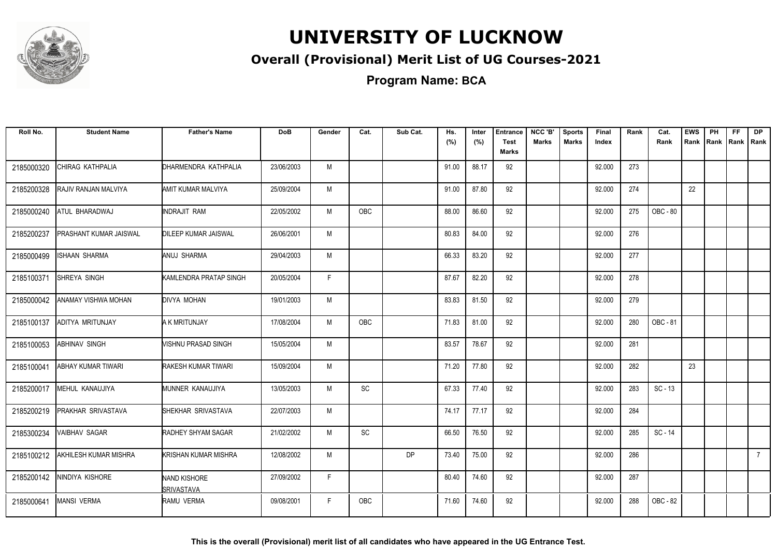

### **Overall (Provisional) Merit List of UG Courses-2021**

**Program Name: BCA**

| Roll No.   | <b>Student Name</b>        | <b>Father's Name</b>                     | <b>DoB</b> | Gender | Cat.          | Sub Cat.  | Hs.<br>(%) | Inter<br>(%) | <b>Entrance</b><br><b>Test</b> | NCC 'B'<br><b>Marks</b> | <b>Sports</b><br><b>Marks</b> | Final<br>Index | Rank | Cat.<br>Rank | <b>EWS</b> | PH | FF.<br>Rank Rank Rank Rank | <b>DP</b>   |
|------------|----------------------------|------------------------------------------|------------|--------|---------------|-----------|------------|--------------|--------------------------------|-------------------------|-------------------------------|----------------|------|--------------|------------|----|----------------------------|-------------|
|            |                            |                                          |            |        |               |           |            |              | <b>Marks</b>                   |                         |                               |                |      |              |            |    |                            |             |
| 2185000320 | CHIRAG KATHPALIA           | DHARMENDRA KATHPALIA                     | 23/06/2003 | M      |               |           | 91.00      | 88.17        | 92                             |                         |                               | 92.000         | 273  |              |            |    |                            |             |
| 2185200328 | RAJIV RANJAN MALVIYA       | AMIT KUMAR MALVIYA                       | 25/09/2004 | M      |               |           | 91.00      | 87.80        | 92                             |                         |                               | 92.000         | 274  |              | 22         |    |                            |             |
| 2185000240 | ATUL BHARADWAJ             | INDRAJIT RAM                             | 22/05/2002 | M      | <b>OBC</b>    |           | 88.00      | 86.60        | 92                             |                         |                               | 92.000         | 275  | OBC - 80     |            |    |                            |             |
| 2185200237 | PRASHANT KUMAR JAISWAL     | <b>DILEEP KUMAR JAISWAL</b>              | 26/06/2001 | M      |               |           | 80.83      | 84.00        | 92                             |                         |                               | 92.000         | 276  |              |            |    |                            |             |
| 2185000499 | ISHAAN SHARMA              | ANUJ SHARMA                              | 29/04/2003 | M      |               |           | 66.33      | 83.20        | 92                             |                         |                               | 92.000         | 277  |              |            |    |                            |             |
| 2185100371 | SHREYA SINGH               | KAMLENDRA PRATAP SINGH                   | 20/05/2004 | F.     |               |           | 87.67      | 82.20        | 92                             |                         |                               | 92.000         | 278  |              |            |    |                            |             |
| 2185000042 | <b>ANAMAY VISHWA MOHAN</b> | DIVYA MOHAN                              | 19/01/2003 | M      |               |           | 83.83      | 81.50        | 92                             |                         |                               | 92.000         | 279  |              |            |    |                            |             |
| 2185100137 | ADITYA MRITUNJAY           | A K MRITUNJAY                            | 17/08/2004 | M      | <b>OBC</b>    |           | 71.83      | 81.00        | 92                             |                         |                               | 92.000         | 280  | OBC - 81     |            |    |                            |             |
| 2185100053 | <b>ABHINAV SINGH</b>       | VISHNU PRASAD SINGH                      | 15/05/2004 | M      |               |           | 83.57      | 78.67        | 92                             |                         |                               | 92.000         | 281  |              |            |    |                            |             |
| 2185100041 | ABHAY KUMAR TIWARI         | RAKESH KUMAR TIWARI                      | 15/09/2004 | M      |               |           | 71.20      | 77.80        | 92                             |                         |                               | 92.000         | 282  |              | 23         |    |                            |             |
| 2185200017 | MEHUL KANAUJIYA            | MUNNER KANAUJIYA                         | 13/05/2003 | M      | $\mathsf{SC}$ |           | 67.33      | 77.40        | 92                             |                         |                               | 92.000         | 283  | $SC - 13$    |            |    |                            |             |
| 2185200219 | PRAKHAR SRIVASTAVA         | SHEKHAR SRIVASTAVA                       | 22/07/2003 | M      |               |           | 74.17      | 77.17        | 92                             |                         |                               | 92.000         | 284  |              |            |    |                            |             |
| 2185300234 | <b>VAIBHAV SAGAR</b>       | <b>RADHEY SHYAM SAGAR</b>                | 21/02/2002 | M      | SC            |           | 66.50      | 76.50        | 92                             |                         |                               | 92.000         | 285  | SC - 14      |            |    |                            |             |
| 2185100212 | AKHILESH KUMAR MISHRA      | KRISHAN KUMAR MISHRA                     | 12/08/2002 | M      |               | <b>DP</b> | 73.40      | 75.00        | 92                             |                         |                               | 92.000         | 286  |              |            |    |                            | $7^{\circ}$ |
| 2185200142 | NINDIYA KISHORE            | <b>NAND KISHORE</b><br><b>SRIVASTAVA</b> | 27/09/2002 | F      |               |           | 80.40      | 74.60        | 92                             |                         |                               | 92.000         | 287  |              |            |    |                            |             |
| 2185000641 | <b>MANSI VERMA</b>         | RAMU VERMA                               | 09/08/2001 | F      | <b>OBC</b>    |           | 71.60      | 74.60        | 92                             |                         |                               | 92.000         | 288  | OBC - 82     |            |    |                            |             |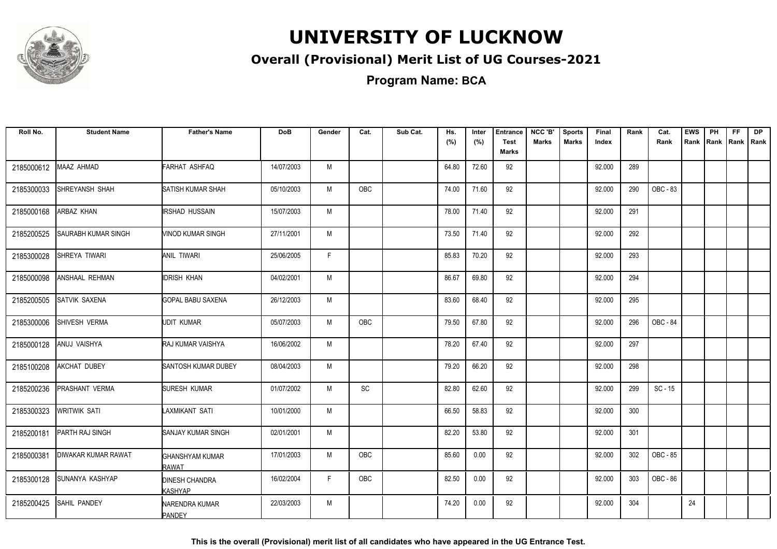

### **Overall (Provisional) Merit List of UG Courses-2021**

**Program Name: BCA**

| Roll No.   | <b>Student Name</b>        | <b>Father's Name</b>                    | <b>DoB</b> | Gender | Cat.       | Sub Cat. | Hs.<br>(%) | Inter<br>(%) | <b>Entrance</b><br><b>Test</b><br><b>Marks</b> | NCC 'B'<br><b>Marks</b> | <b>Sports</b><br><b>Marks</b> | Final<br>Index | Rank | Cat.<br>Rank | <b>EWS</b> | PH<br>Rank Rank | <b>FF</b><br>Rank   Rank | <b>DP</b> |
|------------|----------------------------|-----------------------------------------|------------|--------|------------|----------|------------|--------------|------------------------------------------------|-------------------------|-------------------------------|----------------|------|--------------|------------|-----------------|--------------------------|-----------|
| 2185000612 | MAAZ AHMAD                 | FARHAT ASHFAQ                           | 14/07/2003 | M      |            |          | 64.80      | 72.60        | 92                                             |                         |                               | 92.000         | 289  |              |            |                 |                          |           |
| 2185300033 | <b>SHREYANSH SHAH</b>      | SATISH KUMAR SHAH                       | 05/10/2003 | M      | <b>OBC</b> |          | 74.00      | 71.60        | 92                                             |                         |                               | 92.000         | 290  | OBC - 83     |            |                 |                          |           |
| 2185000168 | ARBAZ KHAN                 | <b>IRSHAD HUSSAIN</b>                   | 15/07/2003 | M      |            |          | 78.00      | 71.40        | 92                                             |                         |                               | 92.000         | 291  |              |            |                 |                          |           |
| 2185200525 | SAURABH KUMAR SINGH        | VINOD KUMAR SINGH                       | 27/11/2001 | M      |            |          | 73.50      | 71.40        | 92                                             |                         |                               | 92.000         | 292  |              |            |                 |                          |           |
| 2185300028 | SHREYA TIWARI              | ANIL TIWARI                             | 25/06/2005 | F      |            |          | 85.83      | 70.20        | 92                                             |                         |                               | 92.000         | 293  |              |            |                 |                          |           |
| 2185000098 | ANSHAAL REHMAN             | <b>IDRISH KHAN</b>                      | 04/02/2001 | M      |            |          | 86.67      | 69.80        | 92                                             |                         |                               | 92.000         | 294  |              |            |                 |                          |           |
| 2185200505 | <b>SATVIK SAXENA</b>       | <b>GOPAL BABU SAXENA</b>                | 26/12/2003 | M      |            |          | 83.60      | 68.40        | 92                                             |                         |                               | 92.000         | 295  |              |            |                 |                          |           |
| 2185300006 | SHIVESH VERMA              | <b>UDIT KUMAR</b>                       | 05/07/2003 | M      | OBC        |          | 79.50      | 67.80        | 92                                             |                         |                               | 92.000         | 296  | OBC - 84     |            |                 |                          |           |
| 2185000128 | ANUJ VAISHYA               | RAJ KUMAR VAISHYA                       | 16/06/2002 | M      |            |          | 78.20      | 67.40        | 92                                             |                         |                               | 92.000         | 297  |              |            |                 |                          |           |
| 2185100208 | <b>AKCHAT DUBEY</b>        | SANTOSH KUMAR DUBEY                     | 08/04/2003 | M      |            |          | 79.20      | 66.20        | 92                                             |                         |                               | 92.000         | 298  |              |            |                 |                          |           |
| 2185200236 | PRASHANT VERMA             | SURESH KUMAR                            | 01/07/2002 | M      | SC         |          | 82.80      | 62.60        | 92                                             |                         |                               | 92.000         | 299  | $SC - 15$    |            |                 |                          |           |
| 2185300323 | <b>WRITWIK SATI</b>        | LAXMIKANT SATI                          | 10/01/2000 | M      |            |          | 66.50      | 58.83        | 92                                             |                         |                               | 92.000         | 300  |              |            |                 |                          |           |
| 2185200181 | PARTH RAJ SINGH            | SANJAY KUMAR SINGH                      | 02/01/2001 | M      |            |          | 82.20      | 53.80        | 92                                             |                         |                               | 92.000         | 301  |              |            |                 |                          |           |
| 2185000381 | <b>DIWAKAR KUMAR RAWAT</b> | <b>GHANSHYAM KUMAR</b><br>RAWAT         | 17/01/2003 | M      | OBC        |          | 85.60      | 0.00         | 92                                             |                         |                               | 92.000         | 302  | OBC - 85     |            |                 |                          |           |
| 2185300128 | <b>SUNANYA KASHYAP</b>     | <b>DINESH CHANDRA</b><br><b>KASHYAP</b> | 16/02/2004 | F      | OBC        |          | 82.50      | 0.00         | 92                                             |                         |                               | 92.000         | 303  | OBC - 86     |            |                 |                          |           |
| 2185200425 | <b>SAHIL PANDEY</b>        | NARENDRA KUMAR<br><b>PANDEY</b>         | 22/03/2003 | M      |            |          | 74.20      | 0.00         | 92                                             |                         |                               | 92.000         | 304  |              | 24         |                 |                          |           |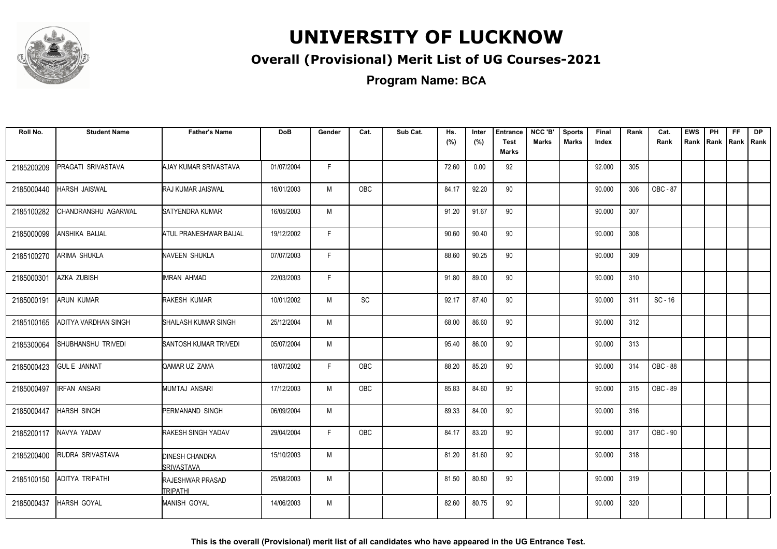

### **Overall (Provisional) Merit List of UG Courses-2021**

**Program Name: BCA**

| Roll No.   | <b>Student Name</b>    | <b>Father's Name</b>                       | <b>DoB</b> | Gender | Cat. | Sub Cat. | Hs.<br>(%) | Inter<br>(%) | <b>Entrance</b><br><b>Test</b> | NCC 'B'<br><b>Marks</b> | <b>Sports</b><br><b>Marks</b> | Final<br>Index | Rank | Cat.<br>Rank | <b>EWS</b><br>Rank | PH | FF<br>Rank   Rank   Rank | <b>DP</b> |
|------------|------------------------|--------------------------------------------|------------|--------|------|----------|------------|--------------|--------------------------------|-------------------------|-------------------------------|----------------|------|--------------|--------------------|----|--------------------------|-----------|
|            |                        |                                            |            |        |      |          |            |              | <b>Marks</b>                   |                         |                               |                |      |              |                    |    |                          |           |
| 2185200209 | PRAGATI SRIVASTAVA     | AJAY KUMAR SRIVASTAVA                      | 01/07/2004 | F.     |      |          | 72.60      | 0.00         | 92                             |                         |                               | 92.000         | 305  |              |                    |    |                          |           |
| 2185000440 | HARSH JAISWAL          | RAJ KUMAR JAISWAL                          | 16/01/2003 | M      | OBC  |          | 84.17      | 92.20        | 90                             |                         |                               | 90.000         | 306  | OBC - 87     |                    |    |                          |           |
| 2185100282 | CHANDRANSHU AGARWAL    | SATYENDRA KUMAR                            | 16/05/2003 | M      |      |          | 91.20      | 91.67        | 90                             |                         |                               | 90.000         | 307  |              |                    |    |                          |           |
| 2185000099 | ANSHIKA BAIJAL         | ATUL PRANESHWAR BAIJAL                     | 19/12/2002 | F      |      |          | 90.60      | 90.40        | 90                             |                         |                               | 90.000         | 308  |              |                    |    |                          |           |
| 2185100270 | <b>ARIMA SHUKLA</b>    | <b>NAVEEN SHUKLA</b>                       | 07/07/2003 | F      |      |          | 88.60      | 90.25        | 90                             |                         |                               | 90.000         | 309  |              |                    |    |                          |           |
| 2185000301 | AZKA ZUBISH            | IMRAN AHMAD                                | 22/03/2003 | F.     |      |          | 91.80      | 89.00        | 90                             |                         |                               | 90.000         | 310  |              |                    |    |                          |           |
| 2185000191 | <b>ARUN KUMAR</b>      | RAKESH KUMAR                               | 10/01/2002 | M      | SC   |          | 92.17      | 87.40        | 90                             |                         |                               | 90.000         | 311  | $SC - 16$    |                    |    |                          |           |
| 2185100165 | ADITYA VARDHAN SINGH   | SHAILASH KUMAR SINGH                       | 25/12/2004 | M      |      |          | 68.00      | 86.60        | 90                             |                         |                               | 90.000         | 312  |              |                    |    |                          |           |
| 2185300064 | SHUBHANSHU TRIVEDI     | SANTOSH KUMAR TRIVEDI                      | 05/07/2004 | M      |      |          | 95.40      | 86.00        | 90                             |                         |                               | 90.000         | 313  |              |                    |    |                          |           |
| 2185000423 | <b>GUL E JANNAT</b>    | QAMAR UZ ZAMA                              | 18/07/2002 | F.     | OBC  |          | 88.20      | 85.20        | 90                             |                         |                               | 90.000         | 314  | OBC - 88     |                    |    |                          |           |
| 2185000497 | <b>IRFAN ANSARI</b>    | MUMTAJ ANSARI                              | 17/12/2003 | M      | OBC  |          | 85.83      | 84.60        | 90                             |                         |                               | 90.000         | 315  | OBC - 89     |                    |    |                          |           |
| 2185000447 | <b>HARSH SINGH</b>     | PERMANAND SINGH                            | 06/09/2004 | M      |      |          | 89.33      | 84.00        | 90                             |                         |                               | 90.000         | 316  |              |                    |    |                          |           |
| 2185200117 | NAVYA YADAV            | <b>RAKESH SINGH YADAV</b>                  | 29/04/2004 | F      | OBC  |          | 84.17      | 83.20        | 90                             |                         |                               | 90.000         | 317  | OBC - 90     |                    |    |                          |           |
| 2185200400 | RUDRA SRIVASTAVA       | <b>DINESH CHANDRA</b><br>SRIVASTAVA        | 15/10/2003 | M      |      |          | 81.20      | 81.60        | 90                             |                         |                               | 90.000         | 318  |              |                    |    |                          |           |
| 2185100150 | <b>ADITYA TRIPATHI</b> | <b>RAJESHWAR PRASAD</b><br><b>TRIPATHI</b> | 25/08/2003 | M      |      |          | 81.50      | 80.80        | 90                             |                         |                               | 90.000         | 319  |              |                    |    |                          |           |
| 2185000437 | HARSH GOYAL            | <b>MANISH GOYAL</b>                        | 14/06/2003 | M      |      |          | 82.60      | 80.75        | 90                             |                         |                               | 90.000         | 320  |              |                    |    |                          |           |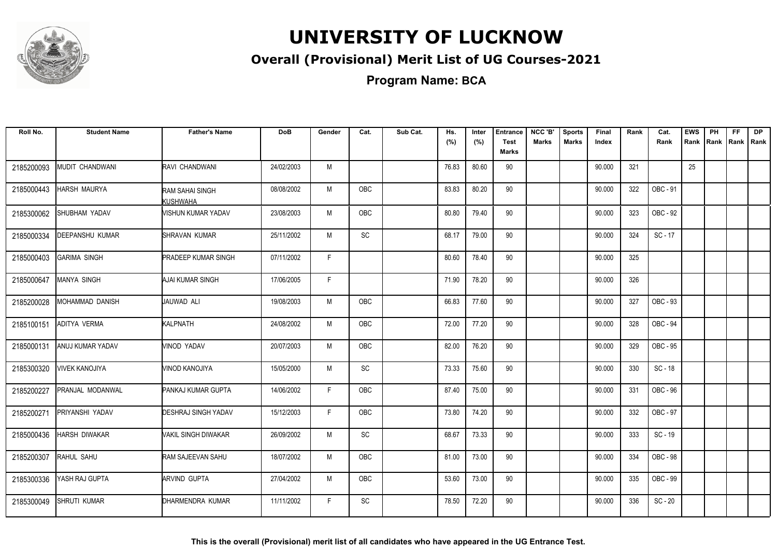

### **Overall (Provisional) Merit List of UG Courses-2021**

| Roll No.   | <b>Student Name</b>   | <b>Father's Name</b>        | <b>DoB</b> | Gender | Cat.       | Sub Cat. | Hs.<br>(%) | Inter<br>(%) | <b>Entrance</b><br><b>Test</b> | NCC 'B'<br>Marks | <b>Sports</b><br><b>Marks</b> | Final<br>Index | Rank | Cat.<br>Rank | <b>EWS</b><br>Rank | <b>PH</b><br>Rank   Rank | <b>FF</b> | <b>DP</b><br>Rank |
|------------|-----------------------|-----------------------------|------------|--------|------------|----------|------------|--------------|--------------------------------|------------------|-------------------------------|----------------|------|--------------|--------------------|--------------------------|-----------|-------------------|
|            |                       |                             |            |        |            |          |            |              | Marks                          |                  |                               |                |      |              |                    |                          |           |                   |
| 2185200093 | MUDIT CHANDWANI       | RAVI CHANDWANI              | 24/02/2003 | M      |            |          | 76.83      | 80.60        | 90                             |                  |                               | 90.000         | 321  |              | 25                 |                          |           |                   |
| 2185000443 | <b>HARSH MAURYA</b>   | RAM SAHAI SINGH<br>KUSHWAHA | 08/08/2002 | M      | OBC        |          | 83.83      | 80.20        | 90                             |                  |                               | 90.000         | 322  | OBC - 91     |                    |                          |           |                   |
| 2185300062 | SHUBHAM YADAV         | MISHUN KUMAR YADAV          | 23/08/2003 | M      | <b>OBC</b> |          | 80.80      | 79.40        | 90                             |                  |                               | 90.000         | 323  | OBC - 92     |                    |                          |           |                   |
| 2185000334 | DEEPANSHU KUMAR       | ISHRAVAN KUMAR              | 25/11/2002 | M      | SC         |          | 68.17      | 79.00        | 90                             |                  |                               | 90.000         | 324  | $SC - 17$    |                    |                          |           |                   |
| 2185000403 | <b>GARIMA SINGH</b>   | <b>PRADEEP KUMAR SINGH</b>  | 07/11/2002 | F      |            |          | 80.60      | 78.40        | 90                             |                  |                               | 90.000         | 325  |              |                    |                          |           |                   |
| 2185000647 | MANYA SINGH           | AJAI KUMAR SINGH            | 17/06/2005 | F      |            |          | 71.90      | 78.20        | 90                             |                  |                               | 90.000         | 326  |              |                    |                          |           |                   |
| 2185200028 | MOHAMMAD DANISH       | JAUWAD ALI                  | 19/08/2003 | М      | OBC        |          | 66.83      | 77.60        | 90                             |                  |                               | 90.000         | 327  | OBC - 93     |                    |                          |           |                   |
| 2185100151 | <b>ADITYA VERMA</b>   | KALPNATH                    | 24/08/2002 | M      | <b>OBC</b> |          | 72.00      | 77.20        | 90                             |                  |                               | 90.000         | 328  | OBC - 94     |                    |                          |           |                   |
| 2185000131 | ANUJ KUMAR YADAV      | VINOD YADAV                 | 20/07/2003 | M      | <b>OBC</b> |          | 82.00      | 76.20        | 90                             |                  |                               | 90.000         | 329  | OBC - 95     |                    |                          |           |                   |
| 2185300320 | <b>VIVEK KANOJIYA</b> | MINOD KANOJIYA              | 15/05/2000 | M      | SC         |          | 73.33      | 75.60        | 90                             |                  |                               | 90.000         | 330  | SC-18        |                    |                          |           |                   |
| 2185200227 | PRANJAL MODANWAL      | PANKAJ KUMAR GUPTA          | 14/06/2002 | F      | <b>OBC</b> |          | 87.40      | 75.00        | 90                             |                  |                               | 90.000         | 331  | OBC - 96     |                    |                          |           |                   |
| 2185200271 | PRIYANSHI YADAV       | <b>DESHRAJ SINGH YADAV</b>  | 15/12/2003 | F      | OBC        |          | 73.80      | 74.20        | 90                             |                  |                               | 90.000         | 332  | OBC - 97     |                    |                          |           |                   |
| 2185000436 | HARSH DIWAKAR         | VAKIL SINGH DIWAKAR         | 26/09/2002 | M      | SC         |          | 68.67      | 73.33        | 90                             |                  |                               | 90.000         | 333  | SC - 19      |                    |                          |           |                   |
| 2185200307 | RAHUL SAHU            | RAM SAJEEVAN SAHU           | 18/07/2002 | M      | OBC        |          | 81.00      | 73.00        | 90                             |                  |                               | 90.000         | 334  | OBC - 98     |                    |                          |           |                   |
| 2185300336 | YASH RAJ GUPTA        | ARVIND GUPTA                | 27/04/2002 | M      | <b>OBC</b> |          | 53.60      | 73.00        | 90                             |                  |                               | 90.000         | 335  | OBC - 99     |                    |                          |           |                   |
| 2185300049 | <b>SHRUTI KUMAR</b>   | DHARMENDRA KUMAR            | 11/11/2002 | E      | SC         |          | 78.50      | 72.20        | 90                             |                  |                               | 90.000         | 336  | $SC - 20$    |                    |                          |           |                   |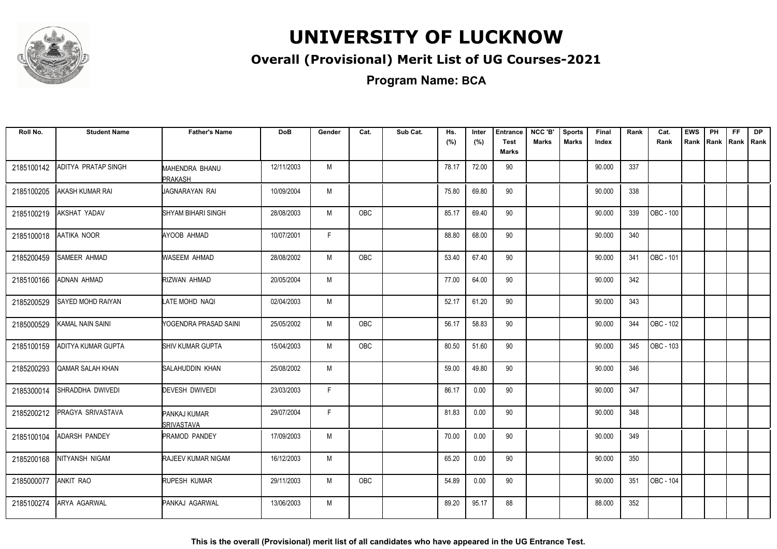

### **Overall (Provisional) Merit List of UG Courses-2021**

**Program Name: BCA**

| Roll No.   | <b>Student Name</b>        | <b>Father's Name</b>               | <b>DoB</b> | Gender | Cat.       | Sub Cat. | Hs.<br>(%) | Inter<br>(%) | <b>Entrance</b><br><b>Test</b><br>Marks | NCC 'B'<br><b>Marks</b> | <b>Sports</b><br><b>Marks</b> | Final<br>Index | Rank | Cat.<br>Rank | <b>EWS</b> | PH | <b>FF</b> | <b>DP</b><br>Rank Rank Rank Rank |
|------------|----------------------------|------------------------------------|------------|--------|------------|----------|------------|--------------|-----------------------------------------|-------------------------|-------------------------------|----------------|------|--------------|------------|----|-----------|----------------------------------|
| 2185100142 | <b>ADITYA PRATAP SINGH</b> | <b>MAHENDRA BHANU</b><br>PRAKASH   | 12/11/2003 | M      |            |          | 78.17      | 72.00        | 90                                      |                         |                               | 90.000         | 337  |              |            |    |           |                                  |
| 2185100205 | <b>AKASH KUMAR RAI</b>     | JAGNARAYAN RAI                     | 10/09/2004 | M      |            |          | 75.80      | 69.80        | 90                                      |                         |                               | 90.000         | 338  |              |            |    |           |                                  |
| 2185100219 | AKSHAT YADAV               | SHYAM BIHARI SINGH                 | 28/08/2003 | M      | <b>OBC</b> |          | 85.17      | 69.40        | 90                                      |                         |                               | 90.000         | 339  | OBC - 100    |            |    |           |                                  |
| 2185100018 | AATIKA NOOR                | AYOOB AHMAD                        | 10/07/2001 | F.     |            |          | 88.80      | 68.00        | 90                                      |                         |                               | 90.000         | 340  |              |            |    |           |                                  |
| 2185200459 | <b>SAMEER AHMAD</b>        | WASEEM AHMAD                       | 28/08/2002 | M      | <b>OBC</b> |          | 53.40      | 67.40        | 90                                      |                         |                               | 90.000         | 341  | OBC - 101    |            |    |           |                                  |
| 2185100166 | <b>ADNAN AHMAD</b>         | RIZWAN AHMAD                       | 20/05/2004 | M      |            |          | 77.00      | 64.00        | 90                                      |                         |                               | 90.000         | 342  |              |            |    |           |                                  |
| 2185200529 | <b>SAYED MOHD RAIYAN</b>   | LATE MOHD NAQI                     | 02/04/2003 | M      |            |          | 52.17      | 61.20        | 90                                      |                         |                               | 90.000         | 343  |              |            |    |           |                                  |
| 2185000529 | <b>KAMAL NAIN SAINI</b>    | YOGENDRA PRASAD SAINI              | 25/05/2002 | M      | <b>OBC</b> |          | 56.17      | 58.83        | 90                                      |                         |                               | 90.000         | 344  | OBC - 102    |            |    |           |                                  |
| 2185100159 | ADITYA KUMAR GUPTA         | SHIV KUMAR GUPTA                   | 15/04/2003 | M      | <b>OBC</b> |          | 80.50      | 51.60        | 90                                      |                         |                               | 90.000         | 345  | OBC - 103    |            |    |           |                                  |
| 2185200293 | QAMAR SALAH KHAN           | SALAHUDDIN KHAN                    | 25/08/2002 | M      |            |          | 59.00      | 49.80        | 90                                      |                         |                               | 90.000         | 346  |              |            |    |           |                                  |
| 2185300014 | SHRADDHA DWIVEDI           | <b>DEVESH DWIVEDI</b>              | 23/03/2003 | F.     |            |          | 86.17      | 0.00         | 90                                      |                         |                               | 90.000         | 347  |              |            |    |           |                                  |
| 2185200212 | PRAGYA SRIVASTAVA          | PANKAJ KUMAR<br><b>ISRIVASTAVA</b> | 29/07/2004 | F.     |            |          | 81.83      | 0.00         | 90                                      |                         |                               | 90.000         | 348  |              |            |    |           |                                  |
| 2185100104 | <b>ADARSH PANDEY</b>       | <b>PRAMOD PANDEY</b>               | 17/09/2003 | M      |            |          | 70.00      | 0.00         | 90                                      |                         |                               | 90.000         | 349  |              |            |    |           |                                  |
| 2185200168 | NITYANSH NIGAM             | RAJEEV KUMAR NIGAM                 | 16/12/2003 | M      |            |          | 65.20      | 0.00         | 90                                      |                         |                               | 90.000         | 350  |              |            |    |           |                                  |
| 2185000077 | <b>ANKIT RAO</b>           | RUPESH KUMAR                       | 29/11/2003 | M      | OBC        |          | 54.89      | 0.00         | 90                                      |                         |                               | 90.000         | 351  | OBC - 104    |            |    |           |                                  |
| 2185100274 | ARYA AGARWAL               | PANKAJ AGARWAL                     | 13/06/2003 | M      |            |          | 89.20      | 95.17        | 88                                      |                         |                               | 88.000         | 352  |              |            |    |           |                                  |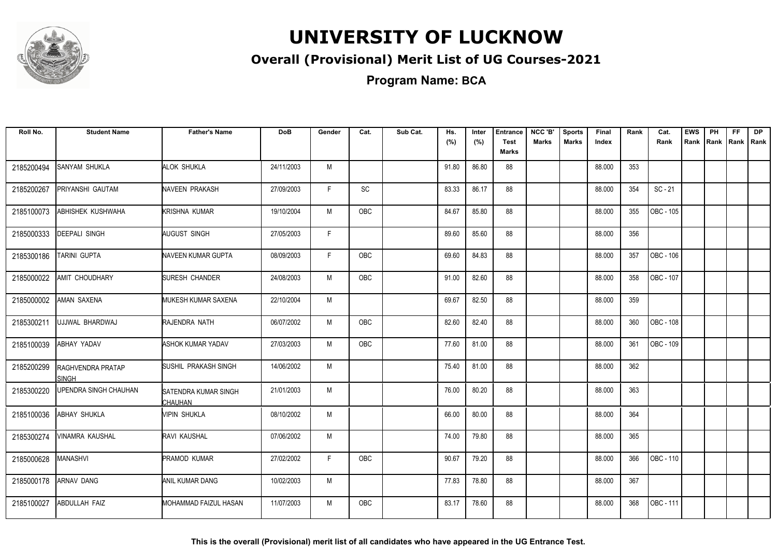

### **Overall (Provisional) Merit List of UG Courses-2021**

| Roll No.   | <b>Student Name</b>                      | <b>Father's Name</b>                   | DoB        | Gender | Cat.       | Sub Cat. | Hs.<br>(%) | Inter<br>(%) | <b>Entrance</b><br><b>Test</b><br>Marks | NCC 'B'<br><b>Marks</b> | <b>Sports</b><br><b>Marks</b> | Final<br>Index | Rank | Cat.<br>Rank | <b>EWS</b><br>Rank | PH<br>Rank Rank | FF. | <b>DP</b><br>Rank |
|------------|------------------------------------------|----------------------------------------|------------|--------|------------|----------|------------|--------------|-----------------------------------------|-------------------------|-------------------------------|----------------|------|--------------|--------------------|-----------------|-----|-------------------|
| 2185200494 | <b>SANYAM SHUKLA</b>                     | ALOK SHUKLA                            | 24/11/2003 | M      |            |          | 91.80      | 86.80        | 88                                      |                         |                               | 88.000         | 353  |              |                    |                 |     |                   |
| 2185200267 | PRIYANSHI GAUTAM                         | NAVEEN PRAKASH                         | 27/09/2003 | F.     | SC         |          | 83.33      | 86.17        | 88                                      |                         |                               | 88.000         | 354  | $SC - 21$    |                    |                 |     |                   |
| 2185100073 | <b>ABHISHEK KUSHWAHA</b>                 | KRISHNA KUMAR                          | 19/10/2004 | M      | OBC        |          | 84.67      | 85.80        | 88                                      |                         |                               | 88.000         | 355  | OBC - 105    |                    |                 |     |                   |
| 2185000333 | <b>DEEPALI SINGH</b>                     | AUGUST SINGH                           | 27/05/2003 | F.     |            |          | 89.60      | 85.60        | 88                                      |                         |                               | 88.000         | 356  |              |                    |                 |     |                   |
| 2185300186 | <b>TARINI GUPTA</b>                      | NAVEEN KUMAR GUPTA                     | 08/09/2003 | F.     | <b>OBC</b> |          | 69.60      | 84.83        | 88                                      |                         |                               | 88.000         | 357  | OBC - 106    |                    |                 |     |                   |
| 2185000022 | <b>AMIT CHOUDHARY</b>                    | <b>SURESH CHANDER</b>                  | 24/08/2003 | M      | OBC        |          | 91.00      | 82.60        | 88                                      |                         |                               | 88.000         | 358  | OBC - 107    |                    |                 |     |                   |
| 2185000002 | <b>AMAN SAXENA</b>                       | MUKESH KUMAR SAXENA                    | 22/10/2004 | M      |            |          | 69.67      | 82.50        | 88                                      |                         |                               | 88.000         | 359  |              |                    |                 |     |                   |
| 2185300211 | UJJWAL BHARDWAJ                          | RAJENDRA NATH                          | 06/07/2002 | M      | OBC        |          | 82.60      | 82.40        | 88                                      |                         |                               | 88.000         | 360  | OBC - 108    |                    |                 |     |                   |
| 2185100039 | <b>ABHAY YADAV</b>                       | <b>ASHOK KUMAR YADAV</b>               | 27/03/2003 | M      | OBC        |          | 77.60      | 81.00        | 88                                      |                         |                               | 88.000         | 361  | OBC - 109    |                    |                 |     |                   |
| 2185200299 | <b>RAGHVENDRA PRATAP</b><br><b>SINGH</b> | SUSHIL PRAKASH SINGH                   | 14/06/2002 | М      |            |          | 75.40      | 81.00        | 88                                      |                         |                               | 88.000         | 362  |              |                    |                 |     |                   |
| 2185300220 | UPENDRA SINGH CHAUHAN                    | SATENDRA KUMAR SINGH<br><b>CHAUHAN</b> | 21/01/2003 | M      |            |          | 76.00      | 80.20        | 88                                      |                         |                               | 88.000         | 363  |              |                    |                 |     |                   |
| 2185100036 | <b>ABHAY SHUKLA</b>                      | Mipin shukla                           | 08/10/2002 | M      |            |          | 66.00      | 80.00        | 88                                      |                         |                               | 88.000         | 364  |              |                    |                 |     |                   |
| 2185300274 | <b>VINAMRA KAUSHAL</b>                   | RAVI KAUSHAL                           | 07/06/2002 | M      |            |          | 74.00      | 79.80        | 88                                      |                         |                               | 88.000         | 365  |              |                    |                 |     |                   |
| 2185000628 | MANASHVI                                 | <b>PRAMOD KUMAR</b>                    | 27/02/2002 | F.     | OBC        |          | 90.67      | 79.20        | 88                                      |                         |                               | 88.000         | 366  | OBC - 110    |                    |                 |     |                   |
| 2185000178 | <b>ARNAV DANG</b>                        | ANIL KUMAR DANG                        | 10/02/2003 | M      |            |          | 77.83      | 78.80        | 88                                      |                         |                               | 88.000         | 367  |              |                    |                 |     |                   |
| 2185100027 | <b>ABDULLAH FAIZ</b>                     | <b>I</b> MOHAMMAD FAIZUL HASAN         | 11/07/2003 | M      | <b>OBC</b> |          | 83.17      | 78.60        | 88                                      |                         |                               | 88.000         | 368  | OBC - 111    |                    |                 |     |                   |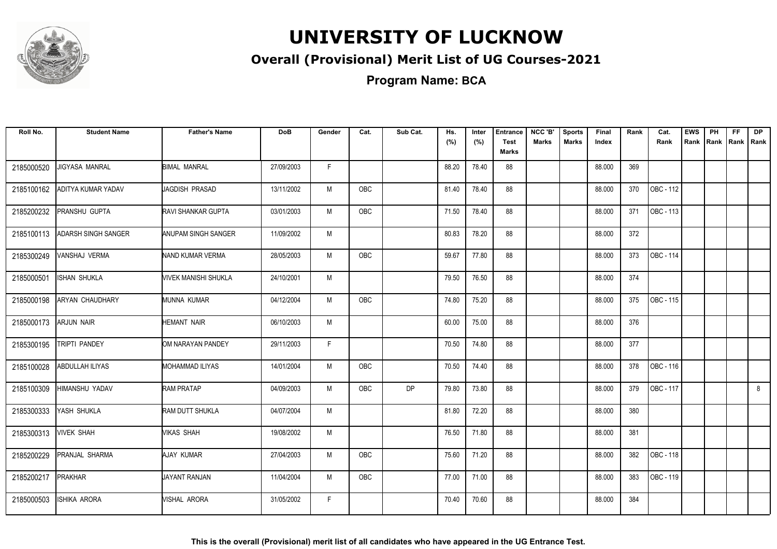

### **Overall (Provisional) Merit List of UG Courses-2021**

**Program Name: BCA**

| Roll No.   | <b>Student Name</b>    | <b>Father's Name</b>        | <b>DoB</b> | Gender | Cat.       | Sub Cat.  | Hs.<br>(%) | Inter<br>(%) | <b>Entrance</b><br><b>Test</b><br>Marks | NCC 'B'<br><b>Marks</b> | <b>Sports</b><br><b>Marks</b> | Final<br>Index | Rank | Cat.<br>Rank | <b>EWS</b><br>Rank | PH<br>Rank Rank | <b>FF</b> | <b>DP</b><br>Rank |
|------------|------------------------|-----------------------------|------------|--------|------------|-----------|------------|--------------|-----------------------------------------|-------------------------|-------------------------------|----------------|------|--------------|--------------------|-----------------|-----------|-------------------|
| 2185000520 | <b>JIGYASA MANRAL</b>  | <b>BIMAL MANRAL</b>         | 27/09/2003 | F.     |            |           | 88.20      | 78.40        | 88                                      |                         |                               | 88.000         | 369  |              |                    |                 |           |                   |
| 2185100162 | ADITYA KUMAR YADAV     | <b>JAGDISH PRASAD</b>       | 13/11/2002 | M      | <b>OBC</b> |           | 81.40      | 78.40        | 88                                      |                         |                               | 88.000         | 370  | OBC - 112    |                    |                 |           |                   |
| 2185200232 | PRANSHU GUPTA          | <b>RAVI SHANKAR GUPTA</b>   | 03/01/2003 | M      | OBC        |           | 71.50      | 78.40        | 88                                      |                         |                               | 88.000         | 371  | OBC - 113    |                    |                 |           |                   |
| 2185100113 | ADARSH SINGH SANGER    | ANUPAM SINGH SANGER         | 11/09/2002 | M      |            |           | 80.83      | 78.20        | 88                                      |                         |                               | 88.000         | 372  |              |                    |                 |           |                   |
| 2185300249 | VANSHAJ VERMA          | NAND KUMAR VERMA            | 28/05/2003 | M      | OBC        |           | 59.67      | 77.80        | 88                                      |                         |                               | 88.000         | 373  | OBC - 114    |                    |                 |           |                   |
| 2185000501 | <b>ISHAN SHUKLA</b>    | <b>VIVEK MANISHI SHUKLA</b> | 24/10/2001 | M      |            |           | 79.50      | 76.50        | 88                                      |                         |                               | 88.000         | 374  |              |                    |                 |           |                   |
| 2185000198 | <b>ARYAN CHAUDHARY</b> | MUNNA KUMAR                 | 04/12/2004 | M      | OBC        |           | 74.80      | 75.20        | 88                                      |                         |                               | 88.000         | 375  | OBC - 115    |                    |                 |           |                   |
| 2185000173 | <b>ARJUN NAIR</b>      | <b>HEMANT NAIR</b>          | 06/10/2003 | M      |            |           | 60.00      | 75.00        | 88                                      |                         |                               | 88.000         | 376  |              |                    |                 |           |                   |
| 2185300195 | TRIPTI PANDEY          | OM NARAYAN PANDEY           | 29/11/2003 | F      |            |           | 70.50      | 74.80        | 88                                      |                         |                               | 88.000         | 377  |              |                    |                 |           |                   |
| 2185100028 | ABDULLAH ILIYAS        | MOHAMMAD ILIYAS             | 14/01/2004 | M      | <b>OBC</b> |           | 70.50      | 74.40        | 88                                      |                         |                               | 88.000         | 378  | OBC - 116    |                    |                 |           |                   |
| 2185100309 | HIMANSHU YADAV         | <b>RAM PRATAP</b>           | 04/09/2003 | M      | <b>OBC</b> | <b>DP</b> | 79.80      | 73.80        | 88                                      |                         |                               | 88.000         | 379  | OBC - 117    |                    |                 |           | 8                 |
| 2185300333 | YASH SHUKLA            | RAM DUTT SHUKLA             | 04/07/2004 | M      |            |           | 81.80      | 72.20        | 88                                      |                         |                               | 88.000         | 380  |              |                    |                 |           |                   |
| 2185300313 | <b>VIVEK SHAH</b>      | MIKAS SHAH                  | 19/08/2002 | M      |            |           | 76.50      | 71.80        | 88                                      |                         |                               | 88.000         | 381  |              |                    |                 |           |                   |
| 2185200229 | PRANJAL SHARMA         | AJAY KUMAR                  | 27/04/2003 | M      | OBC        |           | 75.60      | 71.20        | 88                                      |                         |                               | 88.000         | 382  | OBC - 118    |                    |                 |           |                   |
| 2185200217 | PRAKHAR                | <b>JAYANT RANJAN</b>        | 11/04/2004 | M      | <b>OBC</b> |           | 77.00      | 71.00        | 88                                      |                         |                               | 88.000         | 383  | OBC - 119    |                    |                 |           |                   |
| 2185000503 | <b>ISHIKA ARORA</b>    | MISHAL ARORA                | 31/05/2002 | F.     |            |           | 70.40      | 70.60        | 88                                      |                         |                               | 88.000         | 384  |              |                    |                 |           |                   |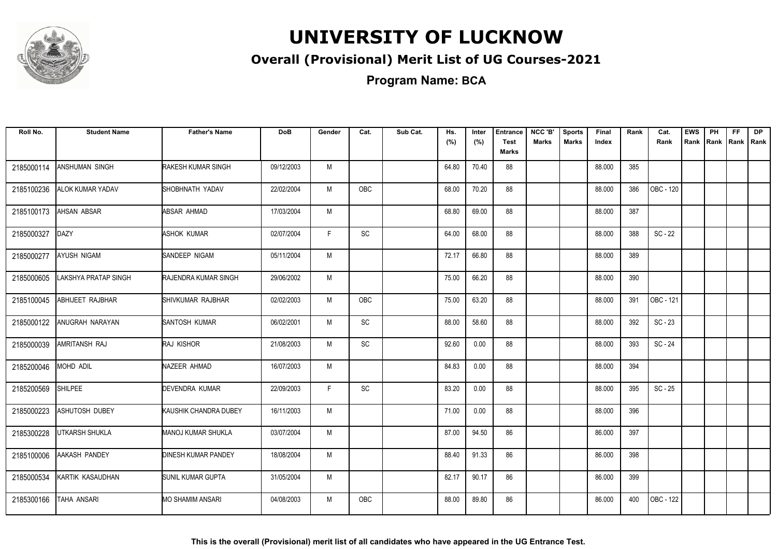

### **Overall (Provisional) Merit List of UG Courses-2021**

**Program Name: BCA**

| Roll No.   | <b>Student Name</b>  | <b>Father's Name</b>        | <b>DoB</b> | Gender | Cat.          | Sub Cat. | Hs.<br>(%) | Inter<br>(%) | <b>Entrance</b><br><b>Test</b><br>Marks | NCC 'B'<br><b>Marks</b> | <b>Sports</b><br><b>Marks</b> | Final<br>Index | Rank | Cat.<br>Rank | <b>EWS</b><br>Rank | PH | FF<br>Rank Rank Rank | <b>DP</b> |
|------------|----------------------|-----------------------------|------------|--------|---------------|----------|------------|--------------|-----------------------------------------|-------------------------|-------------------------------|----------------|------|--------------|--------------------|----|----------------------|-----------|
| 2185000114 | ANSHUMAN SINGH       | <b>RAKESH KUMAR SINGH</b>   | 09/12/2003 | M      |               |          | 64.80      | 70.40        | 88                                      |                         |                               | 88.000         | 385  |              |                    |    |                      |           |
| 2185100236 | ALOK KUMAR YADAV     | SHOBHNATH YADAV             | 22/02/2004 | M      | <b>OBC</b>    |          | 68.00      | 70.20        | 88                                      |                         |                               | 88.000         | 386  | OBC - 120    |                    |    |                      |           |
| 2185100173 | AHSAN ABSAR          | ABSAR AHMAD                 | 17/03/2004 | M      |               |          | 68.80      | 69.00        | 88                                      |                         |                               | 88.000         | 387  |              |                    |    |                      |           |
| 2185000327 | DAZY                 | ASHOK KUMAR                 | 02/07/2004 | F      | SC            |          | 64.00      | 68.00        | 88                                      |                         |                               | 88.000         | 388  | $SC - 22$    |                    |    |                      |           |
| 2185000277 | AYUSH NIGAM          | <b>I</b> SANDEEP NIGAM      | 05/11/2004 | M      |               |          | 72.17      | 66.80        | 88                                      |                         |                               | 88.000         | 389  |              |                    |    |                      |           |
| 2185000605 | LAKSHYA PRATAP SINGH | <b>RAJENDRA KUMAR SINGH</b> | 29/06/2002 | M      |               |          | 75.00      | 66.20        | 88                                      |                         |                               | 88.000         | 390  |              |                    |    |                      |           |
| 2185100045 | ABHIJEET RAJBHAR     | SHIVKUMAR RAJBHAR           | 02/02/2003 | M      | OBC           |          | 75.00      | 63.20        | 88                                      |                         |                               | 88.000         | 391  | OBC - 121    |                    |    |                      |           |
| 2185000122 | ANUGRAH NARAYAN      | SANTOSH KUMAR               | 06/02/2001 | M      | $\mathsf{SC}$ |          | 88.00      | 58.60        | 88                                      |                         |                               | 88.000         | 392  | $SC - 23$    |                    |    |                      |           |
| 2185000039 | AMRITANSH RAJ        | <b>RAJ KISHOR</b>           | 21/08/2003 | M      | <b>SC</b>     |          | 92.60      | 0.00         | 88                                      |                         |                               | 88.000         | 393  | $SC - 24$    |                    |    |                      |           |
| 2185200046 | MOHD ADIL            | NAZEER AHMAD                | 16/07/2003 | M      |               |          | 84.83      | 0.00         | 88                                      |                         |                               | 88.000         | 394  |              |                    |    |                      |           |
| 2185200569 | <b>SHILPEE</b>       | DEVENDRA KUMAR              | 22/09/2003 | F      | SC            |          | 83.20      | 0.00         | 88                                      |                         |                               | 88.000         | 395  | $SC - 25$    |                    |    |                      |           |
| 2185000223 | ASHUTOSH DUBEY       | KAUSHIK CHANDRA DUBEY       | 16/11/2003 | М      |               |          | 71.00      | 0.00         | 88                                      |                         |                               | 88.000         | 396  |              |                    |    |                      |           |
| 2185300228 | UTKARSH SHUKLA       | MANOJ KUMAR SHUKLA          | 03/07/2004 | M      |               |          | 87.00      | 94.50        | 86                                      |                         |                               | 86.000         | 397  |              |                    |    |                      |           |
| 2185100006 | AAKASH PANDEY        | <b>DINESH KUMAR PANDEY</b>  | 18/08/2004 | M      |               |          | 88.40      | 91.33        | 86                                      |                         |                               | 86.000         | 398  |              |                    |    |                      |           |
| 2185000534 | KARTIK KASAUDHAN     | SUNIL KUMAR GUPTA           | 31/05/2004 | M      |               |          | 82.17      | 90.17        | 86                                      |                         |                               | 86.000         | 399  |              |                    |    |                      |           |
| 2185300166 | TAHA ANSARI          | <b>MO SHAMIM ANSARI</b>     | 04/08/2003 | M      | <b>OBC</b>    |          | 88.00      | 89.80        | 86                                      |                         |                               | 86.000         | 400  | OBC - 122    |                    |    |                      |           |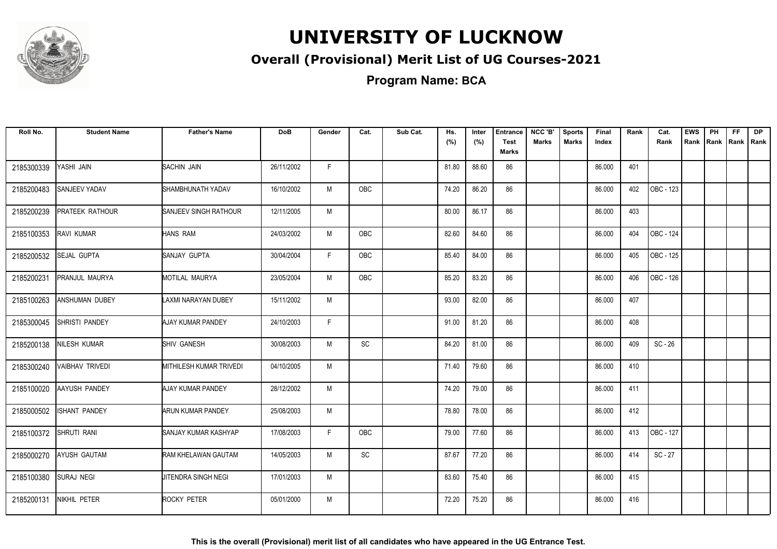

### **Overall (Provisional) Merit List of UG Courses-2021**

**Program Name: BCA**

| Roll No.   | <b>Student Name</b>    | <b>Father's Name</b>        | <b>DoB</b> | Gender | Cat.       | Sub Cat. | Hs.<br>(%) | Inter<br>(%) | <b>Entrance</b><br><b>Test</b><br>Marks | NCC 'B'<br><b>Marks</b> | <b>Sports</b><br><b>Marks</b> | Final<br>Index | Rank | Cat.<br>Rank | <b>EWS</b><br>Rank | PH<br>Rank Rank | <b>FF</b> | <b>DP</b><br>Rank |
|------------|------------------------|-----------------------------|------------|--------|------------|----------|------------|--------------|-----------------------------------------|-------------------------|-------------------------------|----------------|------|--------------|--------------------|-----------------|-----------|-------------------|
| 2185300339 | YASHI JAIN             | <b>SACHIN JAIN</b>          | 26/11/2002 | F.     |            |          | 81.80      | 88.60        | 86                                      |                         |                               | 86.000         | 401  |              |                    |                 |           |                   |
| 2185200483 | SANJEEV YADAV          | SHAMBHUNATH YADAV           | 16/10/2002 | M      | <b>OBC</b> |          | 74.20      | 86.20        | 86                                      |                         |                               | 86.000         | 402  | OBC - 123    |                    |                 |           |                   |
| 2185200239 | PRATEEK RATHOUR        | SANJEEV SINGH RATHOUR       | 12/11/2005 | M      |            |          | 80.00      | 86.17        | 86                                      |                         |                               | 86.000         | 403  |              |                    |                 |           |                   |
| 2185100353 | RAVI KUMAR             | HANS RAM                    | 24/03/2002 | M      | OBC        |          | 82.60      | 84.60        | 86                                      |                         |                               | 86.000         | 404  | OBC - 124    |                    |                 |           |                   |
| 2185200532 | SEJAL GUPTA            | SANJAY GUPTA                | 30/04/2004 | F.     | OBC        |          | 85.40      | 84.00        | 86                                      |                         |                               | 86.000         | 405  | OBC - 125    |                    |                 |           |                   |
| 2185200231 | PRANJUL MAURYA         | MOTILAL MAURYA              | 23/05/2004 | M      | OBC        |          | 85.20      | 83.20        | 86                                      |                         |                               | 86.000         | 406  | OBC - 126    |                    |                 |           |                   |
| 2185100263 | <b>ANSHUMAN DUBEY</b>  | LAXMI NARAYAN DUBEY         | 15/11/2002 | M      |            |          | 93.00      | 82.00        | 86                                      |                         |                               | 86.000         | 407  |              |                    |                 |           |                   |
| 2185300045 | <b>SHRISTI PANDEY</b>  | AJAY KUMAR PANDEY           | 24/10/2003 | F      |            |          | 91.00      | 81.20        | 86                                      |                         |                               | 86.000         | 408  |              |                    |                 |           |                   |
| 2185200138 | NILESH KUMAR           | <b>SHIV GANESH</b>          | 30/08/2003 | M      | <b>SC</b>  |          | 84.20      | 81.00        | 86                                      |                         |                               | 86.000         | 409  | $SC - 26$    |                    |                 |           |                   |
| 2185300240 | <b>VAIBHAV TRIVEDI</b> | MITHILESH KUMAR TRIVEDI     | 04/10/2005 | M      |            |          | 71.40      | 79.60        | 86                                      |                         |                               | 86.000         | 410  |              |                    |                 |           |                   |
| 2185100020 | AAYUSH PANDEY          | AJAY KUMAR PANDEY           | 28/12/2002 | M      |            |          | 74.20      | 79.00        | 86                                      |                         |                               | 86.000         | 411  |              |                    |                 |           |                   |
| 2185000502 | SHANT PANDEY           | ARUN KUMAR PANDEY           | 25/08/2003 | М      |            |          | 78.80      | 78.00        | 86                                      |                         |                               | 86.000         | 412  |              |                    |                 |           |                   |
| 2185100372 | SHRUTI RANI            | <b>SANJAY KUMAR KASHYAP</b> | 17/08/2003 | F      | OBC        |          | 79.00      | 77.60        | 86                                      |                         |                               | 86.000         | 413  | OBC - 127    |                    |                 |           |                   |
| 2185000270 | AYUSH GAUTAM           | RAM KHELAWAN GAUTAM         | 14/05/2003 | M      | SC         |          | 87.67      | 77.20        | 86                                      |                         |                               | 86.000         | 414  | $SC - 27$    |                    |                 |           |                   |
| 2185100380 | <b>SURAJ NEGI</b>      | JITENDRA SINGH NEGI         | 17/01/2003 | M      |            |          | 83.60      | 75.40        | 86                                      |                         |                               | 86.000         | 415  |              |                    |                 |           |                   |
| 2185200131 | NIKHIL PETER           | ROCKY PETER                 | 05/01/2000 | M      |            |          | 72.20      | 75.20        | 86                                      |                         |                               | 86.000         | 416  |              |                    |                 |           |                   |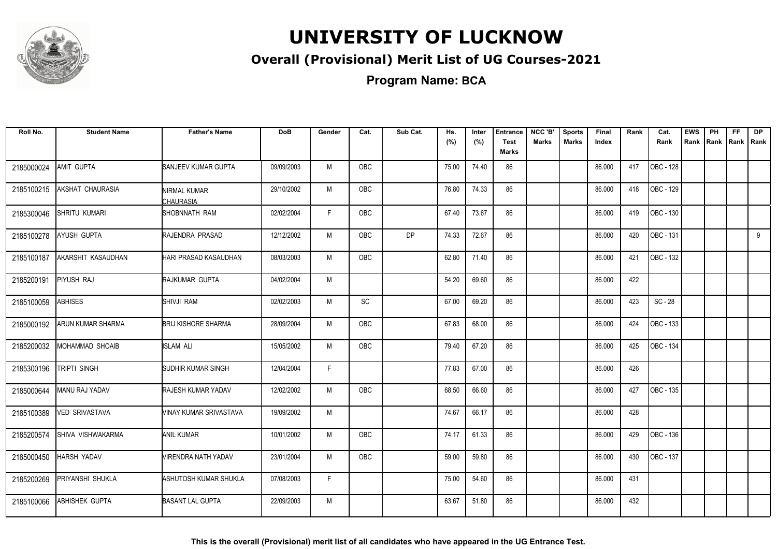

### **Overall (Provisional) Merit List of UG Courses-2021**

| Roll No.   | <b>Student Name</b>   | <b>Father's Name</b>             | <b>DoB</b> | Gender | Cat.       | Sub Cat.  | Hs.<br>(%) | Inter<br>(%) | <b>Entrance</b><br><b>Test</b> | NCC 'B'<br>Marks | <b>Sports</b><br>Marks | Final<br>Index | Rank | Cat.<br>Rank     | <b>EWS</b><br>Rank | <b>PH</b><br>Rank   Rank | <b>FF</b> | <b>DP</b><br>Rank |
|------------|-----------------------|----------------------------------|------------|--------|------------|-----------|------------|--------------|--------------------------------|------------------|------------------------|----------------|------|------------------|--------------------|--------------------------|-----------|-------------------|
|            |                       |                                  |            |        |            |           |            |              | Marks                          |                  |                        |                |      |                  |                    |                          |           |                   |
| 2185000024 | AMIT GUPTA            | SANJEEV KUMAR GUPTA              | 09/09/2003 | M      | <b>OBC</b> |           | 75.00      | 74.40        | 86                             |                  |                        | 86.000         | 417  | OBC - 128        |                    |                          |           |                   |
| 2185100215 | AKSHAT CHAURASIA      | NIRMAL KUMAR<br><b>CHAURASIA</b> | 29/10/2002 | M      | OBC        |           | 76.80      | 74.33        | 86                             |                  |                        | 86.000         | 418  | OBC - 129        |                    |                          |           |                   |
| 2185300046 | SHRITU KUMARI         | SHOBNNATH RAM                    | 02/02/2004 | E      | <b>OBC</b> |           | 67.40      | 73.67        | 86                             |                  |                        | 86.000         | 419  | <b>OBC - 130</b> |                    |                          |           |                   |
| 2185100278 | AYUSH GUPTA           | RAJENDRA PRASAD                  | 12/12/2002 | M      | <b>OBC</b> | <b>DP</b> | 74.33      | 72.67        | 86                             |                  |                        | 86.000         | 420  | OBC - 131        |                    |                          |           | 9                 |
| 2185100187 | AKARSHIT KASAUDHAN    | <b>HARI PRASAD KASAUDHAN</b>     | 08/03/2003 | M      | OBC        |           | 62.80      | 71.40        | 86                             |                  |                        | 86.000         | 421  | OBC - 132        |                    |                          |           |                   |
| 2185200191 | PIYUSH RAJ            | RAJKUMAR GUPTA                   | 04/02/2004 | M      |            |           | 54.20      | 69.60        | 86                             |                  |                        | 86.000         | 422  |                  |                    |                          |           |                   |
| 2185100059 | <b>ABHISES</b>        | SHIVJI RAM                       | 02/02/2003 | M      | SC         |           | 67.00      | 69.20        | 86                             |                  |                        | 86.000         | 423  | $SC - 28$        |                    |                          |           |                   |
| 2185000192 | ARUN KUMAR SHARMA     | <b>BRIJ KISHORE SHARMA</b>       | 28/09/2004 | M      | <b>OBC</b> |           | 67.83      | 68.00        | 86                             |                  |                        | 86.000         | 424  | OBC - 133        |                    |                          |           |                   |
| 2185200032 | MOHAMMAD SHOAIB       | <b>ISLAM ALI</b>                 | 15/05/2002 | M      | <b>OBC</b> |           | 79.40      | 67.20        | 86                             |                  |                        | 86.000         | 425  | OBC - 134        |                    |                          |           |                   |
| 2185300196 | TRIPTI SINGH          | <b>SUDHIR KUMAR SINGH</b>        | 12/04/2004 | F      |            |           | 77.83      | 67.00        | 86                             |                  |                        | 86.000         | 426  |                  |                    |                          |           |                   |
| 2185000644 | <b>MANU RAJ YADAV</b> | <b>RAJESH KUMAR YADAV</b>        | 12/02/2002 | M      | <b>OBC</b> |           | 68.50      | 66.60        | 86                             |                  |                        | 86.000         | 427  | OBC - 135        |                    |                          |           |                   |
| 2185100389 | <b>VED SRIVASTAVA</b> | <b>VINAY KUMAR SRIVASTAVA</b>    | 19/09/2002 | M      |            |           | 74.67      | 66.17        | 86                             |                  |                        | 86.000         | 428  |                  |                    |                          |           |                   |
| 2185200574 | SHIVA VISHWAKARMA     | <b>ANIL KUMAR</b>                | 10/01/2002 | M      | OBC        |           | 74.17      | 61.33        | 86                             |                  |                        | 86.000         | 429  | OBC - 136        |                    |                          |           |                   |
| 2185000450 | HARSH YADAV           | <b>VIRENDRA NATH YADAV</b>       | 23/01/2004 | M      | OBC        |           | 59.00      | 59.80        | 86                             |                  |                        | 86.000         | 430  | OBC - 137        |                    |                          |           |                   |
| 2185200269 | PRIYANSHI SHUKLA      | ASHUTOSH KUMAR SHUKLA            | 07/08/2003 | F.     |            |           | 75.00      | 54.60        | 86                             |                  |                        | 86.000         | 431  |                  |                    |                          |           |                   |
| 2185100066 | <b>ABHISHEK GUPTA</b> | <b>BASANT LAL GUPTA</b>          | 22/09/2003 | M      |            |           | 63.67      | 51.80        | 86                             |                  |                        | 86.000         | 432  |                  |                    |                          |           |                   |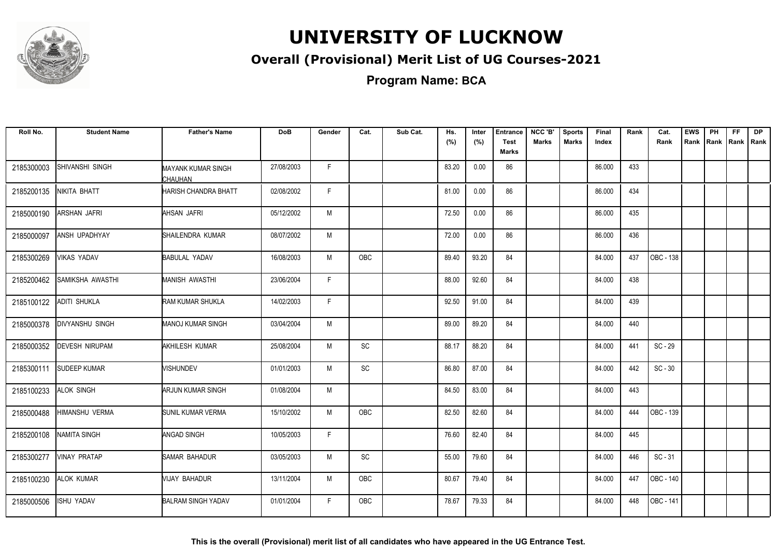

### **Overall (Provisional) Merit List of UG Courses-2021**

**Program Name: BCA**

| Roll No.   | <b>Student Name</b>    | <b>Father's Name</b>          | <b>DoB</b> | Gender | Cat.                         | Sub Cat. | Hs.<br>(%) | Inter<br>(%) | <b>Entrance</b><br><b>Test</b><br><b>Marks</b> | NCC 'B'<br><b>Marks</b> | <b>Sports</b><br><b>Marks</b> | <b>Final</b><br>Index | Rank | Cat.<br>Rank | <b>EWS</b><br>Rank | PH<br>Rank | <b>FF</b><br>Rank   Rank | DP |
|------------|------------------------|-------------------------------|------------|--------|------------------------------|----------|------------|--------------|------------------------------------------------|-------------------------|-------------------------------|-----------------------|------|--------------|--------------------|------------|--------------------------|----|
| 2185300003 | SHIVANSHI SINGH        | MAYANK KUMAR SINGH<br>CHAUHAN | 27/08/2003 | F.     |                              |          | 83.20      | 0.00         | 86                                             |                         |                               | 86.000                | 433  |              |                    |            |                          |    |
| 2185200135 | NIKITA BHATT           | HARISH CHANDRA BHATT          | 02/08/2002 | F.     |                              |          | 81.00      | 0.00         | 86                                             |                         |                               | 86.000                | 434  |              |                    |            |                          |    |
| 2185000190 | ARSHAN JAFRI           | AHSAN JAFRI                   | 05/12/2002 | M      |                              |          | 72.50      | 0.00         | 86                                             |                         |                               | 86.000                | 435  |              |                    |            |                          |    |
| 2185000097 | ANSH UPADHYAY          | SHAILENDRA KUMAR              | 08/07/2002 | M      |                              |          | 72.00      | 0.00         | 86                                             |                         |                               | 86.000                | 436  |              |                    |            |                          |    |
| 2185300269 | VIKAS YADAV            | <b>BABULAL YADAV</b>          | 16/08/2003 | M      | OBC                          |          | 89.40      | 93.20        | 84                                             |                         |                               | 84.000                | 437  | OBC - 138    |                    |            |                          |    |
| 2185200462 | SAMIKSHA AWASTHI       | <b>MANISH AWASTHI</b>         | 23/06/2004 | F.     |                              |          | 88.00      | 92.60        | 84                                             |                         |                               | 84.000                | 438  |              |                    |            |                          |    |
| 2185100122 | <b>ADITI SHUKLA</b>    | RAM KUMAR SHUKLA              | 14/02/2003 | F.     |                              |          | 92.50      | 91.00        | 84                                             |                         |                               | 84.000                | 439  |              |                    |            |                          |    |
| 2185000378 | <b>DIVYANSHU SINGH</b> | <b>MANOJ KUMAR SINGH</b>      | 03/04/2004 | M      |                              |          | 89.00      | 89.20        | 84                                             |                         |                               | 84.000                | 440  |              |                    |            |                          |    |
| 2185000352 | <b>DEVESH NIRUPAM</b>  | AKHILESH KUMAR                | 25/08/2004 | M      | SC                           |          | 88.17      | 88.20        | 84                                             |                         |                               | 84.000                | 441  | SC - 29      |                    |            |                          |    |
| 2185300111 | <b>SUDEEP KUMAR</b>    | <b>VISHUNDEV</b>              | 01/01/2003 | M      | $\mathsf{SC}$                |          | 86.80      | 87.00        | 84                                             |                         |                               | 84.000                | 442  | $SC - 30$    |                    |            |                          |    |
| 2185100233 | ALOK SINGH             | ARJUN KUMAR SINGH             | 01/08/2004 | M      |                              |          | 84.50      | 83.00        | 84                                             |                         |                               | 84.000                | 443  |              |                    |            |                          |    |
| 2185000488 | HIMANSHU VERMA         | <b>SUNIL KUMAR VERMA</b>      | 15/10/2002 | M      | OBC                          |          | 82.50      | 82.60        | 84                                             |                         |                               | 84.000                | 444  | OBC - 139    |                    |            |                          |    |
| 2185200108 | <b>NAMITA SINGH</b>    | <b>ANGAD SINGH</b>            | 10/05/2003 | F.     |                              |          | 76.60      | 82.40        | 84                                             |                         |                               | 84.000                | 445  |              |                    |            |                          |    |
| 2185300277 | <b>VINAY PRATAP</b>    | <b>SAMAR BAHADUR</b>          | 03/05/2003 | M      | $\operatorname{\textsf{SC}}$ |          | 55.00      | 79.60        | 84                                             |                         |                               | 84.000                | 446  | $SC - 31$    |                    |            |                          |    |
| 2185100230 | <b>ALOK KUMAR</b>      | VIJAY BAHADUR                 | 13/11/2004 | M      | <b>OBC</b>                   |          | 80.67      | 79.40        | 84                                             |                         |                               | 84.000                | 447  | OBC - 140    |                    |            |                          |    |
| 2185000506 | <b>ISHU YADAV</b>      | <b>BALRAM SINGH YADAV</b>     | 01/01/2004 | F.     | <b>OBC</b>                   |          | 78.67      | 79.33        | 84                                             |                         |                               | 84.000                | 448  | OBC - 141    |                    |            |                          |    |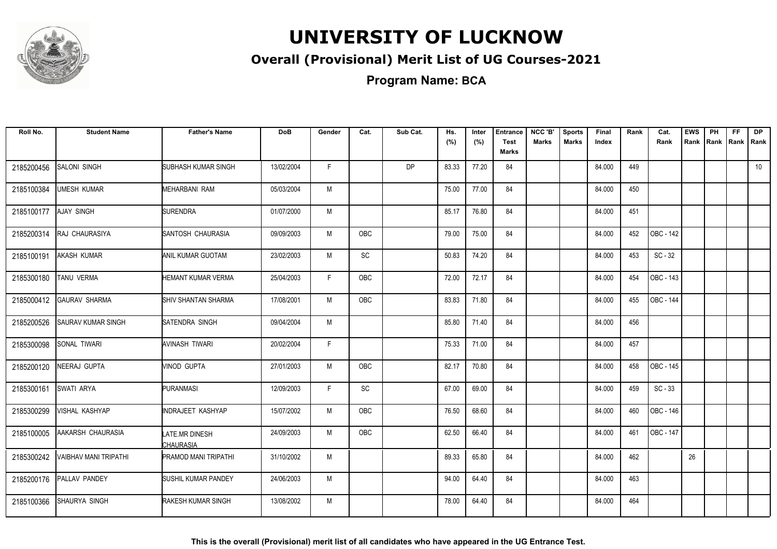

### **Overall (Provisional) Merit List of UG Courses-2021**

**Program Name: BCA**

| Roll No.   | <b>Student Name</b>       | <b>Father's Name</b>               | <b>DoB</b> | Gender | Cat.                         | Sub Cat.  | Hs.<br>(%) | Inter<br>(%) | <b>Entrance</b><br><b>Test</b><br><b>Marks</b> | NCC 'B'<br><b>Marks</b> | <b>Sports</b><br><b>Marks</b> | Final<br>Index | Rank | Cat.<br>Rank | <b>EWS</b><br>Rank | PH<br>Rank | FF. | <b>DP</b><br>Rank   Rank |
|------------|---------------------------|------------------------------------|------------|--------|------------------------------|-----------|------------|--------------|------------------------------------------------|-------------------------|-------------------------------|----------------|------|--------------|--------------------|------------|-----|--------------------------|
| 2185200456 | SALONI SINGH              | <b>SUBHASH KUMAR SINGH</b>         | 13/02/2004 | F.     |                              | <b>DP</b> | 83.33      | 77.20        | 84                                             |                         |                               | 84.000         | 449  |              |                    |            |     | 10                       |
| 2185100384 | <b>UMESH KUMAR</b>        | MEHARBANI RAM                      | 05/03/2004 | M      |                              |           | 75.00      | 77.00        | 84                                             |                         |                               | 84.000         | 450  |              |                    |            |     |                          |
| 2185100177 | AJAY SINGH                | <b>SURENDRA</b>                    | 01/07/2000 | M      |                              |           | 85.17      | 76.80        | 84                                             |                         |                               | 84.000         | 451  |              |                    |            |     |                          |
| 2185200314 | RAJ CHAURASIYA            | SANTOSH CHAURASIA                  | 09/09/2003 | M      | OBC                          |           | 79.00      | 75.00        | 84                                             |                         |                               | 84.000         | 452  | OBC - 142    |                    |            |     |                          |
| 2185100191 | AKASH KUMAR               | ANIL KUMAR GUOTAM                  | 23/02/2003 | M      | $\operatorname{\textsf{SC}}$ |           | 50.83      | 74.20        | 84                                             |                         |                               | 84.000         | 453  | $SC - 32$    |                    |            |     |                          |
| 2185300180 | TANU VERMA                | HEMANT KUMAR VERMA                 | 25/04/2003 | F.     | OBC                          |           | 72.00      | 72.17        | 84                                             |                         |                               | 84.000         | 454  | OBC - 143    |                    |            |     |                          |
| 2185000412 | <b>GAURAV SHARMA</b>      | SHIV SHANTAN SHARMA                | 17/08/2001 | M      | OBC                          |           | 83.83      | 71.80        | 84                                             |                         |                               | 84.000         | 455  | OBC - 144    |                    |            |     |                          |
| 2185200526 | <b>SAURAV KUMAR SINGH</b> | <b>SATENDRA SINGH</b>              | 09/04/2004 | M      |                              |           | 85.80      | 71.40        | 84                                             |                         |                               | 84.000         | 456  |              |                    |            |     |                          |
| 2185300098 | SONAL TIWARI              | AVINASH TIWARI                     | 20/02/2004 | F.     |                              |           | 75.33      | 71.00        | 84                                             |                         |                               | 84.000         | 457  |              |                    |            |     |                          |
| 2185200120 | NEERAJ GUPTA              | VINOD GUPTA                        | 27/01/2003 | M      | <b>OBC</b>                   |           | 82.17      | 70.80        | 84                                             |                         |                               | 84.000         | 458  | OBC - 145    |                    |            |     |                          |
| 2185300161 | <b>SWATI ARYA</b>         | <b>PURANMASI</b>                   | 12/09/2003 | F.     | SC                           |           | 67.00      | 69.00        | 84                                             |                         |                               | 84.000         | 459  | $SC - 33$    |                    |            |     |                          |
| 2185300299 | VISHAL KASHYAP            | <b>INDRAJEET KASHYAP</b>           | 15/07/2002 | M      | <b>OBC</b>                   |           | 76.50      | 68.60        | 84                                             |                         |                               | 84.000         | 460  | OBC - 146    |                    |            |     |                          |
| 2185100005 | AAKARSH CHAURASIA         | <b>LATE MR DINESH</b><br>CHAURASIA | 24/09/2003 | M      | <b>OBC</b>                   |           | 62.50      | 66.40        | 84                                             |                         |                               | 84.000         | 461  | OBC - 147    |                    |            |     |                          |
| 2185300242 | VAIBHAV MANI TRIPATHI     | <b>PRAMOD MANI TRIPATHI</b>        | 31/10/2002 | M      |                              |           | 89.33      | 65.80        | 84                                             |                         |                               | 84.000         | 462  |              | 26                 |            |     |                          |
| 2185200176 | PALLAV PANDEY             | SUSHIL KUMAR PANDEY                | 24/06/2003 | M      |                              |           | 94.00      | 64.40        | 84                                             |                         |                               | 84.000         | 463  |              |                    |            |     |                          |
| 2185100366 | SHAURYA SINGH             | RAKESH KUMAR SINGH                 | 13/08/2002 | M      |                              |           | 78.00      | 64.40        | 84                                             |                         |                               | 84.000         | 464  |              |                    |            |     |                          |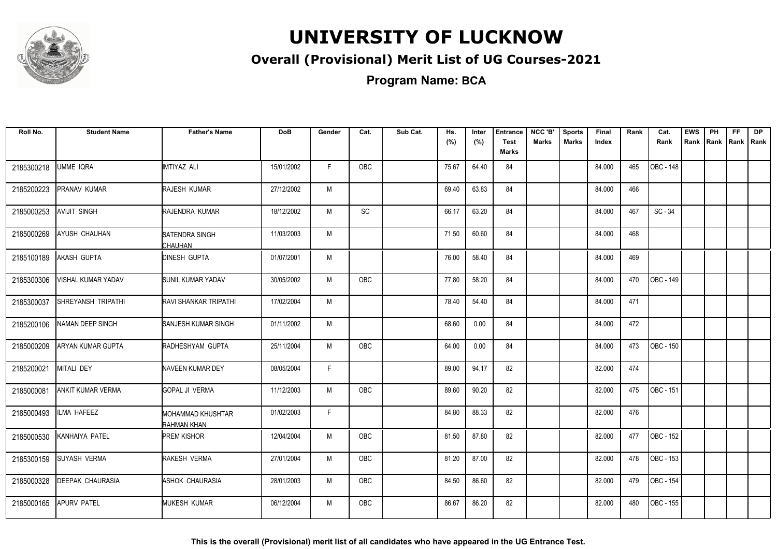

### **Overall (Provisional) Merit List of UG Courses-2021**

**Program Name: BCA**

| Roll No.   | <b>Student Name</b>      | <b>Father's Name</b>             | <b>DoB</b> | Gender | Cat.       | Sub Cat. | Hs.<br>(%) | Inter<br>(%) | <b>Entrance</b><br><b>Test</b> | NCC 'B'<br><b>Marks</b> | <b>Sports</b><br><b>Marks</b> | Final<br>Index | Rank | Cat.<br>Rank     | <b>EWS</b><br>Rank | PH | FF<br>Rank   Rank   Rank | <b>DP</b> |
|------------|--------------------------|----------------------------------|------------|--------|------------|----------|------------|--------------|--------------------------------|-------------------------|-------------------------------|----------------|------|------------------|--------------------|----|--------------------------|-----------|
|            |                          |                                  |            |        |            |          |            |              | <b>Marks</b>                   |                         |                               |                |      |                  |                    |    |                          |           |
| 2185300218 | UMME IQRA                | IMTIYAZ ALI                      | 15/01/2002 | F.     | <b>OBC</b> |          | 75.67      | 64.40        | 84                             |                         |                               | 84.000         | 465  | <b>OBC - 148</b> |                    |    |                          |           |
| 2185200223 | PRANAV KUMAR             | RAJESH KUMAR                     | 27/12/2002 | M      |            |          | 69.40      | 63.83        | 84                             |                         |                               | 84.000         | 466  |                  |                    |    |                          |           |
| 2185000253 | <b>AVIJIT SINGH</b>      | RAJENDRA KUMAR                   | 18/12/2002 | M      | SC         |          | 66.17      | 63.20        | 84                             |                         |                               | 84.000         | 467  | $SC - 34$        |                    |    |                          |           |
| 2185000269 | AYUSH CHAUHAN            | SATENDRA SINGH<br>CHAUHAN        | 11/03/2003 | M      |            |          | 71.50      | 60.60        | 84                             |                         |                               | 84.000         | 468  |                  |                    |    |                          |           |
| 2185100189 | AKASH GUPTA              | <b>DINESH GUPTA</b>              | 01/07/2001 | M      |            |          | 76.00      | 58.40        | 84                             |                         |                               | 84.000         | 469  |                  |                    |    |                          |           |
| 2185300306 | VISHAL KUMAR YADAV       | <b>SUNIL KUMAR YADAV</b>         | 30/05/2002 | M      | OBC        |          | 77.80      | 58.20        | 84                             |                         |                               | 84.000         | 470  | OBC - 149        |                    |    |                          |           |
| 2185300037 | SHREYANSH TRIPATHI       | <b>RAVI SHANKAR TRIPATHI</b>     | 17/02/2004 | M      |            |          | 78.40      | 54.40        | 84                             |                         |                               | 84.000         | 471  |                  |                    |    |                          |           |
| 2185200106 | NAMAN DEEP SINGH         | SANJESH KUMAR SINGH              | 01/11/2002 | M      |            |          | 68.60      | 0.00         | 84                             |                         |                               | 84.000         | 472  |                  |                    |    |                          |           |
| 2185000209 | ARYAN KUMAR GUPTA        | RADHESHYAM GUPTA                 | 25/11/2004 | M      | OBC        |          | 64.00      | 0.00         | 84                             |                         |                               | 84.000         | 473  | OBC - 150        |                    |    |                          |           |
| 2185200021 | MITALI DEY               | NAVEEN KUMAR DEY                 | 08/05/2004 | F      |            |          | 89.00      | 94.17        | 82                             |                         |                               | 82.000         | 474  |                  |                    |    |                          |           |
| 2185000081 | <b>ANKIT KUMAR VERMA</b> | <b>GOPAL JI VERMA</b>            | 11/12/2003 | M      | <b>OBC</b> |          | 89.60      | 90.20        | 82                             |                         |                               | 82.000         | 475  | OBC - 151        |                    |    |                          |           |
| 2185000493 | <b>ILMA HAFEEZ</b>       | MOHAMMAD KHUSHTAR<br>RAHMAN KHAN | 01/02/2003 | F.     |            |          | 84.80      | 88.33        | 82                             |                         |                               | 82.000         | 476  |                  |                    |    |                          |           |
| 2185000530 | KANHAIYA PATEL           | <b>PREM KISHOR</b>               | 12/04/2004 | M      | <b>OBC</b> |          | 81.50      | 87.80        | 82                             |                         |                               | 82.000         | 477  | OBC - 152        |                    |    |                          |           |
| 2185300159 | <b>SUYASH VERMA</b>      | RAKESH VERMA                     | 27/01/2004 | M      | <b>OBC</b> |          | 81.20      | 87.00        | 82                             |                         |                               | 82.000         | 478  | OBC - 153        |                    |    |                          |           |
| 2185000328 | <b>DEEPAK CHAURASIA</b>  | ASHOK CHAURASIA                  | 28/01/2003 | M      | <b>OBC</b> |          | 84.50      | 86.60        | 82                             |                         |                               | 82.000         | 479  | OBC - 154        |                    |    |                          |           |
| 2185000165 | <b>APURV PATEL</b>       | <b>MUKESH KUMAR</b>              | 06/12/2004 | M      | <b>OBC</b> |          | 86.67      | 86.20        | 82                             |                         |                               | 82.000         | 480  | OBC - 155        |                    |    |                          |           |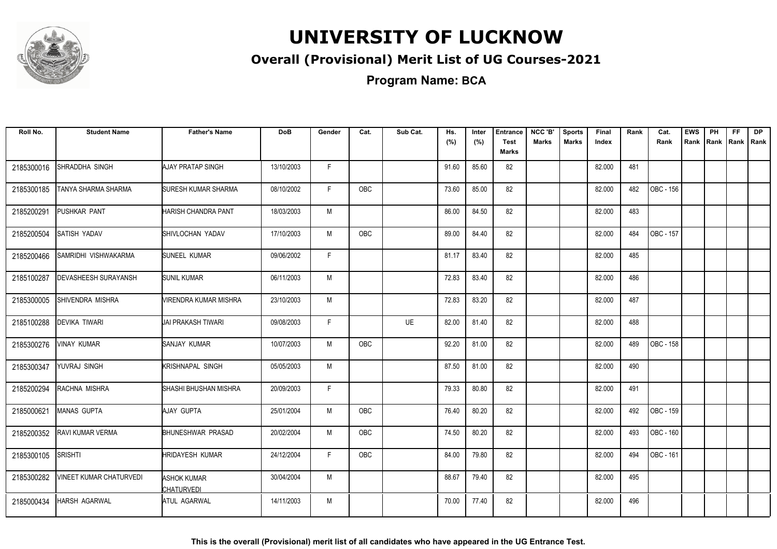

### **Overall (Provisional) Merit List of UG Courses-2021**

| Roll No.   | <b>Student Name</b>            | <b>Father's Name</b>             | <b>DoB</b> | Gender | Cat.       | Sub Cat.  | Hs.<br>(%) | Inter<br>(%) | <b>Entrance</b><br>Test | NCC 'B'<br><b>Marks</b> | <b>Sports</b><br><b>Marks</b> | <b>Final</b><br>Index | Rank | Cat.<br>Rank | <b>EWS</b><br>Rank | <b>PH</b> | <b>FF</b><br>Rank Rank Rank | <b>DP</b> |
|------------|--------------------------------|----------------------------------|------------|--------|------------|-----------|------------|--------------|-------------------------|-------------------------|-------------------------------|-----------------------|------|--------------|--------------------|-----------|-----------------------------|-----------|
|            |                                |                                  |            |        |            |           |            |              | Marks                   |                         |                               |                       |      |              |                    |           |                             |           |
| 2185300016 | <b>ISHRADDHA SINGH</b>         | <b>AJAY PRATAP SINGH</b>         | 13/10/2003 | F.     |            |           | 91.60      | 85.60        | 82                      |                         |                               | 82.000                | 481  |              |                    |           |                             |           |
| 2185300185 | TANYA SHARMA SHARMA            | ISURESH KUMAR SHARMA             | 08/10/2002 | F.     | OBC        |           | 73.60      | 85.00        | 82                      |                         |                               | 82.000                | 482  | OBC - 156    |                    |           |                             |           |
| 2185200291 | PUSHKAR PANT                   | HARISH CHANDRA PANT              | 18/03/2003 | M      |            |           | 86.00      | 84.50        | 82                      |                         |                               | 82.000                | 483  |              |                    |           |                             |           |
| 2185200504 | SATISH YADAV                   | SHIVLOCHAN YADAV                 | 17/10/2003 | M      | <b>OBC</b> |           | 89.00      | 84.40        | 82                      |                         |                               | 82.000                | 484  | OBC - 157    |                    |           |                             |           |
| 2185200466 | SAMRIDHI VISHWAKARMA           | <b>SUNEEL KUMAR</b>              | 09/06/2002 | F.     |            |           | 81.17      | 83.40        | 82                      |                         |                               | 82.000                | 485  |              |                    |           |                             |           |
| 2185100287 | <b>DEVASHEESH SURAYANSH</b>    | <b>SUNIL KUMAR</b>               | 06/11/2003 | M      |            |           | 72.83      | 83.40        | 82                      |                         |                               | 82.000                | 486  |              |                    |           |                             |           |
| 2185300005 | <b>ISHIVENDRA MISHRA</b>       | VIRENDRA KUMAR MISHRA            | 23/10/2003 | M      |            |           | 72.83      | 83.20        | 82                      |                         |                               | 82.000                | 487  |              |                    |           |                             |           |
| 2185100288 | <b>DEVIKA TIWARI</b>           | UAI PRAKASH TIWARI               | 09/08/2003 | F      |            | <b>UE</b> | 82.00      | 81.40        | 82                      |                         |                               | 82.000                | 488  |              |                    |           |                             |           |
| 2185300276 | <b>VINAY KUMAR</b>             | SANJAY KUMAR                     | 10/07/2003 | M      | <b>OBC</b> |           | 92.20      | 81.00        | 82                      |                         |                               | 82.000                | 489  | OBC - 158    |                    |           |                             |           |
| 2185300347 | YUVRAJ SINGH                   | KRISHNAPAL SINGH                 | 05/05/2003 | M      |            |           | 87.50      | 81.00        | 82                      |                         |                               | 82.000                | 490  |              |                    |           |                             |           |
| 2185200294 | RACHNA MISHRA                  | SHASHI BHUSHAN MISHRA            | 20/09/2003 | F      |            |           | 79.33      | 80.80        | 82                      |                         |                               | 82.000                | 491  |              |                    |           |                             |           |
| 2185000621 | <b>MANAS GUPTA</b>             | AJAY GUPTA                       | 25/01/2004 | M      | <b>OBC</b> |           | 76.40      | 80.20        | 82                      |                         |                               | 82.000                | 492  | OBC - 159    |                    |           |                             |           |
| 2185200352 | <b>RAVI KUMAR VERMA</b>        | BHUNESHWAR PRASAD                | 20/02/2004 | М      | OBC        |           | 74.50      | 80.20        | 82                      |                         |                               | 82.000                | 493  | OBC - 160    |                    |           |                             |           |
| 2185300105 | <b>SRISHTI</b>                 | <b>HRIDAYESH KUMAR</b>           | 24/12/2004 | F.     | <b>OBC</b> |           | 84.00      | 79.80        | 82                      |                         |                               | 82.000                | 494  | OBC - 161    |                    |           |                             |           |
| 2185300282 | <b>VINEET KUMAR CHATURVEDI</b> | <b>ASHOK KUMAR</b><br>CHATURVEDI | 30/04/2004 | М      |            |           | 88.67      | 79.40        | 82                      |                         |                               | 82.000                | 495  |              |                    |           |                             |           |
| 2185000434 | <b>HARSH AGARWAL</b>           | ATUL AGARWAL                     | 14/11/2003 | М      |            |           | 70.00      | 77.40        | 82                      |                         |                               | 82.000                | 496  |              |                    |           |                             |           |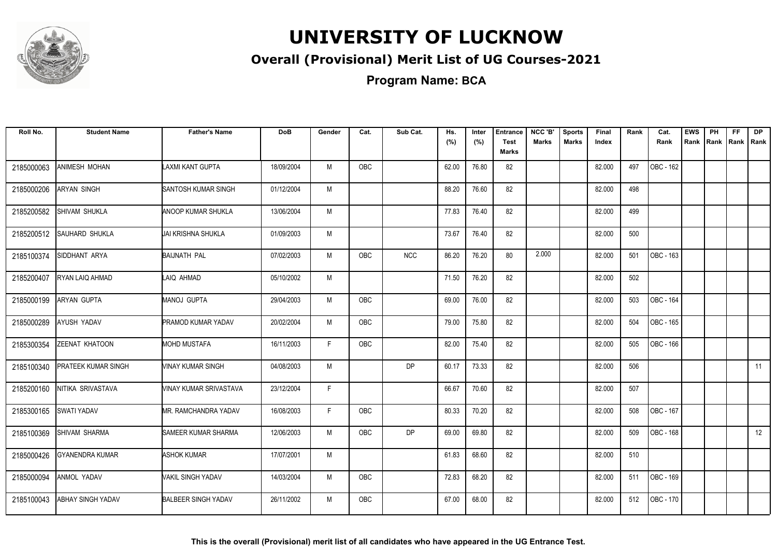

### **Overall (Provisional) Merit List of UG Courses-2021**

**Program Name: BCA**

| Roll No.   | <b>Student Name</b>      | <b>Father's Name</b>       | <b>DoB</b> | Gender | Cat.       | Sub Cat.   | Hs.<br>(%) | Inter<br>(%) | <b>Entrance</b><br><b>Test</b><br><b>Marks</b> | NCC 'B'<br><b>Marks</b> | <b>Sports</b><br><b>Marks</b> | Final<br>Index | Rank | Cat.<br>Rank | <b>EWS</b><br>Rank | PH<br>Rank Rank | <b>FF</b> | <b>DP</b><br>Rank |
|------------|--------------------------|----------------------------|------------|--------|------------|------------|------------|--------------|------------------------------------------------|-------------------------|-------------------------------|----------------|------|--------------|--------------------|-----------------|-----------|-------------------|
| 2185000063 | ANIMESH MOHAN            | <b>LAXMI KANT GUPTA</b>    | 18/09/2004 | M      | <b>OBC</b> |            | 62.00      | 76.80        | 82                                             |                         |                               | 82.000         | 497  | OBC - 162    |                    |                 |           |                   |
| 2185000206 | <b>ARYAN SINGH</b>       | SANTOSH KUMAR SINGH        | 01/12/2004 | M      |            |            | 88.20      | 76.60        | 82                                             |                         |                               | 82.000         | 498  |              |                    |                 |           |                   |
| 2185200582 | SHIVAM SHUKLA            | IANOOP KUMAR SHUKLA        | 13/06/2004 | M      |            |            | 77.83      | 76.40        | 82                                             |                         |                               | 82.000         | 499  |              |                    |                 |           |                   |
| 2185200512 | SAUHARD SHUKLA           | JAI KRISHNA SHUKLA         | 01/09/2003 | M      |            |            | 73.67      | 76.40        | 82                                             |                         |                               | 82.000         | 500  |              |                    |                 |           |                   |
| 2185100374 | SIDDHANT ARYA            | BAIJNATH PAL               | 07/02/2003 | M      | OBC        | <b>NCC</b> | 86.20      | 76.20        | 80                                             | 2.000                   |                               | 82.000         | 501  | OBC - 163    |                    |                 |           |                   |
| 2185200407 | RYAN LAIQ AHMAD          | LAIQ AHMAD                 | 05/10/2002 | M      |            |            | 71.50      | 76.20        | 82                                             |                         |                               | 82.000         | 502  |              |                    |                 |           |                   |
| 2185000199 | <b>ARYAN GUPTA</b>       | MANOJ GUPTA                | 29/04/2003 | M      | OBC        |            | 69.00      | 76.00        | 82                                             |                         |                               | 82.000         | 503  | OBC - 164    |                    |                 |           |                   |
| 2185000289 | AYUSH YADAV              | <b>PRAMOD KUMAR YADAV</b>  | 20/02/2004 | M      | <b>OBC</b> |            | 79.00      | 75.80        | 82                                             |                         |                               | 82.000         | 504  | OBC - 165    |                    |                 |           |                   |
| 2185300354 | ZEENAT KHATOON           | <b>MOHD MUSTAFA</b>        | 16/11/2003 | F      | <b>OBC</b> |            | 82.00      | 75.40        | 82                                             |                         |                               | 82.000         | 505  | OBC - 166    |                    |                 |           |                   |
| 2185100340 | PRATEEK KUMAR SINGH      | VINAY KUMAR SINGH          | 04/08/2003 | M      |            | <b>DP</b>  | 60.17      | 73.33        | 82                                             |                         |                               | 82.000         | 506  |              |                    |                 |           | 11                |
| 2185200160 | NITIKA SRIVASTAVA        | VINAY KUMAR SRIVASTAVA     | 23/12/2004 | F      |            |            | 66.67      | 70.60        | 82                                             |                         |                               | 82.000         | 507  |              |                    |                 |           |                   |
| 2185300165 | SWATI YADAV              | MR. RAMCHANDRA YADAV       | 16/08/2003 | F.     | OBC        |            | 80.33      | 70.20        | 82                                             |                         |                               | 82.000         | 508  | OBC - 167    |                    |                 |           |                   |
| 2185100369 | <b>SHIVAM SHARMA</b>     | <b>SAMEER KUMAR SHARMA</b> | 12/06/2003 | M      | <b>OBC</b> | <b>DP</b>  | 69.00      | 69.80        | 82                                             |                         |                               | 82.000         | 509  | OBC - 168    |                    |                 |           | 12                |
| 2185000426 | <b>GYANENDRA KUMAR</b>   | <b>ASHOK KUMAR</b>         | 17/07/2001 | M      |            |            | 61.83      | 68.60        | 82                                             |                         |                               | 82.000         | 510  |              |                    |                 |           |                   |
| 2185000094 | ANMOL YADAV              | <b>VAKIL SINGH YADAV</b>   | 14/03/2004 | M      | <b>OBC</b> |            | 72.83      | 68.20        | 82                                             |                         |                               | 82.000         | 511  | OBC - 169    |                    |                 |           |                   |
| 2185100043 | <b>ABHAY SINGH YADAV</b> | <b>BALBEER SINGH YADAV</b> | 26/11/2002 | M      | <b>OBC</b> |            | 67.00      | 68.00        | 82                                             |                         |                               | 82.000         | 512  | OBC - 170    |                    |                 |           |                   |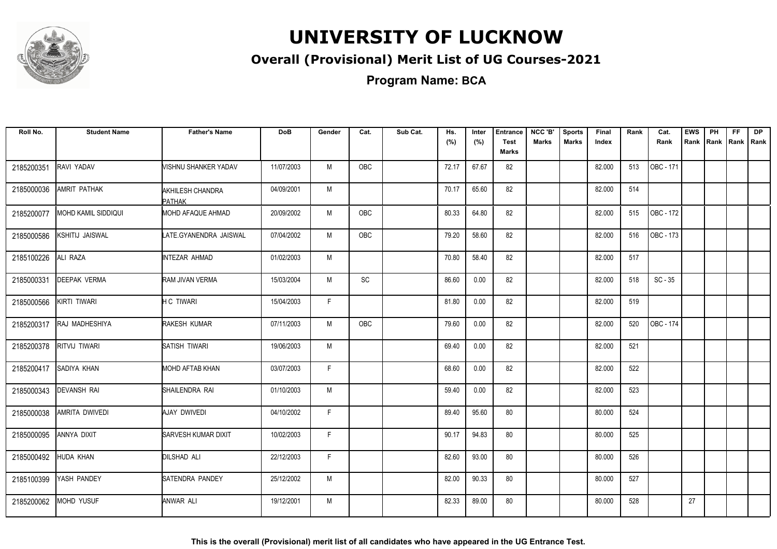

### **Overall (Provisional) Merit List of UG Courses-2021**

**Program Name: BCA**

| Roll No.   | <b>Student Name</b>        | <b>Father's Name</b>              | <b>DoB</b> | Gender | Cat.       | Sub Cat. | Hs.<br>(%) | Inter<br>(%) | <b>Entrance</b><br><b>Test</b> | NCC 'B'<br>Marks | <b>Sports</b><br><b>Marks</b> | Final<br>Index | Rank | Cat.<br>Rank | <b>EWS</b><br>Rank | PH<br>Rank   Rank | <b>FF</b> | <b>DP</b><br>Rank |
|------------|----------------------------|-----------------------------------|------------|--------|------------|----------|------------|--------------|--------------------------------|------------------|-------------------------------|----------------|------|--------------|--------------------|-------------------|-----------|-------------------|
|            |                            |                                   |            |        |            |          |            |              | <b>Marks</b>                   |                  |                               |                |      |              |                    |                   |           |                   |
| 2185200351 | RAVI YADAV                 | VISHNU SHANKER YADAV              | 11/07/2003 | M      | OBC        |          | 72.17      | 67.67        | 82                             |                  |                               | 82.000         | 513  | OBC - 171    |                    |                   |           |                   |
| 2185000036 | AMRIT PATHAK               | AKHILESH CHANDRA<br><b>PATHAK</b> | 04/09/2001 | M      |            |          | 70.17      | 65.60        | 82                             |                  |                               | 82.000         | 514  |              |                    |                   |           |                   |
| 2185200077 | <b>MOHD KAMIL SIDDIQUI</b> | <b>MOHD AFAQUE AHMAD</b>          | 20/09/2002 | M      | <b>OBC</b> |          | 80.33      | 64.80        | 82                             |                  |                               | 82.000         | 515  | OBC - 172    |                    |                   |           |                   |
| 2185000586 | KSHITIJ JAISWAL            | LATE.GYANENDRA JAISWAL            | 07/04/2002 | M      | OBC        |          | 79.20      | 58.60        | 82                             |                  |                               | 82.000         | 516  | OBC - 173    |                    |                   |           |                   |
| 2185100226 | ALI RAZA                   | INTEZAR AHMAD                     | 01/02/2003 | M      |            |          | 70.80      | 58.40        | 82                             |                  |                               | 82.000         | 517  |              |                    |                   |           |                   |
| 2185000331 | DEEPAK VERMA               | RAM JIVAN VERMA                   | 15/03/2004 | M      | <b>SC</b>  |          | 86.60      | 0.00         | 82                             |                  |                               | 82.000         | 518  | $SC - 35$    |                    |                   |           |                   |
| 2185000566 | KIRTI TIWARI               | <b>H C TIWARI</b>                 | 15/04/2003 | F.     |            |          | 81.80      | 0.00         | 82                             |                  |                               | 82.000         | 519  |              |                    |                   |           |                   |
| 2185200317 | RAJ MADHESHIYA             | <b>RAKESH KUMAR</b>               | 07/11/2003 | M      | <b>OBC</b> |          | 79.60      | 0.00         | 82                             |                  |                               | 82.000         | 520  | OBC - 174    |                    |                   |           |                   |
| 2185200378 | RITVIJ TIWARI              | SATISH TIWARI                     | 19/06/2003 | M      |            |          | 69.40      | 0.00         | 82                             |                  |                               | 82.000         | 521  |              |                    |                   |           |                   |
| 2185200417 | SADIYA KHAN                | MOHD AFTAB KHAN                   | 03/07/2003 | F      |            |          | 68.60      | 0.00         | 82                             |                  |                               | 82.000         | 522  |              |                    |                   |           |                   |
| 2185000343 | DEVANSH RAI                | SHAILENDRA RAI                    | 01/10/2003 | M      |            |          | 59.40      | 0.00         | 82                             |                  |                               | 82.000         | 523  |              |                    |                   |           |                   |
| 2185000038 | AMRITA DWIVEDI             | AJAY DWIVEDI                      | 04/10/2002 | F      |            |          | 89.40      | 95.60        | 80                             |                  |                               | 80.000         | 524  |              |                    |                   |           |                   |
| 2185000095 | ANNYA DIXIT                | <b>SARVESH KUMAR DIXIT</b>        | 10/02/2003 | F      |            |          | 90.17      | 94.83        | 80                             |                  |                               | 80.000         | 525  |              |                    |                   |           |                   |
| 2185000492 | HUDA KHAN                  | <b>DILSHAD ALI</b>                | 22/12/2003 | F      |            |          | 82.60      | 93.00        | 80                             |                  |                               | 80.000         | 526  |              |                    |                   |           |                   |
| 2185100399 | YASH PANDEY                | <b>SATENDRA PANDEY</b>            | 25/12/2002 | M      |            |          | 82.00      | 90.33        | 80                             |                  |                               | 80.000         | 527  |              |                    |                   |           |                   |
| 2185200062 | MOHD YUSUF                 | ANWAR ALI                         | 19/12/2001 | M      |            |          | 82.33      | 89.00        | 80                             |                  |                               | 80.000         | 528  |              | 27                 |                   |           |                   |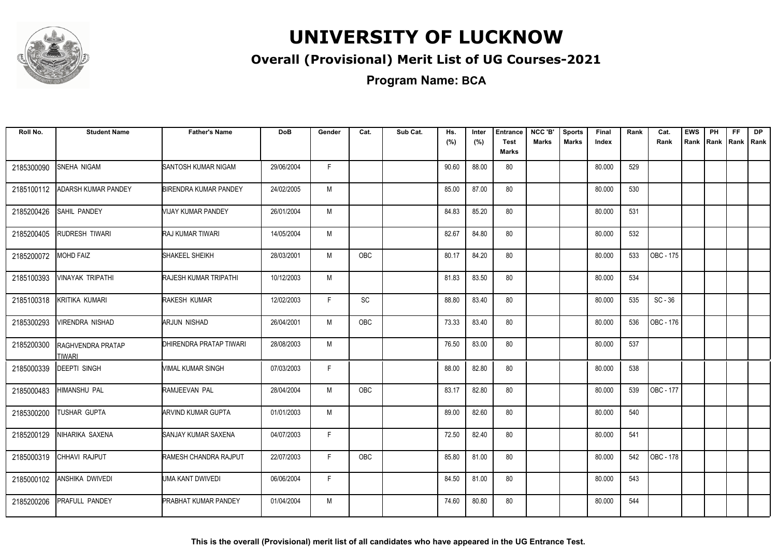

### **Overall (Provisional) Merit List of UG Courses-2021**

**Program Name: BCA**

| Roll No.   | <b>Student Name</b>                | <b>Father's Name</b>         | <b>DoB</b> | Gender | Cat.       | Sub Cat. | Hs.<br>(%) | Inter<br>(%) | <b>Entrance</b><br><b>Test</b><br>Marks | NCC 'B'<br><b>Marks</b> | <b>Sports</b><br><b>Marks</b> | Final<br>Index | Rank | Cat.<br>Rank | <b>EWS</b><br>Rank | PH<br>Rank   Rank   Rank | FF. | <b>DP</b> |
|------------|------------------------------------|------------------------------|------------|--------|------------|----------|------------|--------------|-----------------------------------------|-------------------------|-------------------------------|----------------|------|--------------|--------------------|--------------------------|-----|-----------|
| 2185300090 | SNEHA NIGAM                        | SANTOSH KUMAR NIGAM          | 29/06/2004 | F.     |            |          | 90.60      | 88.00        | 80                                      |                         |                               | 80.000         | 529  |              |                    |                          |     |           |
| 2185100112 | ADARSH KUMAR PANDEY                | <b>BIRENDRA KUMAR PANDEY</b> | 24/02/2005 | M      |            |          | 85.00      | 87.00        | 80                                      |                         |                               | 80.000         | 530  |              |                    |                          |     |           |
| 2185200426 | SAHIL PANDEY                       | VIJAY KUMAR PANDEY           | 26/01/2004 | M      |            |          | 84.83      | 85.20        | 80                                      |                         |                               | 80.000         | 531  |              |                    |                          |     |           |
| 2185200405 | RUDRESH TIWARI                     | RAJ KUMAR TIWARI             | 14/05/2004 | M      |            |          | 82.67      | 84.80        | 80                                      |                         |                               | 80.000         | 532  |              |                    |                          |     |           |
| 2185200072 | <b>MOHD FAIZ</b>                   | SHAKEEL SHEIKH               | 28/03/2001 | M      | OBC        |          | 80.17      | 84.20        | 80                                      |                         |                               | 80.000         | 533  | OBC - 175    |                    |                          |     |           |
| 2185100393 | VINAYAK TRIPATHI                   | RAJESH KUMAR TRIPATHI        | 10/12/2003 | M      |            |          | 81.83      | 83.50        | 80                                      |                         |                               | 80.000         | 534  |              |                    |                          |     |           |
| 2185100318 | <b>KRITIKA KUMARI</b>              | RAKESH KUMAR                 | 12/02/2003 | F.     | SC         |          | 88.80      | 83.40        | 80                                      |                         |                               | 80.000         | 535  | $SC - 36$    |                    |                          |     |           |
| 2185300293 | VIRENDRA NISHAD                    | ARJUN NISHAD                 | 26/04/2001 | M      | <b>OBC</b> |          | 73.33      | 83.40        | 80                                      |                         |                               | 80.000         | 536  | OBC - 176    |                    |                          |     |           |
| 2185200300 | <b>RAGHVENDRA PRATAP</b><br>TIWARI | DHIRENDRA PRATAP TIWARI      | 28/08/2003 | M      |            |          | 76.50      | 83.00        | 80                                      |                         |                               | 80.000         | 537  |              |                    |                          |     |           |
| 2185000339 | <b>DEEPTI SINGH</b>                | VIMAL KUMAR SINGH            | 07/03/2003 | F      |            |          | 88.00      | 82.80        | 80                                      |                         |                               | 80.000         | 538  |              |                    |                          |     |           |
| 2185000483 | <b>HIMANSHU PAL</b>                | RAMJEEVAN PAL                | 28/04/2004 | M      | <b>OBC</b> |          | 83.17      | 82.80        | 80                                      |                         |                               | 80.000         | 539  | OBC - 177    |                    |                          |     |           |
| 2185300200 | <b>TUSHAR GUPTA</b>                | ARVIND KUMAR GUPTA           | 01/01/2003 | M      |            |          | 89.00      | 82.60        | 80                                      |                         |                               | 80.000         | 540  |              |                    |                          |     |           |
| 2185200129 | NIHARIKA SAXENA                    | SANJAY KUMAR SAXENA          | 04/07/2003 | F.     |            |          | 72.50      | 82.40        | 80                                      |                         |                               | 80.000         | 541  |              |                    |                          |     |           |
| 2185000319 | CHHAVI RAJPUT                      | RAMESH CHANDRA RAJPUT        | 22/07/2003 | F.     | OBC        |          | 85.80      | 81.00        | 80                                      |                         |                               | 80.000         | 542  | OBC - 178    |                    |                          |     |           |
| 2185000102 | ANSHIKA DWIVEDI                    | UMA KANT DWIVEDI             | 06/06/2004 | F.     |            |          | 84.50      | 81.00        | 80                                      |                         |                               | 80.000         | 543  |              |                    |                          |     |           |
| 2185200206 | <b>PRAFULL PANDEY</b>              | <b>PRABHAT KUMAR PANDEY</b>  | 01/04/2004 | M      |            |          | 74.60      | 80.80        | 80                                      |                         |                               | 80.000         | 544  |              |                    |                          |     |           |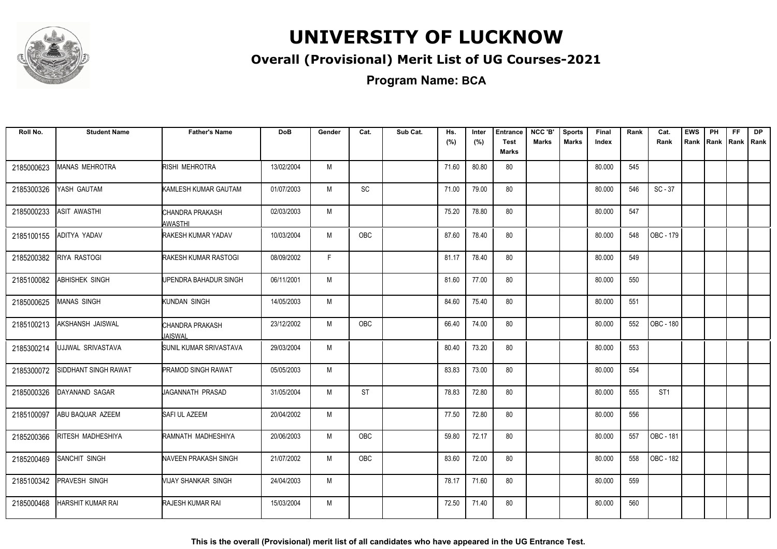

### **Overall (Provisional) Merit List of UG Courses-2021**

| Roll No.   | <b>Student Name</b>      | <b>Father's Name</b>        | <b>DoB</b> | Gender | Cat.       | Sub Cat. | Hs.<br>(%) | Inter<br>(%) | <b>Entrance</b><br><b>Test</b><br>Marks | NCC 'B'<br><b>Marks</b> | <b>Sports</b><br><b>Marks</b> | Final<br>Index | Rank | Cat.<br>Rank    | <b>EWS</b><br>Rank | PH<br>Rank Rank Rank | FF. | DP. |
|------------|--------------------------|-----------------------------|------------|--------|------------|----------|------------|--------------|-----------------------------------------|-------------------------|-------------------------------|----------------|------|-----------------|--------------------|----------------------|-----|-----|
| 2185000623 | MANAS MEHROTRA           | RISHI MEHROTRA              | 13/02/2004 | M      |            |          | 71.60      | 80.80        | 80                                      |                         |                               | 80.000         | 545  |                 |                    |                      |     |     |
| 2185300326 | YASH GAUTAM              | KAMLESH KUMAR GAUTAM        | 01/07/2003 | M      | SC         |          | 71.00      | 79.00        | 80                                      |                         |                               | 80.000         | 546  | $SC - 37$       |                    |                      |     |     |
| 2185000233 | ASIT AWASTHI             | CHANDRA PRAKASH<br>AWASTHI  | 02/03/2003 | M      |            |          | 75.20      | 78.80        | 80                                      |                         |                               | 80.000         | 547  |                 |                    |                      |     |     |
| 2185100155 | ADITYA YADAV             | RAKESH KUMAR YADAV          | 10/03/2004 | M      | <b>OBC</b> |          | 87.60      | 78.40        | 80                                      |                         |                               | 80.000         | 548  | OBC - 179       |                    |                      |     |     |
| 2185200382 | <b>RIYA RASTOGI</b>      | RAKESH KUMAR RASTOGI        | 08/09/2002 | F.     |            |          | 81.17      | 78.40        | 80                                      |                         |                               | 80.000         | 549  |                 |                    |                      |     |     |
| 2185100082 | <b>ABHISHEK SINGH</b>    | UPENDRA BAHADUR SINGH       | 06/11/2001 | M      |            |          | 81.60      | 77.00        | 80                                      |                         |                               | 80.000         | 550  |                 |                    |                      |     |     |
| 2185000625 | <b>MANAS SINGH</b>       | KUNDAN SINGH                | 14/05/2003 | M      |            |          | 84.60      | 75.40        | 80                                      |                         |                               | 80.000         | 551  |                 |                    |                      |     |     |
| 2185100213 | AKSHANSH JAISWAL         | CHANDRA PRAKASH<br>UAISWAL  | 23/12/2002 | M      | OBC        |          | 66.40      | 74.00        | 80                                      |                         |                               | 80.000         | 552  | OBC - 180       |                    |                      |     |     |
| 2185300214 | UJJWAL SRIVASTAVA        | SUNIL KUMAR SRIVASTAVA      | 29/03/2004 | M      |            |          | 80.40      | 73.20        | 80                                      |                         |                               | 80.000         | 553  |                 |                    |                      |     |     |
| 2185300072 | SIDDHANT SINGH RAWAT     | PRAMOD SINGH RAWAT          | 05/05/2003 | M      |            |          | 83.83      | 73.00        | 80                                      |                         |                               | 80.000         | 554  |                 |                    |                      |     |     |
| 2185000326 | DAYANAND SAGAR           | UAGANNATH PRASAD            | 31/05/2004 | M      | <b>ST</b>  |          | 78.83      | 72.80        | 80                                      |                         |                               | 80.000         | 555  | ST <sub>1</sub> |                    |                      |     |     |
| 2185100097 | ABU BAQUAR AZEEM         | SAFI UL AZEEM               | 20/04/2002 | M      |            |          | 77.50      | 72.80        | 80                                      |                         |                               | 80.000         | 556  |                 |                    |                      |     |     |
| 2185200366 | RITESH MADHESHIYA        | RAMNATH MADHESHIYA          | 20/06/2003 | M      | OBC        |          | 59.80      | 72.17        | 80                                      |                         |                               | 80.000         | 557  | OBC - 181       |                    |                      |     |     |
| 2185200469 | SANCHIT SINGH            | <b>NAVEEN PRAKASH SINGH</b> | 21/07/2002 | M      | OBC        |          | 83.60      | 72.00        | 80                                      |                         |                               | 80.000         | 558  | OBC - 182       |                    |                      |     |     |
| 2185100342 | PRAVESH SINGH            | MIJAY SHANKAR SINGH         | 24/04/2003 | M      |            |          | 78.17      | 71.60        | 80                                      |                         |                               | 80.000         | 559  |                 |                    |                      |     |     |
| 2185000468 | <b>HARSHIT KUMAR RAI</b> | RAJESH KUMAR RAI            | 15/03/2004 | M      |            |          | 72.50      | 71.40        | 80                                      |                         |                               | 80.000         | 560  |                 |                    |                      |     |     |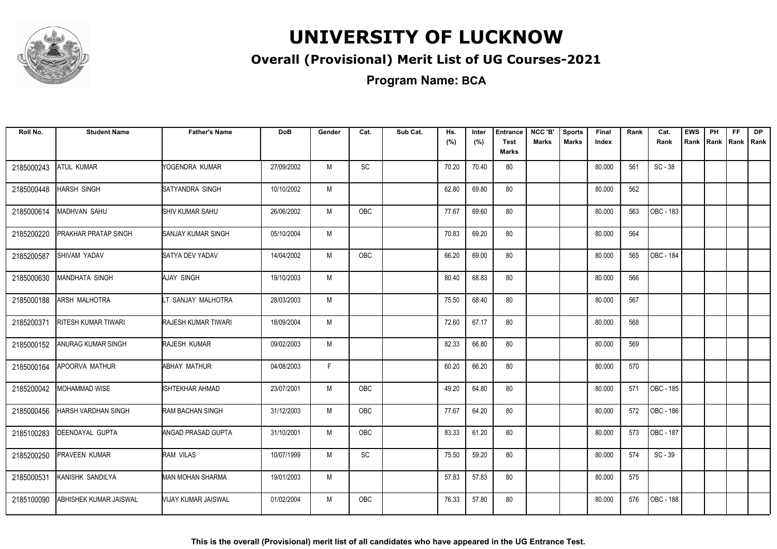

#### **Overall (Provisional) Merit List of UG Courses-2021**

**Program Name: BCA**

| Roll No.   | <b>Student Name</b>        | <b>Father's Name</b>      | <b>DoB</b> | Gender       | Cat.       | Sub Cat. | Hs.<br>(%) | Inter<br>(%) | <b>Entrance</b><br><b>Test</b><br><b>Marks</b> | NCC 'B'<br><b>Marks</b> | <b>Sports</b><br><b>Marks</b> | Final<br>Index | Rank | Cat.<br>Rank     | <b>EWS</b><br>Rank | PH | FF.<br>Rank Rank Rank | DP |
|------------|----------------------------|---------------------------|------------|--------------|------------|----------|------------|--------------|------------------------------------------------|-------------------------|-------------------------------|----------------|------|------------------|--------------------|----|-----------------------|----|
| 2185000243 | ATUL KUMAR                 | YOGENDRA KUMAR            | 27/09/2002 | M            | SC         |          | 70.20      | 70.40        | 80                                             |                         |                               | 80.000         | 561  | $SC - 38$        |                    |    |                       |    |
| 2185000448 | <b>HARSH SINGH</b>         | <b>SATYANDRA SINGH</b>    | 10/10/2002 | M            |            |          | 62.80      | 69.80        | 80                                             |                         |                               | 80.000         | 562  |                  |                    |    |                       |    |
| 2185000614 | MADHVAN SAHU               | <b>SHIV KUMAR SAHU</b>    | 26/06/2002 | M            | OBC        |          | 77.67      | 69.60        | 80                                             |                         |                               | 80.000         | 563  | OBC - 183        |                    |    |                       |    |
| 2185200220 | PRAKHAR PRATAP SINGH       | <b>SANJAY KUMAR SINGH</b> | 05/10/2004 | M            |            |          | 70.83      | 69.20        | 80                                             |                         |                               | 80.000         | 564  |                  |                    |    |                       |    |
| 2185200587 | <b>SHIVAM YADAV</b>        | <b>SATYA DEV YADAV</b>    | 14/04/2002 | M            | <b>OBC</b> |          | 66.20      | 69.00        | 80                                             |                         |                               | 80.000         | 565  | <b>OBC - 184</b> |                    |    |                       |    |
| 2185000630 | MANDHATA SINGH             | <b>AJAY SINGH</b>         | 19/10/2003 | M            |            |          | 80.40      | 68.83        | 80                                             |                         |                               | 80.000         | 566  |                  |                    |    |                       |    |
| 2185000188 | <b>ARSH MALHOTRA</b>       | LT. SANJAY MALHOTRA       | 28/03/2003 | M            |            |          | 75.50      | 68.40        | 80                                             |                         |                               | 80.000         | 567  |                  |                    |    |                       |    |
| 2185200371 | <b>RITESH KUMAR TIWARI</b> | RAJESH KUMAR TIWARI       | 18/09/2004 | M            |            |          | 72.60      | 67.17        | 80                                             |                         |                               | 80.000         | 568  |                  |                    |    |                       |    |
| 2185000152 | ANURAG KUMAR SINGH         | RAJESH KUMAR              | 09/02/2003 | M            |            |          | 82.33      | 66.80        | 80                                             |                         |                               | 80.000         | 569  |                  |                    |    |                       |    |
| 2185000164 | APOORVA MATHUR             | <b>ABHAY MATHUR</b>       | 04/08/2003 | $\mathsf{F}$ |            |          | 60.20      | 66.20        | 80                                             |                         |                               | 80.000         | 570  |                  |                    |    |                       |    |
| 2185200042 | MOHAMMAD WISE              | <b>ISHTEKHAR AHMAD</b>    | 23/07/2001 | M            | OBC        |          | 49.20      | 64.80        | 80                                             |                         |                               | 80.000         | 571  | OBC - 185        |                    |    |                       |    |
| 2185000456 | HARSH VARDHAN SINGH        | <b>RAM BACHAN SINGH</b>   | 31/12/2003 | M            | OBC        |          | 77.67      | 64.20        | 80                                             |                         |                               | 80.000         | 572  | OBC - 186        |                    |    |                       |    |
| 2185100283 | DEENDAYAL GUPTA            | <b>ANGAD PRASAD GUPTA</b> | 31/10/2001 | M            | <b>OBC</b> |          | 83.33      | 61.20        | 80                                             |                         |                               | 80.000         | 573  | OBC - 187        |                    |    |                       |    |
| 2185200250 | <b>PRAVEEN KUMAR</b>       | RAM VILAS                 | 10/07/1999 | M            | SC         |          | 75.50      | 59.20        | 80                                             |                         |                               | 80.000         | 574  | $SC - 39$        |                    |    |                       |    |
| 2185000531 | KANISHK SANDILYA           | MAN MOHAN SHARMA          | 19/01/2003 | M            |            |          | 57.83      | 57.83        | 80                                             |                         |                               | 80.000         | 575  |                  |                    |    |                       |    |
| 2185100090 | ABHISHEK KUMAR JAISWAL     | MIJAY KUMAR JAISWAL       | 01/02/2004 | M            | <b>OBC</b> |          | 76.33      | 57.80        | 80                                             |                         |                               | 80.000         | 576  | OBC - 188        |                    |    |                       |    |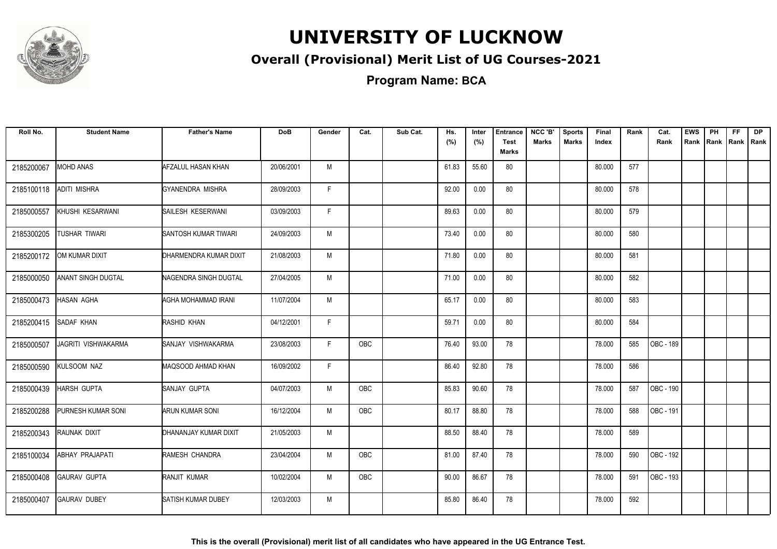

#### **Overall (Provisional) Merit List of UG Courses-2021**

**Program Name: BCA**

| Roll No.   | <b>Student Name</b> | <b>Father's Name</b>      | <b>DoB</b> | Gender       | Cat.       | Sub Cat. | Hs.   | Inter | <b>Entrance</b>             | NCC 'B'      | <b>Sports</b> | Final  | Rank | Cat.      | <b>EWS</b> | PH | <b>FF</b> | <b>DP</b> |
|------------|---------------------|---------------------------|------------|--------------|------------|----------|-------|-------|-----------------------------|--------------|---------------|--------|------|-----------|------------|----|-----------|-----------|
|            |                     |                           |            |              |            |          | (%)   | (%)   | <b>Test</b><br><b>Marks</b> | <b>Marks</b> | <b>Marks</b>  | Index  |      | Rank      | Rank       |    | Rank Rank | I Rank    |
| 2185200067 | MOHD ANAS           | AFZALUL HASAN KHAN        | 20/06/2001 | M            |            |          | 61.83 | 55.60 | 80                          |              |               | 80.000 | 577  |           |            |    |           |           |
| 2185100118 | ADITI MISHRA        | IGYANENDRA MISHRA         | 28/09/2003 | $\mathsf{F}$ |            |          | 92.00 | 0.00  | 80                          |              |               | 80.000 | 578  |           |            |    |           |           |
| 2185000557 | KHUSHI KESARWANI    | <b>SAILESH KESERWANI</b>  | 03/09/2003 | $\mathsf{F}$ |            |          | 89.63 | 0.00  | 80                          |              |               | 80.000 | 579  |           |            |    |           |           |
| 2185300205 | TUSHAR TIWARI       | SANTOSH KUMAR TIWARI      | 24/09/2003 | M            |            |          | 73.40 | 0.00  | 80                          |              |               | 80.000 | 580  |           |            |    |           |           |
| 2185200172 | OM KUMAR DIXIT      | DHARMENDRA KUMAR DIXIT    | 21/08/2003 | M            |            |          | 71.80 | 0.00  | 80                          |              |               | 80.000 | 581  |           |            |    |           |           |
| 2185000050 | ANANT SINGH DUGTAL  | NAGENDRA SINGH DUGTAL     | 27/04/2005 | M            |            |          | 71.00 | 0.00  | 80                          |              |               | 80.000 | 582  |           |            |    |           |           |
| 2185000473 | <b>HASAN AGHA</b>   | AGHA MOHAMMAD IRANI       | 11/07/2004 | M            |            |          | 65.17 | 0.00  | 80                          |              |               | 80.000 | 583  |           |            |    |           |           |
| 2185200415 | <b>SADAF KHAN</b>   | RASHID KHAN               | 04/12/2001 | F            |            |          | 59.71 | 0.00  | 80                          |              |               | 80.000 | 584  |           |            |    |           |           |
| 2185000507 | JAGRITI VISHWAKARMA | SANJAY VISHWAKARMA        | 23/08/2003 | F.           | OBC        |          | 76.40 | 93.00 | 78                          |              |               | 78.000 | 585  | OBC - 189 |            |    |           |           |
| 2185000590 | KULSOOM NAZ         | MAQSOOD AHMAD KHAN        | 16/09/2002 | $\mathsf{F}$ |            |          | 86.40 | 92.80 | 78                          |              |               | 78.000 | 586  |           |            |    |           |           |
| 2185000439 | HARSH GUPTA         | <b>SANJAY GUPTA</b>       | 04/07/2003 | M            | <b>OBC</b> |          | 85.83 | 90.60 | 78                          |              |               | 78.000 | 587  | OBC - 190 |            |    |           |           |
| 2185200288 | PURNESH KUMAR SONI  | <b>ARUN KUMAR SONI</b>    | 16/12/2004 | M            | <b>OBC</b> |          | 80.17 | 88.80 | 78                          |              |               | 78.000 | 588  | OBC - 191 |            |    |           |           |
| 2185200343 | RAUNAK DIXIT        | DHANANJAY KUMAR DIXIT     | 21/05/2003 | M            |            |          | 88.50 | 88.40 | 78                          |              |               | 78.000 | 589  |           |            |    |           |           |
| 2185100034 | ABHAY PRAJAPATI     | RAMESH CHANDRA            | 23/04/2004 | M            | OBC        |          | 81.00 | 87.40 | 78                          |              |               | 78.000 | 590  | OBC - 192 |            |    |           |           |
| 2185000408 | <b>GAURAV GUPTA</b> | RANJIT KUMAR              | 10/02/2004 | M            | OBC        |          | 90.00 | 86.67 | 78                          |              |               | 78.000 | 591  | OBC - 193 |            |    |           |           |
| 2185000407 | <b>GAURAV DUBEY</b> | <b>SATISH KUMAR DUBEY</b> | 12/03/2003 | M            |            |          | 85.80 | 86.40 | 78                          |              |               | 78.000 | 592  |           |            |    |           |           |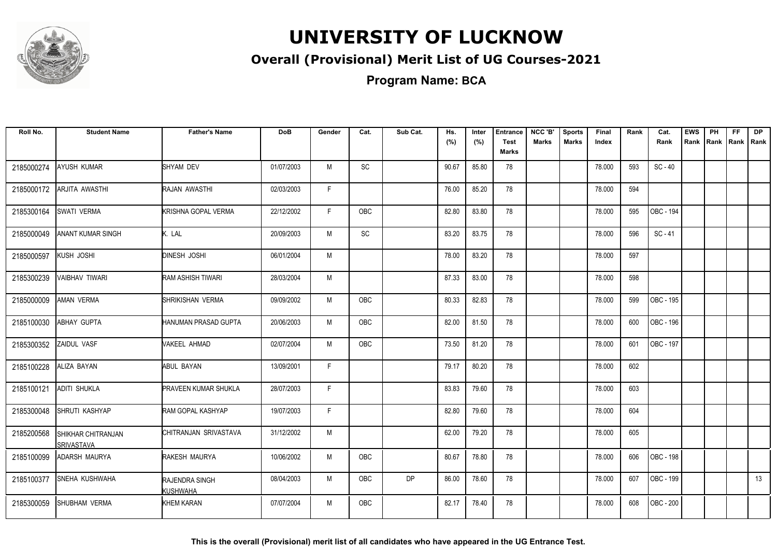

#### **Overall (Provisional) Merit List of UG Courses-2021**

**Program Name: BCA**

| Roll No.   | <b>Student Name</b>              | <b>Father's Name</b>              | <b>DoB</b> | Gender | Cat.       | Sub Cat.  | Hs.<br>(%) | Inter<br>(%) | <b>Entrance</b><br><b>Test</b> | NCC 'B'<br><b>Marks</b> | <b>Sports</b><br><b>Marks</b> | Final<br>Index | Rank | Cat.<br>Rank | <b>EWS</b><br>Rank | PH | FF<br>Rank   Rank   Rank | <b>DP</b> |
|------------|----------------------------------|-----------------------------------|------------|--------|------------|-----------|------------|--------------|--------------------------------|-------------------------|-------------------------------|----------------|------|--------------|--------------------|----|--------------------------|-----------|
|            |                                  |                                   |            |        |            |           |            |              | <b>Marks</b>                   |                         |                               |                |      |              |                    |    |                          |           |
| 2185000274 | AYUSH KUMAR                      | SHYAM DEV                         | 01/07/2003 | M      | SC         |           | 90.67      | 85.80        | 78                             |                         |                               | 78.000         | 593  | $SC - 40$    |                    |    |                          |           |
| 2185000172 | ARJITA AWASTHI                   | RAJAN AWASTHI                     | 02/03/2003 | F.     |            |           | 76.00      | 85.20        | 78                             |                         |                               | 78.000         | 594  |              |                    |    |                          |           |
| 2185300164 | SWATI VERMA                      | <b>KRISHNA GOPAL VERMA</b>        | 22/12/2002 | F      | OBC        |           | 82.80      | 83.80        | 78                             |                         |                               | 78.000         | 595  | OBC - 194    |                    |    |                          |           |
| 2185000049 | ANANT KUMAR SINGH                | K. LAL                            | 20/09/2003 | M      | SC         |           | 83.20      | 83.75        | 78                             |                         |                               | 78.000         | 596  | $SC - 41$    |                    |    |                          |           |
| 2185000597 | KUSH JOSHI                       | <b>DINESH JOSHI</b>               | 06/01/2004 | M      |            |           | 78.00      | 83.20        | 78                             |                         |                               | 78.000         | 597  |              |                    |    |                          |           |
| 2185300239 | VAIBHAV TIWARI                   | <b>RAM ASHISH TIWARI</b>          | 28/03/2004 | М      |            |           | 87.33      | 83.00        | 78                             |                         |                               | 78.000         | 598  |              |                    |    |                          |           |
| 2185000009 | AMAN VERMA                       | SHRIKISHAN VERMA                  | 09/09/2002 | M      | <b>OBC</b> |           | 80.33      | 82.83        | 78                             |                         |                               | 78.000         | 599  | OBC - 195    |                    |    |                          |           |
| 2185100030 | ABHAY GUPTA                      | HANUMAN PRASAD GUPTA              | 20/06/2003 | M      | <b>OBC</b> |           | 82.00      | 81.50        | 78                             |                         |                               | 78.000         | 600  | OBC - 196    |                    |    |                          |           |
| 2185300352 | ZAIDUL VASF                      | VAKEEL AHMAD                      | 02/07/2004 | M      | <b>OBC</b> |           | 73.50      | 81.20        | 78                             |                         |                               | 78.000         | 601  | OBC - 197    |                    |    |                          |           |
| 2185100228 | ALIZA BAYAN                      | <b>ABUL BAYAN</b>                 | 13/09/2001 | F.     |            |           | 79.17      | 80.20        | 78                             |                         |                               | 78.000         | 602  |              |                    |    |                          |           |
| 2185100121 | <b>ADITI SHUKLA</b>              | <b>PRAVEEN KUMAR SHUKLA</b>       | 28/07/2003 | F      |            |           | 83.83      | 79.60        | 78                             |                         |                               | 78.000         | 603  |              |                    |    |                          |           |
| 2185300048 | SHRUTI KASHYAP                   | RAM GOPAL KASHYAP                 | 19/07/2003 | F      |            |           | 82.80      | 79.60        | 78                             |                         |                               | 78.000         | 604  |              |                    |    |                          |           |
| 2185200568 | SHIKHAR CHITRANJAN<br>SRIVASTAVA | CHITRANJAN SRIVASTAVA             | 31/12/2002 | M      |            |           | 62.00      | 79.20        | 78                             |                         |                               | 78.000         | 605  |              |                    |    |                          |           |
| 2185100099 | ADARSH MAURYA                    | RAKESH MAURYA                     | 10/06/2002 | M      | <b>OBC</b> |           | 80.67      | 78.80        | 78                             |                         |                               | 78.000         | 606  | OBC - 198    |                    |    |                          |           |
| 2185100377 | <b>SNEHA KUSHWAHA</b>            | RAJENDRA SINGH<br><b>KUSHWAHA</b> | 08/04/2003 | M      | <b>OBC</b> | <b>DP</b> | 86.00      | 78.60        | 78                             |                         |                               | 78.000         | 607  | OBC - 199    |                    |    |                          | 13        |
| 2185300059 | <b>SHUBHAM VERMA</b>             | KHEM KARAN                        | 07/07/2004 | M      | OBC        |           | 82.17      | 78.40        | 78                             |                         |                               | 78.000         | 608  | OBC - 200    |                    |    |                          |           |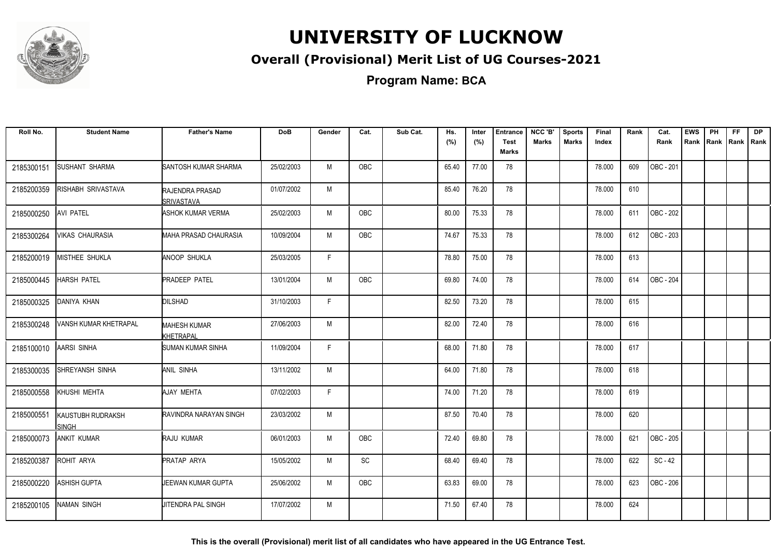

#### **Overall (Provisional) Merit List of UG Courses-2021**

**Program Name: BCA**

| Roll No.   | <b>Student Name</b>               | <b>Father's Name</b>                        | <b>DoB</b> | Gender | Cat.       | Sub Cat. | Hs.<br>(%) | Inter<br>(%) | <b>Entrance</b><br><b>Test</b> | NCC 'B'<br><b>Marks</b> | <b>Sports</b><br><b>Marks</b> | Final<br>Index | Rank | Cat.<br>Rank     | <b>EWS</b><br>Rank | PH<br>Rank   Rank | FF | <b>DP</b><br>l Rank |
|------------|-----------------------------------|---------------------------------------------|------------|--------|------------|----------|------------|--------------|--------------------------------|-------------------------|-------------------------------|----------------|------|------------------|--------------------|-------------------|----|---------------------|
|            |                                   |                                             |            |        |            |          |            |              | <b>Marks</b>                   |                         |                               |                |      |                  |                    |                   |    |                     |
| 2185300151 | <b>SUSHANT SHARMA</b>             | SANTOSH KUMAR SHARMA                        | 25/02/2003 | M      | OBC        |          | 65.40      | 77.00        | 78                             |                         |                               | 78.000         | 609  | OBC - 201        |                    |                   |    |                     |
| 2185200359 | RISHABH SRIVASTAVA                | <b>RAJENDRA PRASAD</b><br><b>SRIVASTAVA</b> | 01/07/2002 | М      |            |          | 85.40      | 76.20        | 78                             |                         |                               | 78.000         | 610  |                  |                    |                   |    |                     |
| 2185000250 | AVI PATEL                         | <b>ASHOK KUMAR VERMA</b>                    | 25/02/2003 | M      | <b>OBC</b> |          | 80.00      | 75.33        | 78                             |                         |                               | 78.000         | 611  | OBC - 202        |                    |                   |    |                     |
| 2185300264 | <b>VIKAS CHAURASIA</b>            | MAHA PRASAD CHAURASIA                       | 10/09/2004 | M      | <b>OBC</b> |          | 74.67      | 75.33        | 78                             |                         |                               | 78.000         | 612  | OBC - 203        |                    |                   |    |                     |
| 2185200019 | MISTHEE SHUKLA                    | <b>ANOOP SHUKLA</b>                         | 25/03/2005 | F.     |            |          | 78.80      | 75.00        | 78                             |                         |                               | 78.000         | 613  |                  |                    |                   |    |                     |
| 2185000445 | <b>HARSH PATEL</b>                | <b>PRADEEP PATEL</b>                        | 13/01/2004 | M      | <b>OBC</b> |          | 69.80      | 74.00        | 78                             |                         |                               | 78.000         | 614  | <b>OBC - 204</b> |                    |                   |    |                     |
| 2185000325 | DANIYA KHAN                       | <b>DILSHAD</b>                              | 31/10/2003 | F      |            |          | 82.50      | 73.20        | 78                             |                         |                               | 78.000         | 615  |                  |                    |                   |    |                     |
| 2185300248 | VANSH KUMAR KHETRAPAL             | <b>MAHESH KUMAR</b><br><b>KHETRAPAL</b>     | 27/06/2003 | M      |            |          | 82.00      | 72.40        | 78                             |                         |                               | 78.000         | 616  |                  |                    |                   |    |                     |
| 2185100010 | AARSI SINHA                       | <b>SUMAN KUMAR SINHA</b>                    | 11/09/2004 | F.     |            |          | 68.00      | 71.80        | 78                             |                         |                               | 78.000         | 617  |                  |                    |                   |    |                     |
| 2185300035 | SHREYANSH SINHA                   | <b>ANIL SINHA</b>                           | 13/11/2002 | M      |            |          | 64.00      | 71.80        | 78                             |                         |                               | 78.000         | 618  |                  |                    |                   |    |                     |
| 2185000558 | KHUSHI MEHTA                      | AJAY MEHTA                                  | 07/02/2003 | F.     |            |          | 74.00      | 71.20        | 78                             |                         |                               | 78.000         | 619  |                  |                    |                   |    |                     |
| 2185000551 | KAUSTUBH RUDRAKSH<br><b>SINGH</b> | IRAVINDRA NARAYAN SINGH                     | 23/03/2002 | M      |            |          | 87.50      | 70.40        | 78                             |                         |                               | 78.000         | 620  |                  |                    |                   |    |                     |
| 2185000073 | <b>ANKIT KUMAR</b>                | <b>RAJU KUMAR</b>                           | 06/01/2003 | M      | <b>OBC</b> |          | 72.40      | 69.80        | 78                             |                         |                               | 78.000         | 621  | OBC - 205        |                    |                   |    |                     |
| 2185200387 | ROHIT ARYA                        | <b>PRATAP ARYA</b>                          | 15/05/2002 | M      | <b>SC</b>  |          | 68.40      | 69.40        | 78                             |                         |                               | 78.000         | 622  | $SC - 42$        |                    |                   |    |                     |
| 2185000220 | <b>ASHISH GUPTA</b>               | JEEWAN KUMAR GUPTA                          | 25/06/2002 | M      | OBC        |          | 63.83      | 69.00        | 78                             |                         |                               | 78.000         | 623  | OBC - 206        |                    |                   |    |                     |
| 2185200105 | <b>NAMAN SINGH</b>                | <b>JITENDRA PAL SINGH</b>                   | 17/07/2002 | M      |            |          | 71.50      | 67.40        | 78                             |                         |                               | 78.000         | 624  |                  |                    |                   |    |                     |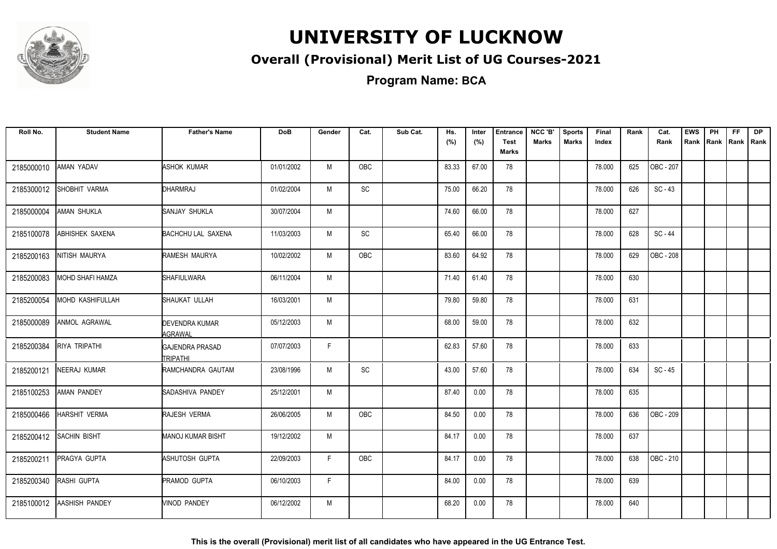

#### **Overall (Provisional) Merit List of UG Courses-2021**

**Program Name: BCA**

| Roll No.   | <b>Student Name</b>    | <b>Father's Name</b>               | <b>DoB</b> | Gender | Cat.       | Sub Cat. | Hs.<br>(%) | Inter<br>(%) | <b>Entrance</b><br><b>Test</b><br><b>Marks</b> | NCC 'B'<br><b>Marks</b> | <b>Sports</b><br><b>Marks</b> | Final<br>Index | Rank | Cat.<br>Rank | <b>EWS</b><br>Rank | PH<br>Rank Rank | FF | <b>DP</b><br>Rank |
|------------|------------------------|------------------------------------|------------|--------|------------|----------|------------|--------------|------------------------------------------------|-------------------------|-------------------------------|----------------|------|--------------|--------------------|-----------------|----|-------------------|
| 2185000010 | <b>AMAN YADAV</b>      | <b>ASHOK KUMAR</b>                 | 01/01/2002 | M      | OBC        |          | 83.33      | 67.00        | 78                                             |                         |                               | 78.000         | 625  | OBC - 207    |                    |                 |    |                   |
| 2185300012 | SHOBHIT VARMA          | DHARMRAJ                           | 01/02/2004 | M      | SC         |          | 75.00      | 66.20        | 78                                             |                         |                               | 78.000         | 626  | $SC - 43$    |                    |                 |    |                   |
| 2185000004 | AMAN SHUKLA            | <b>SANJAY SHUKLA</b>               | 30/07/2004 | M      |            |          | 74.60      | 66.00        | 78                                             |                         |                               | 78.000         | 627  |              |                    |                 |    |                   |
| 2185100078 | <b>ABHISHEK SAXENA</b> | <b>BACHCHU LAL SAXENA</b>          | 11/03/2003 | M      | <b>SC</b>  |          | 65.40      | 66.00        | 78                                             |                         |                               | 78.000         | 628  | SC-44        |                    |                 |    |                   |
| 2185200163 | NITISH MAURYA          | RAMESH MAURYA                      | 10/02/2002 | M      | <b>OBC</b> |          | 83.60      | 64.92        | 78                                             |                         |                               | 78.000         | 629  | OBC - 208    |                    |                 |    |                   |
| 2185200083 | MOHD SHAFI HAMZA       | <b>I</b> SHAFIULWARA               | 06/11/2004 | M      |            |          | 71.40      | 61.40        | 78                                             |                         |                               | 78.000         | 630  |              |                    |                 |    |                   |
| 2185200054 | MOHD KASHIFULLAH       | SHAUKAT ULLAH                      | 16/03/2001 | M      |            |          | 79.80      | 59.80        | 78                                             |                         |                               | 78.000         | 631  |              |                    |                 |    |                   |
| 2185000089 | ANMOL AGRAWAL          | <b>DEVENDRA KUMAR</b><br>AGRAWAL   | 05/12/2003 | M      |            |          | 68.00      | 59.00        | 78                                             |                         |                               | 78.000         | 632  |              |                    |                 |    |                   |
| 2185200384 | RIYA TRIPATHI          | GAJENDRA PRASAD<br><b>TRIPATHI</b> | 07/07/2003 | F      |            |          | 62.83      | 57.60        | 78                                             |                         |                               | 78.000         | 633  |              |                    |                 |    |                   |
| 2185200121 | NEERAJ KUMAR           | <b>IRAMCHANDRA GAUTAM</b>          | 23/08/1996 | M      | SC         |          | 43.00      | 57.60        | 78                                             |                         |                               | 78.000         | 634  | SC - 45      |                    |                 |    |                   |
| 2185100253 | AMAN PANDEY            | ISADASHIVA PANDEY                  | 25/12/2001 | M      |            |          | 87.40      | 0.00         | 78                                             |                         |                               | 78.000         | 635  |              |                    |                 |    |                   |
| 2185000466 | <b>HARSHIT VERMA</b>   | RAJESH VERMA                       | 26/06/2005 | M      | <b>OBC</b> |          | 84.50      | 0.00         | 78                                             |                         |                               | 78.000         | 636  | OBC - 209    |                    |                 |    |                   |
| 2185200412 | <b>SACHIN BISHT</b>    | <b>MANOJ KUMAR BISHT</b>           | 19/12/2002 | M      |            |          | 84.17      | 0.00         | 78                                             |                         |                               | 78.000         | 637  |              |                    |                 |    |                   |
| 2185200211 | PRAGYA GUPTA           | ASHUTOSH GUPTA                     | 22/09/2003 | F      | OBC        |          | 84.17      | 0.00         | 78                                             |                         |                               | 78.000         | 638  | OBC - 210    |                    |                 |    |                   |
| 2185200340 | RASHI GUPTA            | PRAMOD GUPTA                       | 06/10/2003 | F.     |            |          | 84.00      | 0.00         | 78                                             |                         |                               | 78.000         | 639  |              |                    |                 |    |                   |
| 2185100012 | <b>AASHISH PANDEY</b>  | <b><i>NINOD PANDEY</i></b>         | 06/12/2002 | M      |            |          | 68.20      | 0.00         | 78                                             |                         |                               | 78.000         | 640  |              |                    |                 |    |                   |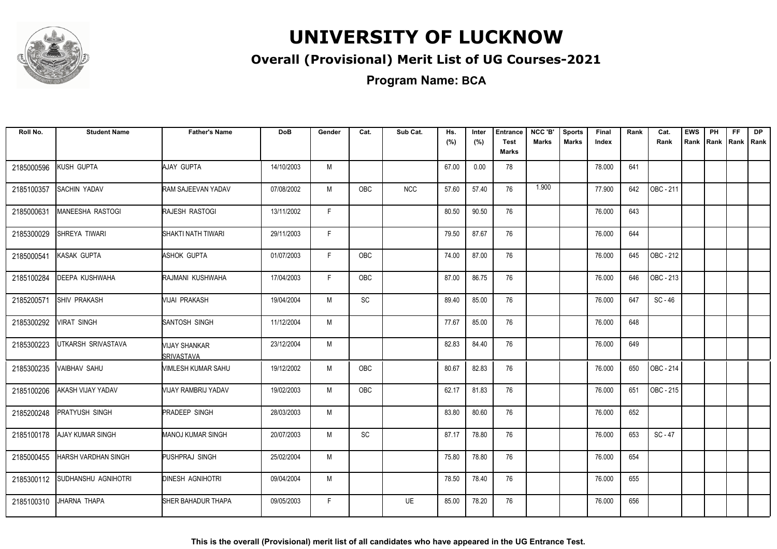

#### **Overall (Provisional) Merit List of UG Courses-2021**

**Program Name: BCA**

| Roll No.   | <b>Student Name</b>        | <b>Father's Name</b>               | <b>DoB</b> | Gender | Cat.       | Sub Cat.   | Hs.<br>(%) | Inter<br>(%) | <b>Entrance</b><br><b>Test</b> | NCC 'B'<br><b>Marks</b> | <b>Sports</b><br><b>Marks</b> | <b>Final</b><br>Index | Rank | Cat.<br>Rank | <b>EWS</b><br>Rank | PH | <b>FF</b><br>Rank   Rank   Rank | <b>DP</b> |
|------------|----------------------------|------------------------------------|------------|--------|------------|------------|------------|--------------|--------------------------------|-------------------------|-------------------------------|-----------------------|------|--------------|--------------------|----|---------------------------------|-----------|
|            |                            |                                    |            |        |            |            |            |              | Marks                          |                         |                               |                       |      |              |                    |    |                                 |           |
| 2185000596 | KUSH GUPTA                 | AJAY GUPTA                         | 14/10/2003 | M      |            |            | 67.00      | 0.00         | 78                             |                         |                               | 78.000                | 641  |              |                    |    |                                 |           |
| 2185100357 | <b>SACHIN YADAV</b>        | RAM SAJEEVAN YADAV                 | 07/08/2002 | м      | <b>OBC</b> | <b>NCC</b> | 57.60      | 57.40        | 76                             | 1.900                   |                               | 77.900                | 642  | OBC - 211    |                    |    |                                 |           |
| 2185000631 | MANEESHA RASTOGI           | <b>RAJESH RASTOGI</b>              | 13/11/2002 | F.     |            |            | 80.50      | 90.50        | 76                             |                         |                               | 76.000                | 643  |              |                    |    |                                 |           |
| 2185300029 | SHREYA TIWARI              | SHAKTI NATH TIWARI                 | 29/11/2003 | F.     |            |            | 79.50      | 87.67        | 76                             |                         |                               | 76.000                | 644  |              |                    |    |                                 |           |
| 2185000541 | KASAK GUPTA                | ASHOK GUPTA                        | 01/07/2003 | F.     | OBC        |            | 74.00      | 87.00        | 76                             |                         |                               | 76.000                | 645  | OBC - 212    |                    |    |                                 |           |
| 2185100284 | <b>IDEEPA KUSHWAHA</b>     | RAJMANI KUSHWAHA                   | 17/04/2003 | F.     | <b>OBC</b> |            | 87.00      | 86.75        | 76                             |                         |                               | 76.000                | 646  | OBC - 213    |                    |    |                                 |           |
| 2185200571 | <b>SHIV PRAKASH</b>        | Mijai prakash                      | 19/04/2004 | M      | SC         |            | 89.40      | 85.00        | 76                             |                         |                               | 76.000                | 647  | $SC - 46$    |                    |    |                                 |           |
| 2185300292 | <b>VIRAT SINGH</b>         | SANTOSH SINGH                      | 11/12/2004 | M      |            |            | 77.67      | 85.00        | 76                             |                         |                               | 76.000                | 648  |              |                    |    |                                 |           |
| 2185300223 | UTKARSH SRIVASTAVA         | VIJAY SHANKAR<br><b>SRIVASTAVA</b> | 23/12/2004 | М      |            |            | 82.83      | 84.40        | 76                             |                         |                               | 76.000                | 649  |              |                    |    |                                 |           |
| 2185300235 | <b>VAIBHAV SAHU</b>        | VIMLESH KUMAR SAHU                 | 19/12/2002 | M      | <b>OBC</b> |            | 80.67      | 82.83        | 76                             |                         |                               | 76.000                | 650  | OBC - 214    |                    |    |                                 |           |
| 2185100206 | <b>AKASH VIJAY YADAV</b>   | VIJAY RAMBRIJ YADAV                | 19/02/2003 | M      | OBC        |            | 62.17      | 81.83        | 76                             |                         |                               | 76.000                | 651  | OBC - 215    |                    |    |                                 |           |
| 2185200248 | <b>PRATYUSH SINGH</b>      | <b>PRADEEP SINGH</b>               | 28/03/2003 | M      |            |            | 83.80      | 80.60        | 76                             |                         |                               | 76.000                | 652  |              |                    |    |                                 |           |
| 2185100178 | <b>AJAY KUMAR SINGH</b>    | <b>MANOJ KUMAR SINGH</b>           | 20/07/2003 | M      | SC         |            | 87.17      | 78.80        | 76                             |                         |                               | 76.000                | 653  | $SC - 47$    |                    |    |                                 |           |
| 2185000455 | <b>HARSH VARDHAN SINGH</b> | PUSHPRAJ SINGH                     | 25/02/2004 | M      |            |            | 75.80      | 78.80        | 76                             |                         |                               | 76.000                | 654  |              |                    |    |                                 |           |
| 2185300112 | <b>SUDHANSHU AGNIHOTRI</b> | <b>DINESH AGNIHOTRI</b>            | 09/04/2004 | M      |            |            | 78.50      | 78.40        | 76                             |                         |                               | 76.000                | 655  |              |                    |    |                                 |           |
| 2185100310 | JHARNA THAPA               | SHER BAHADUR THAPA                 | 09/05/2003 | F.     |            | <b>UE</b>  | 85.00      | 78.20        | 76                             |                         |                               | 76.000                | 656  |              |                    |    |                                 |           |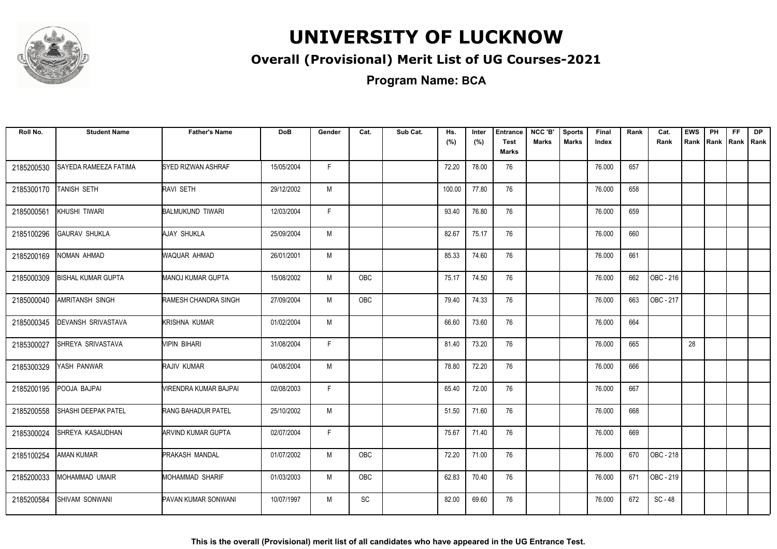

#### **Overall (Provisional) Merit List of UG Courses-2021**

**Program Name: BCA**

| Roll No.   | <b>Student Name</b>        | <b>Father's Name</b>         | <b>DoB</b> | Gender | Cat.       | Sub Cat. | Hs.<br>(%) | Inter<br>(%) | <b>Entrance</b><br><b>Test</b><br>Marks | NCC 'B'<br><b>Marks</b> | <b>Sports</b><br><b>Marks</b> | Final<br>Index | Rank | Cat.<br>Rank | <b>EWS</b> | PH<br>Rank Rank | <b>FF</b><br> Rank   Rank | <b>DP</b> |
|------------|----------------------------|------------------------------|------------|--------|------------|----------|------------|--------------|-----------------------------------------|-------------------------|-------------------------------|----------------|------|--------------|------------|-----------------|---------------------------|-----------|
| 2185200530 | SAYEDA RAMEEZA FATIMA      | SYED RIZWAN ASHRAF           | 15/05/2004 | F.     |            |          | 72.20      | 78.00        | 76                                      |                         |                               | 76.000         | 657  |              |            |                 |                           |           |
| 2185300170 | <b>TANISH SETH</b>         | RAVI SETH                    | 29/12/2002 | M      |            |          | 100.00     | 77.80        | 76                                      |                         |                               | 76.000         | 658  |              |            |                 |                           |           |
| 2185000561 | KHUSHI TIWARI              | <b>BALMUKUND TIWARI</b>      | 12/03/2004 | F.     |            |          | 93.40      | 76.80        | 76                                      |                         |                               | 76.000         | 659  |              |            |                 |                           |           |
| 2185100296 | <b>GAURAV SHUKLA</b>       | AJAY SHUKLA                  | 25/09/2004 | M      |            |          | 82.67      | 75.17        | 76                                      |                         |                               | 76.000         | 660  |              |            |                 |                           |           |
| 2185200169 | NOMAN AHMAD                | WAQUAR AHMAD                 | 26/01/2001 | M      |            |          | 85.33      | 74.60        | 76                                      |                         |                               | 76.000         | 661  |              |            |                 |                           |           |
| 2185000309 | <b>BISHAL KUMAR GUPTA</b>  | MANOJ KUMAR GUPTA            | 15/08/2002 | M      | OBC        |          | 75.17      | 74.50        | 76                                      |                         |                               | 76.000         | 662  | OBC - 216    |            |                 |                           |           |
| 2185000040 | <b>AMRITANSH SINGH</b>     | <b>RAMESH CHANDRA SINGH</b>  | 27/09/2004 | M      | <b>OBC</b> |          | 79.40      | 74.33        | 76                                      |                         |                               | 76.000         | 663  | OBC - 217    |            |                 |                           |           |
| 2185000345 | <b>DEVANSH SRIVASTAVA</b>  | <b>KRISHNA KUMAR</b>         | 01/02/2004 | M      |            |          | 66.60      | 73.60        | 76                                      |                         |                               | 76.000         | 664  |              |            |                 |                           |           |
| 2185300027 | SHREYA SRIVASTAVA          | MPIN BIHARI                  | 31/08/2004 | F.     |            |          | 81.40      | 73.20        | 76                                      |                         |                               | 76.000         | 665  |              | 28         |                 |                           |           |
| 2185300329 | YASH PANWAR                | RAJIV KUMAR                  | 04/08/2004 | M      |            |          | 78.80      | 72.20        | 76                                      |                         |                               | 76.000         | 666  |              |            |                 |                           |           |
| 2185200195 | POOJA BAJPAI               | <b>VIRENDRA KUMAR BAJPAI</b> | 02/08/2003 | F.     |            |          | 65.40      | 72.00        | 76                                      |                         |                               | 76.000         | 667  |              |            |                 |                           |           |
| 2185200558 | <b>SHASHI DEEPAK PATEL</b> | <b>RANG BAHADUR PATEL</b>    | 25/10/2002 | M      |            |          | 51.50      | 71.60        | 76                                      |                         |                               | 76.000         | 668  |              |            |                 |                           |           |
| 2185300024 | <b>ISHREYA KASAUDHAN</b>   | <b>ARVIND KUMAR GUPTA</b>    | 02/07/2004 | F.     |            |          | 75.67      | 71.40        | 76                                      |                         |                               | 76.000         | 669  |              |            |                 |                           |           |
| 2185100254 | <b>AMAN KUMAR</b>          | <b>PRAKASH MANDAL</b>        | 01/07/2002 | M      | OBC        |          | 72.20      | 71.00        | 76                                      |                         |                               | 76.000         | 670  | OBC - 218    |            |                 |                           |           |
| 2185200033 | MOHAMMAD UMAIR             | <b>MOHAMMAD SHARIF</b>       | 01/03/2003 | M      | <b>OBC</b> |          | 62.83      | 70.40        | 76                                      |                         |                               | 76.000         | 671  | OBC - 219    |            |                 |                           |           |
| 2185200584 | <b>SHIVAM SONWANI</b>      | <b>PAVAN KUMAR SONWANI</b>   | 10/07/1997 | M      | <b>SC</b>  |          | 82.00      | 69.60        | 76                                      |                         |                               | 76.000         | 672  | SC-48        |            |                 |                           |           |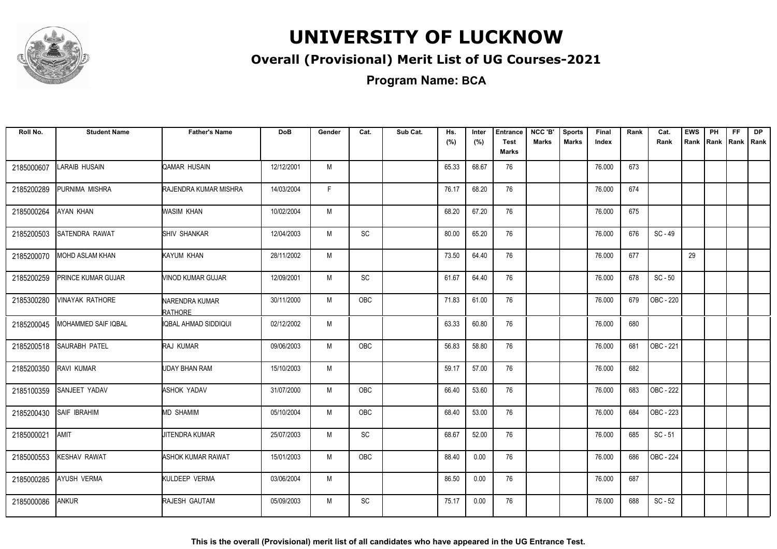

#### **Overall (Provisional) Merit List of UG Courses-2021**

**Program Name: BCA**

| Roll No.   | <b>Student Name</b>    | <b>Father's Name</b>             | <b>DoB</b> | Gender | Cat.       | Sub Cat. | Hs.<br>(%) | Inter<br>(%) | <b>Entrance</b><br><b>Test</b><br>Marks | NCC 'B'<br>Marks | <b>Sports</b><br>Marks | Final<br>Index | Rank | Cat.<br>Rank | <b>EWS</b><br>Rank | PH | <b>FF</b><br>Rank   Rank   Rank | <b>DP</b> |
|------------|------------------------|----------------------------------|------------|--------|------------|----------|------------|--------------|-----------------------------------------|------------------|------------------------|----------------|------|--------------|--------------------|----|---------------------------------|-----------|
| 2185000607 | LARAIB HUSAIN          | QAMAR HUSAIN                     | 12/12/2001 | M      |            |          | 65.33      | 68.67        | 76                                      |                  |                        | 76.000         | 673  |              |                    |    |                                 |           |
| 2185200289 | PURNIMA MISHRA         | RAJENDRA KUMAR MISHRA            | 14/03/2004 | F      |            |          | 76.17      | 68.20        | 76                                      |                  |                        | 76.000         | 674  |              |                    |    |                                 |           |
| 2185000264 | AYAN KHAN              | <b>WASIM KHAN</b>                | 10/02/2004 | M      |            |          | 68.20      | 67.20        | 76                                      |                  |                        | 76.000         | 675  |              |                    |    |                                 |           |
| 2185200503 | <b>SATENDRA RAWAT</b>  | <b>ISHIV SHANKAR</b>             | 12/04/2003 | M      | <b>SC</b>  |          | 80.00      | 65.20        | 76                                      |                  |                        | 76.000         | 676  | $SC - 49$    |                    |    |                                 |           |
| 2185200070 | <b>MOHD ASLAM KHAN</b> | KAYUM KHAN                       | 28/11/2002 | M      |            |          | 73.50      | 64.40        | 76                                      |                  |                        | 76.000         | 677  |              | 29                 |    |                                 |           |
| 2185200259 | PRINCE KUMAR GUJAR     | <b>NINOD KUMAR GUJAR</b>         | 12/09/2001 | M      | <b>SC</b>  |          | 61.67      | 64.40        | 76                                      |                  |                        | 76.000         | 678  | $SC - 50$    |                    |    |                                 |           |
| 2185300280 | VINAYAK RATHORE        | NARENDRA KUMAR<br><b>RATHORE</b> | 30/11/2000 | M      | OBC        |          | 71.83      | 61.00        | 76                                      |                  |                        | 76.000         | 679  | OBC - 220    |                    |    |                                 |           |
| 2185200045 | MOHAMMED SAIF IQBAL    | IQBAL AHMAD SIDDIQUI             | 02/12/2002 | M      |            |          | 63.33      | 60.80        | 76                                      |                  |                        | 76.000         | 680  |              |                    |    |                                 |           |
| 2185200518 | SAURABH PATEL          | <b>RAJ KUMAR</b>                 | 09/06/2003 | M      | <b>OBC</b> |          | 56.83      | 58.80        | 76                                      |                  |                        | 76.000         | 681  | OBC - 221    |                    |    |                                 |           |
| 2185200350 | <b>RAVI KUMAR</b>      | UDAY BHAN RAM                    | 15/10/2003 | M      |            |          | 59.17      | 57.00        | 76                                      |                  |                        | 76.000         | 682  |              |                    |    |                                 |           |
| 2185100359 | SANJEET YADAV          | <b>ASHOK YADAV</b>               | 31/07/2000 | M      | OBC        |          | 66.40      | 53.60        | 76                                      |                  |                        | 76.000         | 683  | OBC - 222    |                    |    |                                 |           |
| 2185200430 | <b>SAIF IBRAHIM</b>    | <b>MD SHAMIM</b>                 | 05/10/2004 | M      | OBC        |          | 68.40      | 53.00        | 76                                      |                  |                        | 76.000         | 684  | OBC - 223    |                    |    |                                 |           |
| 2185000021 | AMIT                   | <b>JITENDRA KUMAR</b>            | 25/07/2003 | M      | SC         |          | 68.67      | 52.00        | 76                                      |                  |                        | 76.000         | 685  | $SC - 51$    |                    |    |                                 |           |
| 2185000553 | <b>KESHAV RAWAT</b>    | <b>ASHOK KUMAR RAWAT</b>         | 15/01/2003 | M      | OBC        |          | 88.40      | 0.00         | 76                                      |                  |                        | 76.000         | 686  | OBC - 224    |                    |    |                                 |           |
| 2185000285 | <b>AYUSH VERMA</b>     | KULDEEP VERMA                    | 03/06/2004 | M      |            |          | 86.50      | 0.00         | 76                                      |                  |                        | 76.000         | 687  |              |                    |    |                                 |           |
| 2185000086 | ANKUR                  | RAJESH GAUTAM                    | 05/09/2003 | M      | SC         |          | 75.17      | 0.00         | 76                                      |                  |                        | 76.000         | 688  | $SC - 52$    |                    |    |                                 |           |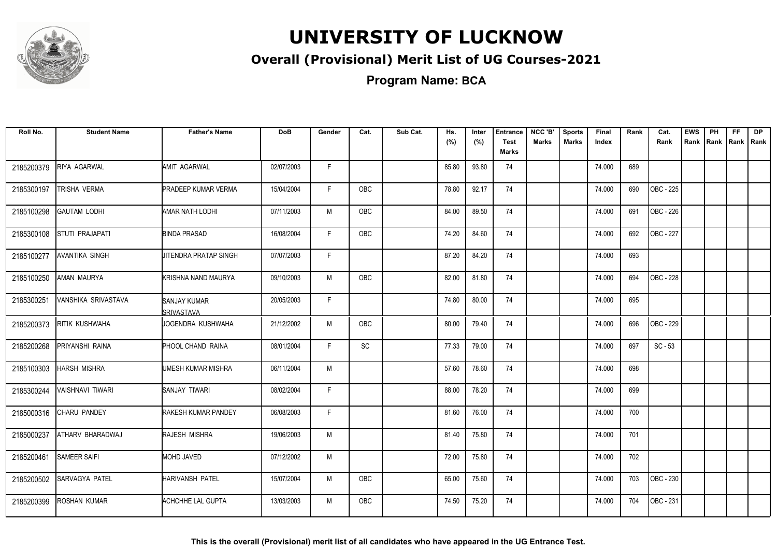

#### **Overall (Provisional) Merit List of UG Courses-2021**

**Program Name: BCA**

| Roll No.   | <b>Student Name</b> | <b>Father's Name</b>              | <b>DoB</b> | Gender       | Cat.       | Sub Cat. | Hs.<br>(%) | Inter<br>(%) | <b>Entrance</b><br><b>Test</b><br>Marks | NCC 'B'<br>Marks | <b>Sports</b><br><b>Marks</b> | Final<br>Index | Rank | Cat.<br>Rank | <b>EWS</b><br>Rank | PH | <b>FF</b><br>Rank   Rank   Rank | DP |
|------------|---------------------|-----------------------------------|------------|--------------|------------|----------|------------|--------------|-----------------------------------------|------------------|-------------------------------|----------------|------|--------------|--------------------|----|---------------------------------|----|
| 2185200379 | RIYA AGARWAL        | AMIT AGARWAL                      | 02/07/2003 | F.           |            |          | 85.80      | 93.80        | 74                                      |                  |                               | 74.000         | 689  |              |                    |    |                                 |    |
| 2185300197 | TRISHA VERMA        | <b>PRADEEP KUMAR VERMA</b>        | 15/04/2004 | F.           | <b>OBC</b> |          | 78.80      | 92.17        | 74                                      |                  |                               | 74.000         | 690  | OBC - 225    |                    |    |                                 |    |
| 2185100298 | <b>GAUTAM LODHI</b> | AMAR NATH LODHI                   | 07/11/2003 | M            | <b>OBC</b> |          | 84.00      | 89.50        | 74                                      |                  |                               | 74.000         | 691  | OBC - 226    |                    |    |                                 |    |
| 2185300108 | STUTI PRAJAPATI     | <b>BINDA PRASAD</b>               | 16/08/2004 | F            | OBC        |          | 74.20      | 84.60        | 74                                      |                  |                               | 74.000         | 692  | OBC - 227    |                    |    |                                 |    |
| 2185100277 | AVANTIKA SINGH      | <b>JITENDRA PRATAP SINGH</b>      | 07/07/2003 | F            |            |          | 87.20      | 84.20        | 74                                      |                  |                               | 74.000         | 693  |              |                    |    |                                 |    |
| 2185100250 | AMAN MAURYA         | KRISHNA NAND MAURYA               | 09/10/2003 | M            | <b>OBC</b> |          | 82.00      | 81.80        | 74                                      |                  |                               | 74.000         | 694  | OBC - 228    |                    |    |                                 |    |
| 2185300251 | VANSHIKA SRIVASTAVA | <b>SANJAY KUMAR</b><br>SRIVASTAVA | 20/05/2003 | $\mathsf{F}$ |            |          | 74.80      | 80.00        | 74                                      |                  |                               | 74.000         | 695  |              |                    |    |                                 |    |
| 2185200373 | RITIK KUSHWAHA      | IJOGENDRA KUSHWAHA                | 21/12/2002 | M            | <b>OBC</b> |          | 80.00      | 79.40        | 74                                      |                  |                               | 74.000         | 696  | OBC - 229    |                    |    |                                 |    |
| 2185200268 | PRIYANSHI RAINA     | <b>PHOOL CHAND RAINA</b>          | 08/01/2004 | F            | SC         |          | 77.33      | 79.00        | 74                                      |                  |                               | 74.000         | 697  | $SC - 53$    |                    |    |                                 |    |
| 2185100303 | HARSH MISHRA        | UMESH KUMAR MISHRA                | 06/11/2004 | M            |            |          | 57.60      | 78.60        | 74                                      |                  |                               | 74.000         | 698  |              |                    |    |                                 |    |
| 2185300244 | VAISHNAVI TIWARI    | SANJAY TIWARI                     | 08/02/2004 | F            |            |          | 88.00      | 78.20        | 74                                      |                  |                               | 74.000         | 699  |              |                    |    |                                 |    |
| 2185000316 | CHARU PANDEY        | <b>RAKESH KUMAR PANDEY</b>        | 06/08/2003 | F            |            |          | 81.60      | 76.00        | 74                                      |                  |                               | 74.000         | 700  |              |                    |    |                                 |    |
| 2185000237 | ATHARV BHARADWAJ    | <b>RAJESH MISHRA</b>              | 19/06/2003 | M            |            |          | 81.40      | 75.80        | 74                                      |                  |                               | 74.000         | 701  |              |                    |    |                                 |    |
| 2185200461 | <b>SAMEER SAIFI</b> | <b>MOHD JAVED</b>                 | 07/12/2002 | M            |            |          | 72.00      | 75.80        | 74                                      |                  |                               | 74.000         | 702  |              |                    |    |                                 |    |
| 2185200502 | SARVAGYA PATEL      | HARIVANSH PATEL                   | 15/07/2004 | M            | OBC        |          | 65.00      | 75.60        | 74                                      |                  |                               | 74.000         | 703  | OBC - 230    |                    |    |                                 |    |
| 2185200399 | ROSHAN KUMAR        | ACHCHHE LAL GUPTA                 | 13/03/2003 | M            | <b>OBC</b> |          | 74.50      | 75.20        | 74                                      |                  |                               | 74.000         | 704  | OBC - 231    |                    |    |                                 |    |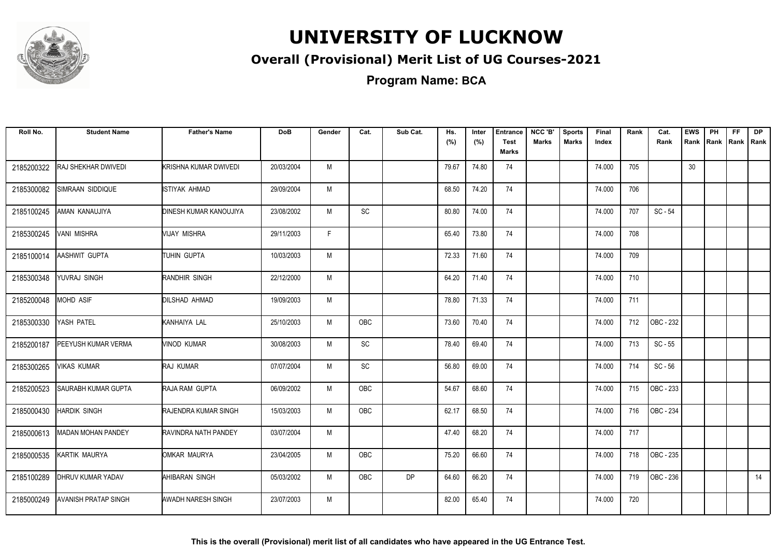

#### **Overall (Provisional) Merit List of UG Courses-2021**

**Program Name: BCA**

| Roll No.   | <b>Student Name</b>         | <b>Father's Name</b>          | <b>DoB</b> | Gender | Cat.       | Sub Cat.  | Hs.<br>(%) | Inter<br>(%) | <b>Entrance</b><br><b>Test</b> | NCC 'B'<br><b>Marks</b> | <b>Sports</b><br><b>Marks</b> | Final<br>Index | Rank | Cat.<br>Rank | <b>EWS</b><br>Rank | PH | <b>FF</b><br>Rank   Rank   Rank | <b>DP</b> |
|------------|-----------------------------|-------------------------------|------------|--------|------------|-----------|------------|--------------|--------------------------------|-------------------------|-------------------------------|----------------|------|--------------|--------------------|----|---------------------------------|-----------|
|            |                             |                               |            |        |            |           |            |              | <b>Marks</b>                   |                         |                               |                |      |              |                    |    |                                 |           |
| 2185200322 | RAJ SHEKHAR DWIVEDI         | KRISHNA KUMAR DWIVEDI         | 20/03/2004 | M      |            |           | 79.67      | 74.80        | 74                             |                         |                               | 74.000         | 705  |              | 30                 |    |                                 |           |
| 2185300082 | SIMRAAN SIDDIQUE            | ISTIYAK AHMAD                 | 29/09/2004 | M      |            |           | 68.50      | 74.20        | 74                             |                         |                               | 74.000         | 706  |              |                    |    |                                 |           |
| 2185100245 | AMAN KANAUJIYA              | <b>DINESH KUMAR KANOUJIYA</b> | 23/08/2002 | M      | <b>SC</b>  |           | 80.80      | 74.00        | 74                             |                         |                               | 74.000         | 707  | $SC - 54$    |                    |    |                                 |           |
| 2185300245 | VANI MISHRA                 | Vijay mishra                  | 29/11/2003 | F.     |            |           | 65.40      | 73.80        | 74                             |                         |                               | 74.000         | 708  |              |                    |    |                                 |           |
| 2185100014 | AASHWIT GUPTA               | <b>ITUHIN GUPTA</b>           | 10/03/2003 | M      |            |           | 72.33      | 71.60        | 74                             |                         |                               | 74.000         | 709  |              |                    |    |                                 |           |
| 2185300348 | YUVRAJ SINGH                | <b>RANDHIR SINGH</b>          | 22/12/2000 | M      |            |           | 64.20      | 71.40        | 74                             |                         |                               | 74.000         | 710  |              |                    |    |                                 |           |
| 2185200048 | <b>MOHD ASIF</b>            | <b>DILSHAD AHMAD</b>          | 19/09/2003 | M      |            |           | 78.80      | 71.33        | 74                             |                         |                               | 74.000         | 711  |              |                    |    |                                 |           |
| 2185300330 | YASH PATEL                  | KANHAIYA LAL                  | 25/10/2003 | M      | <b>OBC</b> |           | 73.60      | 70.40        | 74                             |                         |                               | 74.000         | 712  | OBC - 232    |                    |    |                                 |           |
| 2185200187 | PEEYUSH KUMAR VERMA         | <b>VINOD KUMAR</b>            | 30/08/2003 | M      | SC         |           | 78.40      | 69.40        | 74                             |                         |                               | 74.000         | 713  | $SC - 55$    |                    |    |                                 |           |
| 2185300265 | <b>VIKAS KUMAR</b>          | <b>RAJ KUMAR</b>              | 07/07/2004 | M      | <b>SC</b>  |           | 56.80      | 69.00        | 74                             |                         |                               | 74.000         | 714  | $SC - 56$    |                    |    |                                 |           |
| 2185200523 | SAURABH KUMAR GUPTA         | RAJA RAM GUPTA                | 06/09/2002 | M      | <b>OBC</b> |           | 54.67      | 68.60        | 74                             |                         |                               | 74.000         | 715  | OBC - 233    |                    |    |                                 |           |
| 2185000430 | <b>HARDIK SINGH</b>         | RAJENDRA KUMAR SINGH          | 15/03/2003 | M      | <b>OBC</b> |           | 62.17      | 68.50        | 74                             |                         |                               | 74.000         | 716  | OBC - 234    |                    |    |                                 |           |
| 2185000613 | MADAN MOHAN PANDEY          | RAVINDRA NATH PANDEY          | 03/07/2004 | M      |            |           | 47.40      | 68.20        | 74                             |                         |                               | 74.000         | 717  |              |                    |    |                                 |           |
| 2185000535 | KARTIK MAURYA               | OMKAR MAURYA                  | 23/04/2005 | M      | OBC        |           | 75.20      | 66.60        | 74                             |                         |                               | 74.000         | 718  | OBC - 235    |                    |    |                                 |           |
| 2185100289 | DHRUV KUMAR YADAV           | AHIBARAN SINGH                | 05/03/2002 | M      | OBC        | <b>DP</b> | 64.60      | 66.20        | 74                             |                         |                               | 74.000         | 719  | OBC - 236    |                    |    |                                 | 14        |
| 2185000249 | <b>AVANISH PRATAP SINGH</b> | <b>AWADH NARESH SINGH</b>     | 23/07/2003 | M      |            |           | 82.00      | 65.40        | 74                             |                         |                               | 74.000         | 720  |              |                    |    |                                 |           |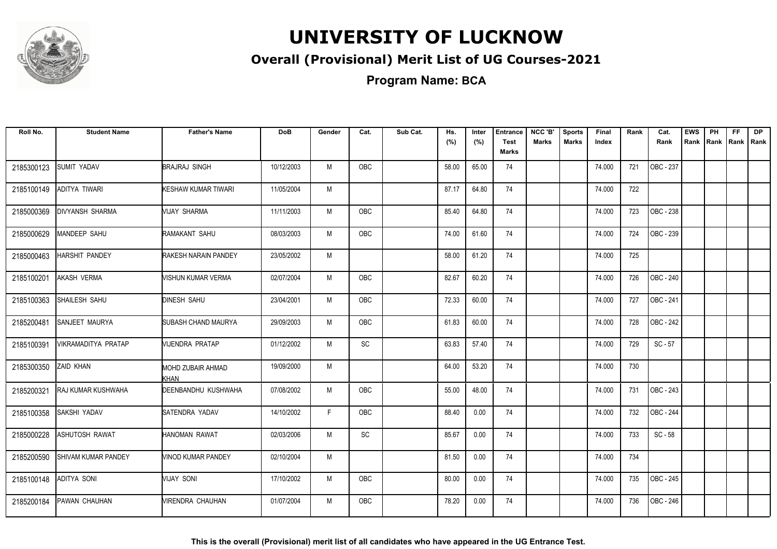

#### **Overall (Provisional) Merit List of UG Courses-2021**

**Program Name: BCA**

| Roll No.   | <b>Student Name</b>        | <b>Father's Name</b>               | <b>DoB</b> | Gender | Cat.                         | Sub Cat. | Hs.<br>(%) | Inter<br>(%) | <b>Entrance</b><br><b>Test</b><br>Marks | NCC 'B'<br>Marks | <b>Sports</b><br><b>Marks</b> | Final<br>Index | Rank | Cat.<br>Rank     | <b>EWS</b><br>Rank | PH<br>Rank Rank | FF. | <b>DP</b><br>Rank |
|------------|----------------------------|------------------------------------|------------|--------|------------------------------|----------|------------|--------------|-----------------------------------------|------------------|-------------------------------|----------------|------|------------------|--------------------|-----------------|-----|-------------------|
| 2185300123 | SUMIT YADAV                | <b>BRAJRAJ SINGH</b>               | 10/12/2003 | M      | OBC                          |          | 58.00      | 65.00        | 74                                      |                  |                               | 74.000         | 721  | OBC - 237        |                    |                 |     |                   |
| 2185100149 | ADITYA TIWARI              | KESHAW KUMAR TIWARI                | 11/05/2004 | M      |                              |          | 87.17      | 64.80        | 74                                      |                  |                               | 74.000         | 722  |                  |                    |                 |     |                   |
| 2185000369 | <b>DIVYANSH SHARMA</b>     | MIJAY SHARMA                       | 11/11/2003 | M      | <b>OBC</b>                   |          | 85.40      | 64.80        | 74                                      |                  |                               | 74.000         | 723  | OBC - 238        |                    |                 |     |                   |
| 2185000629 | MANDEEP SAHU               | RAMAKANT SAHU                      | 08/03/2003 | M      | OBC                          |          | 74.00      | 61.60        | 74                                      |                  |                               | 74.000         | 724  | OBC - 239        |                    |                 |     |                   |
| 2185000463 | HARSHIT PANDEY             | <b>RAKESH NARAIN PANDEY</b>        | 23/05/2002 | M      |                              |          | 58.00      | 61.20        | 74                                      |                  |                               | 74.000         | 725  |                  |                    |                 |     |                   |
| 2185100201 | AKASH VERMA                | MISHUN KUMAR VERMA                 | 02/07/2004 | M      | <b>OBC</b>                   |          | 82.67      | 60.20        | 74                                      |                  |                               | 74.000         | 726  | OBC - 240        |                    |                 |     |                   |
| 2185100363 | SHAILESH SAHU              | <b>DINESH SAHU</b>                 | 23/04/2001 | M      | <b>OBC</b>                   |          | 72.33      | 60.00        | 74                                      |                  |                               | 74.000         | 727  | OBC - 241        |                    |                 |     |                   |
| 2185200481 | SANJEET MAURYA             | SUBASH CHAND MAURYA                | 29/09/2003 | M      | OBC                          |          | 61.83      | 60.00        | 74                                      |                  |                               | 74.000         | 728  | OBC - 242        |                    |                 |     |                   |
| 2185100391 | VIKRAMADITYA PRATAP        | VIJENDRA PRATAP                    | 01/12/2002 | M      | $\operatorname{\textsf{SC}}$ |          | 63.83      | 57.40        | 74                                      |                  |                               | 74.000         | 729  | $SC - 57$        |                    |                 |     |                   |
| 2185300350 | ZAID KHAN                  | MOHD ZUBAIR AHMAD                  | 19/09/2000 | M      |                              |          | 64.00      | 53.20        | 74                                      |                  |                               | 74.000         | 730  |                  |                    |                 |     |                   |
| 2185200321 | RAJ KUMAR KUSHWAHA         | <b>KHAN</b><br>DEENBANDHU KUSHWAHA | 07/08/2002 | M      | OBC                          |          | 55.00      | 48.00        | 74                                      |                  |                               | 74.000         | 731  | OBC - 243        |                    |                 |     |                   |
| 2185100358 | SAKSHI YADAV               | <b>SATENDRA YADAV</b>              | 14/10/2002 | F.     | <b>OBC</b>                   |          | 88.40      | 0.00         | 74                                      |                  |                               | 74.000         | 732  | <b>OBC - 244</b> |                    |                 |     |                   |
| 2185000228 | ASHUTOSH RAWAT             | HANOMAN RAWAT                      | 02/03/2006 | M      | SC                           |          | 85.67      | 0.00         | 74                                      |                  |                               | 74.000         | 733  | $SC - 58$        |                    |                 |     |                   |
| 2185200590 | <b>SHIVAM KUMAR PANDEY</b> | <b>VINOD KUMAR PANDEY</b>          | 02/10/2004 | M      |                              |          | 81.50      | 0.00         | 74                                      |                  |                               | 74.000         | 734  |                  |                    |                 |     |                   |
| 2185100148 | ADITYA SONI                | VIJAY SONI                         | 17/10/2002 | M      | OBC                          |          | 80.00      | 0.00         | 74                                      |                  |                               | 74.000         | 735  | OBC - 245        |                    |                 |     |                   |
| 2185200184 | PAWAN CHAUHAN              | <b><i>NIRENDRA CHAUHAN</i></b>     | 01/07/2004 | M      | <b>OBC</b>                   |          | 78.20      | 0.00         | 74                                      |                  |                               | 74.000         | 736  | OBC - 246        |                    |                 |     |                   |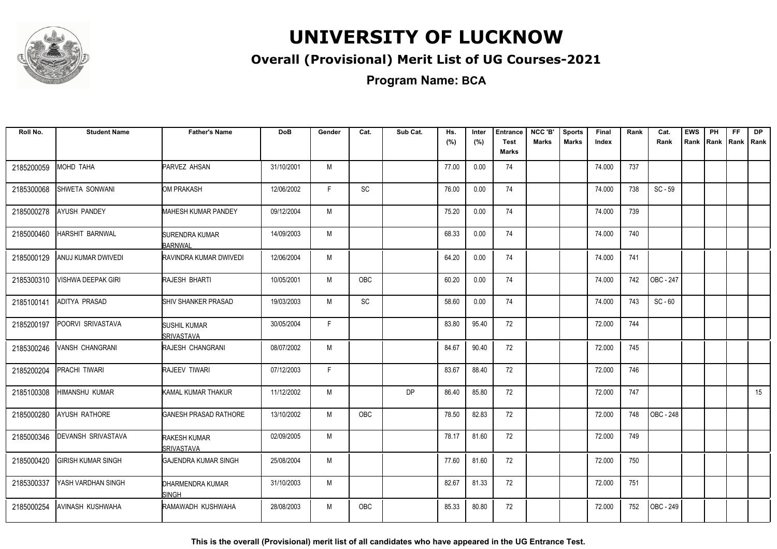

#### **Overall (Provisional) Merit List of UG Courses-2021**

**Program Name: BCA**

| Roll No.   | <b>Student Name</b>       | <b>Father's Name</b>              | <b>DoB</b> | Gender       | Cat.       | Sub Cat.  | Hs.   | Inter | <b>Entrance</b>      | NCC 'B'      | <b>Sports</b> | Final  | Rank | Cat.      | <b>EWS</b> | PH   | FF.  | <b>DP</b> |
|------------|---------------------------|-----------------------------------|------------|--------------|------------|-----------|-------|-------|----------------------|--------------|---------------|--------|------|-----------|------------|------|------|-----------|
|            |                           |                                   |            |              |            |           | (%)   | (%)   | <b>Test</b><br>Marks | <b>Marks</b> | <b>Marks</b>  | Index  |      | Rank      | Rank       | Rank | Rank | Rank      |
| 2185200059 | MOHD TAHA                 | PARVEZ AHSAN                      | 31/10/2001 | M            |            |           | 77.00 | 0.00  | 74                   |              |               | 74.000 | 737  |           |            |      |      |           |
| 2185300068 | SHWETA SONWANI            | OM PRAKASH                        | 12/06/2002 | F            | <b>SC</b>  |           | 76.00 | 0.00  | 74                   |              |               | 74.000 | 738  | $SC - 59$ |            |      |      |           |
| 2185000278 | AYUSH PANDEY              | <b>MAHESH KUMAR PANDEY</b>        | 09/12/2004 | M            |            |           | 75.20 | 0.00  | 74                   |              |               | 74.000 | 739  |           |            |      |      |           |
| 2185000460 | <b>HARSHIT BARNWAL</b>    | <b>ISURENDRA KUMAR</b><br>BARNWAL | 14/09/2003 | M            |            |           | 68.33 | 0.00  | 74                   |              |               | 74.000 | 740  |           |            |      |      |           |
| 2185000129 | ANUJ KUMAR DWIVEDI        | RAVINDRA KUMAR DWIVEDI            | 12/06/2004 | M            |            |           | 64.20 | 0.00  | 74                   |              |               | 74.000 | 741  |           |            |      |      |           |
| 2185300310 | VISHWA DEEPAK GIRI        | RAJESH BHARTI                     | 10/05/2001 | M            | <b>OBC</b> |           | 60.20 | 0.00  | 74                   |              |               | 74.000 | 742  | OBC - 247 |            |      |      |           |
| 2185100141 | ADITYA PRASAD             | <b>SHIV SHANKER PRASAD</b>        | 19/03/2003 | M            | SC         |           | 58.60 | 0.00  | 74                   |              |               | 74.000 | 743  | $SC - 60$ |            |      |      |           |
| 2185200197 | POORVI SRIVASTAVA         | <b>SUSHIL KUMAR</b><br>SRIVASTAVA | 30/05/2004 | F            |            |           | 83.80 | 95.40 | 72                   |              |               | 72.000 | 744  |           |            |      |      |           |
| 2185300246 | VANSH CHANGRANI           | <b>RAJESH CHANGRANI</b>           | 08/07/2002 | M            |            |           | 84.67 | 90.40 | 72                   |              |               | 72.000 | 745  |           |            |      |      |           |
| 2185200204 | PRACHI TIWARI             | RAJEEV TIWARI                     | 07/12/2003 | $\mathsf{F}$ |            |           | 83.67 | 88.40 | 72                   |              |               | 72.000 | 746  |           |            |      |      |           |
| 2185100308 | HIMANSHU KUMAR            | KAMAL KUMAR THAKUR                | 11/12/2002 | M            |            | <b>DP</b> | 86.40 | 85.80 | 72                   |              |               | 72.000 | 747  |           |            |      |      | 15        |
| 2185000280 | AYUSH RATHORE             | <b>GANESH PRASAD RATHORE</b>      | 13/10/2002 | M            | <b>OBC</b> |           | 78.50 | 82.83 | 72                   |              |               | 72.000 | 748  | OBC - 248 |            |      |      |           |
| 2185000346 | DEVANSH SRIVASTAVA        | <b>RAKESH KUMAR</b><br>SRIVASTAVA | 02/09/2005 | M            |            |           | 78.17 | 81.60 | 72                   |              |               | 72.000 | 749  |           |            |      |      |           |
| 2185000420 | <b>GIRISH KUMAR SINGH</b> | <b>GAJENDRA KUMAR SINGH</b>       | 25/08/2004 | M            |            |           | 77.60 | 81.60 | 72                   |              |               | 72.000 | 750  |           |            |      |      |           |
| 2185300337 | YASH VARDHAN SINGH        | DHARMENDRA KUMAR<br><b>SINGH</b>  | 31/10/2003 | M            |            |           | 82.67 | 81.33 | 72                   |              |               | 72.000 | 751  |           |            |      |      |           |
| 2185000254 | AVINASH KUSHWAHA          | RAMAWADH KUSHWAHA                 | 28/08/2003 | M            | <b>OBC</b> |           | 85.33 | 80.80 | 72                   |              |               | 72.000 | 752  | OBC - 249 |            |      |      |           |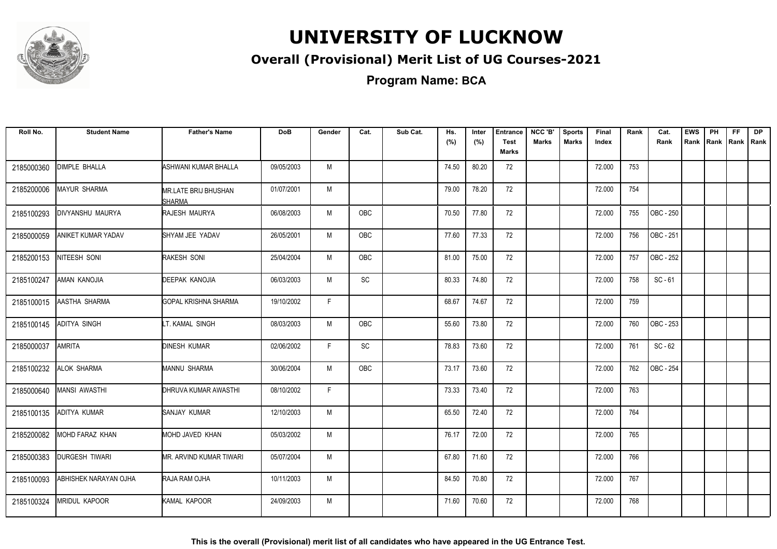

#### **Overall (Provisional) Merit List of UG Courses-2021**

**Program Name: BCA**

| Roll No.   | <b>Student Name</b>   | <b>Father's Name</b>                         | <b>DoB</b> | Gender | Cat.       | Sub Cat. | Hs.<br>(%) | Inter<br>(%) | <b>Entrance</b><br><b>Test</b><br><b>Marks</b> | NCC 'B'<br>Marks | <b>Sports</b><br><b>Marks</b> | Final<br>Index | Rank | Cat.<br>Rank     | <b>EWS</b> | PH<br>Rank Rank | FF.<br>  Rank   Rank | <b>DP</b> |
|------------|-----------------------|----------------------------------------------|------------|--------|------------|----------|------------|--------------|------------------------------------------------|------------------|-------------------------------|----------------|------|------------------|------------|-----------------|----------------------|-----------|
| 2185000360 | <b>DIMPLE BHALLA</b>  | ASHWANI KUMAR BHALLA                         | 09/05/2003 | M      |            |          | 74.50      | 80.20        | 72                                             |                  |                               | 72.000         | 753  |                  |            |                 |                      |           |
| 2185200006 | MAYUR SHARMA          | <b>MR.LATE BRIJ BHUSHAN</b><br><b>SHARMA</b> | 01/07/2001 | M      |            |          | 79.00      | 78.20        | 72                                             |                  |                               | 72.000         | 754  |                  |            |                 |                      |           |
| 2185100293 | DIVYANSHU MAURYA      | <b>RAJESH MAURYA</b>                         | 06/08/2003 | M      | <b>OBC</b> |          | 70.50      | 77.80        | 72                                             |                  |                               | 72.000         | 755  | <b>OBC</b> - 250 |            |                 |                      |           |
| 2185000059 | ANIKET KUMAR YADAV    | SHYAM JEE YADAV                              | 26/05/2001 | M      | <b>OBC</b> |          | 77.60      | 77.33        | 72                                             |                  |                               | 72.000         | 756  | OBC - 251        |            |                 |                      |           |
| 2185200153 | NITEESH SONI          | RAKESH SONI                                  | 25/04/2004 | M      | OBC        |          | 81.00      | 75.00        | 72                                             |                  |                               | 72.000         | 757  | OBC - 252        |            |                 |                      |           |
| 2185100247 | AMAN KANOJIA          | DEEPAK KANOJIA                               | 06/03/2003 | M      | SC         |          | 80.33      | 74.80        | 72                                             |                  |                               | 72.000         | 758  | $SC - 61$        |            |                 |                      |           |
| 2185100015 | AASTHA SHARMA         | <b>GOPAL KRISHNA SHARMA</b>                  | 19/10/2002 | F.     |            |          | 68.67      | 74.67        | 72                                             |                  |                               | 72.000         | 759  |                  |            |                 |                      |           |
| 2185100145 | ADITYA SINGH          | LT. KAMAL SINGH                              | 08/03/2003 | M      | <b>OBC</b> |          | 55.60      | 73.80        | 72                                             |                  |                               | 72.000         | 760  | OBC - 253        |            |                 |                      |           |
| 2185000037 | <b>AMRITA</b>         | <b>DINESH KUMAR</b>                          | 02/06/2002 | F      | SC         |          | 78.83      | 73.60        | 72                                             |                  |                               | 72.000         | 761  | $SC - 62$        |            |                 |                      |           |
| 2185100232 | ALOK SHARMA           | MANNU SHARMA                                 | 30/06/2004 | M      | OBC        |          | 73.17      | 73.60        | 72                                             |                  |                               | 72.000         | 762  | OBC - 254        |            |                 |                      |           |
| 2185000640 | <b>MANSI AWASTHI</b>  | DHRUVA KUMAR AWASTHI                         | 08/10/2002 | F.     |            |          | 73.33      | 73.40        | 72                                             |                  |                               | 72.000         | 763  |                  |            |                 |                      |           |
| 2185100135 | ADITYA KUMAR          | SANJAY KUMAR                                 | 12/10/2003 | M      |            |          | 65.50      | 72.40        | 72                                             |                  |                               | 72.000         | 764  |                  |            |                 |                      |           |
| 2185200082 | MOHD FARAZ KHAN       | MOHD JAVED KHAN                              | 05/03/2002 | M      |            |          | 76.17      | 72.00        | 72                                             |                  |                               | 72.000         | 765  |                  |            |                 |                      |           |
| 2185000383 | DURGESH TIWARI        | MR. ARVIND KUMAR TIWARI                      | 05/07/2004 | M      |            |          | 67.80      | 71.60        | 72                                             |                  |                               | 72.000         | 766  |                  |            |                 |                      |           |
| 2185100093 | ABHISHEK NARAYAN OJHA | RAJA RAM OJHA                                | 10/11/2003 | M      |            |          | 84.50      | 70.80        | 72                                             |                  |                               | 72.000         | 767  |                  |            |                 |                      |           |
| 2185100324 | <b>MRIDUL KAPOOR</b>  | KAMAL KAPOOR                                 | 24/09/2003 | M      |            |          | 71.60      | 70.60        | 72                                             |                  |                               | 72.000         | 768  |                  |            |                 |                      |           |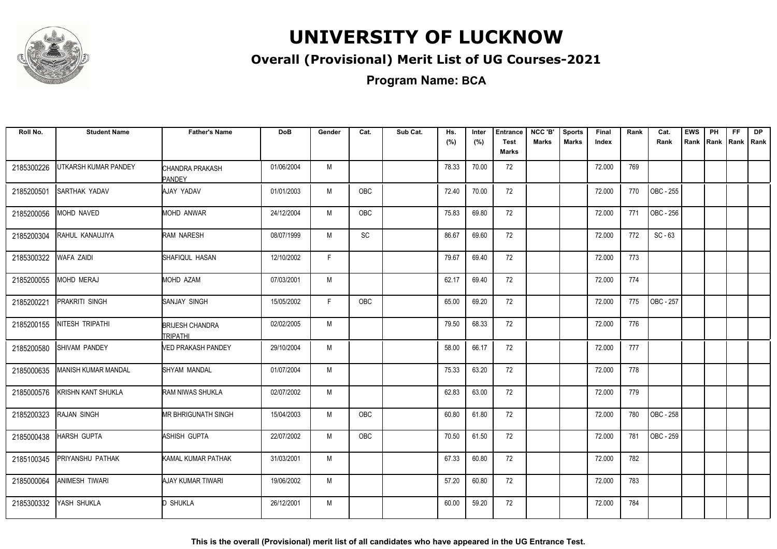

#### **Overall (Provisional) Merit List of UG Courses-2021**

**Program Name: BCA**

| Roll No.   | <b>Student Name</b>        | <b>Father's Name</b>                       | <b>DoB</b> | Gender | Cat.       | Sub Cat. | Hs.<br>(%) | Inter<br>(%) | <b>Entrance</b><br><b>Test</b><br><b>Marks</b> | NCC 'B'<br><b>Marks</b> | <b>Sports</b><br><b>Marks</b> | Final<br>Index | Rank | Cat.<br>Rank | <b>EWS</b><br>Rank | PH | FF<br>Rank   Rank   Rank | <b>DP</b> |
|------------|----------------------------|--------------------------------------------|------------|--------|------------|----------|------------|--------------|------------------------------------------------|-------------------------|-------------------------------|----------------|------|--------------|--------------------|----|--------------------------|-----------|
| 2185300226 | UTKARSH KUMAR PANDEY       | CHANDRA PRAKASH<br><b>PANDEY</b>           | 01/06/2004 | M      |            |          | 78.33      | 70.00        | 72                                             |                         |                               | 72.000         | 769  |              |                    |    |                          |           |
| 2185200501 | SARTHAK YADAV              | AJAY YADAV                                 | 01/01/2003 | M      | <b>OBC</b> |          | 72.40      | 70.00        | 72                                             |                         |                               | 72.000         | 770  | OBC - 255    |                    |    |                          |           |
| 2185200056 | MOHD NAVED                 | <b>MOHD ANWAR</b>                          | 24/12/2004 | M      | <b>OBC</b> |          | 75.83      | 69.80        | 72                                             |                         |                               | 72.000         | 771  | OBC - 256    |                    |    |                          |           |
| 2185200304 | RAHUL KANAUJIYA            | <b>RAM NARESH</b>                          | 08/07/1999 | M      | SC         |          | 86.67      | 69.60        | 72                                             |                         |                               | 72.000         | 772  | $SC - 63$    |                    |    |                          |           |
| 2185300322 | <b>WAFA ZAIDI</b>          | <b>ISHAFIQUL HASAN</b>                     | 12/10/2002 | F      |            |          | 79.67      | 69.40        | 72                                             |                         |                               | 72.000         | 773  |              |                    |    |                          |           |
| 2185200055 | MOHD MERAJ                 | MOHD AZAM                                  | 07/03/2001 | М      |            |          | 62.17      | 69.40        | 72                                             |                         |                               | 72.000         | 774  |              |                    |    |                          |           |
| 2185200221 | PRAKRITI SINGH             | SANJAY SINGH                               | 15/05/2002 | F.     | OBC        |          | 65.00      | 69.20        | 72                                             |                         |                               | 72.000         | 775  | OBC - 257    |                    |    |                          |           |
| 2185200155 | NITESH TRIPATHI            | <b>BRIJESH CHANDRA</b><br><b>ITRIPATHI</b> | 02/02/2005 | М      |            |          | 79.50      | 68.33        | 72                                             |                         |                               | 72.000         | 776  |              |                    |    |                          |           |
| 2185200580 | <b>SHIVAM PANDEY</b>       | <b>NED PRAKASH PANDEY</b>                  | 29/10/2004 | M      |            |          | 58.00      | 66.17        | 72                                             |                         |                               | 72.000         | 777  |              |                    |    |                          |           |
| 2185000635 | <b>MANISH KUMAR MANDAL</b> | SHYAM MANDAL                               | 01/07/2004 | М      |            |          | 75.33      | 63.20        | 72                                             |                         |                               | 72.000         | 778  |              |                    |    |                          |           |
| 2185000576 | <b>KRISHN KANT SHUKLA</b>  | <b>RAM NIWAS SHUKLA</b>                    | 02/07/2002 | M      |            |          | 62.83      | 63.00        | 72                                             |                         |                               | 72.000         | 779  |              |                    |    |                          |           |
| 2185200323 | <b>RAJAN SINGH</b>         | <b>MR BHRIGUNATH SINGH</b>                 | 15/04/2003 | M      | <b>OBC</b> |          | 60.80      | 61.80        | 72                                             |                         |                               | 72.000         | 780  | OBC - 258    |                    |    |                          |           |
| 2185000438 | <b>HARSH GUPTA</b>         | <b>ASHISH GUPTA</b>                        | 22/07/2002 | M      | <b>OBC</b> |          | 70.50      | 61.50        | 72                                             |                         |                               | 72.000         | 781  | OBC - 259    |                    |    |                          |           |
| 2185100345 | PRIYANSHU PATHAK           | KAMAL KUMAR PATHAK                         | 31/03/2001 | M      |            |          | 67.33      | 60.80        | 72                                             |                         |                               | 72.000         | 782  |              |                    |    |                          |           |
| 2185000064 | <b>ANIMESH TIWARI</b>      | <b>AJAY KUMAR TIWARI</b>                   | 19/06/2002 | M      |            |          | 57.20      | 60.80        | 72                                             |                         |                               | 72.000         | 783  |              |                    |    |                          |           |
| 2185300332 | YASH SHUKLA                | <b>D SHUKLA</b>                            | 26/12/2001 | M      |            |          | 60.00      | 59.20        | 72                                             |                         |                               | 72.000         | 784  |              |                    |    |                          |           |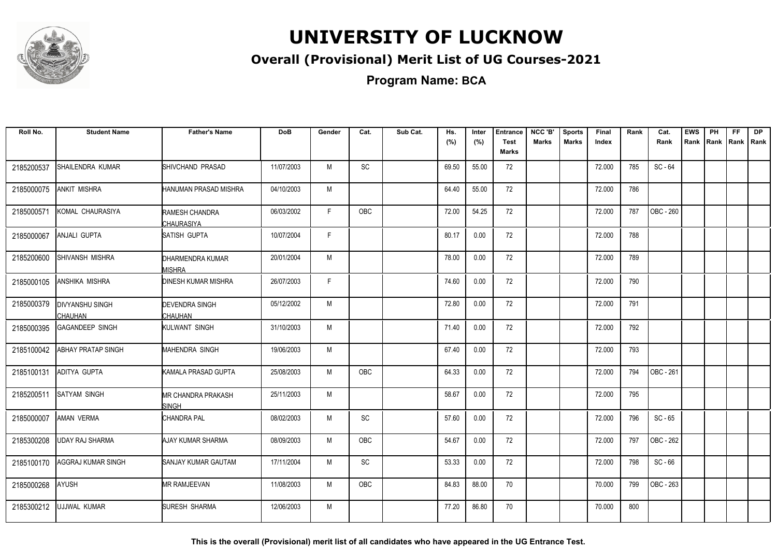

#### **Overall (Provisional) Merit List of UG Courses-2021**

**Program Name: BCA**

| Roll No.   | <b>Student Name</b>                      | <b>Father's Name</b>                       | <b>DoB</b> | Gender | Cat.          | Sub Cat. | Hs.<br>(%) | Inter<br>(%) | <b>Entrance</b><br><b>Test</b><br>Marks | NCC 'B'<br><b>Marks</b> | <b>Sports</b><br><b>Marks</b> | Final<br>Index | Rank | Cat.<br>Rank | <b>EWS</b><br>Rank | PH<br>Rank | <b>FF</b><br>Rank   Rank | <b>DP</b> |
|------------|------------------------------------------|--------------------------------------------|------------|--------|---------------|----------|------------|--------------|-----------------------------------------|-------------------------|-------------------------------|----------------|------|--------------|--------------------|------------|--------------------------|-----------|
| 2185200537 | SHAILENDRA KUMAR                         | SHIVCHAND PRASAD                           | 11/07/2003 | M      | SC            |          | 69.50      | 55.00        | 72                                      |                         |                               | 72.000         | 785  | $SC - 64$    |                    |            |                          |           |
| 2185000075 | <b>ANKIT MISHRA</b>                      | HANUMAN PRASAD MISHRA                      | 04/10/2003 | м      |               |          | 64.40      | 55.00        | 72                                      |                         |                               | 72.000         | 786  |              |                    |            |                          |           |
| 2185000571 | KOMAL CHAURASIYA                         | RAMESH CHANDRA<br><b>CHAURASIYA</b>        | 06/03/2002 | F      | OBC           |          | 72.00      | 54.25        | 72                                      |                         |                               | 72.000         | 787  | OBC - 260    |                    |            |                          |           |
| 2185000067 | ANJALI GUPTA                             | <b>SATISH GUPTA</b>                        | 10/07/2004 | F      |               |          | 80.17      | 0.00         | 72                                      |                         |                               | 72.000         | 788  |              |                    |            |                          |           |
| 2185200600 | SHIVANSH MISHRA                          | DHARMENDRA KUMAR<br><b><i>I</i>ISHRA</b>   | 20/01/2004 | M      |               |          | 78.00      | 0.00         | 72                                      |                         |                               | 72.000         | 789  |              |                    |            |                          |           |
| 2185000105 | <b>ANSHIKA MISHRA</b>                    | <b>DINESH KUMAR MISHRA</b>                 | 26/07/2003 | F      |               |          | 74.60      | 0.00         | 72                                      |                         |                               | 72.000         | 790  |              |                    |            |                          |           |
| 2185000379 | <b>DIVYANSHU SINGH</b><br><b>CHAUHAN</b> | <b>DEVENDRA SINGH</b><br>CHAUHAN           | 05/12/2002 | M      |               |          | 72.80      | 0.00         | 72                                      |                         |                               | 72.000         | 791  |              |                    |            |                          |           |
| 2185000395 | <b>GAGANDEEP SINGH</b>                   | KULWANT SINGH                              | 31/10/2003 | M      |               |          | 71.40      | 0.00         | 72                                      |                         |                               | 72.000         | 792  |              |                    |            |                          |           |
| 2185100042 | <b>ABHAY PRATAP SINGH</b>                | <b>MAHENDRA SINGH</b>                      | 19/06/2003 | M      |               |          | 67.40      | 0.00         | 72                                      |                         |                               | 72.000         | 793  |              |                    |            |                          |           |
| 2185100131 | ADITYA GUPTA                             | <b>KAMALA PRASAD GUPTA</b>                 | 25/08/2003 | M      | <b>OBC</b>    |          | 64.33      | 0.00         | 72                                      |                         |                               | 72.000         | 794  | OBC - 261    |                    |            |                          |           |
| 2185200511 | SATYAM SINGH                             | <b>IMR CHANDRA PRAKASH</b><br><b>SINGH</b> | 25/11/2003 | M      |               |          | 58.67      | 0.00         | 72                                      |                         |                               | 72.000         | 795  |              |                    |            |                          |           |
| 2185000007 | <b>AMAN VERMA</b>                        | <b>CHANDRA PAL</b>                         | 08/02/2003 | M      | SC            |          | 57.60      | 0.00         | 72                                      |                         |                               | 72.000         | 796  | $SC - 65$    |                    |            |                          |           |
| 2185300208 | UDAY RAJ SHARMA                          | <b>AJAY KUMAR SHARMA</b>                   | 08/09/2003 | M      | <b>OBC</b>    |          | 54.67      | 0.00         | 72                                      |                         |                               | 72.000         | 797  | OBC - 262    |                    |            |                          |           |
| 2185100170 | <b>AGGRAJ KUMAR SINGH</b>                | <b>SANJAY KUMAR GAUTAM</b>                 | 17/11/2004 | M      | $\mathsf{SC}$ |          | 53.33      | 0.00         | 72                                      |                         |                               | 72.000         | 798  | $SC - 66$    |                    |            |                          |           |
| 2185000268 | <b>AYUSH</b>                             | <b>MR RAMJEEVAN</b>                        | 11/08/2003 | M      | <b>OBC</b>    |          | 84.83      | 88.00        | 70                                      |                         |                               | 70.000         | 799  | OBC - 263    |                    |            |                          |           |
| 2185300212 | UJJWAL KUMAR                             | <b>SURESH SHARMA</b>                       | 12/06/2003 | M      |               |          | 77.20      | 86.80        | 70                                      |                         |                               | 70.000         | 800  |              |                    |            |                          |           |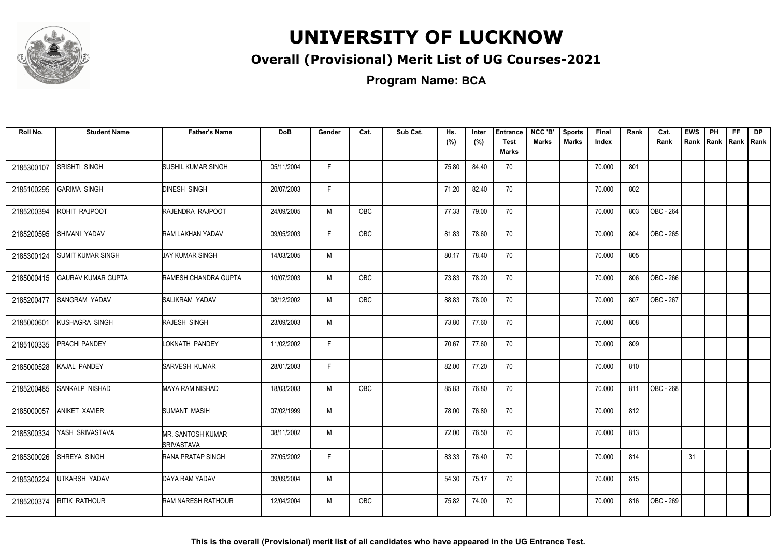

#### **Overall (Provisional) Merit List of UG Courses-2021**

**Program Name: BCA**

| Roll No.   | <b>Student Name</b>       | <b>Father's Name</b>                          | <b>DoB</b> | Gender | Cat.       | Sub Cat. | Hs.<br>(%) | Inter<br>(%) | <b>Entrance</b><br><b>Test</b><br><b>Marks</b> | NCC 'B'<br>Marks | <b>Sports</b><br><b>Marks</b> | Final<br>Index | Rank | Cat.<br>Rank | <b>EWS</b> | PH<br>Rank Rank | FF.<br>Rank   Rank | <b>DP</b> |
|------------|---------------------------|-----------------------------------------------|------------|--------|------------|----------|------------|--------------|------------------------------------------------|------------------|-------------------------------|----------------|------|--------------|------------|-----------------|--------------------|-----------|
| 2185300107 | SRISHTI SINGH             | <b>SUSHIL KUMAR SINGH</b>                     | 05/11/2004 | F.     |            |          | 75.80      | 84.40        | 70                                             |                  |                               | 70.000         | 801  |              |            |                 |                    |           |
| 2185100295 | <b>GARIMA SINGH</b>       | <b>DINESH SINGH</b>                           | 20/07/2003 | F.     |            |          | 71.20      | 82.40        | 70                                             |                  |                               | 70.000         | 802  |              |            |                 |                    |           |
| 2185200394 | ROHIT RAJPOOT             | RAJENDRA RAJPOOT                              | 24/09/2005 | M      | OBC        |          | 77.33      | 79.00        | 70                                             |                  |                               | 70.000         | 803  | OBC - 264    |            |                 |                    |           |
| 2185200595 | SHIVANI YADAV             | <b>RAM LAKHAN YADAV</b>                       | 09/05/2003 | F.     | OBC        |          | 81.83      | 78.60        | 70                                             |                  |                               | 70.000         | 804  | OBC - 265    |            |                 |                    |           |
| 2185300124 | SUMIT KUMAR SINGH         | <b>JAY KUMAR SINGH</b>                        | 14/03/2005 | M      |            |          | 80.17      | 78.40        | 70                                             |                  |                               | 70.000         | 805  |              |            |                 |                    |           |
| 2185000415 | <b>GAURAV KUMAR GUPTA</b> | <b>RAMESH CHANDRA GUPTA</b>                   | 10/07/2003 | M      | <b>OBC</b> |          | 73.83      | 78.20        | 70                                             |                  |                               | 70.000         | 806  | OBC - 266    |            |                 |                    |           |
| 2185200477 | <b>SANGRAM YADAV</b>      | SALIKRAM YADAV                                | 08/12/2002 | M      | <b>OBC</b> |          | 88.83      | 78.00        | 70                                             |                  |                               | 70.000         | 807  | OBC - 267    |            |                 |                    |           |
| 2185000601 | KUSHAGRA SINGH            | RAJESH SINGH                                  | 23/09/2003 | M      |            |          | 73.80      | 77.60        | 70                                             |                  |                               | 70.000         | 808  |              |            |                 |                    |           |
| 2185100335 | PRACHI PANDEY             | LOKNATH PANDEY                                | 11/02/2002 | F      |            |          | 70.67      | 77.60        | 70                                             |                  |                               | 70.000         | 809  |              |            |                 |                    |           |
| 2185000528 | KAJAL PANDEY              | SARVESH KUMAR                                 | 28/01/2003 | F.     |            |          | 82.00      | 77.20        | 70                                             |                  |                               | 70.000         | 810  |              |            |                 |                    |           |
| 2185200485 | SANKALP NISHAD            | <b>MAYA RAM NISHAD</b>                        | 18/03/2003 | M      | <b>OBC</b> |          | 85.83      | 76.80        | 70                                             |                  |                               | 70.000         | 811  | OBC - 268    |            |                 |                    |           |
| 2185000057 | <b>ANIKET XAVIER</b>      | SUMANT MASIH                                  | 07/02/1999 | M      |            |          | 78.00      | 76.80        | 70                                             |                  |                               | 70.000         | 812  |              |            |                 |                    |           |
| 2185300334 | YASH SRIVASTAVA           | <b>MR. SANTOSH KUMAR</b><br><b>SRIVASTAVA</b> | 08/11/2002 | M      |            |          | 72.00      | 76.50        | 70                                             |                  |                               | 70.000         | 813  |              |            |                 |                    |           |
| 2185300026 | SHREYA SINGH              | RANA PRATAP SINGH                             | 27/05/2002 | F      |            |          | 83.33      | 76.40        | 70                                             |                  |                               | 70.000         | 814  |              | 31         |                 |                    |           |
| 2185300224 | UTKARSH YADAV             | DAYA RAM YADAV                                | 09/09/2004 | M      |            |          | 54.30      | 75.17        | 70                                             |                  |                               | 70.000         | 815  |              |            |                 |                    |           |
| 2185200374 | <b>RITIK RATHOUR</b>      | RAM NARESH RATHOUR                            | 12/04/2004 | M      | <b>OBC</b> |          | 75.82      | 74.00        | 70                                             |                  |                               | 70.000         | 816  | OBC - 269    |            |                 |                    |           |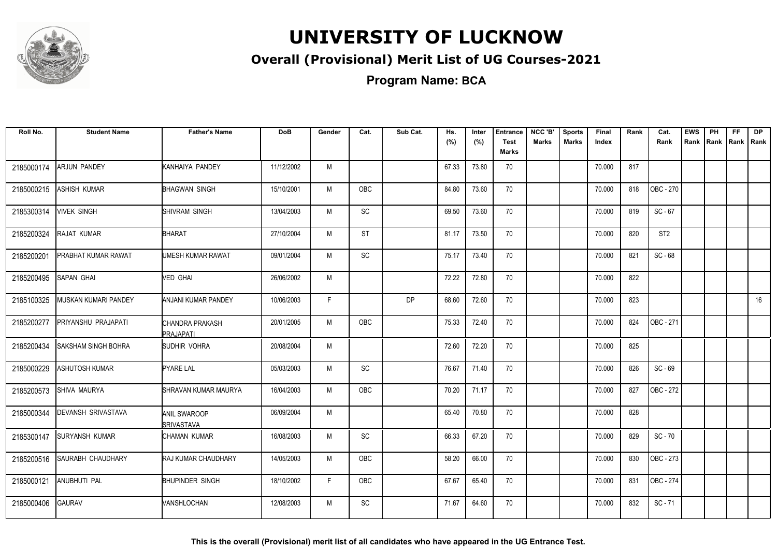

#### **Overall (Provisional) Merit List of UG Courses-2021**

**Program Name: BCA**

| Roll No.   | <b>Student Name</b>        | <b>Father's Name</b>                     | <b>DoB</b> | Gender | Cat.       | Sub Cat.  | Hs.<br>(%) | Inter<br>(%) | <b>Entrance</b><br><b>Test</b><br><b>Marks</b> | NCC 'B'<br><b>Marks</b> | <b>Sports</b><br><b>Marks</b> | Final<br>Index | Rank | Cat.<br>Rank    | <b>EWS</b><br>Rank | PH<br>Rank | FF.<br>Rank   Rank | <b>DP</b> |
|------------|----------------------------|------------------------------------------|------------|--------|------------|-----------|------------|--------------|------------------------------------------------|-------------------------|-------------------------------|----------------|------|-----------------|--------------------|------------|--------------------|-----------|
| 2185000174 | ARJUN PANDEY               | KANHAIYA PANDEY                          | 11/12/2002 | M      |            |           | 67.33      | 73.80        | 70                                             |                         |                               | 70.000         | 817  |                 |                    |            |                    |           |
| 2185000215 | ASHISH KUMAR               | <b>BHAGWAN SINGH</b>                     | 15/10/2001 | M      | OBC        |           | 84.80      | 73.60        | 70                                             |                         |                               | 70.000         | 818  | OBC - 270       |                    |            |                    |           |
| 2185300314 | <b>VIVEK SINGH</b>         | SHIVRAM SINGH                            | 13/04/2003 | M      | SC         |           | 69.50      | 73.60        | 70                                             |                         |                               | 70.000         | 819  | $SC - 67$       |                    |            |                    |           |
| 2185200324 | RAJAT KUMAR                | <b>BHARAT</b>                            | 27/10/2004 | M      | <b>ST</b>  |           | 81.17      | 73.50        | 70                                             |                         |                               | 70.000         | 820  | ST <sub>2</sub> |                    |            |                    |           |
| 2185200201 | <b>PRABHAT KUMAR RAWAT</b> | UMESH KUMAR RAWAT                        | 09/01/2004 | M      | SC         |           | 75.17      | 73.40        | 70                                             |                         |                               | 70.000         | 821  | $SC - 68$       |                    |            |                    |           |
| 2185200495 | SAPAN GHAI                 | VED GHAI                                 | 26/06/2002 | M      |            |           | 72.22      | 72.80        | 70                                             |                         |                               | 70.000         | 822  |                 |                    |            |                    |           |
| 2185100325 | MUSKAN KUMARI PANDEY       | <b>ANJANI KUMAR PANDEY</b>               | 10/06/2003 | F.     |            | <b>DP</b> | 68.60      | 72.60        | 70                                             |                         |                               | 70.000         | 823  |                 |                    |            |                    | 16        |
| 2185200277 | PRIYANSHU PRAJAPATI        | CHANDRA PRAKASH<br>PRAJAPATI             | 20/01/2005 | M      | <b>OBC</b> |           | 75.33      | 72.40        | 70                                             |                         |                               | 70.000         | 824  | OBC - 271       |                    |            |                    |           |
| 2185200434 | SAKSHAM SINGH BOHRA        | SUDHIR VOHRA                             | 20/08/2004 | M      |            |           | 72.60      | 72.20        | 70                                             |                         |                               | 70.000         | 825  |                 |                    |            |                    |           |
| 2185000229 | ASHUTOSH KUMAR             | <b>PYARE LAL</b>                         | 05/03/2003 | M      | SC         |           | 76.67      | 71.40        | 70                                             |                         |                               | 70.000         | 826  | SC-69           |                    |            |                    |           |
| 2185200573 | SHIVA MAURYA               | SHRAVAN KUMAR MAURYA                     | 16/04/2003 | M      | <b>OBC</b> |           | 70.20      | 71.17        | 70                                             |                         |                               | 70.000         | 827  | OBC - 272       |                    |            |                    |           |
| 2185000344 | DEVANSH SRIVASTAVA         | <b>ANIL SWAROOP</b><br><b>SRIVASTAVA</b> | 06/09/2004 | M      |            |           | 65.40      | 70.80        | 70                                             |                         |                               | 70.000         | 828  |                 |                    |            |                    |           |
| 2185300147 | <b>SURYANSH KUMAR</b>      | CHAMAN KUMAR                             | 16/08/2003 | М      | SC         |           | 66.33      | 67.20        | 70                                             |                         |                               | 70.000         | 829  | $SC - 70$       |                    |            |                    |           |
| 2185200516 | <b>SAURABH CHAUDHARY</b>   | <b>RAJ KUMAR CHAUDHARY</b>               | 14/05/2003 | M      | OBC        |           | 58.20      | 66.00        | 70                                             |                         |                               | 70.000         | 830  | OBC - 273       |                    |            |                    |           |
| 2185000121 | <b>ANUBHUTI PAL</b>        | <b>BHUPINDER SINGH</b>                   | 18/10/2002 | F.     | OBC        |           | 67.67      | 65.40        | 70                                             |                         |                               | 70.000         | 831  | OBC - 274       |                    |            |                    |           |
| 2185000406 | <b>GAURAV</b>              | VANSHLOCHAN                              | 12/08/2003 | M      | SC         |           | 71.67      | 64.60        | 70                                             |                         |                               | 70.000         | 832  | $SC - 71$       |                    |            |                    |           |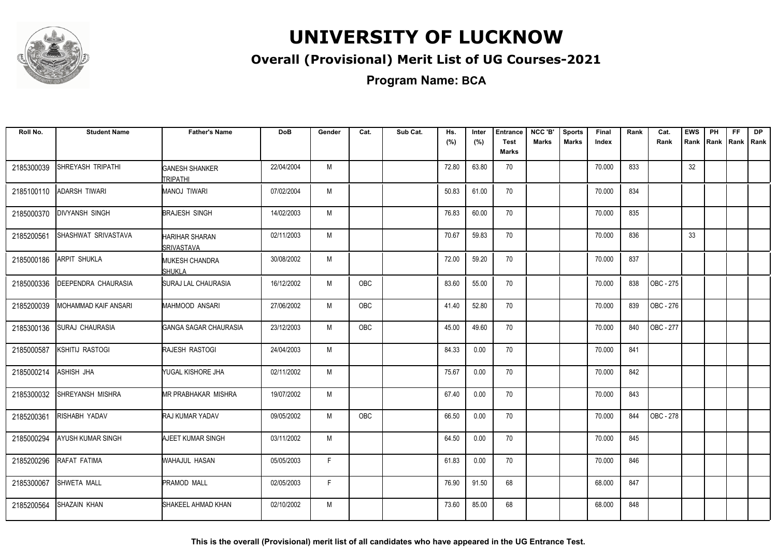

#### **Overall (Provisional) Merit List of UG Courses-2021**

**Program Name: BCA**

| Roll No.   | <b>Student Name</b>    | <b>Father's Name</b>                       | <b>DoB</b> | Gender | Cat.       | Sub Cat. | Hs.<br>(%) | Inter<br>(%) | <b>Entrance</b><br><b>Test</b><br><b>Marks</b> | NCC 'B'<br><b>Marks</b> | <b>Sports</b><br><b>Marks</b> | Final<br>Index | Rank | Cat.<br>Rank | <b>EWS</b> | PH<br>Rank Rank | <b>FF</b><br>Rank   Rank | <b>DP</b> |
|------------|------------------------|--------------------------------------------|------------|--------|------------|----------|------------|--------------|------------------------------------------------|-------------------------|-------------------------------|----------------|------|--------------|------------|-----------------|--------------------------|-----------|
| 2185300039 | SHREYASH TRIPATHI      | <b>GANESH SHANKER</b><br><b>TRIPATHI</b>   | 22/04/2004 | M      |            |          | 72.80      | 63.80        | 70                                             |                         |                               | 70.000         | 833  |              | 32         |                 |                          |           |
| 2185100110 | <b>ADARSH TIWARI</b>   | <b>MANOJ TIWARI</b>                        | 07/02/2004 | M      |            |          | 50.83      | 61.00        | 70                                             |                         |                               | 70.000         | 834  |              |            |                 |                          |           |
| 2185000370 | <b>DIVYANSH SINGH</b>  | <b>BRAJESH SINGH</b>                       | 14/02/2003 | M      |            |          | 76.83      | 60.00        | 70                                             |                         |                               | 70.000         | 835  |              |            |                 |                          |           |
| 2185200561 | SHASHWAT SRIVASTAVA    | <b>HARIHAR SHARAN</b><br><b>SRIVASTAVA</b> | 02/11/2003 | M      |            |          | 70.67      | 59.83        | 70                                             |                         |                               | 70.000         | 836  |              | 33         |                 |                          |           |
| 2185000186 | <b>ARPIT SHUKLA</b>    | <b>MUKESH CHANDRA</b><br><b>SHUKLA</b>     | 30/08/2002 | M      |            |          | 72.00      | 59.20        | 70                                             |                         |                               | 70.000         | 837  |              |            |                 |                          |           |
| 2185000336 | DEEPENDRA CHAURASIA    | SURAJ LAL CHAURASIA                        | 16/12/2002 | M      | OBC        |          | 83.60      | 55.00        | 70                                             |                         |                               | 70.000         | 838  | OBC - 275    |            |                 |                          |           |
| 2185200039 | MOHAMMAD KAIF ANSARI   | MAHMOOD ANSARI                             | 27/06/2002 | M      | <b>OBC</b> |          | 41.40      | 52.80        | 70                                             |                         |                               | 70.000         | 839  | OBC - 276    |            |                 |                          |           |
| 2185300136 | <b>SURAJ CHAURASIA</b> | GANGA SAGAR CHAURASIA                      | 23/12/2003 | M      | <b>OBC</b> |          | 45.00      | 49.60        | 70                                             |                         |                               | 70.000         | 840  | OBC - 277    |            |                 |                          |           |
| 2185000587 | KSHITIJ RASTOGI        | RAJESH RASTOGI                             | 24/04/2003 | M      |            |          | 84.33      | 0.00         | 70                                             |                         |                               | 70.000         | 841  |              |            |                 |                          |           |
| 2185000214 | ASHISH JHA             | YUGAL KISHORE JHA                          | 02/11/2002 | M      |            |          | 75.67      | 0.00         | 70                                             |                         |                               | 70.000         | 842  |              |            |                 |                          |           |
| 2185300032 | SHREYANSH MISHRA       | <b>MR PRABHAKAR MISHRA</b>                 | 19/07/2002 | M      |            |          | 67.40      | 0.00         | 70                                             |                         |                               | 70.000         | 843  |              |            |                 |                          |           |
| 2185200361 | RISHABH YADAV          | <b>RAJ KUMAR YADAV</b>                     | 09/05/2002 | M      | <b>OBC</b> |          | 66.50      | 0.00         | 70                                             |                         |                               | 70.000         | 844  | OBC - 278    |            |                 |                          |           |
| 2185000294 | AYUSH KUMAR SINGH      | AJEET KUMAR SINGH                          | 03/11/2002 | M      |            |          | 64.50      | 0.00         | 70                                             |                         |                               | 70.000         | 845  |              |            |                 |                          |           |
| 2185200296 | RAFAT FATIMA           | WAHAJUL HASAN                              | 05/05/2003 | F      |            |          | 61.83      | 0.00         | 70                                             |                         |                               | 70.000         | 846  |              |            |                 |                          |           |
| 2185300067 | SHWETA MALL            | PRAMOD MALL                                | 02/05/2003 | F.     |            |          | 76.90      | 91.50        | 68                                             |                         |                               | 68.000         | 847  |              |            |                 |                          |           |
| 2185200564 | SHAZAIN KHAN           | SHAKEEL AHMAD KHAN                         | 02/10/2002 | M      |            |          | 73.60      | 85.00        | 68                                             |                         |                               | 68.000         | 848  |              |            |                 |                          |           |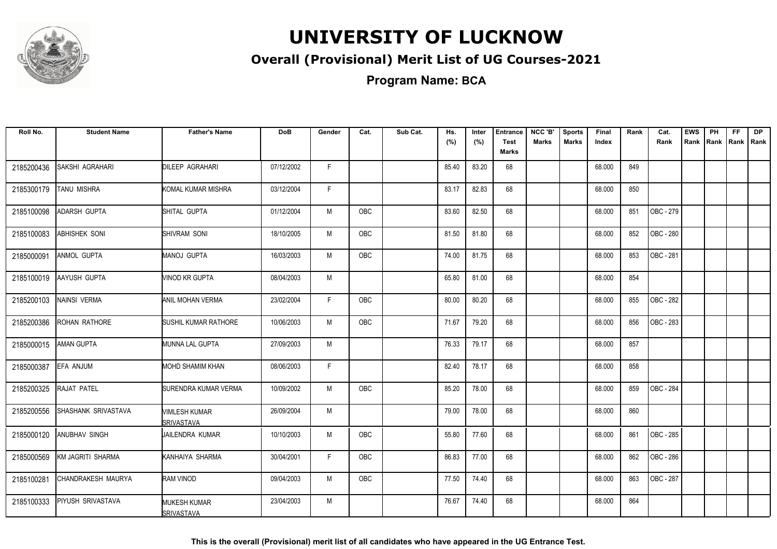

#### **Overall (Provisional) Merit List of UG Courses-2021**

**Program Name: BCA**

| Roll No.   | <b>Student Name</b>        | <b>Father's Name</b>                     | <b>DoB</b> | Gender | Cat.       | Sub Cat. | Hs.   | Inter | <b>Entrance</b>      | NCC 'B'      | <b>Sports</b> | Final  | Rank | Cat.             | <b>EWS</b> | PH | FF.                | <b>DP</b> |
|------------|----------------------------|------------------------------------------|------------|--------|------------|----------|-------|-------|----------------------|--------------|---------------|--------|------|------------------|------------|----|--------------------|-----------|
|            |                            |                                          |            |        |            |          | (%)   | (%)   | <b>Test</b><br>Marks | <b>Marks</b> | <b>Marks</b>  | Index  |      | Rank             | Rank       |    | Rank   Rank   Rank |           |
|            | <b>SAKSHI AGRAHARI</b>     | DILEEP AGRAHARI                          | 07/12/2002 | F.     |            |          | 85.40 | 83.20 |                      |              |               | 68.000 | 849  |                  |            |    |                    |           |
| 2185200436 |                            |                                          |            |        |            |          |       |       | 68                   |              |               |        |      |                  |            |    |                    |           |
| 2185300179 | <b>TANU MISHRA</b>         | KOMAL KUMAR MISHRA                       | 03/12/2004 | F      |            |          | 83.17 | 82.83 | 68                   |              |               | 68.000 | 850  |                  |            |    |                    |           |
| 2185100098 | <b>ADARSH GUPTA</b>        | SHITAL GUPTA                             | 01/12/2004 | M      | OBC        |          | 83.60 | 82.50 | 68                   |              |               | 68.000 | 851  | OBC - 279        |            |    |                    |           |
| 2185100083 | <b>ABHISHEK SONI</b>       | SHIVRAM SONI                             | 18/10/2005 | M      | <b>OBC</b> |          | 81.50 | 81.80 | 68                   |              |               | 68.000 | 852  | <b>OBC - 280</b> |            |    |                    |           |
| 2185000091 | ANMOL GUPTA                | MANOJ GUPTA                              | 16/03/2003 | M      | <b>OBC</b> |          | 74.00 | 81.75 | 68                   |              |               | 68.000 | 853  | OBC - 281        |            |    |                    |           |
| 2185100019 | <b>AAYUSH GUPTA</b>        | MINOD KR GUPTA                           | 08/04/2003 | M      |            |          | 65.80 | 81.00 | 68                   |              |               | 68.000 | 854  |                  |            |    |                    |           |
| 2185200103 | NAINSI VERMA               | <b>ANIL MOHAN VERMA</b>                  | 23/02/2004 | F.     | OBC        |          | 80.00 | 80.20 | 68                   |              |               | 68.000 | 855  | OBC - 282        |            |    |                    |           |
| 2185200386 | <b>ROHAN RATHORE</b>       | <b>SUSHIL KUMAR RATHORE</b>              | 10/06/2003 | M      | <b>OBC</b> |          | 71.67 | 79.20 | 68                   |              |               | 68.000 | 856  | OBC - 283        |            |    |                    |           |
| 2185000015 | <b>AMAN GUPTA</b>          | MUNNA LAL GUPTA                          | 27/09/2003 | M      |            |          | 76.33 | 79.17 | 68                   |              |               | 68.000 | 857  |                  |            |    |                    |           |
| 2185000387 | EFA ANJUM                  | <b>MOHD SHAMIM KHAN</b>                  | 08/06/2003 | F.     |            |          | 82.40 | 78.17 | 68                   |              |               | 68.000 | 858  |                  |            |    |                    |           |
| 2185200325 | RAJAT PATEL                | SURENDRA KUMAR VERMA                     | 10/09/2002 | М      | OBC        |          | 85.20 | 78.00 | 68                   |              |               | 68.000 | 859  | OBC - 284        |            |    |                    |           |
| 2185200556 | <b>SHASHANK SRIVASTAVA</b> | VIMLESH KUMAR<br><b>SRIVASTAVA</b>       | 26/09/2004 | M      |            |          | 79.00 | 78.00 | 68                   |              |               | 68.000 | 860  |                  |            |    |                    |           |
| 2185000120 | <b>ANUBHAV SINGH</b>       | JAILENDRA KUMAR                          | 10/10/2003 | M      | <b>OBC</b> |          | 55.80 | 77.60 | 68                   |              |               | 68.000 | 861  | OBC - 285        |            |    |                    |           |
| 2185000569 | KM JAGRITI SHARMA          | KANHAIYA SHARMA                          | 30/04/2001 | F.     | OBC        |          | 86.83 | 77.00 | 68                   |              |               | 68.000 | 862  | OBC - 286        |            |    |                    |           |
| 2185100281 | ICHANDRAKESH MAURYA        | <b>RAM VINOD</b>                         | 09/04/2003 | M      | <b>OBC</b> |          | 77.50 | 74.40 | 68                   |              |               | 68.000 | 863  | OBC - 287        |            |    |                    |           |
| 2185100333 | <b>PIYUSH SRIVASTAVA</b>   | <b>MUKESH KUMAR</b><br><b>SRIVASTAVA</b> | 23/04/2003 | М      |            |          | 76.67 | 74.40 | 68                   |              |               | 68.000 | 864  |                  |            |    |                    |           |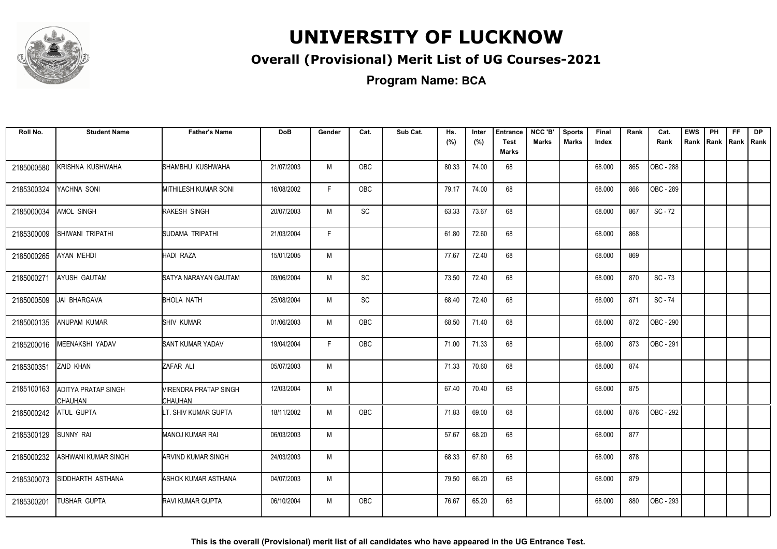

#### **Overall (Provisional) Merit List of UG Courses-2021**

**Program Name: BCA**

| Roll No.   | <b>Student Name</b>                          | <b>Father's Name</b>             | <b>DoB</b> | Gender | Cat.          | Sub Cat. | Hs.<br>(%) | Inter<br>(%) | <b>Entrance</b><br><b>Test</b> | NCC 'B'<br>Marks | <b>Sports</b><br><b>Marks</b> | Final<br>Index | Rank | Cat.<br>Rank | <b>EWS</b><br>Rank | PH | <b>FF</b><br>Rank Rank Rank | <b>DP</b> |
|------------|----------------------------------------------|----------------------------------|------------|--------|---------------|----------|------------|--------------|--------------------------------|------------------|-------------------------------|----------------|------|--------------|--------------------|----|-----------------------------|-----------|
|            |                                              |                                  |            |        |               |          |            |              | Marks                          |                  |                               |                |      |              |                    |    |                             |           |
| 2185000580 | KRISHNA KUSHWAHA                             | SHAMBHU KUSHWAHA                 | 21/07/2003 | M      | OBC           |          | 80.33      | 74.00        | 68                             |                  |                               | 68.000         | 865  | OBC - 288    |                    |    |                             |           |
| 2185300324 | YACHNA SONI                                  | <b>MITHILESH KUMAR SONI</b>      | 16/08/2002 | F      | <b>OBC</b>    |          | 79.17      | 74.00        | 68                             |                  |                               | 68.000         | 866  | OBC - 289    |                    |    |                             |           |
| 2185000034 | AMOL SINGH                                   | RAKESH SINGH                     | 20/07/2003 | M      | $\mathsf{SC}$ |          | 63.33      | 73.67        | 68                             |                  |                               | 68.000         | 867  | $SC - 72$    |                    |    |                             |           |
| 2185300009 | SHIWANI TRIPATHI                             | SUDAMA TRIPATHI                  | 21/03/2004 | F      |               |          | 61.80      | 72.60        | 68                             |                  |                               | 68.000         | 868  |              |                    |    |                             |           |
| 2185000265 | AYAN MEHDI                                   | HADI RAZA                        | 15/01/2005 | M      |               |          | 77.67      | 72.40        | 68                             |                  |                               | 68.000         | 869  |              |                    |    |                             |           |
| 2185000271 | <b>AYUSH GAUTAM</b>                          | SATYA NARAYAN GAUTAM             | 09/06/2004 | M      | SC            |          | 73.50      | 72.40        | 68                             |                  |                               | 68.000         | 870  | $SC - 73$    |                    |    |                             |           |
| 2185000509 | JAI BHARGAVA                                 | <b>BHOLA NATH</b>                | 25/08/2004 | М      | <b>SC</b>     |          | 68.40      | 72.40        | 68                             |                  |                               | 68.000         | 871  | SC-74        |                    |    |                             |           |
| 2185000135 | <b>ANUPAM KUMAR</b>                          | SHIV KUMAR                       | 01/06/2003 | M      | OBC           |          | 68.50      | 71.40        | 68                             |                  |                               | 68.000         | 872  | OBC - 290    |                    |    |                             |           |
| 2185200016 | MEENAKSHI YADAV                              | <b>SANT KUMAR YADAV</b>          | 19/04/2004 | F.     | OBC           |          | 71.00      | 71.33        | 68                             |                  |                               | 68.000         | 873  | OBC - 291    |                    |    |                             |           |
| 2185300351 | ZAID KHAN                                    | ZAFAR ALI                        | 05/07/2003 | M      |               |          | 71.33      | 70.60        | 68                             |                  |                               | 68.000         | 874  |              |                    |    |                             |           |
| 2185100163 | <b>ADITYA PRATAP SINGH</b><br><b>CHAUHAN</b> | VIRENDRA PRATAP SINGH<br>CHAUHAN | 12/03/2004 | M      |               |          | 67.40      | 70.40        | 68                             |                  |                               | 68.000         | 875  |              |                    |    |                             |           |
| 2185000242 | ATUL GUPTA                                   | LT. SHIV KUMAR GUPTA             | 18/11/2002 | M      | OBC           |          | 71.83      | 69.00        | 68                             |                  |                               | 68.000         | 876  | OBC - 292    |                    |    |                             |           |
| 2185300129 | <b>SUNNY RAI</b>                             | MANOJ KUMAR RAI                  | 06/03/2003 | M      |               |          | 57.67      | 68.20        | 68                             |                  |                               | 68.000         | 877  |              |                    |    |                             |           |
| 2185000232 | ASHWANI KUMAR SINGH                          | <b>ARVIND KUMAR SINGH</b>        | 24/03/2003 | M      |               |          | 68.33      | 67.80        | 68                             |                  |                               | 68.000         | 878  |              |                    |    |                             |           |
| 2185300073 | SIDDHARTH ASTHANA                            | ASHOK KUMAR ASTHANA              | 04/07/2003 | М      |               |          | 79.50      | 66.20        | 68                             |                  |                               | 68.000         | 879  |              |                    |    |                             |           |
| 2185300201 | <b>TUSHAR GUPTA</b>                          | <b>RAVI KUMAR GUPTA</b>          | 06/10/2004 | M      | <b>OBC</b>    |          | 76.67      | 65.20        | 68                             |                  |                               | 68.000         | 880  | OBC - 293    |                    |    |                             |           |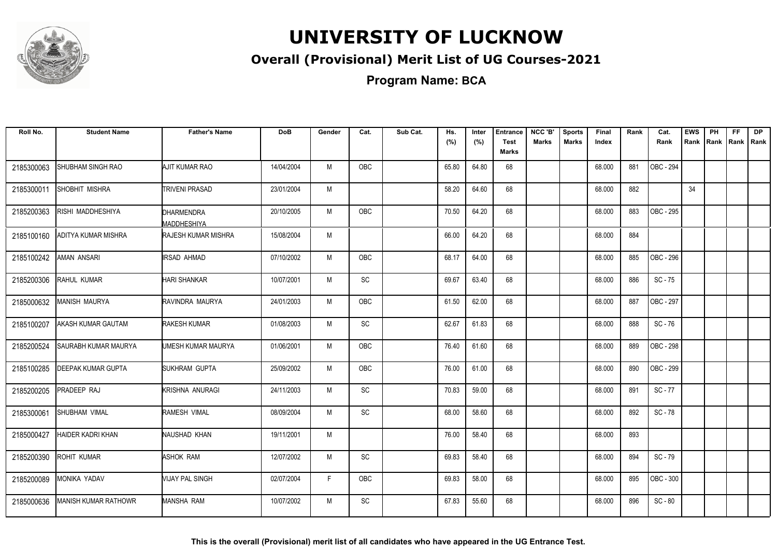

#### **Overall (Provisional) Merit List of UG Courses-2021**

**Program Name: BCA**

| Roll No.   | <b>Student Name</b>         | <b>Father's Name</b>       | <b>DoB</b> | Gender | Cat.       | Sub Cat. | Hs.<br>(%) | Inter<br>(%) | <b>Entrance</b><br><b>Test</b> | NCC 'B'<br>Marks | <b>Sports</b><br><b>Marks</b> | Final<br>Index | Rank | Cat.<br>Rank | <b>EWS</b><br>Rank | PH | <b>FF</b><br>Rank   Rank   Rank | DP |
|------------|-----------------------------|----------------------------|------------|--------|------------|----------|------------|--------------|--------------------------------|------------------|-------------------------------|----------------|------|--------------|--------------------|----|---------------------------------|----|
|            |                             |                            |            |        |            |          |            |              | Marks                          |                  |                               |                |      |              |                    |    |                                 |    |
| 2185300063 | SHUBHAM SINGH RAO           | AJIT KUMAR RAO             | 14/04/2004 | M      | OBC        |          | 65.80      | 64.80        | 68                             |                  |                               | 68.000         | 881  | OBC - 294    |                    |    |                                 |    |
| 2185300011 | SHOBHIT MISHRA              | <b>TRIVENI PRASAD</b>      | 23/01/2004 | M      |            |          | 58.20      | 64.60        | 68                             |                  |                               | 68.000         | 882  |              | 34                 |    |                                 |    |
| 2185200363 | RISHI MADDHESHIYA           | DHARMENDRA<br>MADDHESHIYA  | 20/10/2005 | M      | OBC        |          | 70.50      | 64.20        | 68                             |                  |                               | 68.000         | 883  | OBC - 295    |                    |    |                                 |    |
| 2185100160 | ADITYA KUMAR MISHRA         | <b>RAJESH KUMAR MISHRA</b> | 15/08/2004 | M      |            |          | 66.00      | 64.20        | 68                             |                  |                               | 68.000         | 884  |              |                    |    |                                 |    |
| 2185100242 | <b>AMAN ANSARI</b>          | IRSAD AHMAD                | 07/10/2002 | M      | <b>OBC</b> |          | 68.17      | 64.00        | 68                             |                  |                               | 68.000         | 885  | OBC - 296    |                    |    |                                 |    |
| 2185200306 | RAHUL KUMAR                 | <b>HARI SHANKAR</b>        | 10/07/2001 | M      | SC         |          | 69.67      | 63.40        | 68                             |                  |                               | 68.000         | 886  | $SC - 75$    |                    |    |                                 |    |
| 2185000632 | MANISH MAURYA               | RAVINDRA MAURYA            | 24/01/2003 | M      | OBC        |          | 61.50      | 62.00        | 68                             |                  |                               | 68.000         | 887  | OBC - 297    |                    |    |                                 |    |
| 2185100207 | AKASH KUMAR GAUTAM          | RAKESH KUMAR               | 01/08/2003 | M      | <b>SC</b>  |          | 62.67      | 61.83        | 68                             |                  |                               | 68.000         | 888  | SC-76        |                    |    |                                 |    |
| 2185200524 | SAURABH KUMAR MAURYA        | UMESH KUMAR MAURYA         | 01/06/2001 | M      | OBC        |          | 76.40      | 61.60        | 68                             |                  |                               | 68.000         | 889  | OBC - 298    |                    |    |                                 |    |
| 2185100285 | DEEPAK KUMAR GUPTA          | <b>SUKHRAM GUPTA</b>       | 25/09/2002 | M      | OBC        |          | 76.00      | 61.00        | 68                             |                  |                               | 68.000         | 890  | OBC - 299    |                    |    |                                 |    |
| 2185200205 | PRADEEP RAJ                 | KRISHNA ANURAGI            | 24/11/2003 | M      | SC         |          | 70.83      | 59.00        | 68                             |                  |                               | 68.000         | 891  | SC - 77      |                    |    |                                 |    |
| 2185300061 | <b>SHUBHAM VIMAL</b>        | <b>RAMESH VIMAL</b>        | 08/09/2004 | M      | <b>SC</b>  |          | 68.00      | 58.60        | 68                             |                  |                               | 68.000         | 892  | SC-78        |                    |    |                                 |    |
| 2185000427 | HAIDER KADRI KHAN           | NAUSHAD KHAN               | 19/11/2001 | M      |            |          | 76.00      | 58.40        | 68                             |                  |                               | 68.000         | 893  |              |                    |    |                                 |    |
| 2185200390 | <b>ROHIT KUMAR</b>          | ASHOK RAM                  | 12/07/2002 | M      | <b>SC</b>  |          | 69.83      | 58.40        | 68                             |                  |                               | 68.000         | 894  | SC-79        |                    |    |                                 |    |
| 2185200089 | MONIKA YADAV                | VIJAY PAL SINGH            | 02/07/2004 | F.     | OBC        |          | 69.83      | 58.00        | 68                             |                  |                               | 68.000         | 895  | OBC - 300    |                    |    |                                 |    |
| 2185000636 | <b>MANISH KUMAR RATHOWR</b> | MANSHA RAM                 | 10/07/2002 | M      | <b>SC</b>  |          | 67.83      | 55.60        | 68                             |                  |                               | 68.000         | 896  | $SC - 80$    |                    |    |                                 |    |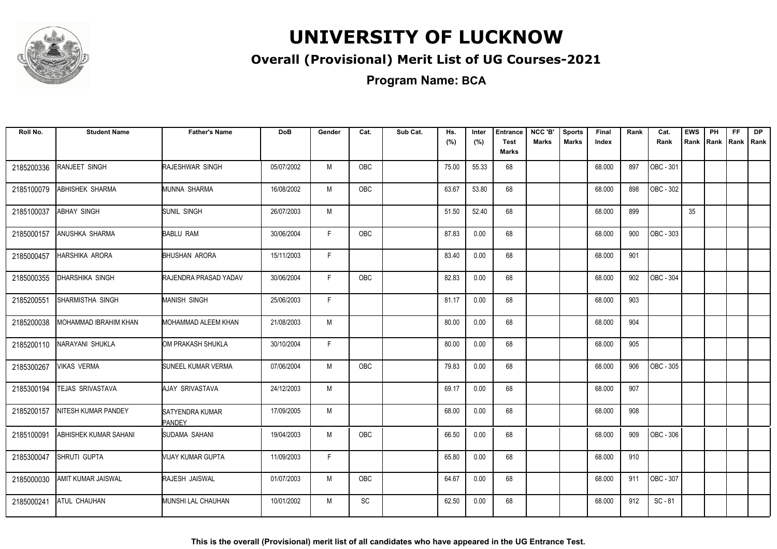

#### **Overall (Provisional) Merit List of UG Courses-2021**

**Program Name: BCA**

| Roll No.   | <b>Student Name</b>       | <b>Father's Name</b>             | <b>DoB</b> | Gender | Cat.       | Sub Cat. | Hs.<br>(%) | Inter<br>(%) | <b>Entrance</b><br><b>Test</b><br><b>Marks</b> | NCC 'B'<br><b>Marks</b> | <b>Sports</b><br><b>Marks</b> | <b>Final</b><br>Index | Rank | Cat.<br>Rank      | <b>EWS</b><br>Rank | PH<br>Rank | FF.<br> Rank   Rank | <b>DP</b> |
|------------|---------------------------|----------------------------------|------------|--------|------------|----------|------------|--------------|------------------------------------------------|-------------------------|-------------------------------|-----------------------|------|-------------------|--------------------|------------|---------------------|-----------|
| 2185200336 | RANJEET SINGH             | RAJESHWAR SINGH                  | 05/07/2002 | M      | OBC        |          | 75.00      | 55.33        | 68                                             |                         |                               | 68.000                | 897  | OBC - 301         |                    |            |                     |           |
| 2185100079 | ABHISHEK SHARMA           | MUNNA SHARMA                     | 16/08/2002 | M      | OBC        |          | 63.67      | 53.80        | 68                                             |                         |                               | 68.000                | 898  | OBC - 302         |                    |            |                     |           |
| 2185100037 | <b>ABHAY SINGH</b>        | SUNIL SINGH                      | 26/07/2003 | M      |            |          | 51.50      | 52.40        | 68                                             |                         |                               | 68.000                | 899  |                   | 35                 |            |                     |           |
| 2185000157 | ANUSHKA SHARMA            | <b>BABLU RAM</b>                 | 30/06/2004 | F      | OBC        |          | 87.83      | 0.00         | 68                                             |                         |                               | 68.000                | 900  | $\vert$ OBC - 303 |                    |            |                     |           |
| 2185000457 | <b>HARSHIKA ARORA</b>     | <b>BHUSHAN ARORA</b>             | 15/11/2003 | F      |            |          | 83.40      | 0.00         | 68                                             |                         |                               | 68.000                | 901  |                   |                    |            |                     |           |
| 2185000355 | DHARSHIKA SINGH           | RAJENDRA PRASAD YADAV            | 30/06/2004 | F      | <b>OBC</b> |          | 82.83      | 0.00         | 68                                             |                         |                               | 68.000                | 902  | OBC - 304         |                    |            |                     |           |
| 2185200551 | SHARMISTHA SINGH          | <b>MANISH SINGH</b>              | 25/06/2003 | F      |            |          | 81.17      | 0.00         | 68                                             |                         |                               | 68.000                | 903  |                   |                    |            |                     |           |
| 2185200038 | MOHAMMAD IBRAHIM KHAN     | MOHAMMAD ALEEM KHAN              | 21/08/2003 | M      |            |          | 80.00      | 0.00         | 68                                             |                         |                               | 68.000                | 904  |                   |                    |            |                     |           |
| 2185200110 | NARAYANI SHUKLA           | OM PRAKASH SHUKLA                | 30/10/2004 | F.     |            |          | 80.00      | 0.00         | 68                                             |                         |                               | 68.000                | 905  |                   |                    |            |                     |           |
| 2185300267 | <b>VIKAS VERMA</b>        | SUNEEL KUMAR VERMA               | 07/06/2004 | M      | OBC        |          | 79.83      | 0.00         | 68                                             |                         |                               | 68.000                | 906  | OBC - 305         |                    |            |                     |           |
| 2185300194 | TEJAS SRIVASTAVA          | AJAY SRIVASTAVA                  | 24/12/2003 | M      |            |          | 69.17      | 0.00         | 68                                             |                         |                               | 68.000                | 907  |                   |                    |            |                     |           |
| 2185200157 | NITESH KUMAR PANDEY       | SATYENDRA KUMAR<br><b>PANDEY</b> | 17/09/2005 | M      |            |          | 68.00      | 0.00         | 68                                             |                         |                               | 68.000                | 908  |                   |                    |            |                     |           |
| 2185100091 | ABHISHEK KUMAR SAHANI     | SUDAMA SAHANI                    | 19/04/2003 | M      | OBC        |          | 66.50      | 0.00         | 68                                             |                         |                               | 68.000                | 909  | $\vert$ OBC - 306 |                    |            |                     |           |
| 2185300047 | SHRUTI GUPTA              | VIJAY KUMAR GUPTA                | 11/09/2003 | F      |            |          | 65.80      | 0.00         | 68                                             |                         |                               | 68.000                | 910  |                   |                    |            |                     |           |
| 2185000030 | <b>AMIT KUMAR JAISWAL</b> | RAJESH JAISWAL                   | 01/07/2003 | M      | OBC        |          | 64.67      | 0.00         | 68                                             |                         |                               | 68.000                | 911  | OBC - 307         |                    |            |                     |           |
| 2185000241 | <b>ATUL CHAUHAN</b>       | MUNSHI LAL CHAUHAN               | 10/01/2002 | M      | SC         |          | 62.50      | 0.00         | 68                                             |                         |                               | 68.000                | 912  | $SC - 81$         |                    |            |                     |           |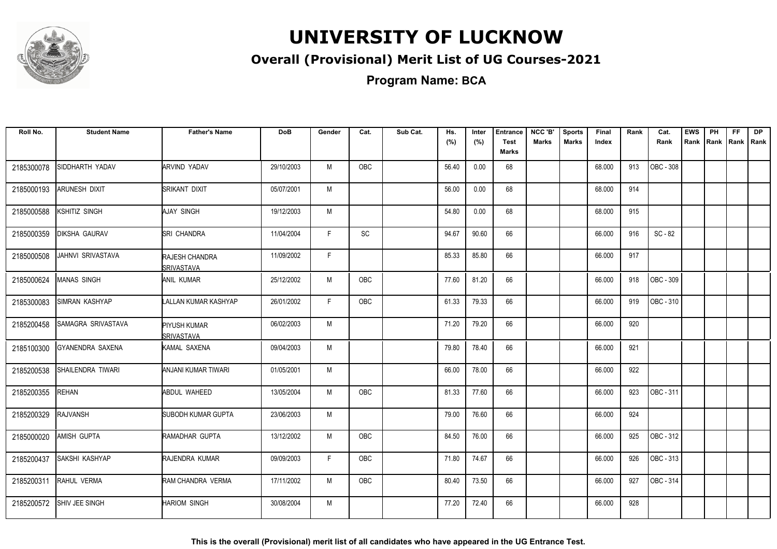

#### **Overall (Provisional) Merit List of UG Courses-2021**

**Program Name: BCA**

| Roll No.   | <b>Student Name</b>   | <b>Father's Name</b>                | <b>DoB</b> | Gender       | Cat.       | Sub Cat. | Hs.<br>(%) | Inter<br>(%) | <b>Entrance</b><br><b>Test</b><br><b>Marks</b> | NCC 'B'<br><b>Marks</b> | <b>Sports</b><br>Marks | <b>Final</b><br>Index | Rank | Cat.<br>Rank | <b>EWS</b><br>Rank | PH<br>Rank | FF<br>Rank Rank | <b>DP</b> |
|------------|-----------------------|-------------------------------------|------------|--------------|------------|----------|------------|--------------|------------------------------------------------|-------------------------|------------------------|-----------------------|------|--------------|--------------------|------------|-----------------|-----------|
| 2185300078 | SIDDHARTH YADAV       | ARVIND YADAV                        | 29/10/2003 | M            | OBC        |          | 56.40      | 0.00         | 68                                             |                         |                        | 68.000                | 913  | OBC - 308    |                    |            |                 |           |
| 2185000193 | ARUNESH DIXIT         | SRIKANT DIXIT                       | 05/07/2001 | M            |            |          | 56.00      | 0.00         | 68                                             |                         |                        | 68.000                | 914  |              |                    |            |                 |           |
| 2185000588 | KSHITIZ SINGH         | AJAY SINGH                          | 19/12/2003 | M            |            |          | 54.80      | 0.00         | 68                                             |                         |                        | 68.000                | 915  |              |                    |            |                 |           |
| 2185000359 | <b>DIKSHA GAURAV</b>  | <b>SRI CHANDRA</b>                  | 11/04/2004 | $\mathsf{F}$ | SC         |          | 94.67      | 90.60        | 66                                             |                         |                        | 66.000                | 916  | SC - 82      |                    |            |                 |           |
| 2185000508 | JAHNVI SRIVASTAVA     | <b>RAJESH CHANDRA</b><br>SRIVASTAVA | 11/09/2002 | F.           |            |          | 85.33      | 85.80        | 66                                             |                         |                        | 66.000                | 917  |              |                    |            |                 |           |
| 2185000624 | <b>MANAS SINGH</b>    | <b>ANIL KUMAR</b>                   | 25/12/2002 | M            | <b>OBC</b> |          | 77.60      | 81.20        | 66                                             |                         |                        | 66.000                | 918  | OBC - 309    |                    |            |                 |           |
| 2185300083 | <b>SIMRAN KASHYAP</b> | <b>LALLAN KUMAR KASHYAP</b>         | 26/01/2002 | F.           | OBC        |          | 61.33      | 79.33        | 66                                             |                         |                        | 66.000                | 919  | OBC - 310    |                    |            |                 |           |
| 2185200458 | SAMAGRA SRIVASTAVA    | <b>PIYUSH KUMAR</b><br>SRIVASTAVA   | 06/02/2003 | M            |            |          | 71.20      | 79.20        | 66                                             |                         |                        | 66.000                | 920  |              |                    |            |                 |           |
| 2185100300 | GYANENDRA SAXENA      | KAMAL SAXENA                        | 09/04/2003 | M            |            |          | 79.80      | 78.40        | 66                                             |                         |                        | 66.000                | 921  |              |                    |            |                 |           |
| 2185200538 | SHAILENDRA TIWARI     | ANJANI KUMAR TIWARI                 | 01/05/2001 | M            |            |          | 66.00      | 78.00        | 66                                             |                         |                        | 66.000                | 922  |              |                    |            |                 |           |
| 2185200355 | REHAN                 | ABDUL WAHEED                        | 13/05/2004 | M            | <b>OBC</b> |          | 81.33      | 77.60        | 66                                             |                         |                        | 66.000                | 923  | OBC - 311    |                    |            |                 |           |
| 2185200329 | <b>RAJVANSH</b>       | SUBODH KUMAR GUPTA                  | 23/06/2003 | M            |            |          | 79.00      | 76.60        | 66                                             |                         |                        | 66.000                | 924  |              |                    |            |                 |           |
| 2185000020 | AMISH GUPTA           | RAMADHAR GUPTA                      | 13/12/2002 | M            | OBC        |          | 84.50      | 76.00        | 66                                             |                         |                        | 66.000                | 925  | OBC - 312    |                    |            |                 |           |
| 2185200437 | SAKSHI KASHYAP        | RAJENDRA KUMAR                      | 09/09/2003 | F            | OBC        |          | 71.80      | 74.67        | 66                                             |                         |                        | 66.000                | 926  | OBC - 313    |                    |            |                 |           |
| 2185200311 | RAHUL VERMA           | RAM CHANDRA VERMA                   | 17/11/2002 | M            | OBC        |          | 80.40      | 73.50        | 66                                             |                         |                        | 66.000                | 927  | OBC - 314    |                    |            |                 |           |
| 2185200572 | SHIV JEE SINGH        | <b>HARIOM SINGH</b>                 | 30/08/2004 | M            |            |          | 77.20      | 72.40        | 66                                             |                         |                        | 66.000                | 928  |              |                    |            |                 |           |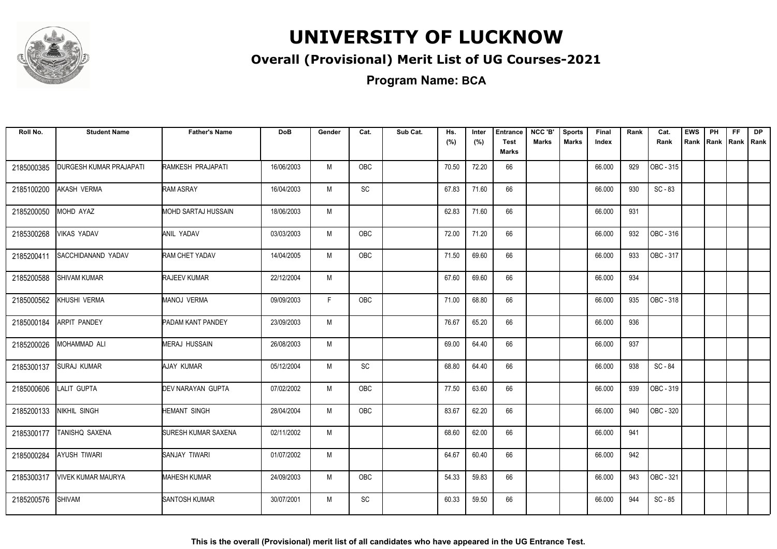

#### **Overall (Provisional) Merit List of UG Courses-2021**

**Program Name: BCA**

| Roll No.   | <b>Student Name</b>       | <b>Father's Name</b>       | <b>DoB</b> | Gender | Cat.       | Sub Cat. | Hs.<br>(%) | Inter<br>(%) | <b>Entrance</b><br><b>Test</b> | NCC 'B'<br><b>Marks</b> | <b>Sports</b><br><b>Marks</b> | Final<br>Index | Rank | Cat.<br>Rank | <b>EWS</b><br>Rank | PH | <b>FF</b><br>Rank Rank Rank | DP |
|------------|---------------------------|----------------------------|------------|--------|------------|----------|------------|--------------|--------------------------------|-------------------------|-------------------------------|----------------|------|--------------|--------------------|----|-----------------------------|----|
|            |                           |                            |            |        |            |          |            |              | <b>Marks</b>                   |                         |                               |                |      |              |                    |    |                             |    |
| 2185000385 | DURGESH KUMAR PRAJAPATI   | RAMKESH PRAJAPATI          | 16/06/2003 | M      | OBC        |          | 70.50      | 72.20        | 66                             |                         |                               | 66.000         | 929  | OBC - 315    |                    |    |                             |    |
| 2185100200 | AKASH VERMA               | <b>RAM ASRAY</b>           | 16/04/2003 | M      | SC         |          | 67.83      | 71.60        | 66                             |                         |                               | 66.000         | 930  | $SC - 83$    |                    |    |                             |    |
| 2185200050 | MOHD AYAZ                 | MOHD SARTAJ HUSSAIN        | 18/06/2003 | M      |            |          | 62.83      | 71.60        | 66                             |                         |                               | 66.000         | 931  |              |                    |    |                             |    |
| 2185300268 | <b>VIKAS YADAV</b>        | ANIL YADAV                 | 03/03/2003 | M      | <b>OBC</b> |          | 72.00      | 71.20        | 66                             |                         |                               | 66.000         | 932  | OBC - 316    |                    |    |                             |    |
| 2185200411 | <b>SACCHIDANAND YADAV</b> | RAM CHET YADAV             | 14/04/2005 | M      | <b>OBC</b> |          | 71.50      | 69.60        | 66                             |                         |                               | 66.000         | 933  | OBC - 317    |                    |    |                             |    |
| 2185200588 | <b>SHIVAM KUMAR</b>       | <b>RAJEEV KUMAR</b>        | 22/12/2004 | M      |            |          | 67.60      | 69.60        | 66                             |                         |                               | 66.000         | 934  |              |                    |    |                             |    |
| 2185000562 | KHUSHI VERMA              | <b>MANOJ VERMA</b>         | 09/09/2003 | F      | <b>OBC</b> |          | 71.00      | 68.80        | 66                             |                         |                               | 66.000         | 935  | OBC - 318    |                    |    |                             |    |
| 2185000184 | <b>ARPIT PANDEY</b>       | PADAM KANT PANDEY          | 23/09/2003 | M      |            |          | 76.67      | 65.20        | 66                             |                         |                               | 66.000         | 936  |              |                    |    |                             |    |
| 2185200026 | MOHAMMAD ALI              | <b>MERAJ HUSSAIN</b>       | 26/08/2003 | M      |            |          | 69.00      | 64.40        | 66                             |                         |                               | 66.000         | 937  |              |                    |    |                             |    |
| 2185300137 | <b>SURAJ KUMAR</b>        | AJAY KUMAR                 | 05/12/2004 | M      | SC         |          | 68.80      | 64.40        | 66                             |                         |                               | 66.000         | 938  | SC-84        |                    |    |                             |    |
| 2185000606 | LALIT GUPTA               | DEV NARAYAN GUPTA          | 07/02/2002 | M      | OBC        |          | 77.50      | 63.60        | 66                             |                         |                               | 66.000         | 939  | OBC - 319    |                    |    |                             |    |
| 2185200133 | NIKHIL SINGH              | <b>HEMANT SINGH</b>        | 28/04/2004 | M      | OBC        |          | 83.67      | 62.20        | 66                             |                         |                               | 66.000         | 940  | OBC - 320    |                    |    |                             |    |
| 2185300177 | TANISHQ SAXENA            | <b>SURESH KUMAR SAXENA</b> | 02/11/2002 | M      |            |          | 68.60      | 62.00        | 66                             |                         |                               | 66.000         | 941  |              |                    |    |                             |    |
| 2185000284 | <b>AYUSH TIWARI</b>       | SANJAY TIWARI              | 01/07/2002 | M      |            |          | 64.67      | 60.40        | 66                             |                         |                               | 66.000         | 942  |              |                    |    |                             |    |
| 2185300317 | <b>VIVEK KUMAR MAURYA</b> | <b>MAHESH KUMAR</b>        | 24/09/2003 | M      | <b>OBC</b> |          | 54.33      | 59.83        | 66                             |                         |                               | 66.000         | 943  | OBC - 321    |                    |    |                             |    |
| 2185200576 | <b>SHIVAM</b>             | <b>SANTOSH KUMAR</b>       | 30/07/2001 | M      | <b>SC</b>  |          | 60.33      | 59.50        | 66                             |                         |                               | 66.000         | 944  | $SC - 85$    |                    |    |                             |    |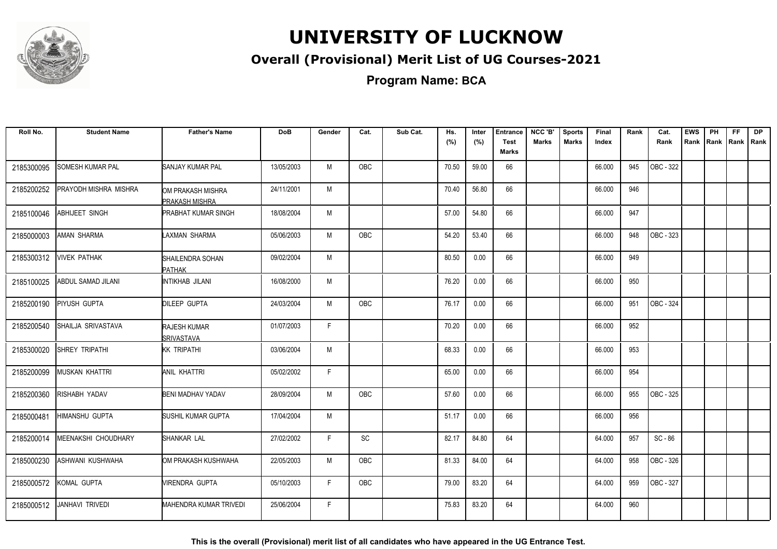

#### **Overall (Provisional) Merit List of UG Courses-2021**

**Program Name: BCA**

| Roll No.   | <b>Student Name</b>        | <b>Father's Name</b>                        | <b>DoB</b> | Gender | Cat.       | Sub Cat. | Hs.<br>(%) | Inter<br>(%) | <b>Entrance</b><br><b>Test</b><br>Marks | NCC 'B'<br><b>Marks</b> | <b>Sports</b><br><b>Marks</b> | Final<br>Index | Rank | Cat.<br>Rank | <b>EWS</b><br>Rank | PH<br>Rank | <b>FF</b><br>Rank   Rank | <b>DP</b> |
|------------|----------------------------|---------------------------------------------|------------|--------|------------|----------|------------|--------------|-----------------------------------------|-------------------------|-------------------------------|----------------|------|--------------|--------------------|------------|--------------------------|-----------|
| 2185300095 | <b>SOMESH KUMAR PAL</b>    | <b>SANJAY KUMAR PAL</b>                     | 13/05/2003 | M      | OBC        |          | 70.50      | 59.00        | 66                                      |                         |                               | 66.000         | 945  | OBC - 322    |                    |            |                          |           |
| 2185200252 | PRAYODH MISHRA MISHRA      | IOM PRAKASH MISHRA<br><b>PRAKASH MISHRA</b> | 24/11/2001 | M      |            |          | 70.40      | 56.80        | 66                                      |                         |                               | 66.000         | 946  |              |                    |            |                          |           |
| 2185100046 | <b>ABHIJEET SINGH</b>      | <b>PRABHAT KUMAR SINGH</b>                  | 18/08/2004 | M      |            |          | 57.00      | 54.80        | 66                                      |                         |                               | 66.000         | 947  |              |                    |            |                          |           |
| 2185000003 | <b>AMAN SHARMA</b>         | AXMAN SHARMA                                | 05/06/2003 | M      | OBC        |          | 54.20      | 53.40        | 66                                      |                         |                               | 66.000         | 948  | OBC - 323    |                    |            |                          |           |
| 2185300312 | <b>VIVEK PATHAK</b>        | <b>SHAILENDRA SOHAN</b><br><b>PATHAK</b>    | 09/02/2004 | M      |            |          | 80.50      | 0.00         | 66                                      |                         |                               | 66.000         | 949  |              |                    |            |                          |           |
| 2185100025 | ABDUL SAMAD JILANI         | <b>INTIKHAB JILANI</b>                      | 16/08/2000 | M      |            |          | 76.20      | 0.00         | 66                                      |                         |                               | 66.000         | 950  |              |                    |            |                          |           |
| 2185200190 | PIYUSH GUPTA               | <b>DILEEP GUPTA</b>                         | 24/03/2004 | M      | OBC        |          | 76.17      | 0.00         | 66                                      |                         |                               | 66.000         | 951  | OBC - 324    |                    |            |                          |           |
| 2185200540 | SHAILJA SRIVASTAVA         | <b>RAJESH KUMAR</b><br><b>SRIVASTAVA</b>    | 01/07/2003 | F      |            |          | 70.20      | 0.00         | 66                                      |                         |                               | 66.000         | 952  |              |                    |            |                          |           |
| 2185300020 | SHREY TRIPATHI             | <b>KK TRIPATHI</b>                          | 03/06/2004 | M      |            |          | 68.33      | 0.00         | 66                                      |                         |                               | 66.000         | 953  |              |                    |            |                          |           |
| 2185200099 | <b>MUSKAN KHATTRI</b>      | <b>ANIL KHATTRI</b>                         | 05/02/2002 | F      |            |          | 65.00      | 0.00         | 66                                      |                         |                               | 66.000         | 954  |              |                    |            |                          |           |
| 2185200360 | RISHABH YADAV              | <b>BENI MADHAV YADAV</b>                    | 28/09/2004 | M      | <b>OBC</b> |          | 57.60      | 0.00         | 66                                      |                         |                               | 66.000         | 955  | OBC - 325    |                    |            |                          |           |
| 2185000481 | <b>HIMANSHU GUPTA</b>      | <b>SUSHIL KUMAR GUPTA</b>                   | 17/04/2004 | M      |            |          | 51.17      | 0.00         | 66                                      |                         |                               | 66.000         | 956  |              |                    |            |                          |           |
| 2185200014 | <b>MEENAKSHI CHOUDHARY</b> | SHANKAR LAL                                 | 27/02/2002 | F      | <b>SC</b>  |          | 82.17      | 84.80        | 64                                      |                         |                               | 64.000         | 957  | $SC - 86$    |                    |            |                          |           |
| 2185000230 | ASHWANI KUSHWAHA           | OM PRAKASH KUSHWAHA                         | 22/05/2003 | M      | OBC        |          | 81.33      | 84.00        | 64                                      |                         |                               | 64.000         | 958  | OBC - 326    |                    |            |                          |           |
| 2185000572 | KOMAL GUPTA                | <b>VIRENDRA GUPTA</b>                       | 05/10/2003 | F      | <b>OBC</b> |          | 79.00      | 83.20        | 64                                      |                         |                               | 64.000         | 959  | OBC - 327    |                    |            |                          |           |
| 2185000512 | JANHAVI TRIVEDI            | <b>MAHENDRA KUMAR TRIVEDI</b>               | 25/06/2004 | E      |            |          | 75.83      | 83.20        | 64                                      |                         |                               | 64.000         | 960  |              |                    |            |                          |           |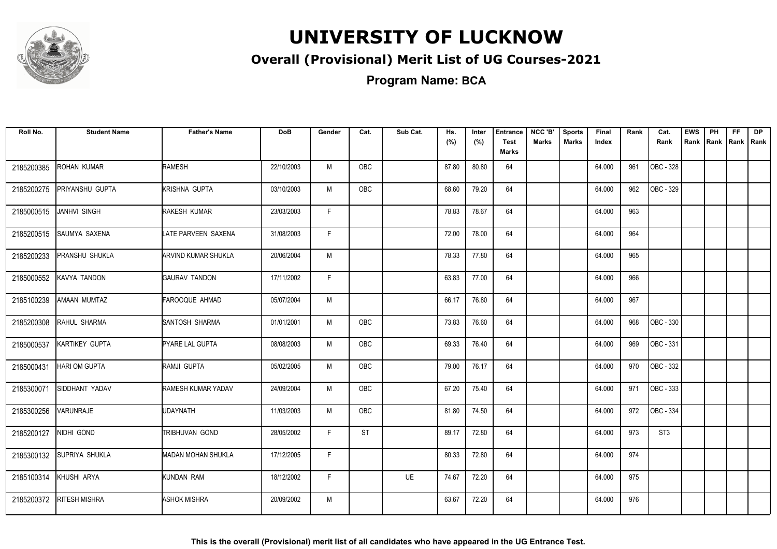

#### **Overall (Provisional) Merit List of UG Courses-2021**

**Program Name: BCA**

| Roll No.   | <b>Student Name</b>   | <b>Father's Name</b>       | <b>DoB</b> | Gender | Cat.      | Sub Cat. | Hs.<br>(%) | Inter<br>(%) | <b>Entrance</b><br><b>Test</b> | NCC 'B'<br><b>Marks</b> | <b>Sports</b><br><b>Marks</b> | Final<br>Index | Rank | Cat.<br>Rank    | <b>EWS</b><br>Rank | PH<br>Rank Rank Rank | <b>FF</b> | DP |
|------------|-----------------------|----------------------------|------------|--------|-----------|----------|------------|--------------|--------------------------------|-------------------------|-------------------------------|----------------|------|-----------------|--------------------|----------------------|-----------|----|
|            |                       |                            |            |        |           |          |            |              | Marks                          |                         |                               |                |      |                 |                    |                      |           |    |
| 2185200385 | ROHAN KUMAR           | <b>RAMESH</b>              | 22/10/2003 | M      | OBC       |          | 87.80      | 80.80        | 64                             |                         |                               | 64.000         | 961  | OBC - 328       |                    |                      |           |    |
| 2185200275 | PRIYANSHU GUPTA       | KRISHNA GUPTA              | 03/10/2003 | M      | OBC       |          | 68.60      | 79.20        | 64                             |                         |                               | 64.000         | 962  | OBC - 329       |                    |                      |           |    |
| 2185000515 | JANHVI SINGH          | RAKESH KUMAR               | 23/03/2003 | F      |           |          | 78.83      | 78.67        | 64                             |                         |                               | 64.000         | 963  |                 |                    |                      |           |    |
| 2185200515 | SAUMYA SAXENA         | LATE PARVEEN SAXENA        | 31/08/2003 | E      |           |          | 72.00      | 78.00        | 64                             |                         |                               | 64.000         | 964  |                 |                    |                      |           |    |
| 2185200233 | PRANSHU SHUKLA        | <b>ARVIND KUMAR SHUKLA</b> | 20/06/2004 | M      |           |          | 78.33      | 77.80        | 64                             |                         |                               | 64.000         | 965  |                 |                    |                      |           |    |
| 2185000552 | KAVYA TANDON          | <b>GAURAV TANDON</b>       | 17/11/2002 | F      |           |          | 63.83      | 77.00        | 64                             |                         |                               | 64.000         | 966  |                 |                    |                      |           |    |
| 2185100239 | <b>AMAAN MUMTAZ</b>   | FAROOQUE AHMAD             | 05/07/2004 | M      |           |          | 66.17      | 76.80        | 64                             |                         |                               | 64.000         | 967  |                 |                    |                      |           |    |
| 2185200308 | RAHUL SHARMA          | SANTOSH SHARMA             | 01/01/2001 | M      | OBC       |          | 73.83      | 76.60        | 64                             |                         |                               | 64.000         | 968  | OBC - 330       |                    |                      |           |    |
| 2185000537 | KARTIKEY GUPTA        | PYARE LAL GUPTA            | 08/08/2003 | M      | OBC       |          | 69.33      | 76.40        | 64                             |                         |                               | 64.000         | 969  | OBC - 331       |                    |                      |           |    |
| 2185000431 | <b>HARI OM GUPTA</b>  | RAMJI GUPTA                | 05/02/2005 | M      | OBC       |          | 79.00      | 76.17        | 64                             |                         |                               | 64.000         | 970  | OBC - 332       |                    |                      |           |    |
| 2185300071 | SIDDHANT YADAV        | RAMESH KUMAR YADAV         | 24/09/2004 | M      | OBC       |          | 67.20      | 75.40        | 64                             |                         |                               | 64.000         | 971  | OBC - 333       |                    |                      |           |    |
| 2185300256 | VARUNRAJE             | <b>UDAYNATH</b>            | 11/03/2003 | M      | OBC       |          | 81.80      | 74.50        | 64                             |                         |                               | 64.000         | 972  | OBC - 334       |                    |                      |           |    |
| 2185200127 | NIDHI GOND            | <b>TRIBHUVAN GOND</b>      | 28/05/2002 | F.     | <b>ST</b> |          | 89.17      | 72.80        | 64                             |                         |                               | 64.000         | 973  | ST <sub>3</sub> |                    |                      |           |    |
| 2185300132 | <b>SUPRIYA SHUKLA</b> | <b>MADAN MOHAN SHUKLA</b>  | 17/12/2005 | F.     |           |          | 80.33      | 72.80        | 64                             |                         |                               | 64.000         | 974  |                 |                    |                      |           |    |
| 2185100314 | KHUSHI ARYA           | KUNDAN RAM                 | 18/12/2002 | F      |           | UE       | 74.67      | 72.20        | 64                             |                         |                               | 64.000         | 975  |                 |                    |                      |           |    |
| 2185200372 | <b>RITESH MISHRA</b>  | <b>ASHOK MISHRA</b>        | 20/09/2002 | M      |           |          | 63.67      | 72.20        | 64                             |                         |                               | 64.000         | 976  |                 |                    |                      |           |    |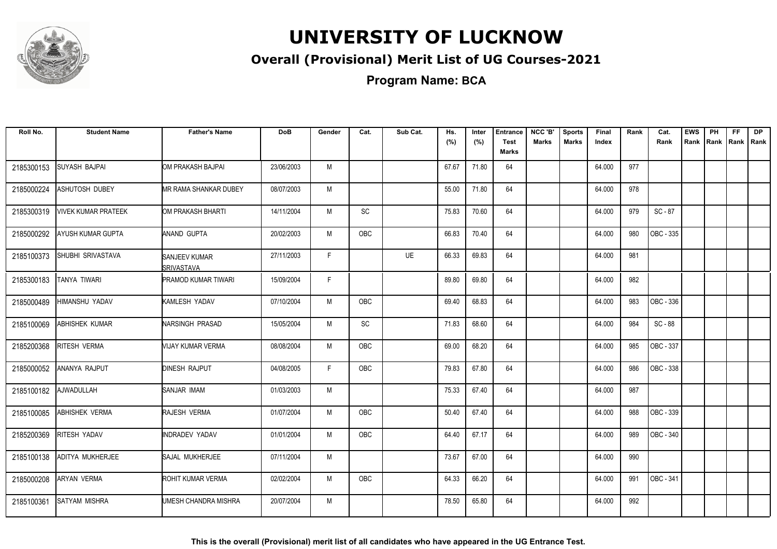

#### **Overall (Provisional) Merit List of UG Courses-2021**

**Program Name: BCA**

| Roll No.   | <b>Student Name</b>   | <b>Father's Name</b>               | <b>DoB</b> | Gender | Cat.       | Sub Cat.  | Hs.<br>(%) | Inter<br>(%) | <b>Entrance</b><br><b>Test</b> | NCC 'B'<br>Marks | <b>Sports</b><br>Marks | Final<br>Index | Rank | Cat.<br>Rank | <b>EWS</b><br>Rank | <b>PH</b><br>Rank   Rank | <b>FF</b> | <b>DP</b><br>Rank |
|------------|-----------------------|------------------------------------|------------|--------|------------|-----------|------------|--------------|--------------------------------|------------------|------------------------|----------------|------|--------------|--------------------|--------------------------|-----------|-------------------|
|            |                       |                                    |            |        |            |           |            |              | Marks                          |                  |                        |                |      |              |                    |                          |           |                   |
| 2185300153 | <b>SUYASH BAJPAI</b>  | OM PRAKASH BAJPAI                  | 23/06/2003 | M      |            |           | 67.67      | 71.80        | 64                             |                  |                        | 64.000         | 977  |              |                    |                          |           |                   |
| 2185000224 | ASHUTOSH DUBEY        | <b>MR RAMA SHANKAR DUBEY</b>       | 08/07/2003 | M      |            |           | 55.00      | 71.80        | 64                             |                  |                        | 64.000         | 978  |              |                    |                          |           |                   |
| 2185300319 | VIVEK KUMAR PRATEEK   | OM PRAKASH BHARTI                  | 14/11/2004 | M      | SC         |           | 75.83      | 70.60        | 64                             |                  |                        | 64.000         | 979  | SC-87        |                    |                          |           |                   |
| 2185000292 | AYUSH KUMAR GUPTA     | ANAND GUPTA                        | 20/02/2003 | M      | OBC        |           | 66.83      | 70.40        | 64                             |                  |                        | 64.000         | 980  | OBC - 335    |                    |                          |           |                   |
| 2185100373 | SHUBHI SRIVASTAVA     | SANJEEV KUMAR<br><b>SRIVASTAVA</b> | 27/11/2003 | F      |            | <b>UE</b> | 66.33      | 69.83        | 64                             |                  |                        | 64.000         | 981  |              |                    |                          |           |                   |
| 2185300183 | TANYA TIWARI          | <b>PRAMOD KUMAR TIWARI</b>         | 15/09/2004 | F      |            |           | 89.80      | 69.80        | 64                             |                  |                        | 64.000         | 982  |              |                    |                          |           |                   |
| 2185000489 | HIMANSHU YADAV        | KAMLESH YADAV                      | 07/10/2004 | М      | OBC        |           | 69.40      | 68.83        | 64                             |                  |                        | 64.000         | 983  | OBC - 336    |                    |                          |           |                   |
| 2185100069 | <b>ABHISHEK KUMAR</b> | NARSINGH PRASAD                    | 15/05/2004 | M      | SC         |           | 71.83      | 68.60        | 64                             |                  |                        | 64.000         | 984  | SC-88        |                    |                          |           |                   |
| 2185200368 | RITESH VERMA          | VIJAY KUMAR VERMA                  | 08/08/2004 | M      | OBC        |           | 69.00      | 68.20        | 64                             |                  |                        | 64.000         | 985  | OBC - 337    |                    |                          |           |                   |
| 2185000052 | ANANYA RAJPUT         | <b>DINESH RAJPUT</b>               | 04/08/2005 | E      | <b>OBC</b> |           | 79.83      | 67.80        | 64                             |                  |                        | 64.000         | 986  | OBC - 338    |                    |                          |           |                   |
| 2185100182 | AJWADULLAH            | <b>SANJAR IMAM</b>                 | 01/03/2003 | M      |            |           | 75.33      | 67.40        | 64                             |                  |                        | 64.000         | 987  |              |                    |                          |           |                   |
| 2185100085 | ABHISHEK VERMA        | RAJESH VERMA                       | 01/07/2004 | M      | OBC        |           | 50.40      | 67.40        | 64                             |                  |                        | 64.000         | 988  | OBC - 339    |                    |                          |           |                   |
| 2185200369 | <b>RITESH YADAV</b>   | <b>INDRADEV YADAV</b>              | 01/01/2004 | M      | OBC        |           | 64.40      | 67.17        | 64                             |                  |                        | 64.000         | 989  | OBC - 340    |                    |                          |           |                   |
| 2185100138 | ADITYA MUKHERJEE      | SAJAL MUKHERJEE                    | 07/11/2004 | M      |            |           | 73.67      | 67.00        | 64                             |                  |                        | 64.000         | 990  |              |                    |                          |           |                   |
| 2185000208 | <b>ARYAN VERMA</b>    | ROHIT KUMAR VERMA                  | 02/02/2004 | M      | OBC        |           | 64.33      | 66.20        | 64                             |                  |                        | 64.000         | 991  | OBC - 341    |                    |                          |           |                   |
| 2185100361 | <b>SATYAM MISHRA</b>  | UMESH CHANDRA MISHRA               | 20/07/2004 | M      |            |           | 78.50      | 65.80        | 64                             |                  |                        | 64.000         | 992  |              |                    |                          |           |                   |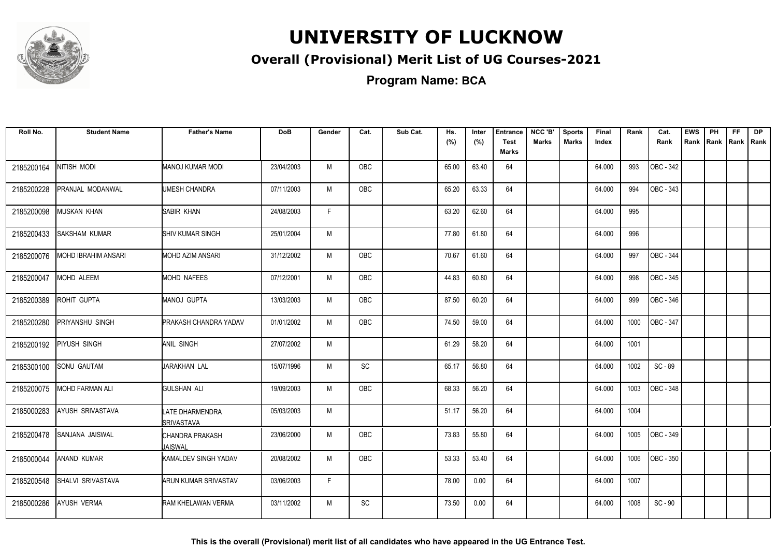

#### **Overall (Provisional) Merit List of UG Courses-2021**

**Program Name: BCA**

| Roll No.   | <b>Student Name</b>    | <b>Father's Name</b>                        | <b>DoB</b> | Gender | Cat.          | Sub Cat. | Hs.<br>(%) | Inter<br>(%) | <b>Entrance</b><br><b>Test</b> | NCC 'B'<br><b>Marks</b> | <b>Sports</b><br><b>Marks</b> | Final<br>Index | Rank | Cat.<br>Rank            | <b>EWS</b><br>Rank | PH | FF.<br>Rank   Rank   Rank | <b>DP</b> |
|------------|------------------------|---------------------------------------------|------------|--------|---------------|----------|------------|--------------|--------------------------------|-------------------------|-------------------------------|----------------|------|-------------------------|--------------------|----|---------------------------|-----------|
|            |                        |                                             |            |        |               |          |            |              | Marks                          |                         |                               |                |      |                         |                    |    |                           |           |
| 2185200164 | NITISH MODI            | MANOJ KUMAR MODI                            | 23/04/2003 | M      | <b>OBC</b>    |          | 65.00      | 63.40        | 64                             |                         |                               | 64.000         | 993  | OBC - 342               |                    |    |                           |           |
| 2185200228 | PRANJAL MODANWAL       | UMESH CHANDRA                               | 07/11/2003 | М      | OBC           |          | 65.20      | 63.33        | 64                             |                         |                               | 64.000         | 994  | OBC - 343               |                    |    |                           |           |
| 2185200098 | MUSKAN KHAN            | SABIR KHAN                                  | 24/08/2003 | F      |               |          | 63.20      | 62.60        | 64                             |                         |                               | 64.000         | 995  |                         |                    |    |                           |           |
| 2185200433 | SAKSHAM KUMAR          | <b>SHIV KUMAR SINGH</b>                     | 25/01/2004 | M      |               |          | 77.80      | 61.80        | 64                             |                         |                               | 64.000         | 996  |                         |                    |    |                           |           |
| 2185200076 | MOHD IBRAHIM ANSARI    | MOHD AZIM ANSARI                            | 31/12/2002 | M      | OBC           |          | 70.67      | 61.60        | 64                             |                         |                               | 64.000         | 997  | OBC - 344               |                    |    |                           |           |
| 2185200047 | MOHD ALEEM             | MOHD NAFEES                                 | 07/12/2001 | M      | OBC           |          | 44.83      | 60.80        | 64                             |                         |                               | 64.000         | 998  | OBC - 345               |                    |    |                           |           |
| 2185200389 | ROHIT GUPTA            | <b>MANOJ GUPTA</b>                          | 13/03/2003 | M      | OBC           |          | 87.50      | 60.20        | 64                             |                         |                               | 64.000         | 999  | OBC - 346               |                    |    |                           |           |
| 2185200280 | PRIYANSHU SINGH        | <b>PRAKASH CHANDRA YADAV</b>                | 01/01/2002 | M      | <b>OBC</b>    |          | 74.50      | 59.00        | 64                             |                         |                               | 64.000         | 1000 | OBC - 347               |                    |    |                           |           |
| 2185200192 | PIYUSH SINGH           | <b>ANIL SINGH</b>                           | 27/07/2002 | M      |               |          | 61.29      | 58.20        | 64                             |                         |                               | 64.000         | 1001 |                         |                    |    |                           |           |
| 2185300100 | <b>SONU GAUTAM</b>     | JARAKHAN LAL                                | 15/07/1996 | M      | SC            |          | 65.17      | 56.80        | 64                             |                         |                               | 64.000         | 1002 | SC-89                   |                    |    |                           |           |
| 2185200075 | <b>MOHD FARMAN ALI</b> | <b>GULSHAN ALI</b>                          | 19/09/2003 | M      | <b>OBC</b>    |          | 68.33      | 56.20        | 64                             |                         |                               | 64.000         | 1003 | $\overline{)$ OBC - 348 |                    |    |                           |           |
| 2185000283 | AYUSH SRIVASTAVA       | <b>LATE DHARMENDRA</b><br><b>SRIVASTAVA</b> | 05/03/2003 | M      |               |          | 51.17      | 56.20        | 64                             |                         |                               | 64.000         | 1004 |                         |                    |    |                           |           |
| 2185200478 | SANJANA JAISWAL        | CHANDRA PRAKASH<br>JAISWAL                  | 23/06/2000 | M      | OBC           |          | 73.83      | 55.80        | 64                             |                         |                               | 64.000         | 1005 | OBC - 349               |                    |    |                           |           |
| 2185000044 | <b>ANAND KUMAR</b>     | KAMALDEV SINGH YADAV                        | 20/08/2002 | M      | <b>OBC</b>    |          | 53.33      | 53.40        | 64                             |                         |                               | 64.000         | 1006 | OBC - 350               |                    |    |                           |           |
| 2185200548 | SHALVI SRIVASTAVA      | ARUN KUMAR SRIVASTAV                        | 03/06/2003 | F.     |               |          | 78.00      | 0.00         | 64                             |                         |                               | 64.000         | 1007 |                         |                    |    |                           |           |
| 2185000286 | <b>AYUSH VERMA</b>     | RAM KHELAWAN VERMA                          | 03/11/2002 | M      | $\mathsf{SC}$ |          | 73.50      | 0.00         | 64                             |                         |                               | 64.000         | 1008 | SC - 90                 |                    |    |                           |           |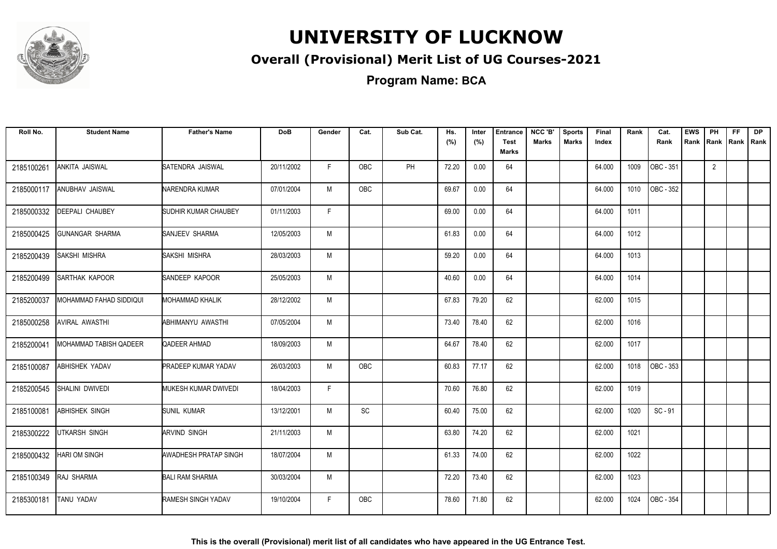

#### **Overall (Provisional) Merit List of UG Courses-2021**

**Program Name: BCA**

| Roll No.   | <b>Student Name</b>     | <b>Father's Name</b>       | <b>DoB</b> | Gender       | Cat.       | Sub Cat. | Hs.<br>(%) | Inter<br>(%) | <b>Entrance</b><br><b>Test</b><br><b>Marks</b> | NCC 'B'<br><b>Marks</b> | <b>Sports</b><br><b>Marks</b> | <b>Final</b><br>Index | Rank | Cat.<br>Rank | <b>EWS</b><br>Rank | PH<br>Rank     | FF.<br>Rank Rank | <b>DP</b> |
|------------|-------------------------|----------------------------|------------|--------------|------------|----------|------------|--------------|------------------------------------------------|-------------------------|-------------------------------|-----------------------|------|--------------|--------------------|----------------|------------------|-----------|
| 2185100261 | ANKITA JAISWAL          | SATENDRA JAISWAL           | 20/11/2002 | F            | <b>OBC</b> | PH       | 72.20      | 0.00         | 64                                             |                         |                               | 64.000                | 1009 | OBC - 351    |                    | $\overline{2}$ |                  |           |
| 2185000117 | <b>ANUBHAV JAISWAL</b>  | NARENDRA KUMAR             | 07/01/2004 | M            | <b>OBC</b> |          | 69.67      | 0.00         | 64                                             |                         |                               | 64.000                | 1010 | OBC - 352    |                    |                |                  |           |
| 2185000332 | DEEPALI CHAUBEY         | SUDHIR KUMAR CHAUBEY       | 01/11/2003 | $\mathsf{F}$ |            |          | 69.00      | 0.00         | 64                                             |                         |                               | 64.000                | 1011 |              |                    |                |                  |           |
| 2185000425 | <b>GUNANGAR SHARMA</b>  | SANJEEV SHARMA             | 12/05/2003 | M            |            |          | 61.83      | 0.00         | 64                                             |                         |                               | 64.000                | 1012 |              |                    |                |                  |           |
| 2185200439 | SAKSHI MISHRA           | SAKSHI MISHRA              | 28/03/2003 | M            |            |          | 59.20      | 0.00         | 64                                             |                         |                               | 64.000                | 1013 |              |                    |                |                  |           |
| 2185200499 | SARTHAK KAPOOR          | SANDEEP KAPOOR             | 25/05/2003 | M            |            |          | 40.60      | 0.00         | 64                                             |                         |                               | 64.000                | 1014 |              |                    |                |                  |           |
| 2185200037 | MOHAMMAD FAHAD SIDDIQUI | <b>MOHAMMAD KHALIK</b>     | 28/12/2002 | M            |            |          | 67.83      | 79.20        | 62                                             |                         |                               | 62.000                | 1015 |              |                    |                |                  |           |
| 2185000258 | <b>AVIRAL AWASTHI</b>   | ABHIMANYU AWASTHI          | 07/05/2004 | M            |            |          | 73.40      | 78.40        | 62                                             |                         |                               | 62.000                | 1016 |              |                    |                |                  |           |
| 2185200041 | MOHAMMAD TABISH QADEER  | QADEER AHMAD               | 18/09/2003 | M            |            |          | 64.67      | 78.40        | 62                                             |                         |                               | 62.000                | 1017 |              |                    |                |                  |           |
| 2185100087 | <b>ABHISHEK YADAV</b>   | <b>PRADEEP KUMAR YADAV</b> | 26/03/2003 | M            | <b>OBC</b> |          | 60.83      | 77.17        | 62                                             |                         |                               | 62.000                | 1018 | OBC - 353    |                    |                |                  |           |
| 2185200545 | SHALINI DWIVEDI         | MUKESH KUMAR DWIVEDI       | 18/04/2003 | F            |            |          | 70.60      | 76.80        | 62                                             |                         |                               | 62.000                | 1019 |              |                    |                |                  |           |
| 2185100081 | <b>ABHISHEK SINGH</b>   | <b>SUNIL KUMAR</b>         | 13/12/2001 | M            | SC         |          | 60.40      | 75.00        | 62                                             |                         |                               | 62.000                | 1020 | $SC - 91$    |                    |                |                  |           |
| 2185300222 | <b>UTKARSH SINGH</b>    | <b>ARVIND SINGH</b>        | 21/11/2003 | M            |            |          | 63.80      | 74.20        | 62                                             |                         |                               | 62.000                | 1021 |              |                    |                |                  |           |
| 2185000432 | HARI OM SINGH           | AWADHESH PRATAP SINGH      | 18/07/2004 | M            |            |          | 61.33      | 74.00        | 62                                             |                         |                               | 62.000                | 1022 |              |                    |                |                  |           |
| 2185100349 | RAJ SHARMA              | <b>BALI RAM SHARMA</b>     | 30/03/2004 | M            |            |          | 72.20      | 73.40        | 62                                             |                         |                               | 62.000                | 1023 |              |                    |                |                  |           |
| 2185300181 | <b>TANU YADAV</b>       | <b>RAMESH SINGH YADAV</b>  | 19/10/2004 | F.           | <b>OBC</b> |          | 78.60      | 71.80        | 62                                             |                         |                               | 62.000                | 1024 | OBC - 354    |                    |                |                  |           |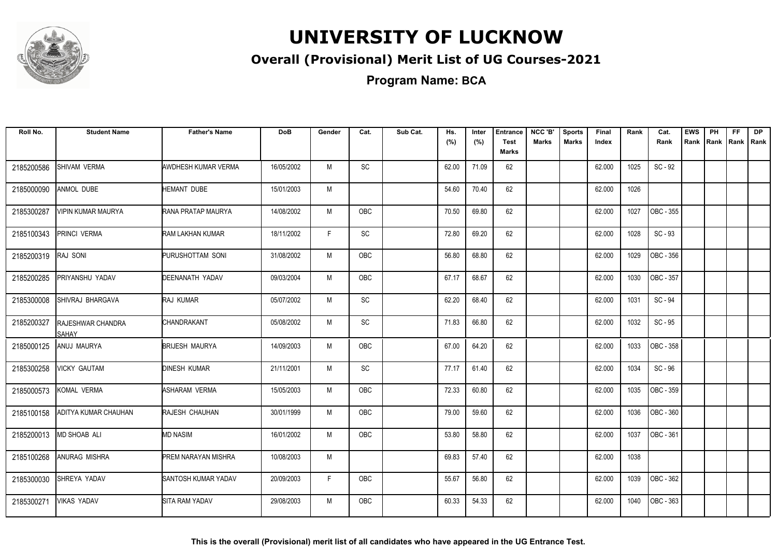

#### **Overall (Provisional) Merit List of UG Courses-2021**

**Program Name: BCA**

| Roll No.   | <b>Student Name</b>        | <b>Father's Name</b>       | <b>DoB</b> | Gender | Cat.                         | Sub Cat. | Hs.<br>(%) | Inter<br>(%) | <b>Entrance</b><br><b>Test</b><br>Marks | NCC 'B'<br><b>Marks</b> | <b>Sports</b><br><b>Marks</b> | <b>Final</b><br>Index | Rank | Cat.<br>Rank | <b>EWS</b><br>Rank | PH<br>Rank | FF.<br>Rank   Rank | <b>DP</b> |
|------------|----------------------------|----------------------------|------------|--------|------------------------------|----------|------------|--------------|-----------------------------------------|-------------------------|-------------------------------|-----------------------|------|--------------|--------------------|------------|--------------------|-----------|
| 2185200586 | SHIVAM VERMA               | AWDHESH KUMAR VERMA        | 16/05/2002 | M      | SC                           |          | 62.00      | 71.09        | 62                                      |                         |                               | 62.000                | 1025 | SC - 92      |                    |            |                    |           |
| 2185000090 | <b>ANMOL DUBE</b>          | <b>HEMANT DUBE</b>         | 15/01/2003 | M      |                              |          | 54.60      | 70.40        | 62                                      |                         |                               | 62.000                | 1026 |              |                    |            |                    |           |
| 2185300287 | VIPIN KUMAR MAURYA         | <b>RANA PRATAP MAURYA</b>  | 14/08/2002 | M      | OBC                          |          | 70.50      | 69.80        | 62                                      |                         |                               | 62.000                | 1027 | OBC - 355    |                    |            |                    |           |
| 2185100343 | PRINCI VERMA               | <b>RAM LAKHAN KUMAR</b>    | 18/11/2002 | F      | $\mathsf{SC}$                |          | 72.80      | 69.20        | 62                                      |                         |                               | 62.000                | 1028 | $SC - 93$    |                    |            |                    |           |
| 2185200319 | RAJ SONI                   | PURUSHOTTAM SONI           | 31/08/2002 | M      | OBC                          |          | 56.80      | 68.80        | 62                                      |                         |                               | 62.000                | 1029 | OBC - 356    |                    |            |                    |           |
| 2185200285 | PRIYANSHU YADAV            | DEENANATH YADAV            | 09/03/2004 | M      | <b>OBC</b>                   |          | 67.17      | 68.67        | 62                                      |                         |                               | 62.000                | 1030 | OBC - 357    |                    |            |                    |           |
| 2185300008 | SHIVRAJ BHARGAVA           | <b>RAJ KUMAR</b>           | 05/07/2002 | M      | SC                           |          | 62.20      | 68.40        | 62                                      |                         |                               | 62.000                | 1031 | SC - 94      |                    |            |                    |           |
| 2185200327 | RAJESHWAR CHANDRA<br>SAHAY | CHANDRAKANT                | 05/08/2002 | M      | $\operatorname{\textsf{SC}}$ |          | 71.83      | 66.80        | 62                                      |                         |                               | 62.000                | 1032 | $SC - 95$    |                    |            |                    |           |
| 2185000125 | ANUJ MAURYA                | <b>BRIJESH MAURYA</b>      | 14/09/2003 | M      | OBC                          |          | 67.00      | 64.20        | 62                                      |                         |                               | 62.000                | 1033 | OBC - 358    |                    |            |                    |           |
| 2185300258 | <b>VICKY GAUTAM</b>        | <b>DINESH KUMAR</b>        | 21/11/2001 | M      | SC                           |          | 77.17      | 61.40        | 62                                      |                         |                               | 62.000                | 1034 | SC-96        |                    |            |                    |           |
| 2185000573 | KOMAL VERMA                | ASHARAM VERMA              | 15/05/2003 | M      | OBC                          |          | 72.33      | 60.80        | 62                                      |                         |                               | 62.000                | 1035 | OBC - 359    |                    |            |                    |           |
| 2185100158 | ADITYA KUMAR CHAUHAN       | <b>RAJESH CHAUHAN</b>      | 30/01/1999 | M      | <b>OBC</b>                   |          | 79.00      | 59.60        | 62                                      |                         |                               | 62.000                | 1036 | OBC - 360    |                    |            |                    |           |
| 2185200013 | <b>MD SHOAB ALI</b>        | <b>MD NASIM</b>            | 16/01/2002 | M      | <b>OBC</b>                   |          | 53.80      | 58.80        | 62                                      |                         |                               | 62.000                | 1037 | OBC - 361    |                    |            |                    |           |
| 2185100268 | ANURAG MISHRA              | <b>PREM NARAYAN MISHRA</b> | 10/08/2003 | M      |                              |          | 69.83      | 57.40        | 62                                      |                         |                               | 62.000                | 1038 |              |                    |            |                    |           |
| 2185300030 | SHREYA YADAV               | SANTOSH KUMAR YADAV        | 20/09/2003 | F.     | OBC                          |          | 55.67      | 56.80        | 62                                      |                         |                               | 62.000                | 1039 | OBC - 362    |                    |            |                    |           |
| 2185300271 | <b>VIKAS YADAV</b>         | SITA RAM YADAV             | 29/08/2003 | M      | <b>OBC</b>                   |          | 60.33      | 54.33        | 62                                      |                         |                               | 62.000                | 1040 | OBC - 363    |                    |            |                    |           |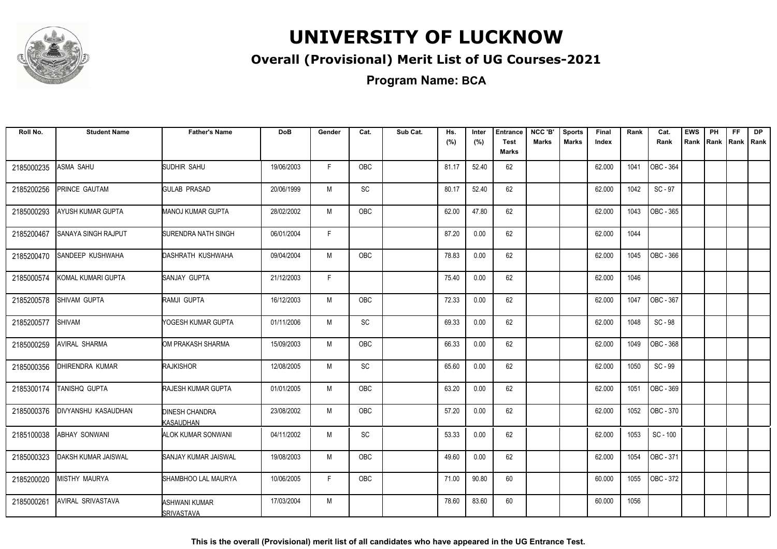

#### **Overall (Provisional) Merit List of UG Courses-2021**

**Program Name: BCA**

| Roll No.   | <b>Student Name</b>        | <b>Father's Name</b>               | <b>DoB</b> | Gender       | Cat.       | Sub Cat. | Hs.   | Inter | <b>Entrance</b>             | NCC 'B'      | <b>Sports</b> | Final  | Rank | Cat.      | <b>EWS</b> | PH   | FF.       | <b>DP</b> |
|------------|----------------------------|------------------------------------|------------|--------------|------------|----------|-------|-------|-----------------------------|--------------|---------------|--------|------|-----------|------------|------|-----------|-----------|
|            |                            |                                    |            |              |            |          | (%)   | (%)   | <b>Test</b><br><b>Marks</b> | <b>Marks</b> | <b>Marks</b>  | Index  |      | Rank      | Rank       | Rank | Rank Rank |           |
| 2185000235 | ASMA SAHU                  | SUDHIR SAHU                        | 19/06/2003 | F            | <b>OBC</b> |          | 81.17 | 52.40 | 62                          |              |               | 62.000 | 1041 | OBC - 364 |            |      |           |           |
| 2185200256 | PRINCE GAUTAM              | GULAB PRASAD                       | 20/06/1999 | М            | SC         |          | 80.17 | 52.40 | 62                          |              |               | 62.000 | 1042 | SC - 97   |            |      |           |           |
| 2185000293 | AYUSH KUMAR GUPTA          | <b>MANOJ KUMAR GUPTA</b>           | 28/02/2002 | M            | OBC        |          | 62.00 | 47.80 | 62                          |              |               | 62.000 | 1043 | OBC - 365 |            |      |           |           |
| 2185200467 | <b>SANAYA SINGH RAJPUT</b> | <b>SURENDRA NATH SINGH</b>         | 06/01/2004 | $\mathsf{F}$ |            |          | 87.20 | 0.00  | 62                          |              |               | 62.000 | 1044 |           |            |      |           |           |
| 2185200470 | SANDEEP KUSHWAHA           | DASHRATH KUSHWAHA                  | 09/04/2004 | M            | <b>OBC</b> |          | 78.83 | 0.00  | 62                          |              |               | 62.000 | 1045 | OBC - 366 |            |      |           |           |
| 2185000574 | KOMAL KUMARI GUPTA         | SANJAY GUPTA                       | 21/12/2003 | F            |            |          | 75.40 | 0.00  | 62                          |              |               | 62.000 | 1046 |           |            |      |           |           |
| 2185200578 | SHIVAM GUPTA               | RAMJI GUPTA                        | 16/12/2003 | M            | OBC        |          | 72.33 | 0.00  | 62                          |              |               | 62.000 | 1047 | OBC - 367 |            |      |           |           |
| 2185200577 | <b>SHIVAM</b>              | YOGESH KUMAR GUPTA                 | 01/11/2006 | M            | SC         |          | 69.33 | 0.00  | 62                          |              |               | 62.000 | 1048 | SC - 98   |            |      |           |           |
| 2185000259 | <b>AVIRAL SHARMA</b>       | OM PRAKASH SHARMA                  | 15/09/2003 | М            | OBC        |          | 66.33 | 0.00  | 62                          |              |               | 62.000 | 1049 | OBC - 368 |            |      |           |           |
| 2185000356 | DHIRENDRA KUMAR            | <b>RAJKISHOR</b>                   | 12/08/2005 | M            | SC         |          | 65.60 | 0.00  | 62                          |              |               | 62.000 | 1050 | SC-99     |            |      |           |           |
| 2185300174 | TANISHQ GUPTA              | RAJESH KUMAR GUPTA                 | 01/01/2005 | М            | OBC        |          | 63.20 | 0.00  | 62                          |              |               | 62.000 | 1051 | OBC - 369 |            |      |           |           |
| 2185000376 | DIVYANSHU KASAUDHAN        | DINESH CHANDRA<br>KASAUDHAN        | 23/08/2002 | M            | <b>OBC</b> |          | 57.20 | 0.00  | 62                          |              |               | 62.000 | 1052 | OBC - 370 |            |      |           |           |
| 2185100038 | <b>ABHAY SONWANI</b>       | ALOK KUMAR SONWANI                 | 04/11/2002 | M            | SC         |          | 53.33 | 0.00  | 62                          |              |               | 62.000 | 1053 | SC - 100  |            |      |           |           |
| 2185000323 | DAKSH KUMAR JAISWAL        | SANJAY KUMAR JAISWAL               | 19/08/2003 | М            | OBC        |          | 49.60 | 0.00  | 62                          |              |               | 62.000 | 1054 | OBC - 371 |            |      |           |           |
| 2185200020 | <b>MISTHY MAURYA</b>       | SHAMBHOO LAL MAURYA                | 10/06/2005 | F.           | OBC        |          | 71.00 | 90.80 | 60                          |              |               | 60.000 | 1055 | OBC - 372 |            |      |           |           |
| 2185000261 | AVIRAL SRIVASTAVA          | <b>ASHWANI KUMAR</b><br>SRIVASTAVA | 17/03/2004 | M            |            |          | 78.60 | 83.60 | 60                          |              |               | 60.000 | 1056 |           |            |      |           |           |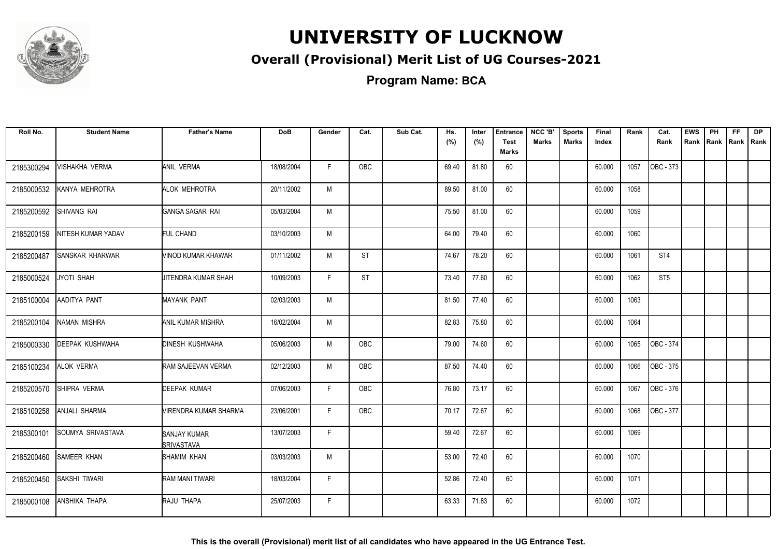

#### **Overall (Provisional) Merit List of UG Courses-2021**

**Program Name: BCA**

| Roll No.   | <b>Student Name</b>    | <b>Father's Name</b>              | <b>DoB</b> | Gender | Cat.       | Sub Cat. | Hs.<br>(%) | Inter<br>(%) | <b>Entrance</b><br><b>Test</b><br>Marks | NCC 'B'<br><b>Marks</b> | <b>Sports</b><br><b>Marks</b> | Final<br>Index | Rank | Cat.<br>Rank           | <b>EWS</b><br>Rank | PH<br>Rank | FF.<br>Rank   Rank | <b>DP</b> |
|------------|------------------------|-----------------------------------|------------|--------|------------|----------|------------|--------------|-----------------------------------------|-------------------------|-------------------------------|----------------|------|------------------------|--------------------|------------|--------------------|-----------|
| 2185300294 | VISHAKHA VERMA         | ANIL VERMA                        | 18/08/2004 | F.     | OBC        |          | 69.40      | 81.80        | 60                                      |                         |                               | 60.000         | 1057 | OBC - 373              |                    |            |                    |           |
| 2185000532 | KANYA MEHROTRA         | ALOK MEHROTRA                     | 20/11/2002 | M      |            |          | 89.50      | 81.00        | 60                                      |                         |                               | 60.000         | 1058 |                        |                    |            |                    |           |
| 2185200592 | SHIVANG RAI            | GANGA SAGAR RAI                   | 05/03/2004 | M      |            |          | 75.50      | 81.00        | 60                                      |                         |                               | 60.000         | 1059 |                        |                    |            |                    |           |
| 2185200159 | NITESH KUMAR YADAV     | <b>FUL CHAND</b>                  | 03/10/2003 | M      |            |          | 64.00      | 79.40        | 60                                      |                         |                               | 60.000         | 1060 |                        |                    |            |                    |           |
| 2185200487 | <b>SANSKAR KHARWAR</b> | VINOD KUMAR KHAWAR                | 01/11/2002 | M      | <b>ST</b>  |          | 74.67      | 78.20        | 60                                      |                         |                               | 60.000         | 1061 | ST4                    |                    |            |                    |           |
| 2185000524 | JYOTI SHAH             | JITENDRA KUMAR SHAH               | 10/09/2003 | F      | <b>ST</b>  |          | 73.40      | 77.60        | 60                                      |                         |                               | 60.000         | 1062 | ST <sub>5</sub>        |                    |            |                    |           |
| 2185100004 | AADITYA PANT           | <b>MAYANK PANT</b>                | 02/03/2003 | M      |            |          | 81.50      | 77.40        | 60                                      |                         |                               | 60.000         | 1063 |                        |                    |            |                    |           |
| 2185200104 | <b>NAMAN MISHRA</b>    | ANIL KUMAR MISHRA                 | 16/02/2004 | M      |            |          | 82.83      | 75.80        | 60                                      |                         |                               | 60.000         | 1064 |                        |                    |            |                    |           |
| 2185000330 | <b>DEEPAK KUSHWAHA</b> | <b>DINESH KUSHWAHA</b>            | 05/06/2003 | M      | OBC        |          | 79.00      | 74.60        | 60                                      |                         |                               | 60.000         | 1065 | OBC - 374              |                    |            |                    |           |
| 2185100234 | ALOK VERMA             | RAM SAJEEVAN VERMA                | 02/12/2003 | M      | OBC        |          | 87.50      | 74.40        | 60                                      |                         |                               | 60.000         | 1066 | OBC - 375              |                    |            |                    |           |
| 2185200570 | SHIPRA VERMA           | DEEPAK KUMAR                      | 07/06/2003 | F      | OBC        |          | 76.80      | 73.17        | 60                                      |                         |                               | 60.000         | 1067 | $\overline{OBC - 376}$ |                    |            |                    |           |
| 2185100258 | ANJALI SHARMA          | VIRENDRA KUMAR SHARMA             | 23/06/2001 | F      | <b>OBC</b> |          | 70.17      | 72.67        | 60                                      |                         |                               | 60.000         | 1068 | OBC - 377              |                    |            |                    |           |
| 2185300101 | SOUMYA SRIVASTAVA      | SANJAY KUMAR<br><b>SRIVASTAVA</b> | 13/07/2003 | F      |            |          | 59.40      | 72.67        | 60                                      |                         |                               | 60.000         | 1069 |                        |                    |            |                    |           |
| 2185200460 | <b>SAMEER KHAN</b>     | SHAMIM KHAN                       | 03/03/2003 | M      |            |          | 53.00      | 72.40        | 60                                      |                         |                               | 60.000         | 1070 |                        |                    |            |                    |           |
| 2185200450 | SAKSHI TIWARI          | RAM MANI TIWARI                   | 18/03/2004 | F.     |            |          | 52.86      | 72.40        | 60                                      |                         |                               | 60.000         | 1071 |                        |                    |            |                    |           |
| 2185000108 | ANSHIKA THAPA          | <b>RAJU THAPA</b>                 | 25/07/2003 | F      |            |          | 63.33      | 71.83        | 60                                      |                         |                               | 60.000         | 1072 |                        |                    |            |                    |           |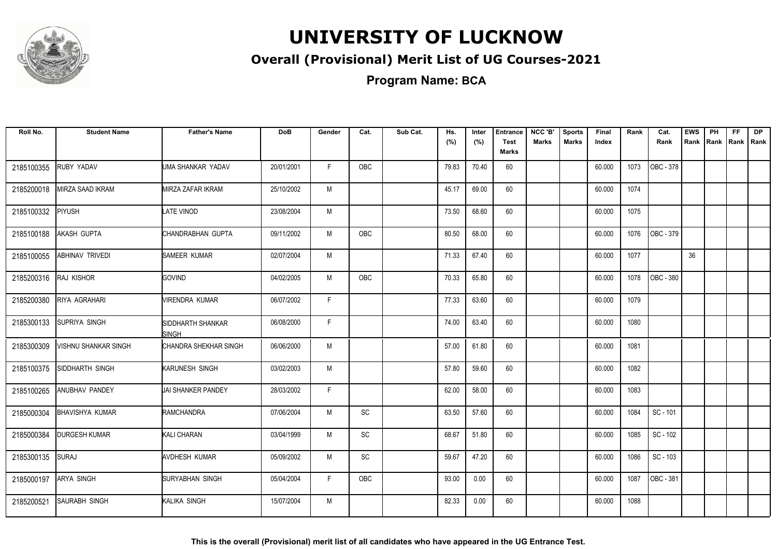

#### **Overall (Provisional) Merit List of UG Courses-2021**

**Program Name: BCA**

| Roll No.   | <b>Student Name</b>    | <b>Father's Name</b>        | <b>DoB</b> | Gender | Cat.       | Sub Cat. | Hs.<br>(%) | Inter<br>(%) | <b>Entrance</b><br><b>Test</b> | NCC 'B'<br>Marks | <b>Sports</b><br><b>Marks</b> | Final<br>Index | Rank | Cat.<br>Rank | <b>EWS</b><br>Rank | PH | <b>FF</b><br>Rank   Rank   Rank | <b>DP</b> |
|------------|------------------------|-----------------------------|------------|--------|------------|----------|------------|--------------|--------------------------------|------------------|-------------------------------|----------------|------|--------------|--------------------|----|---------------------------------|-----------|
|            |                        |                             |            |        |            |          |            |              | <b>Marks</b>                   |                  |                               |                |      |              |                    |    |                                 |           |
| 2185100355 | RUBY YADAV             | UMA SHANKAR YADAV           | 20/01/2001 | F      | <b>OBC</b> |          | 79.83      | 70.40        | 60                             |                  |                               | 60.000         | 1073 | OBC - 378    |                    |    |                                 |           |
| 2185200018 | MIRZA SAAD IKRAM       | MIRZA ZAFAR IKRAM           | 25/10/2002 | M      |            |          | 45.17      | 69.00        | 60                             |                  |                               | 60.000         | 1074 |              |                    |    |                                 |           |
| 2185100332 | PIYUSH                 | LATE VINOD                  | 23/08/2004 | M      |            |          | 73.50      | 68.60        | 60                             |                  |                               | 60.000         | 1075 |              |                    |    |                                 |           |
| 2185100188 | AKASH GUPTA            | CHANDRABHAN GUPTA           | 09/11/2002 | M      | OBC        |          | 80.50      | 68.00        | 60                             |                  |                               | 60.000         | 1076 | OBC - 379    |                    |    |                                 |           |
| 2185100055 | <b>ABHINAV TRIVEDI</b> | SAMEER KUMAR                | 02/07/2004 | M      |            |          | 71.33      | 67.40        | 60                             |                  |                               | 60.000         | 1077 |              | 36                 |    |                                 |           |
| 2185200316 | RAJ KISHOR             | <b>GOVIND</b>               | 04/02/2005 | M      | <b>OBC</b> |          | 70.33      | 65.80        | 60                             |                  |                               | 60.000         | 1078 | OBC - 380    |                    |    |                                 |           |
| 2185200380 | RIYA AGRAHARI          | MIRENDRA KUMAR              | 06/07/2002 | F      |            |          | 77.33      | 63.60        | 60                             |                  |                               | 60.000         | 1079 |              |                    |    |                                 |           |
| 2185300133 | <b>SUPRIYA SINGH</b>   | SIDDHARTH SHANKAR<br>ISINGH | 06/08/2000 | F.     |            |          | 74.00      | 63.40        | 60                             |                  |                               | 60.000         | 1080 |              |                    |    |                                 |           |
| 2185300309 | VISHNU SHANKAR SINGH   | CHANDRA SHEKHAR SINGH       | 06/06/2000 | M      |            |          | 57.00      | 61.80        | 60                             |                  |                               | 60.000         | 1081 |              |                    |    |                                 |           |
| 2185100375 | SIDDHARTH SINGH        | KARUNESH SINGH              | 03/02/2003 | M      |            |          | 57.80      | 59.60        | 60                             |                  |                               | 60.000         | 1082 |              |                    |    |                                 |           |
| 2185100265 | ANUBHAV PANDEY         | JAI SHANKER PANDEY          | 28/03/2002 | F      |            |          | 62.00      | 58.00        | 60                             |                  |                               | 60.000         | 1083 |              |                    |    |                                 |           |
| 2185000304 | <b>BHAVISHYA KUMAR</b> | RAMCHANDRA                  | 07/06/2004 | M      | SC         |          | 63.50      | 57.60        | 60                             |                  |                               | 60.000         | 1084 | SC - 101     |                    |    |                                 |           |
| 2185000384 | <b>DURGESH KUMAR</b>   | KALI CHARAN                 | 03/04/1999 | M      | SC         |          | 68.67      | 51.80        | 60                             |                  |                               | 60.000         | 1085 | SC - 102     |                    |    |                                 |           |
| 2185300135 | <b>SURAJ</b>           | <b>AVDHESH KUMAR</b>        | 05/09/2002 | M      | SC         |          | 59.67      | 47.20        | 60                             |                  |                               | 60.000         | 1086 | SC - 103     |                    |    |                                 |           |
| 2185000197 | <b>ARYA SINGH</b>      | <b>ISURYABHAN SINGH</b>     | 05/04/2004 | F.     | <b>OBC</b> |          | 93.00      | 0.00         | 60                             |                  |                               | 60.000         | 1087 | OBC - 381    |                    |    |                                 |           |
| 2185200521 | <b>SAURABH SINGH</b>   | KALIKA SINGH                | 15/07/2004 | M      |            |          | 82.33      | 0.00         | 60                             |                  |                               | 60.000         | 1088 |              |                    |    |                                 |           |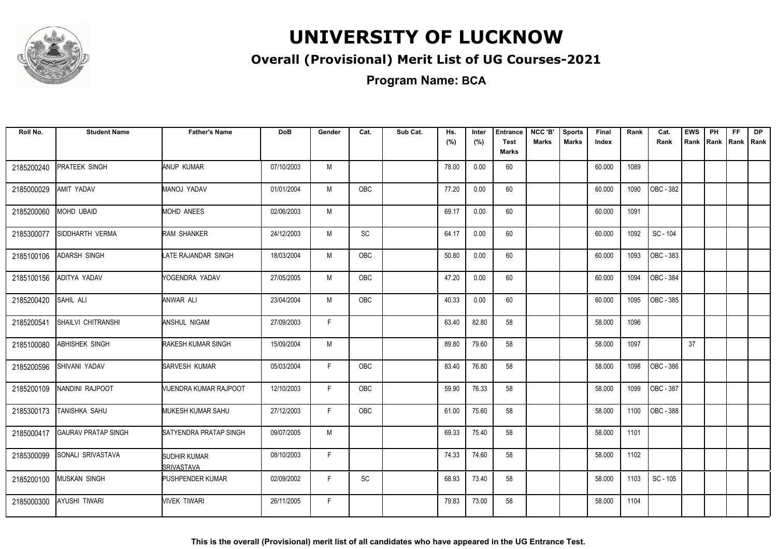

#### **Overall (Provisional) Merit List of UG Courses-2021**

**Program Name: BCA**

| Roll No.   | <b>Student Name</b>        | <b>Father's Name</b>       | <b>DoB</b> | Gender | Cat.                         | Sub Cat. | Hs.<br>(%) | Inter<br>(%) | <b>Entrance</b><br><b>Test</b><br>Marks | NCC 'B'<br><b>Marks</b> | <b>Sports</b><br><b>Marks</b> | Final<br>Index | Rank | Cat.<br>Rank           | <b>EWS</b><br>Rank | PH<br>Rank | FF.<br>Rank   Rank | <b>DP</b> |
|------------|----------------------------|----------------------------|------------|--------|------------------------------|----------|------------|--------------|-----------------------------------------|-------------------------|-------------------------------|----------------|------|------------------------|--------------------|------------|--------------------|-----------|
| 2185200240 | <b>PRATEEK SINGH</b>       | ANUP KUMAR                 | 07/10/2003 | M      |                              |          | 78.00      | 0.00         | 60                                      |                         |                               | 60.000         | 1089 |                        |                    |            |                    |           |
| 2185000029 | AMIT YADAV                 | MANOJ YADAV                | 01/01/2004 | M      | OBC                          |          | 77.20      | 0.00         | 60                                      |                         |                               | 60.000         | 1090 | OBC - 382              |                    |            |                    |           |
| 2185200060 | <b>MOHD UBAID</b>          | <b>MOHD ANEES</b>          | 02/06/2003 | M      |                              |          | 69.17      | 0.00         | 60                                      |                         |                               | 60.000         | 1091 |                        |                    |            |                    |           |
| 2185300077 | SIDDHARTH VERMA            | <b>RAM SHANKER</b>         | 24/12/2003 | M      | $\operatorname{\textsf{SC}}$ |          | 64.17      | 0.00         | 60                                      |                         |                               | 60.000         | 1092 | SC - 104               |                    |            |                    |           |
| 2185100106 | <b>ADARSH SINGH</b>        | LATE RAJANDAR SINGH        | 18/03/2004 | M      | OBC                          |          | 50.80      | 0.00         | 60                                      |                         |                               | 60.000         | 1093 | OBC - 383              |                    |            |                    |           |
| 2185100156 | ADITYA YADAV               | YOGENDRA YADAV             | 27/05/2005 | M      | <b>OBC</b>                   |          | 47.20      | 0.00         | 60                                      |                         |                               | 60.000         | 1094 | OBC - 384              |                    |            |                    |           |
| 2185200420 | SAHIL ALI                  | ANWAR ALI                  | 23/04/2004 | M      | <b>OBC</b>                   |          | 40.33      | 0.00         | 60                                      |                         |                               | 60.000         | 1095 | OBC - 385              |                    |            |                    |           |
| 2185200541 | <b>SHAILVI CHITRANSHI</b>  | ANSHUL NIGAM               | 27/09/2003 | E      |                              |          | 63.40      | 82.80        | 58                                      |                         |                               | 58.000         | 1096 |                        |                    |            |                    |           |
| 2185100080 | <b>ABHISHEK SINGH</b>      | RAKESH KUMAR SINGH         | 15/09/2004 | M      |                              |          | 89.80      | 79.60        | 58                                      |                         |                               | 58.000         | 1097 |                        | 37                 |            |                    |           |
| 2185200596 | SHIVANI YADAV              | SARVESH KUMAR              | 05/03/2004 | F      | OBC                          |          | 83.40      | 76.80        | 58                                      |                         |                               | 58.000         | 1098 | OBC - 386              |                    |            |                    |           |
| 2185200109 | NANDINI RAJPOOT            | VIJENDRA KUMAR RAJPOOT     | 12/10/2003 | F.     | OBC                          |          | 59.90      | 76.33        | 58                                      |                         |                               | 58.000         | 1099 | OBC - 387              |                    |            |                    |           |
| 2185300173 | TANISHKA SAHU              | MUKESH KUMAR SAHU          | 27/12/2003 | F      | <b>OBC</b>                   |          | 61.00      | 75.60        | 58                                      |                         |                               | 58.000         | 1100 | $\overline{OBC} - 388$ |                    |            |                    |           |
| 2185000417 | <b>GAURAV PRATAP SINGH</b> | SATYENDRA PRATAP SINGH     | 09/07/2005 | M      |                              |          | 69.33      | 75.40        | 58                                      |                         |                               | 58.000         | 1101 |                        |                    |            |                    |           |
| 2185300099 | SONALI SRIVASTAVA          | SUDHIR KUMAR<br>SRIVASTAVA | 08/10/2003 | F      |                              |          | 74.33      | 74.60        | 58                                      |                         |                               | 58.000         | 1102 |                        |                    |            |                    |           |
| 2185200100 | <b>MUSKAN SINGH</b>        | PUSHPENDER KUMAR           | 02/09/2002 | F      | SC                           |          | 68.93      | 73.40        | 58                                      |                         |                               | 58.000         | 1103 | SC - 105               |                    |            |                    |           |
| 2185000300 | <b>AYUSHI TIWARI</b>       | VIVEK TIWARI               | 26/11/2005 | F      |                              |          | 79.83      | 73.00        | 58                                      |                         |                               | 58.000         | 1104 |                        |                    |            |                    |           |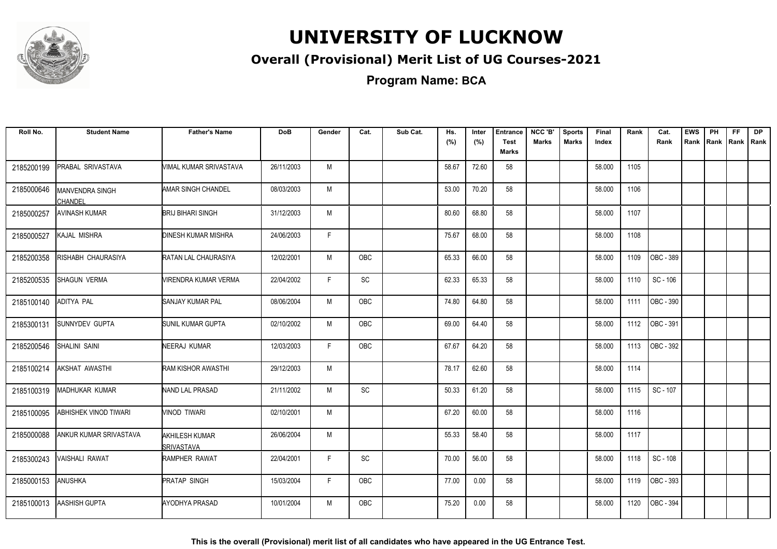

#### **Overall (Provisional) Merit List of UG Courses-2021**

**Program Name: BCA**

| Roll No.   | <b>Student Name</b>             | <b>Father's Name</b>                       | <b>DoB</b> | Gender | Cat.       | Sub Cat. | Hs.<br>(%) | Inter<br>(%) | <b>Entrance</b><br><b>Test</b><br><b>Marks</b> | NCC 'B'<br><b>Marks</b> | <b>Sports</b><br><b>Marks</b> | Final<br>Index | Rank | Cat.<br>Rank | <b>EWS</b><br>Rank | PH<br>Rank | FF.<br>Rank   Rank | <b>DP</b> |
|------------|---------------------------------|--------------------------------------------|------------|--------|------------|----------|------------|--------------|------------------------------------------------|-------------------------|-------------------------------|----------------|------|--------------|--------------------|------------|--------------------|-----------|
| 2185200199 | PRABAL SRIVASTAVA               | VIMAL KUMAR SRIVASTAVA                     | 26/11/2003 | M      |            |          | 58.67      | 72.60        | 58                                             |                         |                               | 58.000         | 1105 |              |                    |            |                    |           |
| 2185000646 | MANVENDRA SINGH                 | <b>AMAR SINGH CHANDEL</b>                  | 08/03/2003 | M      |            |          | 53.00      | 70.20        | 58                                             |                         |                               | 58.000         | 1106 |              |                    |            |                    |           |
| 2185000257 | CHANDEL<br><b>AVINASH KUMAR</b> | BRIJ BIHARI SINGH                          | 31/12/2003 | M      |            |          | 80.60      | 68.80        | 58                                             |                         |                               | 58.000         | 1107 |              |                    |            |                    |           |
| 2185000527 | KAJAL MISHRA                    | DINESH KUMAR MISHRA                        | 24/06/2003 | F.     |            |          | 75.67      | 68.00        | 58                                             |                         |                               | 58.000         | 1108 |              |                    |            |                    |           |
| 2185200358 | RISHABH CHAURASIYA              | RATAN LAL CHAURASIYA                       | 12/02/2001 | M      | <b>OBC</b> |          | 65.33      | 66.00        | 58                                             |                         |                               | 58.000         | 1109 | OBC - 389    |                    |            |                    |           |
| 2185200535 | <b>SHAGUN VERMA</b>             | VIRENDRA KUMAR VERMA                       | 22/04/2002 | F.     | SC         |          | 62.33      | 65.33        | 58                                             |                         |                               | 58.000         | 1110 | SC - 106     |                    |            |                    |           |
| 2185100140 | <b>ADITYA PAL</b>               | <b>SANJAY KUMAR PAL</b>                    | 08/06/2004 | M      | <b>OBC</b> |          | 74.80      | 64.80        | 58                                             |                         |                               | 58.000         | 1111 | OBC - 390    |                    |            |                    |           |
| 2185300131 | <b>SUNNYDEV GUPTA</b>           | SUNIL KUMAR GUPTA                          | 02/10/2002 | M      | <b>OBC</b> |          | 69.00      | 64.40        | 58                                             |                         |                               | 58.000         | 1112 | OBC - 391    |                    |            |                    |           |
| 2185200546 | SHALINI SAINI                   | NEERAJ KUMAR                               | 12/03/2003 | F.     | <b>OBC</b> |          | 67.67      | 64.20        | 58                                             |                         |                               | 58.000         | 1113 | OBC - 392    |                    |            |                    |           |
| 2185100214 | AKSHAT AWASTHI                  | <b>RAM KISHOR AWASTHI</b>                  | 29/12/2003 | M      |            |          | 78.17      | 62.60        | 58                                             |                         |                               | 58.000         | 1114 |              |                    |            |                    |           |
| 2185100319 | MADHUKAR KUMAR                  | NAND LAL PRASAD                            | 21/11/2002 | M      | <b>SC</b>  |          | 50.33      | 61.20        | 58                                             |                         |                               | 58.000         | 1115 | SC - 107     |                    |            |                    |           |
| 2185100095 | <b>ABHISHEK VINOD TIWARI</b>    | VINOD TIWARI                               | 02/10/2001 | M      |            |          | 67.20      | 60.00        | 58                                             |                         |                               | 58.000         | 1116 |              |                    |            |                    |           |
| 2185000088 | ANKUR KUMAR SRIVASTAVA          | <b>AKHILESH KUMAR</b><br><b>SRIVASTAVA</b> | 26/06/2004 | M      |            |          | 55.33      | 58.40        | 58                                             |                         |                               | 58.000         | 1117 |              |                    |            |                    |           |
| 2185300243 | VAISHALI RAWAT                  | RAMPHER RAWAT                              | 22/04/2001 | F      | SC         |          | 70.00      | 56.00        | 58                                             |                         |                               | 58.000         | 1118 | SC - 108     |                    |            |                    |           |
| 2185000153 | <b>ANUSHKA</b>                  | <b>PRATAP SINGH</b>                        | 15/03/2004 | F      | OBC        |          | 77.00      | 0.00         | 58                                             |                         |                               | 58.000         | 1119 | OBC - 393    |                    |            |                    |           |
| 2185100013 | AASHISH GUPTA                   | <b>AYODHYA PRASAD</b>                      | 10/01/2004 | M      | OBC        |          | 75.20      | 0.00         | 58                                             |                         |                               | 58.000         | 1120 | OBC - 394    |                    |            |                    |           |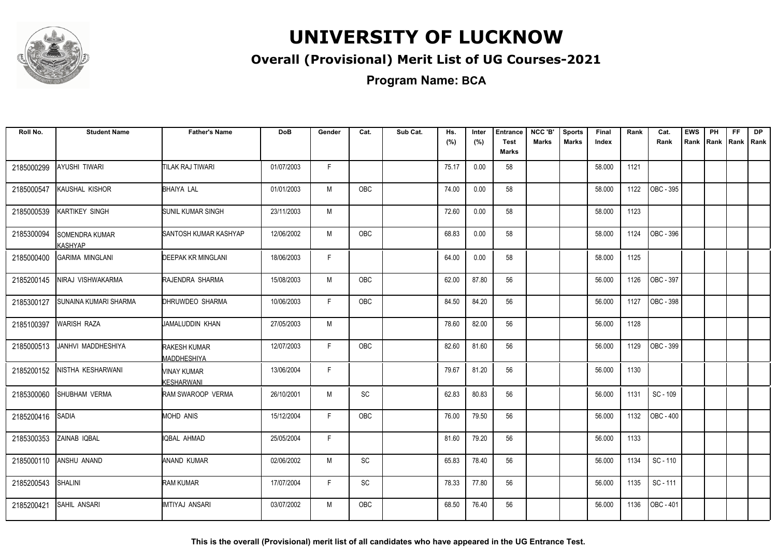

#### **Overall (Provisional) Merit List of UG Courses-2021**

**Program Name: BCA**

| Roll No.   | <b>Student Name</b>              | <b>Father's Name</b>               | <b>DoB</b> | Gender | Cat.       | Sub Cat. | Hs.<br>(%) | Inter<br>(%) | <b>Entrance</b><br><b>Test</b> | NCC 'B'<br><b>Marks</b> | <b>Sports</b><br><b>Marks</b> | Final<br>Index | Rank | Cat.<br>Rank | <b>EWS</b><br>Rank | PH<br>Rank   Rank | FF | <b>DP</b><br>l Rank |
|------------|----------------------------------|------------------------------------|------------|--------|------------|----------|------------|--------------|--------------------------------|-------------------------|-------------------------------|----------------|------|--------------|--------------------|-------------------|----|---------------------|
|            |                                  |                                    |            |        |            |          |            |              | <b>Marks</b>                   |                         |                               |                |      |              |                    |                   |    |                     |
| 2185000299 | AYUSHI TIWARI                    | <b>TILAK RAJ TIWARI</b>            | 01/07/2003 | F.     |            |          | 75.17      | 0.00         | 58                             |                         |                               | 58.000         | 1121 |              |                    |                   |    |                     |
| 2185000547 | KAUSHAL KISHOR                   | <b>BHAIYA LAL</b>                  | 01/01/2003 | M      | OBC        |          | 74.00      | 0.00         | 58                             |                         |                               | 58.000         | 1122 | OBC - 395    |                    |                   |    |                     |
| 2185000539 | KARTIKEY SINGH                   | <b>SUNIL KUMAR SINGH</b>           | 23/11/2003 | M      |            |          | 72.60      | 0.00         | 58                             |                         |                               | 58.000         | 1123 |              |                    |                   |    |                     |
| 2185300094 | SOMENDRA KUMAR<br><b>KASHYAP</b> | <b>I</b> SANTOSH KUMAR KASHYAP     | 12/06/2002 | M      | <b>OBC</b> |          | 68.83      | 0.00         | 58                             |                         |                               | 58.000         | 1124 | OBC - 396    |                    |                   |    |                     |
| 2185000400 | <b>GARIMA MINGLANI</b>           | <b>DEEPAK KR MINGLANI</b>          | 18/06/2003 | F.     |            |          | 64.00      | 0.00         | 58                             |                         |                               | 58.000         | 1125 |              |                    |                   |    |                     |
| 2185200145 | NIRAJ VISHWAKARMA                | RAJENDRA SHARMA                    | 15/08/2003 | M      | <b>OBC</b> |          | 62.00      | 87.80        | 56                             |                         |                               | 56.000         | 1126 | OBC - 397    |                    |                   |    |                     |
| 2185300127 | SUNAINA KUMARI SHARMA            | <b>I</b> DHRUWDEO SHARMA           | 10/06/2003 | F      | <b>OBC</b> |          | 84.50      | 84.20        | 56                             |                         |                               | 56.000         | 1127 | OBC - 398    |                    |                   |    |                     |
| 2185100397 | <b>WARISH RAZA</b>               | JAMALUDDIN KHAN                    | 27/05/2003 | M      |            |          | 78.60      | 82.00        | 56                             |                         |                               | 56.000         | 1128 |              |                    |                   |    |                     |
| 2185000513 | JANHVI MADDHESHIYA               | RAKESH KUMAR<br><b>MADDHESHIYA</b> | 12/07/2003 | F.     | <b>OBC</b> |          | 82.60      | 81.60        | 56                             |                         |                               | 56.000         | 1129 | OBC - 399    |                    |                   |    |                     |
| 2185200152 | NISTHA KESHARWANI                | MINAY KUMAR<br>KESHARWANI          | 13/06/2004 | F      |            |          | 79.67      | 81.20        | 56                             |                         |                               | 56.000         | 1130 |              |                    |                   |    |                     |
| 2185300060 | SHUBHAM VERMA                    | RAM SWAROOP VERMA                  | 26/10/2001 | M      | <b>SC</b>  |          | 62.83      | 80.83        | 56                             |                         |                               | 56.000         | 1131 | SC - 109     |                    |                   |    |                     |
| 2185200416 | <b>SADIA</b>                     | MOHD ANIS                          | 15/12/2004 | F      | OBC        |          | 76.00      | 79.50        | 56                             |                         |                               | 56.000         | 1132 | OBC - 400    |                    |                   |    |                     |
| 2185300353 | ZAINAB IQBAL                     | <b>IQBAL AHMAD</b>                 | 25/05/2004 | F      |            |          | 81.60      | 79.20        | 56                             |                         |                               | 56.000         | 1133 |              |                    |                   |    |                     |
| 2185000110 | ANSHU ANAND                      | ANAND KUMAR                        | 02/06/2002 | M      | <b>SC</b>  |          | 65.83      | 78.40        | 56                             |                         |                               | 56.000         | 1134 | SC - 110     |                    |                   |    |                     |
| 2185200543 | SHALINI                          | RAM KUMAR                          | 17/07/2004 | F.     | SC         |          | 78.33      | 77.80        | 56                             |                         |                               | 56.000         | 1135 | SC - 111     |                    |                   |    |                     |
| 2185200421 | <b>SAHIL ANSARI</b>              | IMTIYAJ ANSARI                     | 03/07/2002 | M      | <b>OBC</b> |          | 68.50      | 76.40        | 56                             |                         |                               | 56.000         | 1136 | OBC - 401    |                    |                   |    |                     |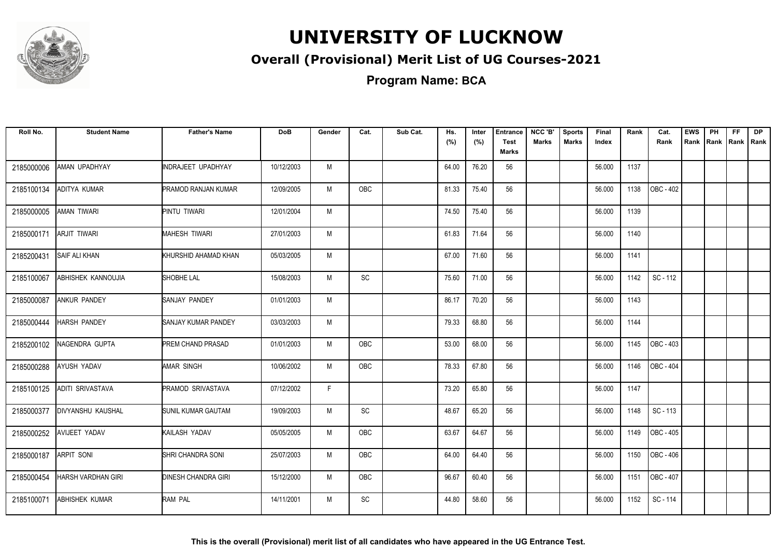

#### **Overall (Provisional) Merit List of UG Courses-2021**

**Program Name: BCA**

| Roll No.   | <b>Student Name</b>       | <b>Father's Name</b>       | <b>DoB</b> | Gender | Cat.       | Sub Cat. | Hs.<br>(%) | Inter<br>(%) | <b>Entrance</b><br><b>Test</b><br>Marks | NCC 'B'<br><b>Marks</b> | <b>Sports</b><br><b>Marks</b> | Final<br>Index | Rank | Cat.<br>Rank           | <b>EWS</b><br>Rank | PH<br>Rank Rank | <b>FF</b> | <b>DP</b><br>Rank |
|------------|---------------------------|----------------------------|------------|--------|------------|----------|------------|--------------|-----------------------------------------|-------------------------|-------------------------------|----------------|------|------------------------|--------------------|-----------------|-----------|-------------------|
| 2185000006 | AMAN UPADHYAY             | INDRAJEET UPADHYAY         | 10/12/2003 | M      |            |          | 64.00      | 76.20        | 56                                      |                         |                               | 56.000         | 1137 |                        |                    |                 |           |                   |
| 2185100134 | ADITYA KUMAR              | <b>PRAMOD RANJAN KUMAR</b> | 12/09/2005 | M      | <b>OBC</b> |          | 81.33      | 75.40        | 56                                      |                         |                               | 56.000         | 1138 | OBC - 402              |                    |                 |           |                   |
| 2185000005 | AMAN TIWARI               | PINTU TIWARI               | 12/01/2004 | M      |            |          | 74.50      | 75.40        | 56                                      |                         |                               | 56.000         | 1139 |                        |                    |                 |           |                   |
| 2185000171 | <b>ARJIT TIWARI</b>       | <b>MAHESH TIWARI</b>       | 27/01/2003 | M      |            |          | 61.83      | 71.64        | 56                                      |                         |                               | 56.000         | 1140 |                        |                    |                 |           |                   |
| 2185200431 | <b>SAIF ALI KHAN</b>      | KHURSHID AHAMAD KHAN       | 05/03/2005 | M      |            |          | 67.00      | 71.60        | 56                                      |                         |                               | 56.000         | 1141 |                        |                    |                 |           |                   |
| 2185100067 | ABHISHEK KANNOUJIA        | SHOBHE LAL                 | 15/08/2003 | M      | SC         |          | 75.60      | 71.00        | 56                                      |                         |                               | 56.000         | 1142 | SC - 112               |                    |                 |           |                   |
| 2185000087 | <b>ANKUR PANDEY</b>       | SANJAY PANDEY              | 01/01/2003 | M      |            |          | 86.17      | 70.20        | 56                                      |                         |                               | 56.000         | 1143 |                        |                    |                 |           |                   |
| 2185000444 | <b>HARSH PANDEY</b>       | SANJAY KUMAR PANDEY        | 03/03/2003 | M      |            |          | 79.33      | 68.80        | 56                                      |                         |                               | 56.000         | 1144 |                        |                    |                 |           |                   |
| 2185200102 | NAGENDRA GUPTA            | <b>PREM CHAND PRASAD</b>   | 01/01/2003 | M      | <b>OBC</b> |          | 53.00      | 68.00        | 56                                      |                         |                               | 56.000         | 1145 | $\overline{OBC}$ - 403 |                    |                 |           |                   |
| 2185000288 | AYUSH YADAV               | <b>AMAR SINGH</b>          | 10/06/2002 | M      | OBC        |          | 78.33      | 67.80        | 56                                      |                         |                               | 56.000         | 1146 | OBC - 404              |                    |                 |           |                   |
| 2185100125 | <b>ADITI SRIVASTAVA</b>   | <b>PRAMOD SRIVASTAVA</b>   | 07/12/2002 | F      |            |          | 73.20      | 65.80        | 56                                      |                         |                               | 56.000         | 1147 |                        |                    |                 |           |                   |
| 2185000377 | <b>DIVYANSHU KAUSHAL</b>  | SUNIL KUMAR GAUTAM         | 19/09/2003 | M      | SC         |          | 48.67      | 65.20        | 56                                      |                         |                               | 56.000         | 1148 | SC - 113               |                    |                 |           |                   |
| 2185000252 | AVIJEET YADAV             | KAILASH YADAV              | 05/05/2005 | M      | OBC        |          | 63.67      | 64.67        | 56                                      |                         |                               | 56.000         | 1149 | OBC - 405              |                    |                 |           |                   |
| 2185000187 | <b>ARPIT SONI</b>         | SHRI CHANDRA SONI          | 25/07/2003 | M      | OBC        |          | 64.00      | 64.40        | 56                                      |                         |                               | 56.000         | 1150 | OBC - 406              |                    |                 |           |                   |
| 2185000454 | <b>HARSH VARDHAN GIRI</b> | <b>DINESH CHANDRA GIRI</b> | 15/12/2000 | M      | <b>OBC</b> |          | 96.67      | 60.40        | 56                                      |                         |                               | 56.000         | 1151 | OBC - 407              |                    |                 |           |                   |
| 2185100071 | <b>ABHISHEK KUMAR</b>     | RAM PAL                    | 14/11/2001 | M      | <b>SC</b>  |          | 44.80      | 58.60        | 56                                      |                         |                               | 56.000         | 1152 | SC - 114               |                    |                 |           |                   |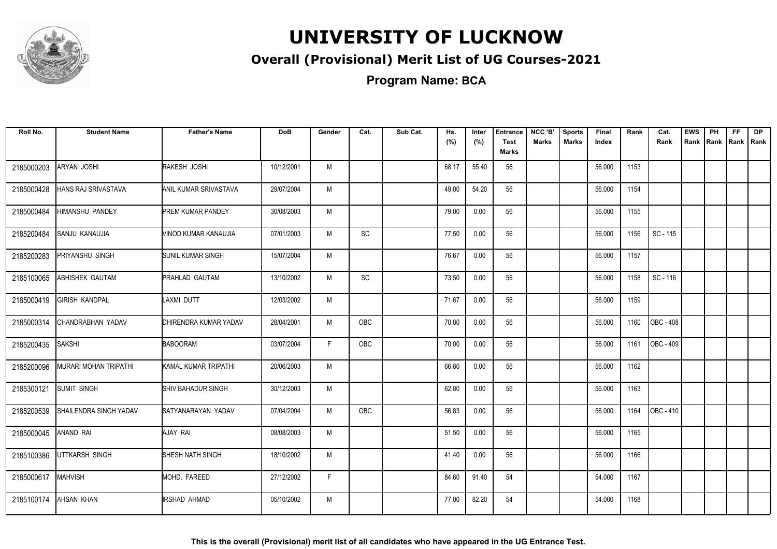

#### **Overall (Provisional) Merit List of UG Courses-2021**

**Program Name: BCA**

| Roll No.   | <b>Student Name</b>    | <b>Father's Name</b>     | <b>DoB</b> | Gender | Cat.       | Sub Cat. | Hs.   | Inter | Entrance                    | NCC 'B'      | <b>Sports</b> | Final  | Rank | Cat.      | <b>EWS</b> | PH | <b>FF</b> | <b>DP</b> |
|------------|------------------------|--------------------------|------------|--------|------------|----------|-------|-------|-----------------------------|--------------|---------------|--------|------|-----------|------------|----|-----------|-----------|
|            |                        |                          |            |        |            |          | (%)   | (%)   | <b>Test</b><br><b>Marks</b> | <b>Marks</b> | <b>Marks</b>  | Index  |      | Rank      | Rank       |    | Rank Rank | I Rank    |
| 2185000203 | ARYAN JOSHI            | RAKESH JOSHI             | 10/12/2001 | M      |            |          | 68.17 | 55.40 | 56                          |              |               | 56.000 | 1153 |           |            |    |           |           |
| 2185000428 | HANS RAJ SRIVASTAVA    | ANIL KUMAR SRIVASTAVA    | 29/07/2004 | M      |            |          | 49.00 | 54.20 | 56                          |              |               | 56.000 | 1154 |           |            |    |           |           |
| 2185000484 | HIMANSHU PANDEY        | <b>PREM KUMAR PANDEY</b> | 30/08/2003 | M      |            |          | 79.00 | 0.00  | 56                          |              |               | 56.000 | 1155 |           |            |    |           |           |
| 2185200484 | SANJU KANAUJIA         | VINOD KUMAR KANAUJIA     | 07/01/2003 | M      | SC         |          | 77.50 | 0.00  | 56                          |              |               | 56.000 | 1156 | SC - 115  |            |    |           |           |
| 2185200283 | PRIYANSHU SINGH        | <b>SUNIL KUMAR SINGH</b> | 15/07/2004 | M      |            |          | 76.67 | 0.00  | 56                          |              |               | 56.000 | 1157 |           |            |    |           |           |
| 2185100065 | ABHISHEK GAUTAM        | <b>PRAHLAD GAUTAM</b>    | 13/10/2002 | M      | SC         |          | 73.50 | 0.00  | 56                          |              |               | 56.000 | 1158 | SC - 116  |            |    |           |           |
| 2185000419 | <b>GIRISH KANDPAL</b>  | LAXMI DUTT               | 12/03/2002 | M      |            |          | 71.67 | 0.00  | 56                          |              |               | 56.000 | 1159 |           |            |    |           |           |
| 2185000314 | CHANDRABHAN YADAV      | DHIRENDRA KUMAR YADAV    | 28/04/2001 | M      | <b>OBC</b> |          | 70.80 | 0.00  | 56                          |              |               | 56.000 | 1160 | OBC - 408 |            |    |           |           |
| 2185200435 | SAKSHI                 | <b>BABOORAM</b>          | 03/07/2004 | F.     | OBC        |          | 70.00 | 0.00  | 56                          |              |               | 56.000 | 1161 | OBC - 409 |            |    |           |           |
| 2185200096 | MURARI MOHAN TRIPATHI  | KAMAL KUMAR TRIPATHI     | 20/06/2003 | M      |            |          | 66.80 | 0.00  | 56                          |              |               | 56.000 | 1162 |           |            |    |           |           |
| 2185300121 | <b>SUMIT SINGH</b>     | SHIV BAHADUR SINGH       | 30/12/2003 | M      |            |          | 62.80 | 0.00  | 56                          |              |               | 56.000 | 1163 |           |            |    |           |           |
| 2185200539 | SHAILENDRA SINGH YADAV | SATYANARAYAN YADAV       | 07/04/2004 | M      | <b>OBC</b> |          | 56.83 | 0.00  | 56                          |              |               | 56.000 | 1164 | OBC - 410 |            |    |           |           |
| 2185000045 | ANAND RAI              | AJAY RAI                 | 08/08/2003 | M      |            |          | 51.50 | 0.00  | 56                          |              |               | 56.000 | 1165 |           |            |    |           |           |
| 2185100386 | UTTKARSH SINGH         | <b>SHESH NATH SINGH</b>  | 18/10/2002 | M      |            |          | 41.40 | 0.00  | 56                          |              |               | 56.000 | 1166 |           |            |    |           |           |
| 2185000617 | <b>MAHVISH</b>         | MOHD. FAREED             | 27/12/2002 | F.     |            |          | 84.60 | 91.40 | 54                          |              |               | 54.000 | 1167 |           |            |    |           |           |
| 2185100174 | <b>AHSAN KHAN</b>      | <b>IRSHAD AHMAD</b>      | 05/10/2002 | M      |            |          | 77.00 | 82.20 | 54                          |              |               | 54.000 | 1168 |           |            |    |           |           |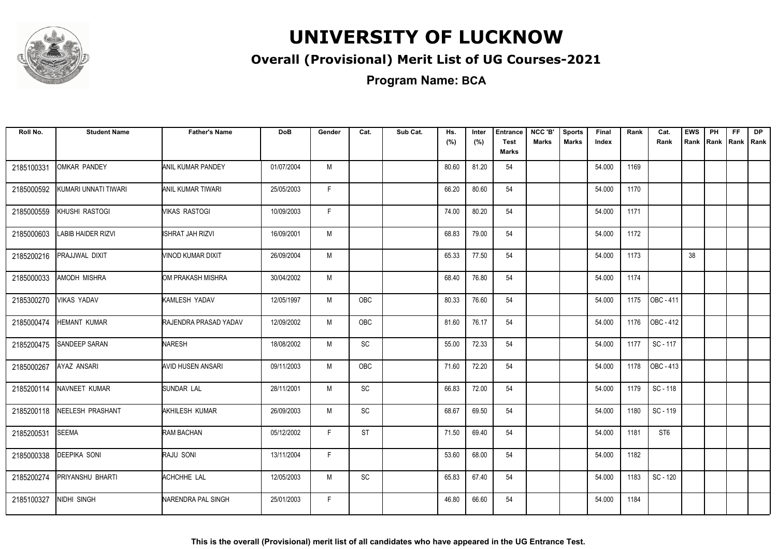

#### **Overall (Provisional) Merit List of UG Courses-2021**

**Program Name: BCA**

| Roll No.   | <b>Student Name</b>  | <b>Father's Name</b>     | <b>DoB</b> | Gender | Cat.                         | Sub Cat. | Hs.<br>(%) | Inter<br>(%) | <b>Entrance</b><br><b>Test</b><br><b>Marks</b> | NCC 'B'<br><b>Marks</b> | <b>Sports</b><br><b>Marks</b> | Final<br>Index | Rank | Cat.<br>Rank    | <b>EWS</b> | PH<br>Rank Rank | FF.<br> Rank   Rank | <b>DP</b> |
|------------|----------------------|--------------------------|------------|--------|------------------------------|----------|------------|--------------|------------------------------------------------|-------------------------|-------------------------------|----------------|------|-----------------|------------|-----------------|---------------------|-----------|
| 2185100331 | <b>OMKAR PANDEY</b>  | ANIL KUMAR PANDEY        | 01/07/2004 | M      |                              |          | 80.60      | 81.20        | 54                                             |                         |                               | 54.000         | 1169 |                 |            |                 |                     |           |
| 2185000592 | KUMARI UNNATI TIWARI | <b>ANIL KUMAR TIWARI</b> | 25/05/2003 | F.     |                              |          | 66.20      | 80.60        | 54                                             |                         |                               | 54.000         | 1170 |                 |            |                 |                     |           |
| 2185000559 | KHUSHI RASTOGI       | VIKAS RASTOGI            | 10/09/2003 | F.     |                              |          | 74.00      | 80.20        | 54                                             |                         |                               | 54.000         | 1171 |                 |            |                 |                     |           |
| 2185000603 | LABIB HAIDER RIZVI   | <b>ISHRAT JAH RIZVI</b>  | 16/09/2001 | M      |                              |          | 68.83      | 79.00        | 54                                             |                         |                               | 54.000         | 1172 |                 |            |                 |                     |           |
| 2185200216 | PRAJJWAL DIXIT       | VINOD KUMAR DIXIT        | 26/09/2004 | M      |                              |          | 65.33      | 77.50        | 54                                             |                         |                               | 54.000         | 1173 |                 | 38         |                 |                     |           |
| 2185000033 | AMODH MISHRA         | OM PRAKASH MISHRA        | 30/04/2002 | M      |                              |          | 68.40      | 76.80        | 54                                             |                         |                               | 54.000         | 1174 |                 |            |                 |                     |           |
| 2185300270 | VIKAS YADAV          | KAMLESH YADAV            | 12/05/1997 | M      | OBC                          |          | 80.33      | 76.60        | 54                                             |                         |                               | 54.000         | 1175 | OBC-411         |            |                 |                     |           |
| 2185000474 | <b>HEMANT KUMAR</b>  | RAJENDRA PRASAD YADAV    | 12/09/2002 | M      | OBC                          |          | 81.60      | 76.17        | 54                                             |                         |                               | 54.000         | 1176 | OBC - 412       |            |                 |                     |           |
| 2185200475 | SANDEEP SARAN        | <b>NARESH</b>            | 18/08/2002 | M      | SC                           |          | 55.00      | 72.33        | 54                                             |                         |                               | 54.000         | 1177 | SC - 117        |            |                 |                     |           |
| 2185000267 | AYAZ ANSARI          | AVID HUSEN ANSARI        | 09/11/2003 | M      | <b>OBC</b>                   |          | 71.60      | 72.20        | 54                                             |                         |                               | 54.000         | 1178 | OBC - 413       |            |                 |                     |           |
| 2185200114 | NAVNEET KUMAR        | <b>SUNDAR LAL</b>        | 28/11/2001 | M      | <b>SC</b>                    |          | 66.83      | 72.00        | 54                                             |                         |                               | 54.000         | 1179 | SC-118          |            |                 |                     |           |
| 2185200118 | NEELESH PRASHANT     | AKHILESH KUMAR           | 26/09/2003 | M      | $\operatorname{\textsf{SC}}$ |          | 68.67      | 69.50        | 54                                             |                         |                               | 54.000         | 1180 | SC - 119        |            |                 |                     |           |
| 2185200531 | <b>SEEMA</b>         | RAM BACHAN               | 05/12/2002 | F.     | <b>ST</b>                    |          | 71.50      | 69.40        | 54                                             |                         |                               | 54.000         | 1181 | ST <sub>6</sub> |            |                 |                     |           |
| 2185000338 | <b>DEEPIKA SONI</b>  | RAJU SONI                | 13/11/2004 | F.     |                              |          | 53.60      | 68.00        | 54                                             |                         |                               | 54.000         | 1182 |                 |            |                 |                     |           |
| 2185200274 | PRIYANSHU BHARTI     | ACHCHHE LAL              | 12/05/2003 | M      | $\operatorname{\textsf{SC}}$ |          | 65.83      | 67.40        | 54                                             |                         |                               | 54.000         | 1183 | SC - 120        |            |                 |                     |           |
| 2185100327 | NIDHI SINGH          | NARENDRA PAL SINGH       | 25/01/2003 | F.     |                              |          | 46.80      | 66.60        | 54                                             |                         |                               | 54.000         | 1184 |                 |            |                 |                     |           |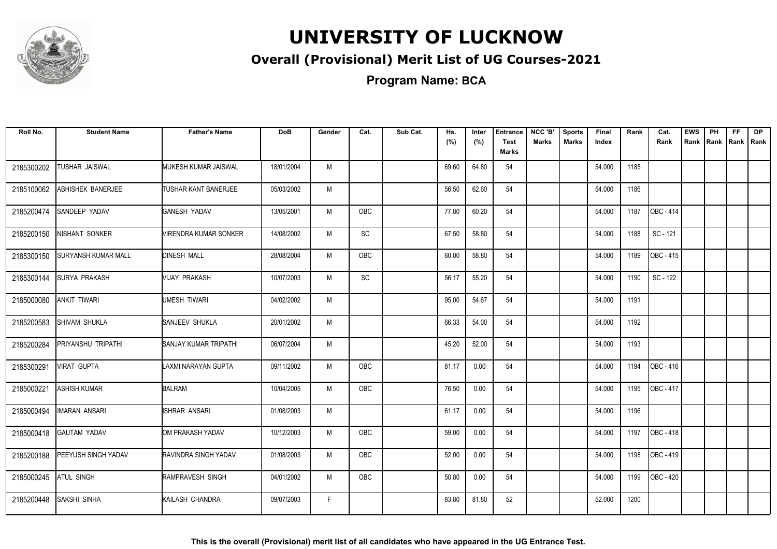

#### **Overall (Provisional) Merit List of UG Courses-2021**

**Program Name: BCA**

| Roll No.   | <b>Student Name</b>  | <b>Father's Name</b>        | <b>DoB</b> | Gender | Cat.       | Sub Cat. | Hs.<br>(%) | Inter<br>(%) | <b>Entrance</b><br><b>Test</b><br><b>Marks</b> | NCC 'B'<br><b>Marks</b> | <b>Sports</b><br><b>Marks</b> | Final<br>Index | Rank | Cat.<br>Rank | <b>EWS</b><br>Rank | PH<br>Rank Rank | <b>FF</b> | <b>DP</b><br>Rank |
|------------|----------------------|-----------------------------|------------|--------|------------|----------|------------|--------------|------------------------------------------------|-------------------------|-------------------------------|----------------|------|--------------|--------------------|-----------------|-----------|-------------------|
| 2185300202 | TUSHAR JAISWAL       | MUKESH KUMAR JAISWAL        | 18/01/2004 | M      |            |          | 69.60      | 64.80        | 54                                             |                         |                               | 54.000         | 1185 |              |                    |                 |           |                   |
| 2185100062 | ABHISHEK BANERJEE    | <b>TUSHAR KANT BANERJEE</b> | 05/03/2002 | M      |            |          | 56.50      | 62.60        | 54                                             |                         |                               | 54.000         | 1186 |              |                    |                 |           |                   |
| 2185200474 | SANDEEP YADAV        | <b>GANESH YADAV</b>         | 13/05/2001 | M      | OBC        |          | 77.80      | 60.20        | 54                                             |                         |                               | 54.000         | 1187 | OBC - 414    |                    |                 |           |                   |
| 2185200150 | NISHANT SONKER       | VIRENDRA KUMAR SONKER       | 14/08/2002 | M      | SC         |          | 67.50      | 58.80        | 54                                             |                         |                               | 54.000         | 1188 | SC - 121     |                    |                 |           |                   |
| 2185300150 | SURYANSH KUMAR MALL  | <b>DINESH MALL</b>          | 28/08/2004 | M      | OBC        |          | 60.00      | 58.80        | 54                                             |                         |                               | 54.000         | 1189 | OBC - 415    |                    |                 |           |                   |
| 2185300144 | <b>SURYA PRAKASH</b> | MIJAY PRAKASH               | 10/07/2003 | M      | SC         |          | 56.17      | 55.20        | 54                                             |                         |                               | 54.000         | 1190 | SC - 122     |                    |                 |           |                   |
| 2185000080 | <b>ANKIT TIWARI</b>  | UMESH TIWARI                | 04/02/2002 | M      |            |          | 95.00      | 54.67        | 54                                             |                         |                               | 54.000         | 1191 |              |                    |                 |           |                   |
| 2185200583 | SHIVAM SHUKLA        | SANJEEV SHUKLA              | 20/01/2002 | M      |            |          | 66.33      | 54.00        | 54                                             |                         |                               | 54.000         | 1192 |              |                    |                 |           |                   |
| 2185200284 | PRIYANSHU TRIPATHI   | SANJAY KUMAR TRIPATHI       | 06/07/2004 | M      |            |          | 45.20      | 52.00        | 54                                             |                         |                               | 54.000         | 1193 |              |                    |                 |           |                   |
| 2185300291 | <b>VIRAT GUPTA</b>   | LAXMI NARAYAN GUPTA         | 09/11/2002 | M      | <b>OBC</b> |          | 81.17      | 0.00         | 54                                             |                         |                               | 54.000         | 1194 | OBC - 416    |                    |                 |           |                   |
| 2185000221 | ASHISH KUMAR         | <b>BALRAM</b>               | 10/04/2005 | M      | <b>OBC</b> |          | 76.50      | 0.00         | 54                                             |                         |                               | 54.000         | 1195 | OBC - 417    |                    |                 |           |                   |
| 2185000494 | IMARAN ANSARI        | ISHRAR ANSARI               | 01/08/2003 | М      |            |          | 61.17      | 0.00         | 54                                             |                         |                               | 54.000         | 1196 |              |                    |                 |           |                   |
| 2185000418 | <b>GAUTAM YADAV</b>  | OM PRAKASH YADAV            | 10/12/2003 | M      | <b>OBC</b> |          | 59.00      | 0.00         | 54                                             |                         |                               | 54.000         | 1197 | OBC - 418    |                    |                 |           |                   |
| 2185200188 | PEEYUSH SINGH YADAV  | RAVINDRA SINGH YADAV        | 01/08/2003 | M      | OBC        |          | 52.00      | 0.00         | 54                                             |                         |                               | 54.000         | 1198 | OBC - 419    |                    |                 |           |                   |
| 2185000245 | <b>ATUL SINGH</b>    | RAMPRAVESH SINGH            | 04/01/2002 | M      | <b>OBC</b> |          | 50.80      | 0.00         | 54                                             |                         |                               | 54.000         | 1199 | OBC - 420    |                    |                 |           |                   |
| 2185200448 | SAKSHI SINHA         | KAILASH CHANDRA             | 09/07/2003 | F.     |            |          | 83.80      | 81.80        | 52                                             |                         |                               | 52.000         | 1200 |              |                    |                 |           |                   |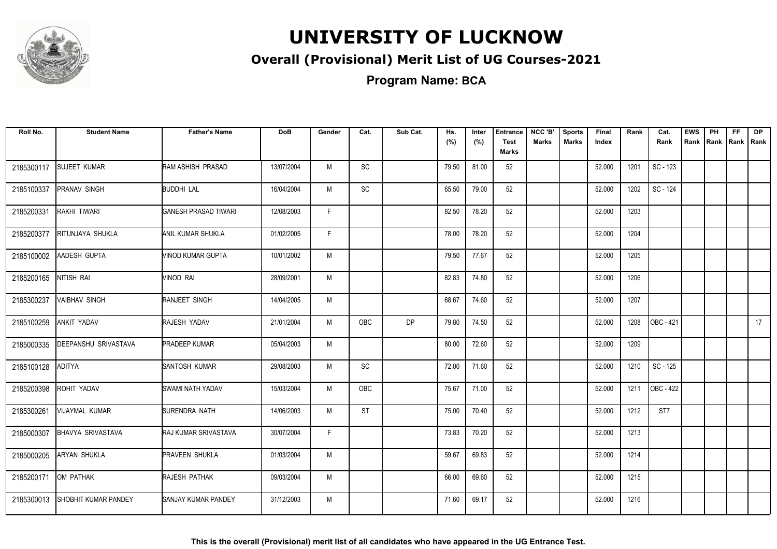

#### **Overall (Provisional) Merit List of UG Courses-2021**

**Program Name: BCA**

| Roll No.   | <b>Student Name</b>      | <b>Father's Name</b>        | <b>DoB</b> | Gender | Cat.          | Sub Cat.  | Hs.<br>(%) | Inter<br>(%) | <b>Entrance</b><br><b>Test</b><br>Marks | NCC 'B'<br><b>Marks</b> | <b>Sports</b><br><b>Marks</b> | Final<br>Index | Rank | Cat.<br>Rank | <b>EWS</b><br>Rank | PH<br>Rank Rank | <b>FF</b> | <b>DP</b><br>Rank |
|------------|--------------------------|-----------------------------|------------|--------|---------------|-----------|------------|--------------|-----------------------------------------|-------------------------|-------------------------------|----------------|------|--------------|--------------------|-----------------|-----------|-------------------|
| 2185300117 | <b>SUJEET KUMAR</b>      | RAM ASHISH PRASAD           | 13/07/2004 | M      | $\mathsf{SC}$ |           | 79.50      | 81.00        | 52                                      |                         |                               | 52.000         | 1201 | SC - 123     |                    |                 |           |                   |
| 2185100337 | PRANAV SINGH             | <b>BUDDHI LAL</b>           | 16/04/2004 | M      | <b>SC</b>     |           | 65.50      | 79.00        | 52                                      |                         |                               | 52.000         | 1202 | SC - 124     |                    |                 |           |                   |
| 2185200331 | RAKHI TIWARI             | <b>GANESH PRASAD TIWARI</b> | 12/08/2003 | F      |               |           | 82.50      | 78.20        | 52                                      |                         |                               | 52.000         | 1203 |              |                    |                 |           |                   |
| 2185200377 | RITUNJAYA SHUKLA         | ANIL KUMAR SHUKLA           | 01/02/2005 | F.     |               |           | 78.00      | 78.20        | 52                                      |                         |                               | 52.000         | 1204 |              |                    |                 |           |                   |
| 2185100002 | AADESH GUPTA             | VINOD KUMAR GUPTA           | 10/01/2002 | M      |               |           | 79.50      | 77.67        | 52                                      |                         |                               | 52.000         | 1205 |              |                    |                 |           |                   |
| 2185200165 | NITISH RAI               | VINOD RAI                   | 28/09/2001 | M      |               |           | 82.83      | 74.80        | 52                                      |                         |                               | 52.000         | 1206 |              |                    |                 |           |                   |
| 2185300237 | <b>VAIBHAV SINGH</b>     | <b>RANJEET SINGH</b>        | 14/04/2005 | M      |               |           | 68.67      | 74.60        | 52                                      |                         |                               | 52.000         | 1207 |              |                    |                 |           |                   |
| 2185100259 | ANKIT YADAV              | RAJESH YADAV                | 21/01/2004 | M      | <b>OBC</b>    | <b>DP</b> | 79.80      | 74.50        | 52                                      |                         |                               | 52.000         | 1208 | OBC - 421    |                    |                 |           | 17                |
| 2185000335 | DEEPANSHU SRIVASTAVA     | <b>PRADEEP KUMAR</b>        | 05/04/2003 | M      |               |           | 80.00      | 72.60        | 52                                      |                         |                               | 52.000         | 1209 |              |                    |                 |           |                   |
| 2185100128 | <b>ADITYA</b>            | <b>SANTOSH KUMAR</b>        | 29/08/2003 | M      | SC            |           | 72.00      | 71.60        | 52                                      |                         |                               | 52.000         | 1210 | SC - 125     |                    |                 |           |                   |
| 2185200398 | ROHIT YADAV              | <b>SWAMI NATH YADAV</b>     | 15/03/2004 | M      | <b>OBC</b>    |           | 75.67      | 71.00        | 52                                      |                         |                               | 52.000         | 1211 | OBC - 422    |                    |                 |           |                   |
| 2185300261 | VIJAYMAL KUMAR           | SURENDRA NATH               | 14/06/2003 | M      | <b>ST</b>     |           | 75.00      | 70.40        | 52                                      |                         |                               | 52.000         | 1212 | ST7          |                    |                 |           |                   |
| 2185000307 | <b>BHAVYA SRIVASTAVA</b> | <b>RAJ KUMAR SRIVASTAVA</b> | 30/07/2004 | F      |               |           | 73.83      | 70.20        | 52                                      |                         |                               | 52.000         | 1213 |              |                    |                 |           |                   |
| 2185000205 | <b>ARYAN SHUKLA</b>      | <b>PRAVEEN SHUKLA</b>       | 01/03/2004 | M      |               |           | 59.67      | 69.83        | 52                                      |                         |                               | 52.000         | 1214 |              |                    |                 |           |                   |
| 2185200171 | OM PATHAK                | RAJESH PATHAK               | 09/03/2004 | M      |               |           | 66.00      | 69.60        | 52                                      |                         |                               | 52.000         | 1215 |              |                    |                 |           |                   |
| 2185300013 | SHOBHIT KUMAR PANDEY     | <b>SANJAY KUMAR PANDEY</b>  | 31/12/2003 | M      |               |           | 71.60      | 69.17        | 52                                      |                         |                               | 52.000         | 1216 |              |                    |                 |           |                   |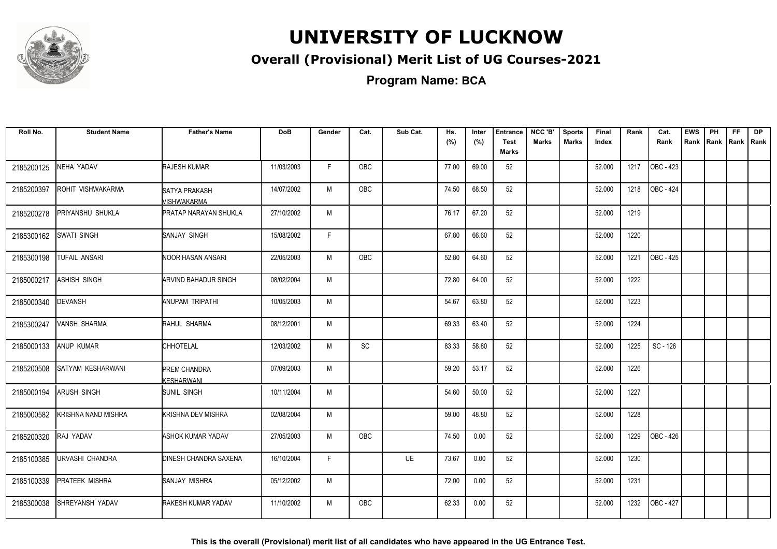

#### **Overall (Provisional) Merit List of UG Courses-2021**

**Program Name: BCA**

| Roll No.   | <b>Student Name</b>    | <b>Father's Name</b>              | <b>DoB</b> | Gender | Cat.       | Sub Cat. | Hs.<br>(%) | Inter<br>(%) | <b>Entrance</b><br><b>Test</b> | NCC 'B'<br><b>Marks</b> | <b>Sports</b><br><b>Marks</b> | Final<br>Index | Rank | Cat.<br>Rank | <b>EWS</b><br>Rank | PH<br>Rank | FF.<br>Rank Rank | <b>DP</b> |
|------------|------------------------|-----------------------------------|------------|--------|------------|----------|------------|--------------|--------------------------------|-------------------------|-------------------------------|----------------|------|--------------|--------------------|------------|------------------|-----------|
|            |                        |                                   |            |        |            |          |            |              | <b>Marks</b>                   |                         |                               |                |      |              |                    |            |                  |           |
| 2185200125 | NEHA YADAV             | <b>RAJESH KUMAR</b>               | 11/03/2003 | F.     | OBC        |          | 77.00      | 69.00        | 52                             |                         |                               | 52.000         | 1217 | OBC - 423    |                    |            |                  |           |
| 2185200397 | ROHIT VISHWAKARMA      | SATYA PRAKASH<br>VISHWAKARMA      | 14/07/2002 | M      | OBC        |          | 74.50      | 68.50        | 52                             |                         |                               | 52.000         | 1218 | OBC - 424    |                    |            |                  |           |
| 2185200278 | PRIYANSHU SHUKLA       | <b>PRATAP NARAYAN SHUKLA</b>      | 27/10/2002 | M      |            |          | 76.17      | 67.20        | 52                             |                         |                               | 52.000         | 1219 |              |                    |            |                  |           |
| 2185300162 | SWATI SINGH            | SANJAY SINGH                      | 15/08/2002 | F      |            |          | 67.80      | 66.60        | 52                             |                         |                               | 52.000         | 1220 |              |                    |            |                  |           |
| 2185300198 | <b>TUFAIL ANSARI</b>   | <b>NOOR HASAN ANSARI</b>          | 22/05/2003 | M      | <b>OBC</b> |          | 52.80      | 64.60        | 52                             |                         |                               | 52.000         | 1221 | OBC - 425    |                    |            |                  |           |
| 2185000217 | <b>ASHISH SINGH</b>    | <b>ARVIND BAHADUR SINGH</b>       | 08/02/2004 | M      |            |          | 72.80      | 64.00        | 52                             |                         |                               | 52.000         | 1222 |              |                    |            |                  |           |
| 2185000340 | <b>DEVANSH</b>         | ANUPAM TRIPATHI                   | 10/05/2003 | M      |            |          | 54.67      | 63.80        | 52                             |                         |                               | 52.000         | 1223 |              |                    |            |                  |           |
| 2185300247 | VANSH SHARMA           | RAHUL SHARMA                      | 08/12/2001 | M      |            |          | 69.33      | 63.40        | 52                             |                         |                               | 52.000         | 1224 |              |                    |            |                  |           |
| 2185000133 | ANUP KUMAR             | <b>CHHOTELAL</b>                  | 12/03/2002 | M      | SC         |          | 83.33      | 58.80        | 52                             |                         |                               | 52.000         | 1225 | SC - 126     |                    |            |                  |           |
| 2185200508 | SATYAM KESHARWANI      | <b>PREM CHANDRA</b><br>KESHARWANI | 07/09/2003 | M      |            |          | 59.20      | 53.17        | 52                             |                         |                               | 52.000         | 1226 |              |                    |            |                  |           |
| 2185000194 | <b>ARUSH SINGH</b>     | SUNIL SINGH                       | 10/11/2004 | M      |            |          | 54.60      | 50.00        | 52                             |                         |                               | 52.000         | 1227 |              |                    |            |                  |           |
| 2185000582 | KRISHNA NAND MISHRA    | <b>KRISHNA DEV MISHRA</b>         | 02/08/2004 | M      |            |          | 59.00      | 48.80        | 52                             |                         |                               | 52.000         | 1228 |              |                    |            |                  |           |
| 2185200320 | RAJ YADAV              | ASHOK KUMAR YADAV                 | 27/05/2003 | M      | OBC        |          | 74.50      | 0.00         | 52                             |                         |                               | 52.000         | 1229 | OBC - 426    |                    |            |                  |           |
| 2185100385 | URVASHI CHANDRA        | <b>DINESH CHANDRA SAXENA</b>      | 16/10/2004 | F      |            | UE       | 73.67      | 0.00         | 52                             |                         |                               | 52.000         | 1230 |              |                    |            |                  |           |
| 2185100339 | PRATEEK MISHRA         | SANJAY MISHRA                     | 05/12/2002 | M      |            |          | 72.00      | 0.00         | 52                             |                         |                               | 52.000         | 1231 |              |                    |            |                  |           |
| 2185300038 | <b>SHREYANSH YADAV</b> | <b>RAKESH KUMAR YADAV</b>         | 11/10/2002 | M      | <b>OBC</b> |          | 62.33      | 0.00         | 52                             |                         |                               | 52.000         | 1232 | OBC - 427    |                    |            |                  |           |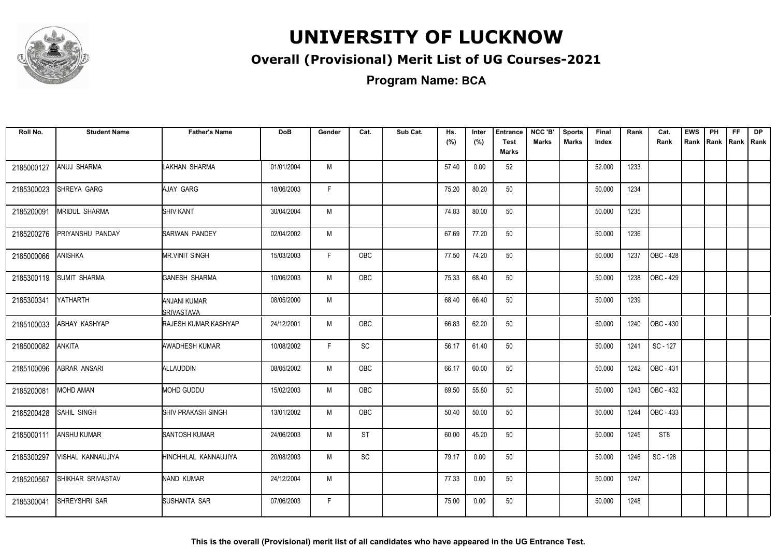

#### **Overall (Provisional) Merit List of UG Courses-2021**

**Program Name: BCA**

| Roll No.   | <b>Student Name</b>      | <b>Father's Name</b>              | <b>DoB</b> | Gender | Cat.                         | Sub Cat. | Hs.<br>(%) | Inter<br>(%) | <b>Entrance</b><br><b>Test</b><br><b>Marks</b> | NCC 'B'<br><b>Marks</b> | <b>Sports</b><br><b>Marks</b> | Final<br>Index | Rank | Cat.<br>Rank     | <b>EWS</b> | PH<br>Rank Rank | FF.<br>Rank   Rank | <b>DP</b> |
|------------|--------------------------|-----------------------------------|------------|--------|------------------------------|----------|------------|--------------|------------------------------------------------|-------------------------|-------------------------------|----------------|------|------------------|------------|-----------------|--------------------|-----------|
| 2185000127 | ANUJ SHARMA              | LAKHAN SHARMA                     | 01/01/2004 | M      |                              |          | 57.40      | 0.00         | 52                                             |                         |                               | 52.000         | 1233 |                  |            |                 |                    |           |
| 2185300023 | SHREYA GARG              | AJAY GARG                         | 18/06/2003 | F.     |                              |          | 75.20      | 80.20        | 50                                             |                         |                               | 50.000         | 1234 |                  |            |                 |                    |           |
| 2185200091 | <b>MRIDUL SHARMA</b>     | <b>SHIV KANT</b>                  | 30/04/2004 | M      |                              |          | 74.83      | 80.00        | 50                                             |                         |                               | 50.000         | 1235 |                  |            |                 |                    |           |
| 2185200276 | PRIYANSHU PANDAY         | <b>SARWAN PANDEY</b>              | 02/04/2002 | M      |                              |          | 67.69      | 77.20        | 50                                             |                         |                               | 50.000         | 1236 |                  |            |                 |                    |           |
| 2185000066 | ANISHKA                  | <b>MR.VINIT SINGH</b>             | 15/03/2003 | F.     | OBC                          |          | 77.50      | 74.20        | 50                                             |                         |                               | 50.000         | 1237 | <b>OBC - 428</b> |            |                 |                    |           |
| 2185300119 | SUMIT SHARMA             | <b>GANESH SHARMA</b>              | 10/06/2003 | M      | <b>OBC</b>                   |          | 75.33      | 68.40        | 50                                             |                         |                               | 50.000         | 1238 | <b>OBC</b> - 429 |            |                 |                    |           |
| 2185300341 | <b>YATHARTH</b>          | <b>ANJANI KUMAR</b><br>SRIVASTAVA | 08/05/2000 | M      |                              |          | 68.40      | 66.40        | 50                                             |                         |                               | 50.000         | 1239 |                  |            |                 |                    |           |
| 2185100033 | ABHAY KASHYAP            | RAJESH KUMAR KASHYAP              | 24/12/2001 | M      | OBC                          |          | 66.83      | 62.20        | 50                                             |                         |                               | 50.000         | 1240 | OBC - 430        |            |                 |                    |           |
| 2185000082 | <b>ANKITA</b>            | AWADHESH KUMAR                    | 10/08/2002 | F.     | SC                           |          | 56.17      | 61.40        | 50                                             |                         |                               | 50.000         | 1241 | SC - 127         |            |                 |                    |           |
| 2185100096 | ABRAR ANSARI             | ALLAUDDIN                         | 08/05/2002 | M      | OBC                          |          | 66.17      | 60.00        | 50                                             |                         |                               | 50.000         | 1242 | OBC - 431        |            |                 |                    |           |
| 2185200081 | MOHD AMAN                | MOHD GUDDU                        | 15/02/2003 | M      | OBC                          |          | 69.50      | 55.80        | 50                                             |                         |                               | 50.000         | 1243 | OBC - 432        |            |                 |                    |           |
| 2185200428 | <b>SAHIL SINGH</b>       | SHIV PRAKASH SINGH                | 13/01/2002 | M      | <b>OBC</b>                   |          | 50.40      | 50.00        | 50                                             |                         |                               | 50.000         | 1244 | OBC - 433        |            |                 |                    |           |
| 2185000111 | <b>ANSHU KUMAR</b>       | <b>SANTOSH KUMAR</b>              | 24/06/2003 | M      | <b>ST</b>                    |          | 60.00      | 45.20        | 50                                             |                         |                               | 50.000         | 1245 | ST <sub>8</sub>  |            |                 |                    |           |
| 2185300297 | VISHAL KANNAUJIYA        | HINCHHLAL KANNAUJIYA              | 20/08/2003 | M      | $\operatorname{\textsf{SC}}$ |          | 79.17      | 0.00         | 50                                             |                         |                               | 50.000         | 1246 | SC - 128         |            |                 |                    |           |
| 2185200567 | <b>SHIKHAR SRIVASTAV</b> | NAND KUMAR                        | 24/12/2004 | M      |                              |          | 77.33      | 0.00         | 50                                             |                         |                               | 50.000         | 1247 |                  |            |                 |                    |           |
| 2185300041 | <b>SHREYSHRI SAR</b>     | <b>SUSHANTA SAR</b>               | 07/06/2003 | F.     |                              |          | 75.00      | 0.00         | 50                                             |                         |                               | 50.000         | 1248 |                  |            |                 |                    |           |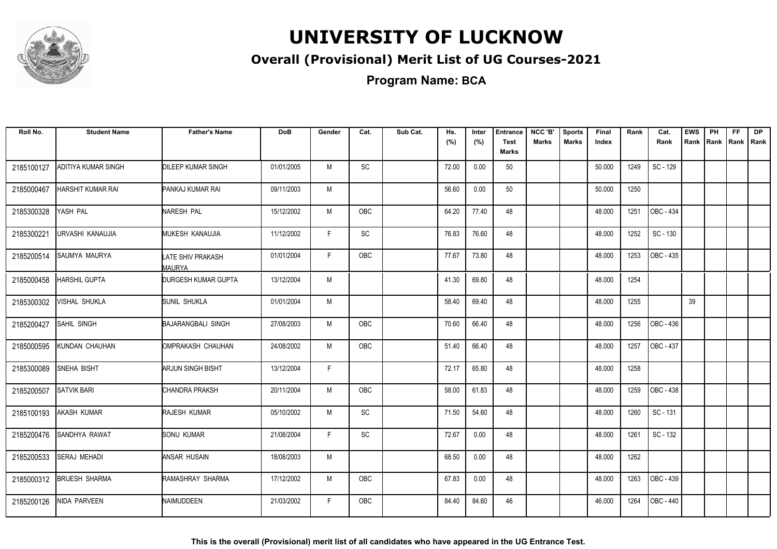

#### **Overall (Provisional) Merit List of UG Courses-2021**

**Program Name: BCA**

| Roll No.   | <b>Student Name</b>   | <b>Father's Name</b>               | <b>DoB</b> | Gender | Cat.       | Sub Cat. | Hs.<br>(%) | Inter<br>(%) | <b>Entrance</b><br><b>Test</b> | NCC 'B'<br>Marks | <b>Sports</b><br><b>Marks</b> | Final<br>Index | Rank | Cat.<br>Rank     | <b>EWS</b><br>Rank | PH | <b>FF</b><br>Rank   Rank   Rank | <b>DP</b> |
|------------|-----------------------|------------------------------------|------------|--------|------------|----------|------------|--------------|--------------------------------|------------------|-------------------------------|----------------|------|------------------|--------------------|----|---------------------------------|-----------|
|            |                       |                                    |            |        |            |          |            |              | <b>Marks</b>                   |                  |                               |                |      |                  |                    |    |                                 |           |
| 2185100127 | ADITIYA KUMAR SINGH   | <b>DILEEP KUMAR SINGH</b>          | 01/01/2005 | M      | SC         |          | 72.00      | 0.00         | 50                             |                  |                               | 50.000         | 1249 | SC - 129         |                    |    |                                 |           |
| 2185000467 | HARSHIT KUMAR RAI     | PANKAJ KUMAR RAI                   | 09/11/2003 | M      |            |          | 56.60      | 0.00         | 50                             |                  |                               | 50.000         | 1250 |                  |                    |    |                                 |           |
| 2185300328 | YASH PAL              | NARESH PAL                         | 15/12/2002 | M      | OBC        |          | 64.20      | 77.40        | 48                             |                  |                               | 48.000         | 1251 | OBC - 434        |                    |    |                                 |           |
| 2185300221 | URVASHI KANAUJIA      | MUKESH KANAUJIA                    | 11/12/2002 | F      | SC         |          | 76.83      | 76.60        | 48                             |                  |                               | 48.000         | 1252 | SC - 130         |                    |    |                                 |           |
| 2185200514 | SAUMYA MAURYA         | LATE SHIV PRAKASH<br><b>MAURYA</b> | 01/01/2004 | F.     | OBC        |          | 77.67      | 73.80        | 48                             |                  |                               | 48.000         | 1253 | OBC - 435        |                    |    |                                 |           |
| 2185000458 | <b>HARSHIL GUPTA</b>  | <b>DURGESH KUMAR GUPTA</b>         | 13/12/2004 | M      |            |          | 41.30      | 69.80        | 48                             |                  |                               | 48.000         | 1254 |                  |                    |    |                                 |           |
| 2185300302 | VISHAL SHUKLA         | SUNIL SHUKLA                       | 01/01/2004 | M      |            |          | 58.40      | 69.40        | 48                             |                  |                               | 48.000         | 1255 |                  | 39                 |    |                                 |           |
| 2185200427 | SAHIL SINGH           | <b>BAJARANGBALI SINGH</b>          | 27/08/2003 | M      | OBC        |          | 70.60      | 66.40        | 48                             |                  |                               | 48.000         | 1256 | OBC - 436        |                    |    |                                 |           |
| 2185000595 | KUNDAN CHAUHAN        | OMPRAKASH CHAUHAN                  | 24/08/2002 | M      | OBC        |          | 51.40      | 66.40        | 48                             |                  |                               | 48.000         | 1257 | OBC - 437        |                    |    |                                 |           |
| 2185300089 | SNEHA BISHT           | <b>ARJUN SINGH BISHT</b>           | 13/12/2004 | F      |            |          | 72.17      | 65.80        | 48                             |                  |                               | 48.000         | 1258 |                  |                    |    |                                 |           |
| 2185200507 | <b>SATVIK BARI</b>    | CHANDRA PRAKSH                     | 20/11/2004 | M      | OBC        |          | 58.00      | 61.83        | 48                             |                  |                               | 48.000         | 1259 | OBC - 438        |                    |    |                                 |           |
| 2185100193 | <b>AKASH KUMAR</b>    | RAJESH KUMAR                       | 05/10/2002 | M      | SC         |          | 71.50      | 54.60        | 48                             |                  |                               | 48.000         | 1260 | SC - 131         |                    |    |                                 |           |
| 2185200476 | SANDHYA RAWAT         | <b>SONU KUMAR</b>                  | 21/08/2004 | F.     | SC         |          | 72.67      | 0.00         | 48                             |                  |                               | 48.000         | 1261 | SC - 132         |                    |    |                                 |           |
| 2185200533 | <b>SERAJ MEHADI</b>   | ANSAR HUSAIN                       | 18/08/2003 | М      |            |          | 68.50      | 0.00         | 48                             |                  |                               | 48.000         | 1262 |                  |                    |    |                                 |           |
| 2185000312 | <b>BRIJESH SHARMA</b> | RAMASHRAY SHARMA                   | 17/12/2002 | M      | <b>OBC</b> |          | 67.83      | 0.00         | 48                             |                  |                               | 48.000         | 1263 | OBC - 439        |                    |    |                                 |           |
| 2185200126 | <b>NIDA PARVEEN</b>   | NAIMUDDEEN                         | 21/03/2002 | F.     | <b>OBC</b> |          | 84.40      | 84.60        | 46                             |                  |                               | 46.000         | 1264 | <b>OBC - 440</b> |                    |    |                                 |           |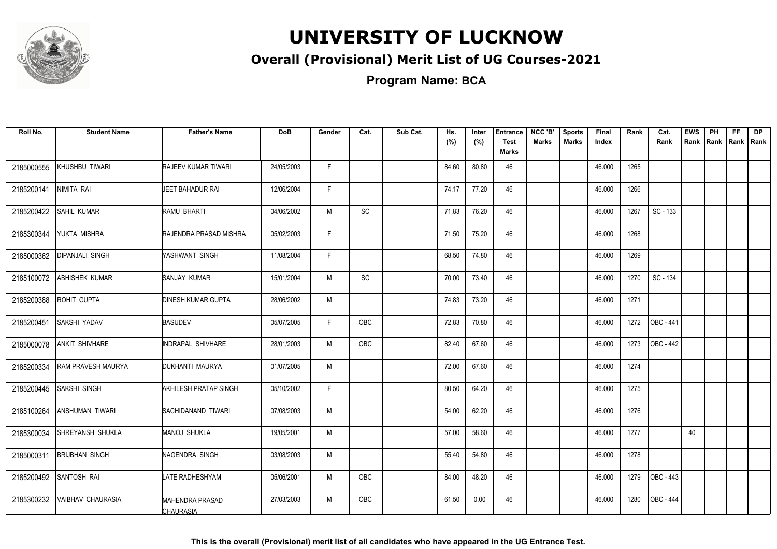

#### **Overall (Provisional) Merit List of UG Courses-2021**

**Program Name: BCA**

| Roll No.   | <b>Student Name</b>   | <b>Father's Name</b>                       | <b>DoB</b> | Gender | Cat.                         | Sub Cat. | Hs.<br>(%) | Inter<br>(%) | <b>Entrance</b><br><b>Test</b><br><b>Marks</b> | NCC 'B'<br><b>Marks</b> | <b>Sports</b><br><b>Marks</b> | Final<br>Index | Rank | Cat.<br>Rank | <b>EWS</b> | PH<br>Rank Rank | FF.<br>Rank   Rank | <b>DP</b> |
|------------|-----------------------|--------------------------------------------|------------|--------|------------------------------|----------|------------|--------------|------------------------------------------------|-------------------------|-------------------------------|----------------|------|--------------|------------|-----------------|--------------------|-----------|
| 2185000555 | KHUSHBU TIWARI        | RAJEEV KUMAR TIWARI                        | 24/05/2003 | F.     |                              |          | 84.60      | 80.80        | 46                                             |                         |                               | 46.000         | 1265 |              |            |                 |                    |           |
| 2185200141 | NIMITA RAI            | JEET BAHADUR RAI                           | 12/06/2004 | F.     |                              |          | 74.17      | 77.20        | 46                                             |                         |                               | 46.000         | 1266 |              |            |                 |                    |           |
| 2185200422 | SAHIL KUMAR           | RAMU BHARTI                                | 04/06/2002 | M      | $\operatorname{\textsf{SC}}$ |          | 71.83      | 76.20        | 46                                             |                         |                               | 46.000         | 1267 | SC - 133     |            |                 |                    |           |
| 2185300344 | YUKTA MISHRA          | RAJENDRA PRASAD MISHRA                     | 05/02/2003 | F      |                              |          | 71.50      | 75.20        | 46                                             |                         |                               | 46.000         | 1268 |              |            |                 |                    |           |
| 2185000362 | DIPANJALI SINGH       | YASHWANT SINGH                             | 11/08/2004 | F.     |                              |          | 68.50      | 74.80        | 46                                             |                         |                               | 46.000         | 1269 |              |            |                 |                    |           |
| 2185100072 | ABHISHEK KUMAR        | SANJAY KUMAR                               | 15/01/2004 | M      | SC                           |          | 70.00      | 73.40        | 46                                             |                         |                               | 46.000         | 1270 | SC - 134     |            |                 |                    |           |
| 2185200388 | ROHIT GUPTA           | <b>DINESH KUMAR GUPTA</b>                  | 28/06/2002 | M      |                              |          | 74.83      | 73.20        | 46                                             |                         |                               | 46.000         | 1271 |              |            |                 |                    |           |
| 2185200451 | <b>SAKSHI YADAV</b>   | <b>BASUDEV</b>                             | 05/07/2005 | F.     | <b>OBC</b>                   |          | 72.83      | 70.80        | 46                                             |                         |                               | 46.000         | 1272 | $LOG - 441$  |            |                 |                    |           |
| 2185000078 | <b>ANKIT SHIVHARE</b> | INDRAPAL SHIVHARE                          | 28/01/2003 | M      | <b>OBC</b>                   |          | 82.40      | 67.60        | 46                                             |                         |                               | 46.000         | 1273 | OBC - 442    |            |                 |                    |           |
| 2185200334 | RAM PRAVESH MAURYA    | DUKHANTI MAURYA                            | 01/07/2005 | M      |                              |          | 72.00      | 67.60        | 46                                             |                         |                               | 46.000         | 1274 |              |            |                 |                    |           |
| 2185200445 | SAKSHI SINGH          | AKHILESH PRATAP SINGH                      | 05/10/2002 | F.     |                              |          | 80.50      | 64.20        | 46                                             |                         |                               | 46.000         | 1275 |              |            |                 |                    |           |
| 2185100264 | ANSHUMAN TIWARI       | <b>ISACHIDANAND TIWARI</b>                 | 07/08/2003 | M      |                              |          | 54.00      | 62.20        | 46                                             |                         |                               | 46.000         | 1276 |              |            |                 |                    |           |
| 2185300034 | SHREYANSH SHUKLA      | <b>MANOJ SHUKLA</b>                        | 19/05/2001 | M      |                              |          | 57.00      | 58.60        | 46                                             |                         |                               | 46.000         | 1277 |              | 40         |                 |                    |           |
| 2185000311 | <b>BRIJBHAN SINGH</b> | NAGENDRA SINGH                             | 03/08/2003 | M      |                              |          | 55.40      | 54.80        | 46                                             |                         |                               | 46.000         | 1278 |              |            |                 |                    |           |
| 2185200492 | SANTOSH RAI           | <b>LATE RADHESHYAM</b>                     | 05/06/2001 | M      | OBC                          |          | 84.00      | 48.20        | 46                                             |                         |                               | 46.000         | 1279 | OBC - 443    |            |                 |                    |           |
| 2185300232 | VAIBHAV CHAURASIA     | <b>MAHENDRA PRASAD</b><br><b>CHAURASIA</b> | 27/03/2003 | M      | OBC                          |          | 61.50      | 0.00         | 46                                             |                         |                               | 46.000         | 1280 | OBC - 444    |            |                 |                    |           |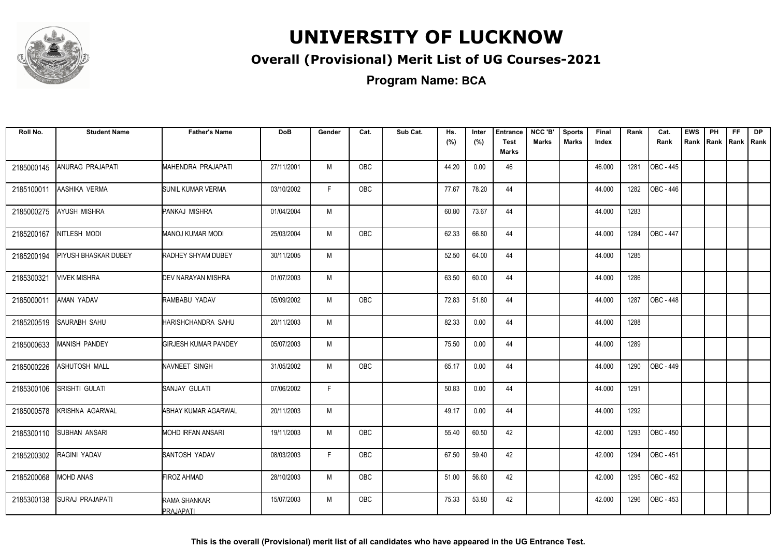

#### **Overall (Provisional) Merit List of UG Courses-2021**

**Program Name: BCA**

| Roll No.   | <b>Student Name</b>    | <b>Father's Name</b>        | <b>DoB</b> | Gender | Cat.       | Sub Cat. | Hs.<br>(%) | Inter<br>(%) | <b>Entrance</b><br><b>Test</b> | NCC 'B'<br><b>Marks</b> | <b>Sports</b><br><b>Marks</b> | Final<br>Index | Rank | Cat.<br>Rank | <b>EWS</b> | PH<br>Rank Rank | FF.<br>Rank   Rank | <b>DP</b> |
|------------|------------------------|-----------------------------|------------|--------|------------|----------|------------|--------------|--------------------------------|-------------------------|-------------------------------|----------------|------|--------------|------------|-----------------|--------------------|-----------|
|            |                        |                             |            |        |            |          |            |              | <b>Marks</b>                   |                         |                               |                |      |              |            |                 |                    |           |
| 2185000145 | ANURAG PRAJAPATI       | MAHENDRA PRAJAPATI          | 27/11/2001 | M      | <b>OBC</b> |          | 44.20      | 0.00         | 46                             |                         |                               | 46.000         | 1281 | OBC - 445    |            |                 |                    |           |
| 2185100011 | AASHIKA VERMA          | SUNIL KUMAR VERMA           | 03/10/2002 | F.     | OBC        |          | 77.67      | 78.20        | 44                             |                         |                               | 44.000         | 1282 | OBC - 446    |            |                 |                    |           |
| 2185000275 | AYUSH MISHRA           | PANKAJ MISHRA               | 01/04/2004 | M      |            |          | 60.80      | 73.67        | 44                             |                         |                               | 44.000         | 1283 |              |            |                 |                    |           |
| 2185200167 | NITLESH MODI           | <b>MANOJ KUMAR MODI</b>     | 25/03/2004 | M      | OBC        |          | 62.33      | 66.80        | 44                             |                         |                               | 44.000         | 1284 | OBC - 447    |            |                 |                    |           |
| 2185200194 | PIYUSH BHASKAR DUBEY   | RADHEY SHYAM DUBEY          | 30/11/2005 | M      |            |          | 52.50      | 64.00        | 44                             |                         |                               | 44.000         | 1285 |              |            |                 |                    |           |
| 2185300321 | <b>VIVEK MISHRA</b>    | DEV NARAYAN MISHRA          | 01/07/2003 | M      |            |          | 63.50      | 60.00        | 44                             |                         |                               | 44.000         | 1286 |              |            |                 |                    |           |
| 2185000011 | <b>AMAN YADAV</b>      | RAMBABU YADAV               | 05/09/2002 | M      | <b>OBC</b> |          | 72.83      | 51.80        | 44                             |                         |                               | 44.000         | 1287 | OBC - 448    |            |                 |                    |           |
| 2185200519 | <b>SAURABH SAHU</b>    | <b>HARISHCHANDRA SAHU</b>   | 20/11/2003 | M      |            |          | 82.33      | 0.00         | 44                             |                         |                               | 44.000         | 1288 |              |            |                 |                    |           |
| 2185000633 | <b>MANISH PANDEY</b>   | <b>GIRJESH KUMAR PANDEY</b> | 05/07/2003 | M      |            |          | 75.50      | 0.00         | 44                             |                         |                               | 44.000         | 1289 |              |            |                 |                    |           |
| 2185000226 | ASHUTOSH MALL          | NAVNEET SINGH               | 31/05/2002 | M      | <b>OBC</b> |          | 65.17      | 0.00         | 44                             |                         |                               | 44.000         | 1290 | OBC - 449    |            |                 |                    |           |
| 2185300106 | SRISHTI GULATI         | SANJAY GULATI               | 07/06/2002 | F.     |            |          | 50.83      | 0.00         | 44                             |                         |                               | 44.000         | 1291 |              |            |                 |                    |           |
| 2185000578 | KRISHNA AGARWAL        | ABHAY KUMAR AGARWAL         | 20/11/2003 | M      |            |          | 49.17      | 0.00         | 44                             |                         |                               | 44.000         | 1292 |              |            |                 |                    |           |
| 2185300110 | SUBHAN ANSARI          | <b>MOHD IRFAN ANSARI</b>    | 19/11/2003 | M      | OBC        |          | 55.40      | 60.50        | 42                             |                         |                               | 42.000         | 1293 | OBC - 450    |            |                 |                    |           |
| 2185200302 | RAGINI YADAV           | SANTOSH YADAV               | 08/03/2003 | F.     | OBC        |          | 67.50      | 59.40        | 42                             |                         |                               | 42.000         | 1294 | OBC - 451    |            |                 |                    |           |
| 2185200068 | MOHD ANAS              | <b>FIROZ AHMAD</b>          | 28/10/2003 | M      | OBC        |          | 51.00      | 56.60        | 42                             |                         |                               | 42.000         | 1295 | OBC - 452    |            |                 |                    |           |
| 2185300138 | <b>SURAJ PRAJAPATI</b> | RAMA SHANKAR<br>PRAJAPATI   | 15/07/2003 | M      | OBC        |          | 75.33      | 53.80        | 42                             |                         |                               | 42.000         | 1296 | OBC - 453    |            |                 |                    |           |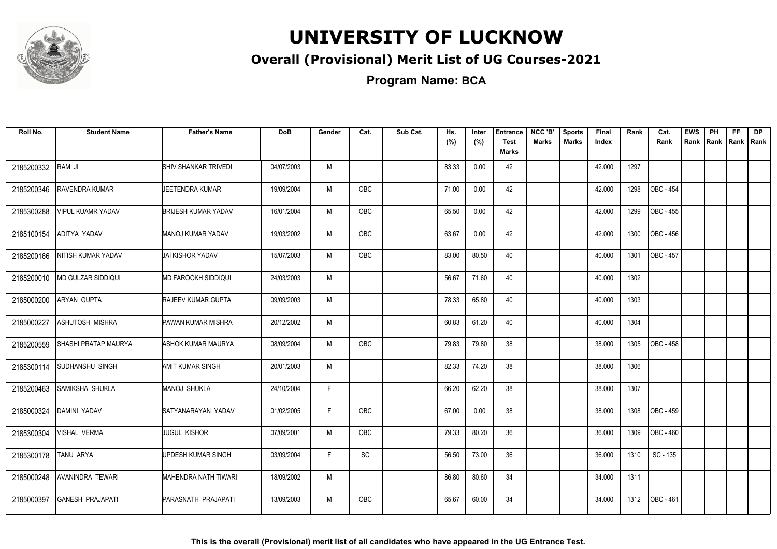

#### **Overall (Provisional) Merit List of UG Courses-2021**

**Program Name: BCA**

| Roll No.   | <b>Student Name</b>       | <b>Father's Name</b>        | <b>DoB</b> | Gender | Cat.       | Sub Cat. | Hs.<br>(%) | Inter<br>(%) | <b>Entrance</b><br><b>Test</b><br><b>Marks</b> | NCC 'B'<br><b>Marks</b> | <b>Sports</b><br><b>Marks</b> | Final<br>Index | Rank | Cat.<br>Rank     | <b>EWS</b><br>Rank | PH | <b>FF</b><br>Rank Rank | <b>DP</b><br>Rank |
|------------|---------------------------|-----------------------------|------------|--------|------------|----------|------------|--------------|------------------------------------------------|-------------------------|-------------------------------|----------------|------|------------------|--------------------|----|------------------------|-------------------|
| 2185200332 | RAM JI                    | <b>SHIV SHANKAR TRIVEDI</b> | 04/07/2003 | M      |            |          | 83.33      | 0.00         | 42                                             |                         |                               | 42.000         | 1297 |                  |                    |    |                        |                   |
| 2185200346 | RAVENDRA KUMAR            | UEETENDRA KUMAR             | 19/09/2004 | M      | <b>OBC</b> |          | 71.00      | 0.00         | 42                                             |                         |                               | 42.000         | 1298 | <b>OBC - 454</b> |                    |    |                        |                   |
| 2185300288 | <b>VIPUL KUAMR YADAV</b>  | <b>BRIJESH KUMAR YADAV</b>  | 16/01/2004 | M      | OBC        |          | 65.50      | 0.00         | 42                                             |                         |                               | 42.000         | 1299 | OBC - 455        |                    |    |                        |                   |
| 2185100154 | ADITYA YADAV              | <b>MANOJ KUMAR YADAV</b>    | 19/03/2002 | M      | OBC        |          | 63.67      | 0.00         | 42                                             |                         |                               | 42.000         | 1300 | OBC - 456        |                    |    |                        |                   |
| 2185200166 | NITISH KUMAR YADAV        | <b>JAI KISHOR YADAV</b>     | 15/07/2003 | M      | OBC        |          | 83.00      | 80.50        | 40                                             |                         |                               | 40.000         | 1301 | OBC - 457        |                    |    |                        |                   |
| 2185200010 | <b>MD GULZAR SIDDIQUI</b> | <b>MD FAROOKH SIDDIQUI</b>  | 24/03/2003 | M      |            |          | 56.67      | 71.60        | 40                                             |                         |                               | 40.000         | 1302 |                  |                    |    |                        |                   |
| 2185000200 | <b>ARYAN GUPTA</b>        | <b>RAJEEV KUMAR GUPTA</b>   | 09/09/2003 | M      |            |          | 78.33      | 65.80        | 40                                             |                         |                               | 40.000         | 1303 |                  |                    |    |                        |                   |
| 2185000227 | ASHUTOSH MISHRA           | PAWAN KUMAR MISHRA          | 20/12/2002 | M      |            |          | 60.83      | 61.20        | 40                                             |                         |                               | 40.000         | 1304 |                  |                    |    |                        |                   |
| 2185200559 | SHASHI PRATAP MAURYA      | ASHOK KUMAR MAURYA          | 08/09/2004 | M      | <b>OBC</b> |          | 79.83      | 79.80        | 38                                             |                         |                               | 38.000         | 1305 | <b>OBC - 458</b> |                    |    |                        |                   |
| 2185300114 | SUDHANSHU SINGH           | AMIT KUMAR SINGH            | 20/01/2003 | M      |            |          | 82.33      | 74.20        | 38                                             |                         |                               | 38.000         | 1306 |                  |                    |    |                        |                   |
| 2185200463 | SAMIKSHA SHUKLA           | <b>MANOJ SHUKLA</b>         | 24/10/2004 | F      |            |          | 66.20      | 62.20        | 38                                             |                         |                               | 38.000         | 1307 |                  |                    |    |                        |                   |
| 2185000324 | DAMINI YADAV              | SATYANARAYAN YADAV          | 01/02/2005 | F.     | OBC        |          | 67.00      | 0.00         | 38                                             |                         |                               | 38.000         | 1308 | OBC - 459        |                    |    |                        |                   |
| 2185300304 | VISHAL VERMA              | JUGUL KISHOR                | 07/09/2001 | M      | <b>OBC</b> |          | 79.33      | 80.20        | 36                                             |                         |                               | 36.000         | 1309 | <b>OBC - 460</b> |                    |    |                        |                   |
| 2185300178 | <b>TANU ARYA</b>          | UPDESH KUMAR SINGH          | 03/09/2004 | F      | SC         |          | 56.50      | 73.00        | 36                                             |                         |                               | 36.000         | 1310 | SC - 135         |                    |    |                        |                   |
| 2185000248 | AVANINDRA TEWARI          | MAHENDRA NATH TIWARI        | 18/09/2002 | M      |            |          | 86.80      | 80.60        | 34                                             |                         |                               | 34.000         | 1311 |                  |                    |    |                        |                   |
| 2185000397 | <b>GANESH PRAJAPATI</b>   | PARASNATH PRAJAPATI         | 13/09/2003 | M      | <b>OBC</b> |          | 65.67      | 60.00        | 34                                             |                         |                               | 34.000         | 1312 | OBC - 461        |                    |    |                        |                   |